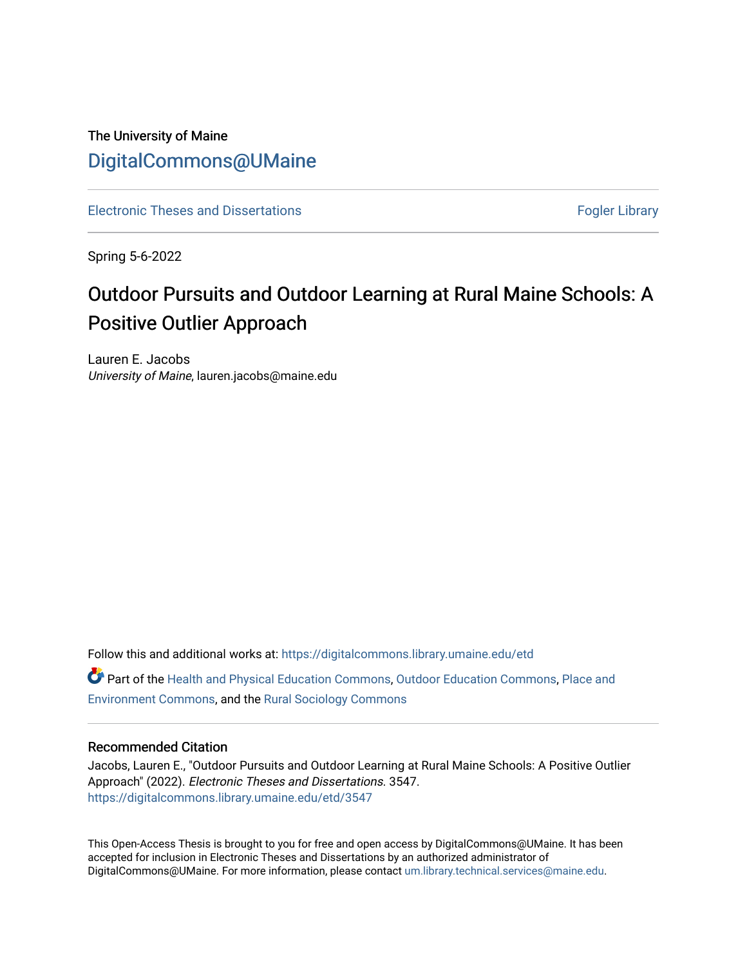## The University of Maine [DigitalCommons@UMaine](https://digitalcommons.library.umaine.edu/)

[Electronic Theses and Dissertations](https://digitalcommons.library.umaine.edu/etd) **Fogler Library** Fogler Library

Spring 5-6-2022

# Outdoor Pursuits and Outdoor Learning at Rural Maine Schools: A Positive Outlier Approach

Lauren E. Jacobs University of Maine, lauren.jacobs@maine.edu

Follow this and additional works at: [https://digitalcommons.library.umaine.edu/etd](https://digitalcommons.library.umaine.edu/etd?utm_source=digitalcommons.library.umaine.edu%2Fetd%2F3547&utm_medium=PDF&utm_campaign=PDFCoverPages)  Part of the [Health and Physical Education Commons](https://network.bepress.com/hgg/discipline/1327?utm_source=digitalcommons.library.umaine.edu%2Fetd%2F3547&utm_medium=PDF&utm_campaign=PDFCoverPages), [Outdoor Education Commons](https://network.bepress.com/hgg/discipline/1381?utm_source=digitalcommons.library.umaine.edu%2Fetd%2F3547&utm_medium=PDF&utm_campaign=PDFCoverPages), [Place and](https://network.bepress.com/hgg/discipline/424?utm_source=digitalcommons.library.umaine.edu%2Fetd%2F3547&utm_medium=PDF&utm_campaign=PDFCoverPages)  [Environment Commons](https://network.bepress.com/hgg/discipline/424?utm_source=digitalcommons.library.umaine.edu%2Fetd%2F3547&utm_medium=PDF&utm_campaign=PDFCoverPages), and the [Rural Sociology Commons](https://network.bepress.com/hgg/discipline/428?utm_source=digitalcommons.library.umaine.edu%2Fetd%2F3547&utm_medium=PDF&utm_campaign=PDFCoverPages) 

## Recommended Citation

Jacobs, Lauren E., "Outdoor Pursuits and Outdoor Learning at Rural Maine Schools: A Positive Outlier Approach" (2022). Electronic Theses and Dissertations. 3547. [https://digitalcommons.library.umaine.edu/etd/3547](https://digitalcommons.library.umaine.edu/etd/3547?utm_source=digitalcommons.library.umaine.edu%2Fetd%2F3547&utm_medium=PDF&utm_campaign=PDFCoverPages)

This Open-Access Thesis is brought to you for free and open access by DigitalCommons@UMaine. It has been accepted for inclusion in Electronic Theses and Dissertations by an authorized administrator of DigitalCommons@UMaine. For more information, please contact [um.library.technical.services@maine.edu](mailto:um.library.technical.services@maine.edu).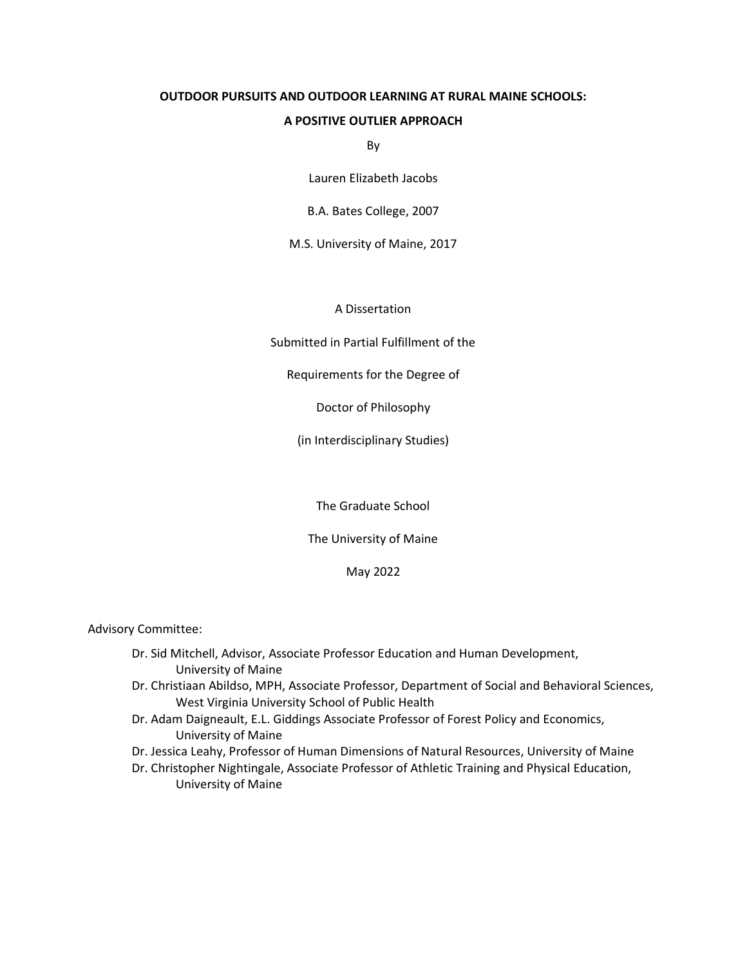## **OUTDOOR PURSUITS AND OUTDOOR LEARNING AT RURAL MAINE SCHOOLS:**

#### **A POSITIVE OUTLIER APPROACH**

By

Lauren Elizabeth Jacobs

B.A. Bates College, 2007

M.S. University of Maine, 2017

A Dissertation

Submitted in Partial Fulfillment of the

Requirements for the Degree of

Doctor of Philosophy

(in Interdisciplinary Studies)

The Graduate School

The University of Maine

May 2022

Advisory Committee:

- Dr. Sid Mitchell, Advisor, Associate Professor Education and Human Development, University of Maine
- Dr. Christiaan Abildso, MPH, Associate Professor, Department of Social and Behavioral Sciences, West Virginia University School of Public Health
- Dr. Adam Daigneault, E.L. Giddings Associate Professor of Forest Policy and Economics, University of Maine
- Dr. Jessica Leahy, Professor of Human Dimensions of Natural Resources, University of Maine
- Dr. Christopher Nightingale, Associate Professor of Athletic Training and Physical Education, University of Maine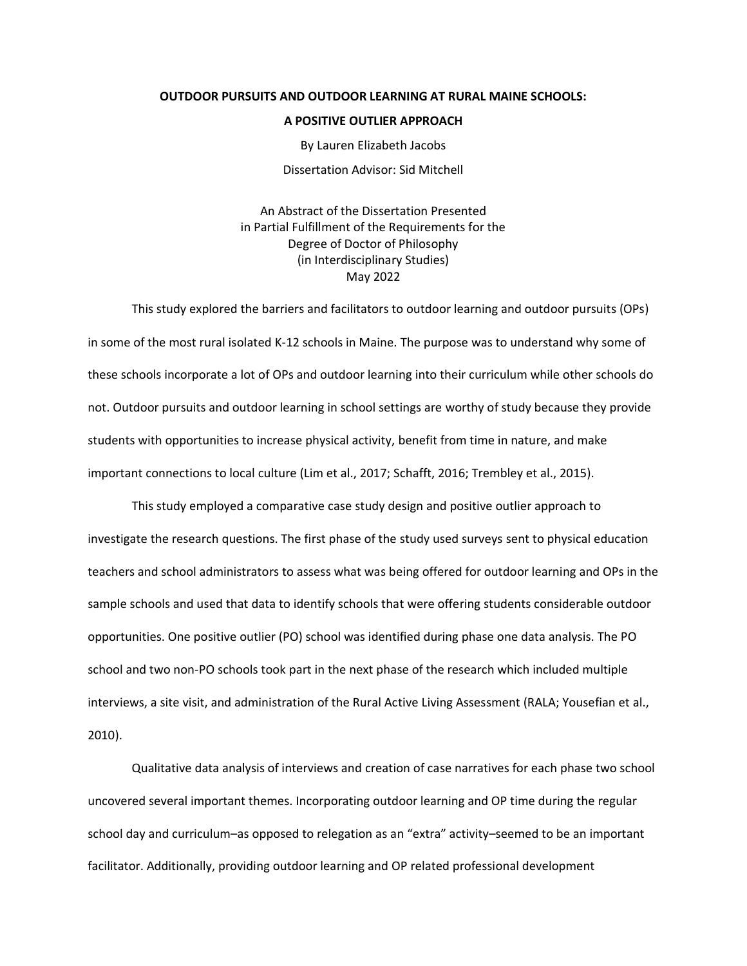#### **OUTDOOR PURSUITS AND OUTDOOR LEARNING AT RURAL MAINE SCHOOLS:**

#### **A POSITIVE OUTLIER APPROACH**

By Lauren Elizabeth Jacobs

Dissertation Advisor: Sid Mitchell

An Abstract of the Dissertation Presented in Partial Fulfillment of the Requirements for the Degree of Doctor of Philosophy (in Interdisciplinary Studies) May 2022

This study explored the barriers and facilitators to outdoor learning and outdoor pursuits (OPs) in some of the most rural isolated K-12 schools in Maine. The purpose was to understand why some of these schools incorporate a lot of OPs and outdoor learning into their curriculum while other schools do not. Outdoor pursuits and outdoor learning in school settings are worthy of study because they provide students with opportunities to increase physical activity, benefit from time in nature, and make important connections to local culture (Lim et al., 2017; Schafft, 2016; Trembley et al., 2015).

This study employed a comparative case study design and positive outlier approach to investigate the research questions. The first phase of the study used surveys sent to physical education teachers and school administrators to assess what was being offered for outdoor learning and OPs in the sample schools and used that data to identify schools that were offering students considerable outdoor opportunities. One positive outlier (PO) school was identified during phase one data analysis. The PO school and two non-PO schools took part in the next phase of the research which included multiple interviews, a site visit, and administration of the Rural Active Living Assessment (RALA; Yousefian et al., 2010).

Qualitative data analysis of interviews and creation of case narratives for each phase two school uncovered several important themes. Incorporating outdoor learning and OP time during the regular school day and curriculum–as opposed to relegation as an "extra" activity–seemed to be an important facilitator. Additionally, providing outdoor learning and OP related professional development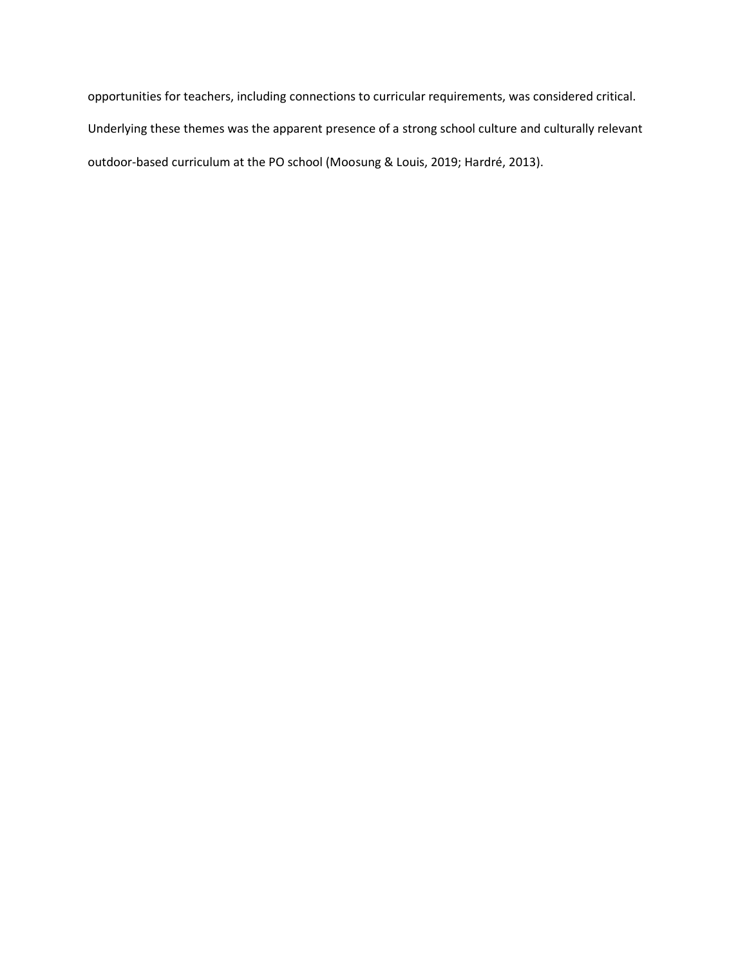opportunities for teachers, including connections to curricular requirements, was considered critical. Underlying these themes was the apparent presence of a strong school culture and culturally relevant outdoor-based curriculum at the PO school (Moosung & Louis, 2019; Hardré, 2013).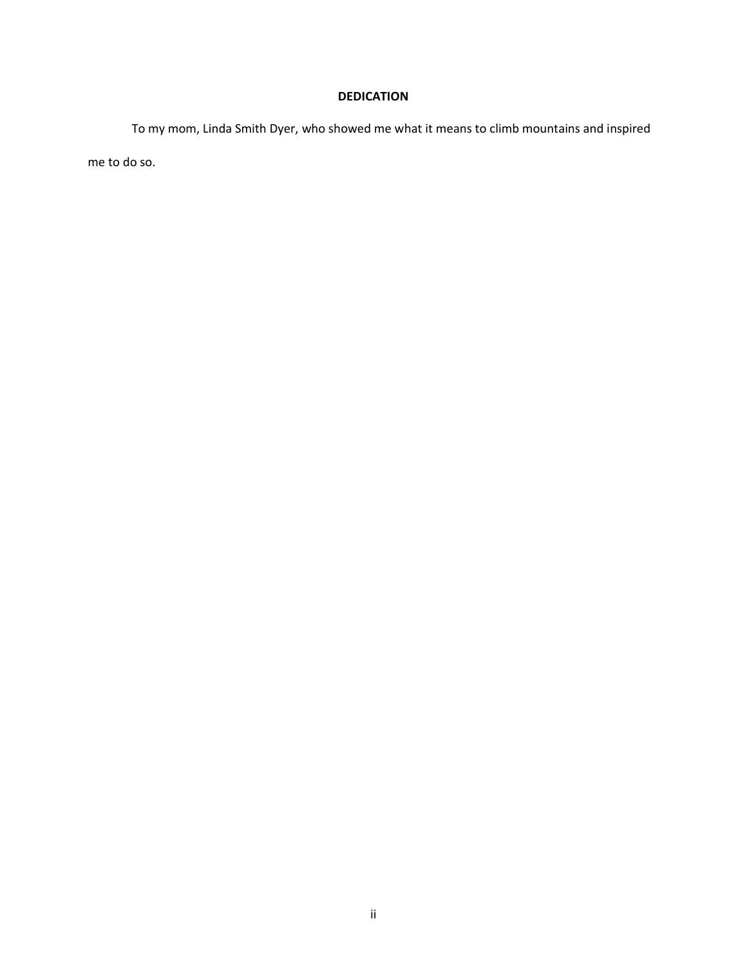## **DEDICATION**

To my mom, Linda Smith Dyer, who showed me what it means to climb mountains and inspired me to do so.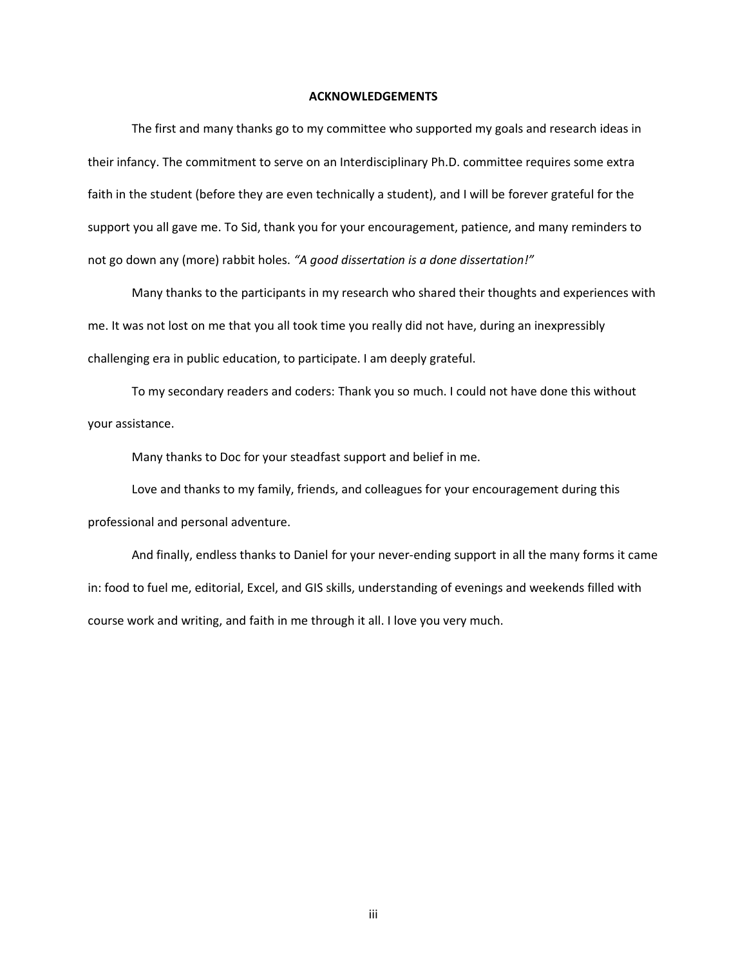#### **ACKNOWLEDGEMENTS**

The first and many thanks go to my committee who supported my goals and research ideas in their infancy. The commitment to serve on an Interdisciplinary Ph.D. committee requires some extra faith in the student (before they are even technically a student), and I will be forever grateful for the support you all gave me. To Sid, thank you for your encouragement, patience, and many reminders to not go down any (more) rabbit holes. *"A good dissertation is a done dissertation!"*

Many thanks to the participants in my research who shared their thoughts and experiences with me. It was not lost on me that you all took time you really did not have, during an inexpressibly challenging era in public education, to participate. I am deeply grateful.

To my secondary readers and coders: Thank you so much. I could not have done this without your assistance.

Many thanks to Doc for your steadfast support and belief in me.

Love and thanks to my family, friends, and colleagues for your encouragement during this professional and personal adventure.

And finally, endless thanks to Daniel for your never-ending support in all the many forms it came in: food to fuel me, editorial, Excel, and GIS skills, understanding of evenings and weekends filled with course work and writing, and faith in me through it all. I love you very much.

iii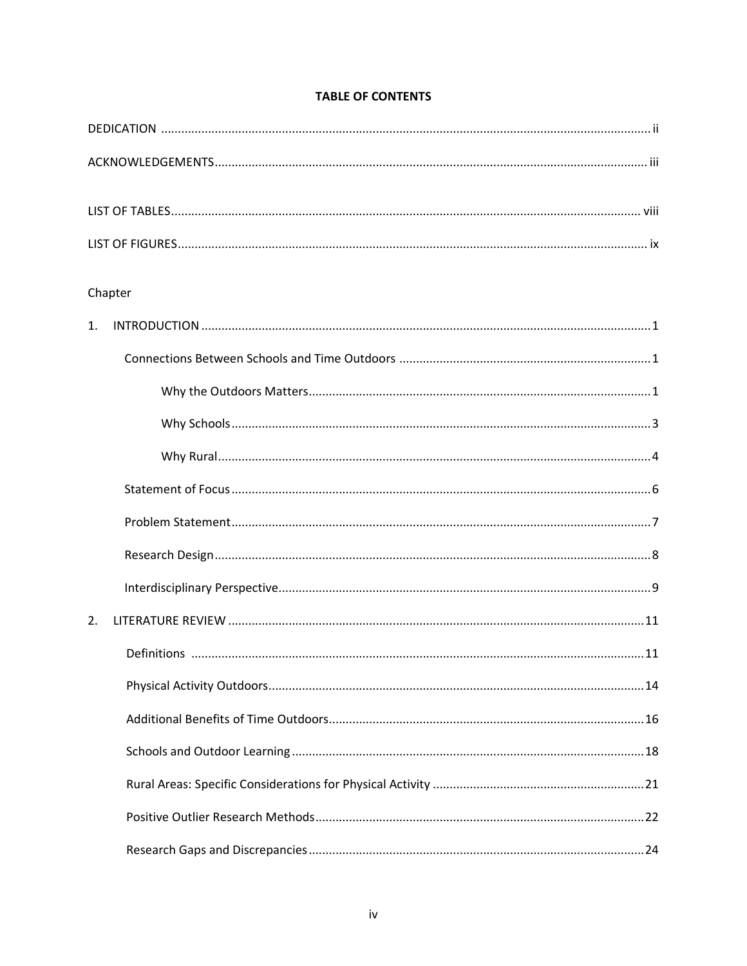## **TABLE OF CONTENTS**

| Chapter |  |
|---------|--|
| 1.      |  |
|         |  |
|         |  |
|         |  |
|         |  |
|         |  |
|         |  |
|         |  |
|         |  |
| 2.      |  |
|         |  |
|         |  |
|         |  |
|         |  |
|         |  |
|         |  |
|         |  |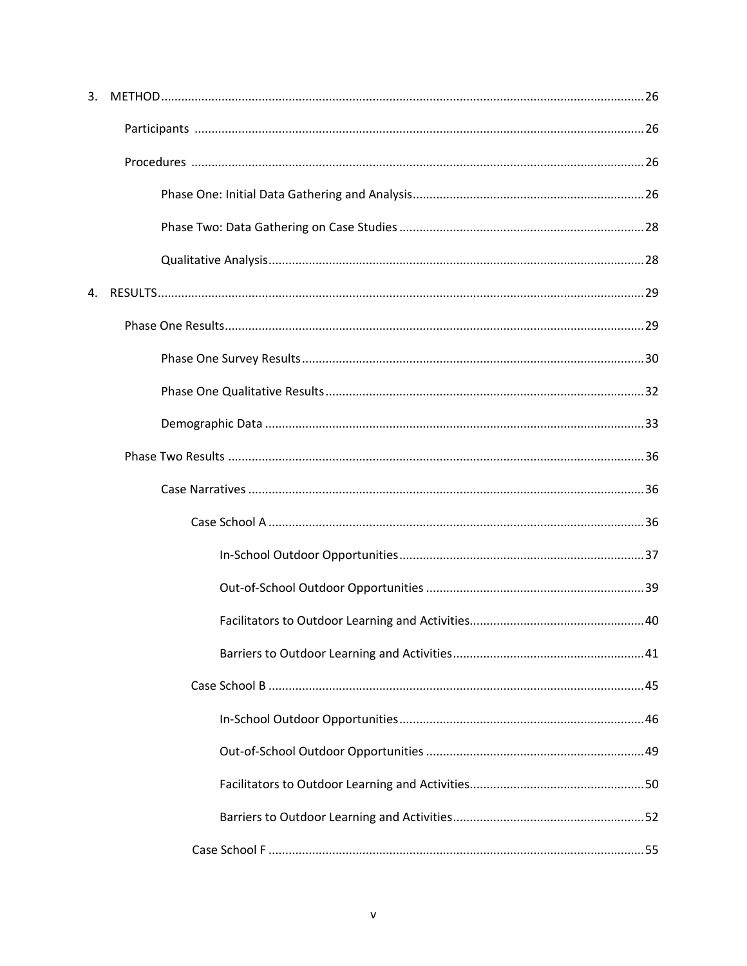| 3. |  |
|----|--|
|    |  |
|    |  |
|    |  |
|    |  |
|    |  |
|    |  |
|    |  |
|    |  |
|    |  |
|    |  |
|    |  |
|    |  |
|    |  |
|    |  |
|    |  |
|    |  |
|    |  |
|    |  |
|    |  |
|    |  |
|    |  |
|    |  |
|    |  |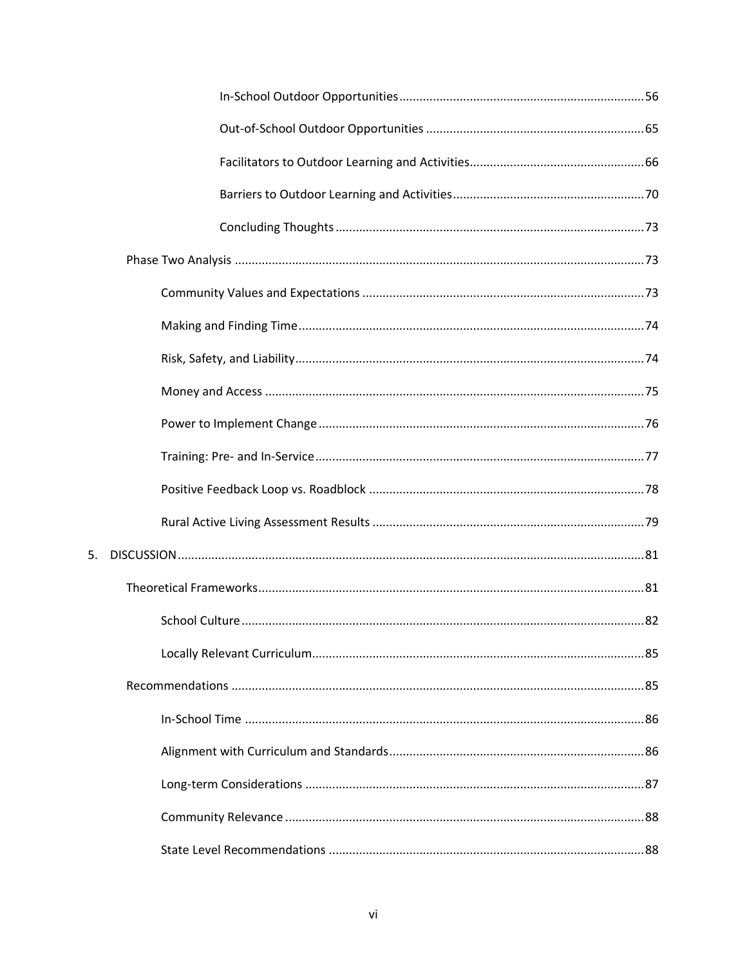$5.$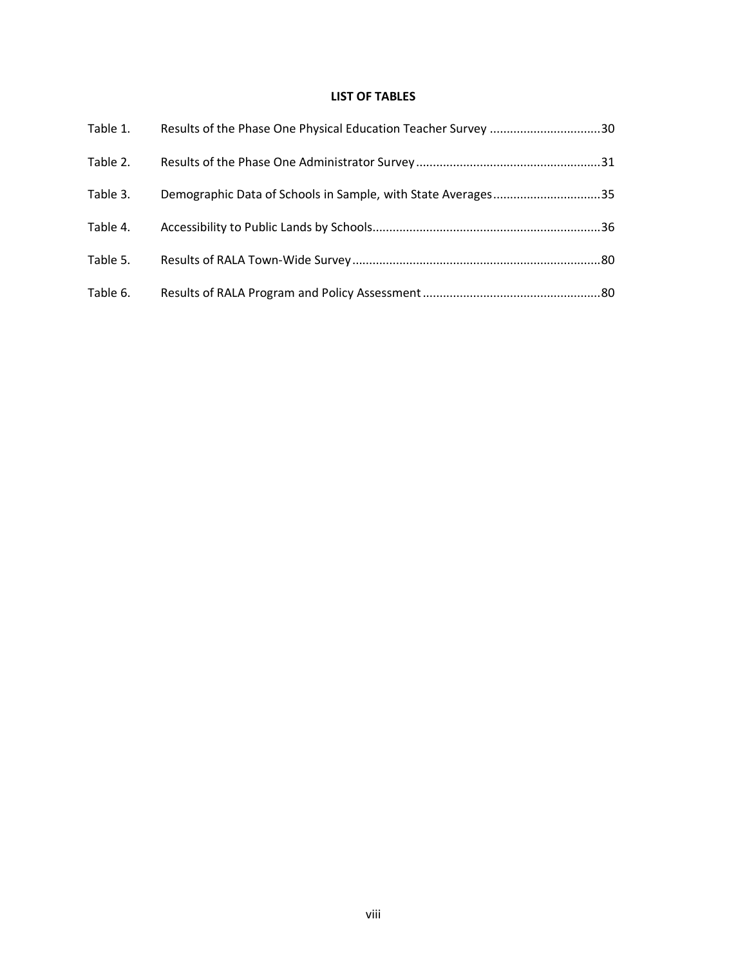## **LIST OF TABLES**

| Table 1. | Results of the Phase One Physical Education Teacher Survey 30 |  |
|----------|---------------------------------------------------------------|--|
| Table 2. |                                                               |  |
| Table 3. | Demographic Data of Schools in Sample, with State Averages35  |  |
| Table 4. |                                                               |  |
| Table 5. |                                                               |  |
| Table 6. |                                                               |  |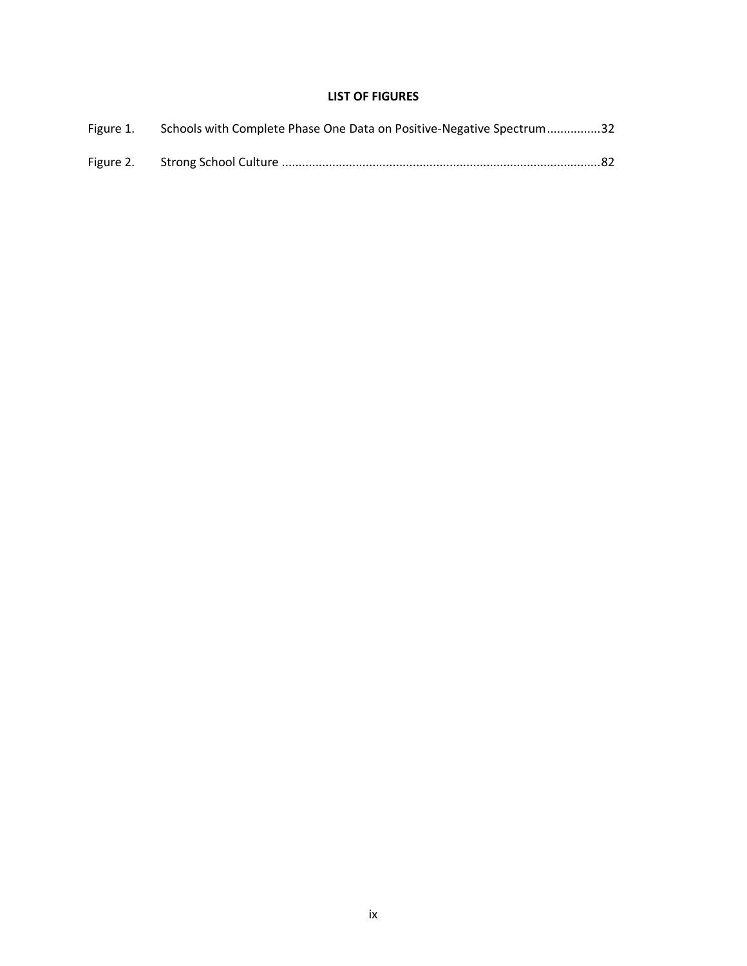## **LIST OF FIGURES**

| Figure 1. Schools with Complete Phase One Data on Positive-Negative Spectrum32 |  |
|--------------------------------------------------------------------------------|--|
|                                                                                |  |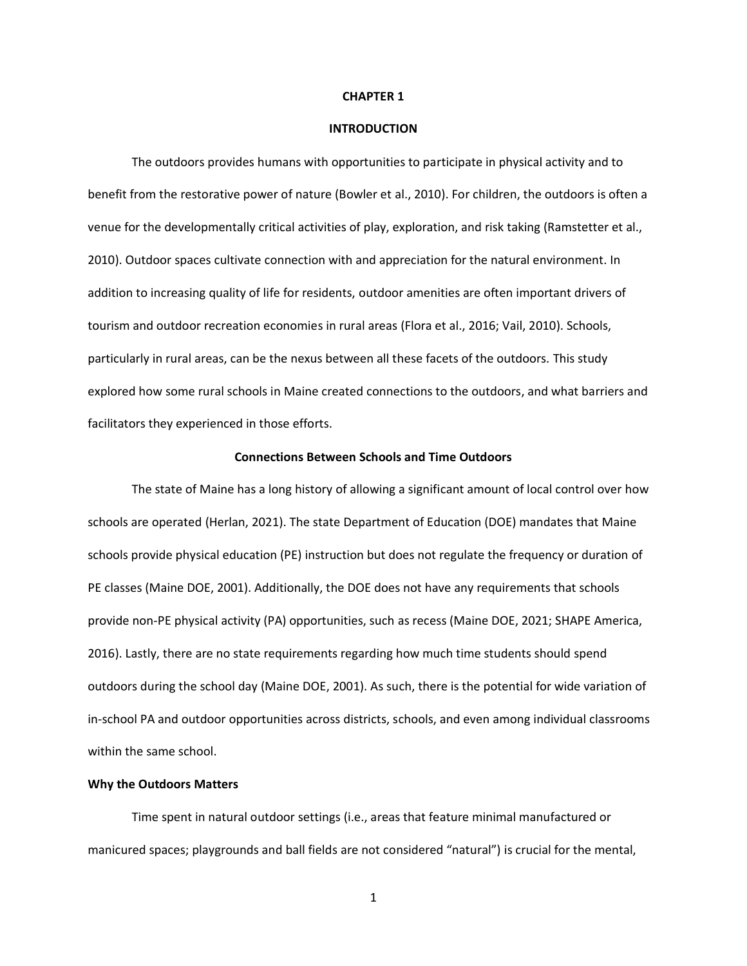#### **CHAPTER 1**

#### **INTRODUCTION**

The outdoors provides humans with opportunities to participate in physical activity and to benefit from the restorative power of nature (Bowler et al., 2010). For children, the outdoors is often a venue for the developmentally critical activities of play, exploration, and risk taking (Ramstetter et al., 2010). Outdoor spaces cultivate connection with and appreciation for the natural environment. In addition to increasing quality of life for residents, outdoor amenities are often important drivers of tourism and outdoor recreation economies in rural areas (Flora et al., 2016; Vail, 2010). Schools, particularly in rural areas, can be the nexus between all these facets of the outdoors. This study explored how some rural schools in Maine created connections to the outdoors, and what barriers and facilitators they experienced in those efforts.

#### **Connections Between Schools and Time Outdoors**

The state of Maine has a long history of allowing a significant amount of local control over how schools are operated (Herlan, 2021). The state Department of Education (DOE) mandates that Maine schools provide physical education (PE) instruction but does not regulate the frequency or duration of PE classes (Maine DOE, 2001). Additionally, the DOE does not have any requirements that schools provide non-PE physical activity (PA) opportunities, such as recess (Maine DOE, 2021; SHAPE America, 2016). Lastly, there are no state requirements regarding how much time students should spend outdoors during the school day (Maine DOE, 2001). As such, there is the potential for wide variation of in-school PA and outdoor opportunities across districts, schools, and even among individual classrooms within the same school.

#### **Why the Outdoors Matters**

Time spent in natural outdoor settings (i.e., areas that feature minimal manufactured or manicured spaces; playgrounds and ball fields are not considered "natural") is crucial for the mental,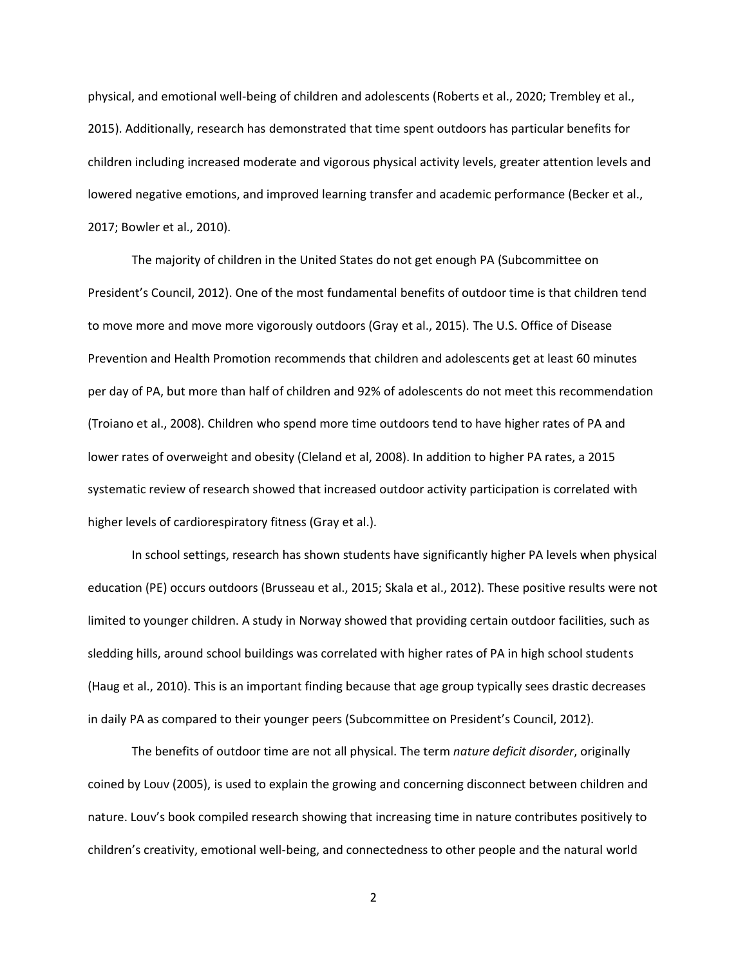physical, and emotional well-being of children and adolescents (Roberts et al., 2020; Trembley et al., 2015). Additionally, research has demonstrated that time spent outdoors has particular benefits for children including increased moderate and vigorous physical activity levels, greater attention levels and lowered negative emotions, and improved learning transfer and academic performance (Becker et al., 2017; Bowler et al., 2010).

The majority of children in the United States do not get enough PA (Subcommittee on President's Council, 2012). One of the most fundamental benefits of outdoor time is that children tend to move more and move more vigorously outdoors (Gray et al., 2015). The U.S. Office of Disease Prevention and Health Promotion recommends that children and adolescents get at least 60 minutes per day of PA, but more than half of children and 92% of adolescents do not meet this recommendation (Troiano et al., 2008). Children who spend more time outdoors tend to have higher rates of PA and lower rates of overweight and obesity (Cleland et al, 2008). In addition to higher PA rates, a 2015 systematic review of research showed that increased outdoor activity participation is correlated with higher levels of cardiorespiratory fitness (Gray et al.).

In school settings, research has shown students have significantly higher PA levels when physical education (PE) occurs outdoors (Brusseau et al., 2015; Skala et al., 2012). These positive results were not limited to younger children. A study in Norway showed that providing certain outdoor facilities, such as sledding hills, around school buildings was correlated with higher rates of PA in high school students (Haug et al., 2010). This is an important finding because that age group typically sees drastic decreases in daily PA as compared to their younger peers (Subcommittee on President's Council, 2012).

The benefits of outdoor time are not all physical. The term *nature deficit disorder*, originally coined by Louv (2005), is used to explain the growing and concerning disconnect between children and nature. Louv's book compiled research showing that increasing time in nature contributes positively to children's creativity, emotional well-being, and connectedness to other people and the natural world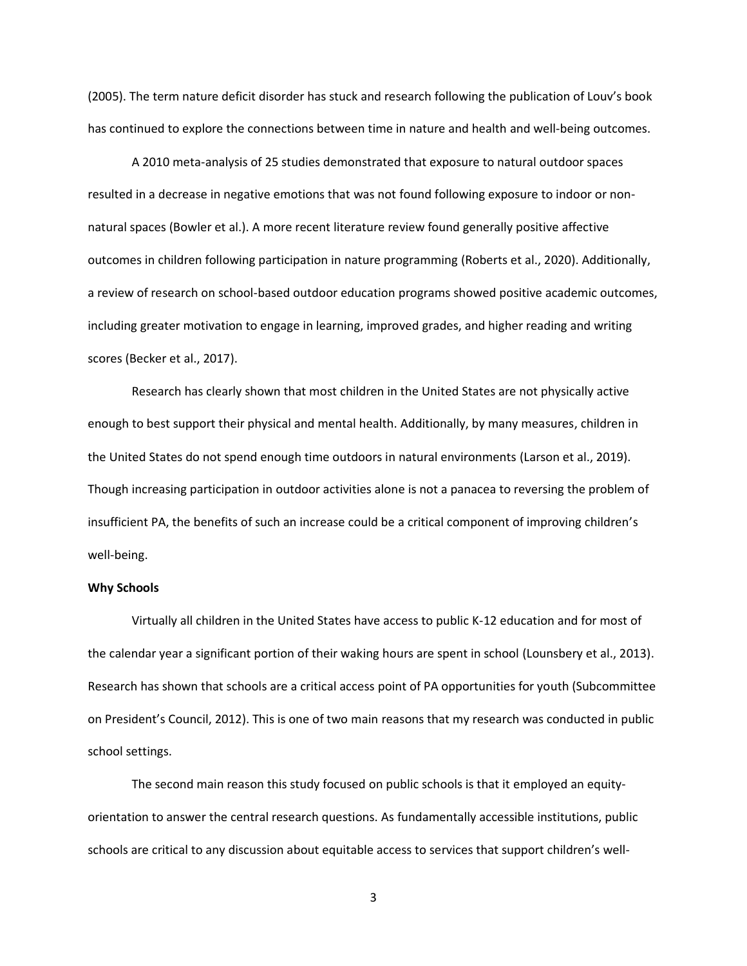(2005). The term nature deficit disorder has stuck and research following the publication of Louv's book has continued to explore the connections between time in nature and health and well-being outcomes.

A 2010 meta-analysis of 25 studies demonstrated that exposure to natural outdoor spaces resulted in a decrease in negative emotions that was not found following exposure to indoor or nonnatural spaces (Bowler et al.). A more recent literature review found generally positive affective outcomes in children following participation in nature programming (Roberts et al., 2020). Additionally, a review of research on school-based outdoor education programs showed positive academic outcomes, including greater motivation to engage in learning, improved grades, and higher reading and writing scores (Becker et al., 2017).

Research has clearly shown that most children in the United States are not physically active enough to best support their physical and mental health. Additionally, by many measures, children in the United States do not spend enough time outdoors in natural environments (Larson et al., 2019). Though increasing participation in outdoor activities alone is not a panacea to reversing the problem of insufficient PA, the benefits of such an increase could be a critical component of improving children's well-being.

#### **Why Schools**

Virtually all children in the United States have access to public K-12 education and for most of the calendar year a significant portion of their waking hours are spent in school (Lounsbery et al., 2013). Research has shown that schools are a critical access point of PA opportunities for youth (Subcommittee on President's Council, 2012). This is one of two main reasons that my research was conducted in public school settings.

The second main reason this study focused on public schools is that it employed an equityorientation to answer the central research questions. As fundamentally accessible institutions, public schools are critical to any discussion about equitable access to services that support children's well-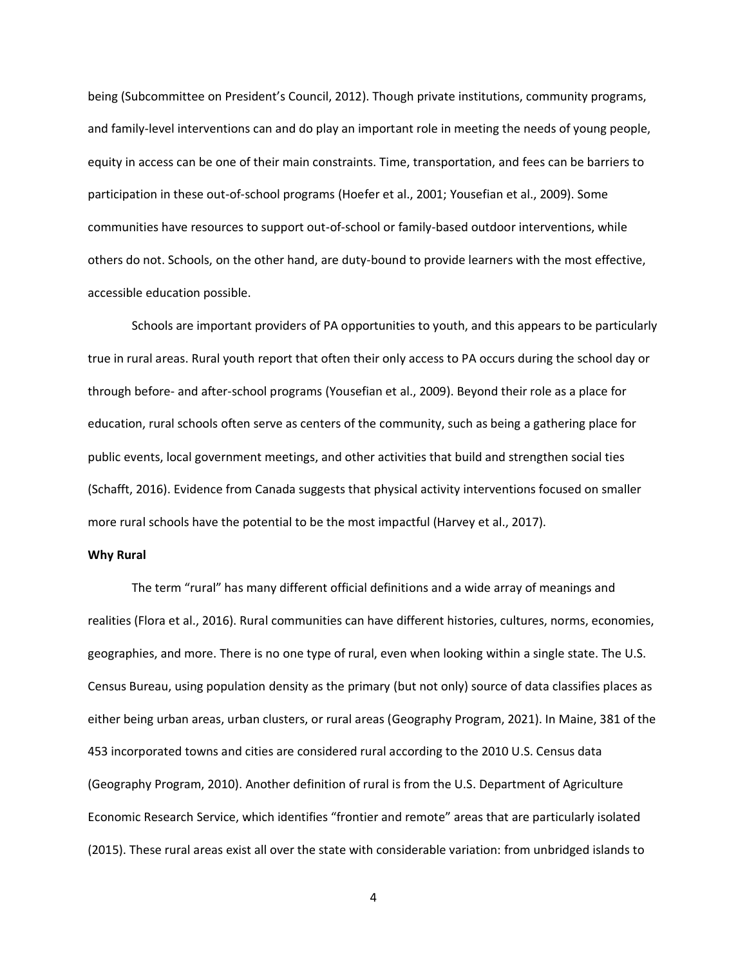being (Subcommittee on President's Council, 2012). Though private institutions, community programs, and family-level interventions can and do play an important role in meeting the needs of young people, equity in access can be one of their main constraints. Time, transportation, and fees can be barriers to participation in these out-of-school programs (Hoefer et al., 2001; Yousefian et al., 2009). Some communities have resources to support out-of-school or family-based outdoor interventions, while others do not. Schools, on the other hand, are duty-bound to provide learners with the most effective, accessible education possible.

Schools are important providers of PA opportunities to youth, and this appears to be particularly true in rural areas. Rural youth report that often their only access to PA occurs during the school day or through before- and after-school programs (Yousefian et al., 2009). Beyond their role as a place for education, rural schools often serve as centers of the community, such as being a gathering place for public events, local government meetings, and other activities that build and strengthen social ties (Schafft, 2016). Evidence from Canada suggests that physical activity interventions focused on smaller more rural schools have the potential to be the most impactful (Harvey et al., 2017).

#### **Why Rural**

The term "rural" has many different official definitions and a wide array of meanings and realities (Flora et al., 2016). Rural communities can have different histories, cultures, norms, economies, geographies, and more. There is no one type of rural, even when looking within a single state. The U.S. Census Bureau, using population density as the primary (but not only) source of data classifies places as either being urban areas, urban clusters, or rural areas (Geography Program, 2021). In Maine, 381 of the 453 incorporated towns and cities are considered rural according to the 2010 U.S. Census data (Geography Program, 2010). Another definition of rural is from the U.S. Department of Agriculture Economic Research Service, which identifies "frontier and remote" areas that are particularly isolated (2015). These rural areas exist all over the state with considerable variation: from unbridged islands to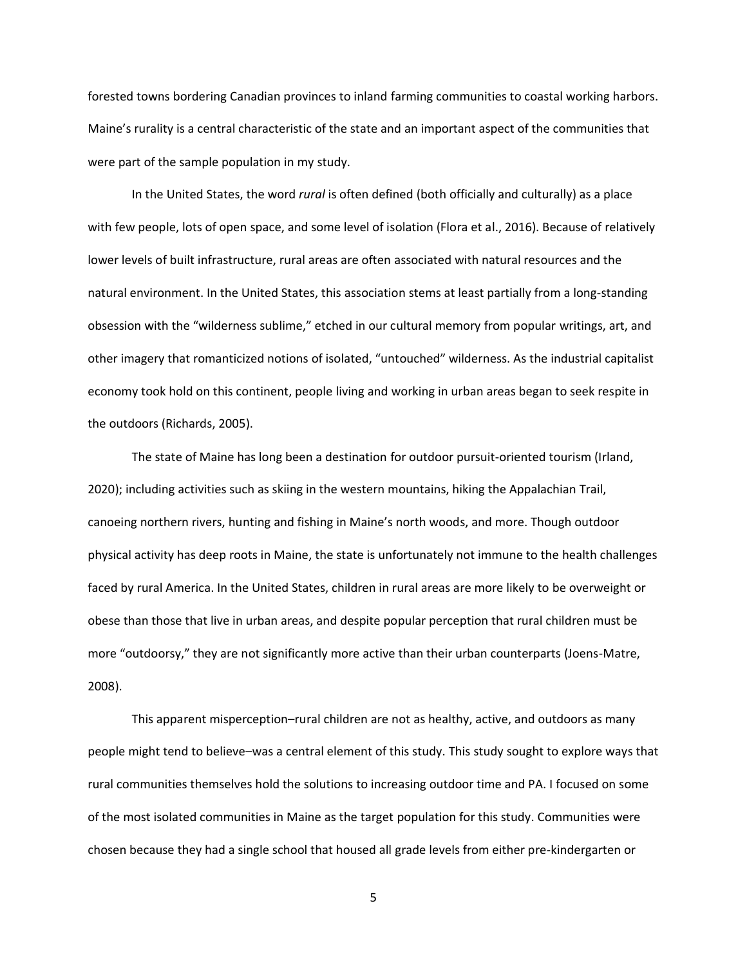forested towns bordering Canadian provinces to inland farming communities to coastal working harbors. Maine's rurality is a central characteristic of the state and an important aspect of the communities that were part of the sample population in my study.

In the United States, the word *rural* is often defined (both officially and culturally) as a place with few people, lots of open space, and some level of isolation (Flora et al., 2016). Because of relatively lower levels of built infrastructure, rural areas are often associated with natural resources and the natural environment. In the United States, this association stems at least partially from a long-standing obsession with the "wilderness sublime," etched in our cultural memory from popular writings, art, and other imagery that romanticized notions of isolated, "untouched" wilderness. As the industrial capitalist economy took hold on this continent, people living and working in urban areas began to seek respite in the outdoors (Richards, 2005).

The state of Maine has long been a destination for outdoor pursuit-oriented tourism (Irland, 2020); including activities such as skiing in the western mountains, hiking the Appalachian Trail, canoeing northern rivers, hunting and fishing in Maine's north woods, and more. Though outdoor physical activity has deep roots in Maine, the state is unfortunately not immune to the health challenges faced by rural America. In the United States, children in rural areas are more likely to be overweight or obese than those that live in urban areas, and despite popular perception that rural children must be more "outdoorsy," they are not significantly more active than their urban counterparts (Joens-Matre, 2008).

This apparent misperception–rural children are not as healthy, active, and outdoors as many people might tend to believe–was a central element of this study. This study sought to explore ways that rural communities themselves hold the solutions to increasing outdoor time and PA. I focused on some of the most isolated communities in Maine as the target population for this study. Communities were chosen because they had a single school that housed all grade levels from either pre-kindergarten or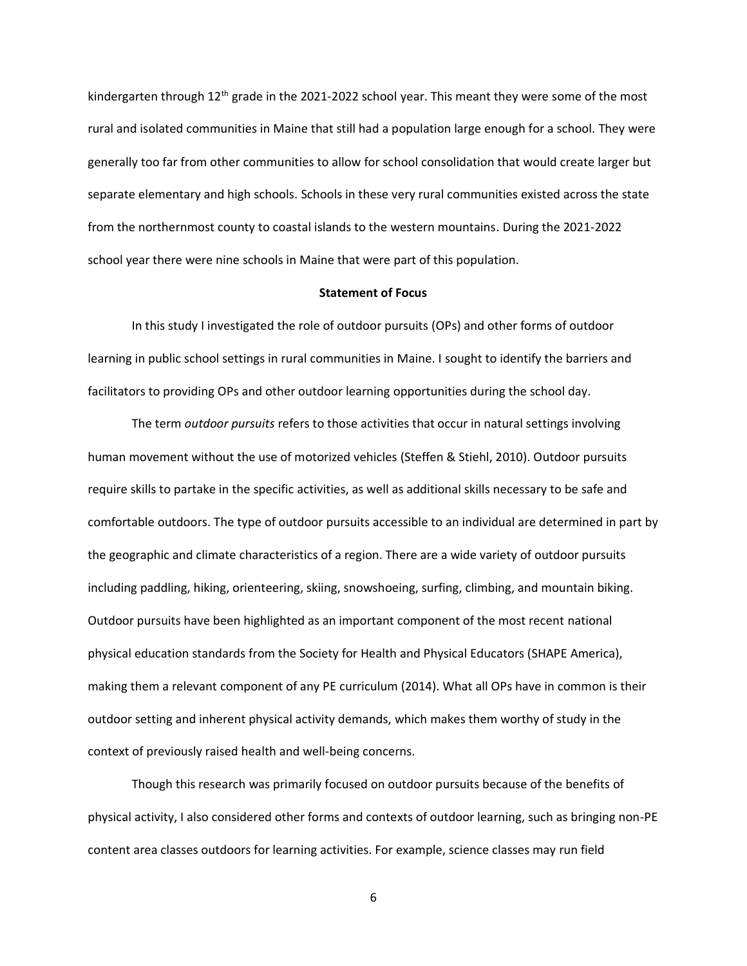kindergarten through  $12<sup>th</sup>$  grade in the 2021-2022 school year. This meant they were some of the most rural and isolated communities in Maine that still had a population large enough for a school. They were generally too far from other communities to allow for school consolidation that would create larger but separate elementary and high schools. Schools in these very rural communities existed across the state from the northernmost county to coastal islands to the western mountains. During the 2021-2022 school year there were nine schools in Maine that were part of this population.

#### **Statement of Focus**

In this study I investigated the role of outdoor pursuits (OPs) and other forms of outdoor learning in public school settings in rural communities in Maine. I sought to identify the barriers and facilitators to providing OPs and other outdoor learning opportunities during the school day.

The term *outdoor pursuits* refers to those activities that occur in natural settings involving human movement without the use of motorized vehicles (Steffen & Stiehl, 2010). Outdoor pursuits require skills to partake in the specific activities, as well as additional skills necessary to be safe and comfortable outdoors. The type of outdoor pursuits accessible to an individual are determined in part by the geographic and climate characteristics of a region. There are a wide variety of outdoor pursuits including paddling, hiking, orienteering, skiing, snowshoeing, surfing, climbing, and mountain biking. Outdoor pursuits have been highlighted as an important component of the most recent national physical education standards from the Society for Health and Physical Educators (SHAPE America), making them a relevant component of any PE curriculum (2014). What all OPs have in common is their outdoor setting and inherent physical activity demands, which makes them worthy of study in the context of previously raised health and well-being concerns.

Though this research was primarily focused on outdoor pursuits because of the benefits of physical activity, I also considered other forms and contexts of outdoor learning, such as bringing non-PE content area classes outdoors for learning activities. For example, science classes may run field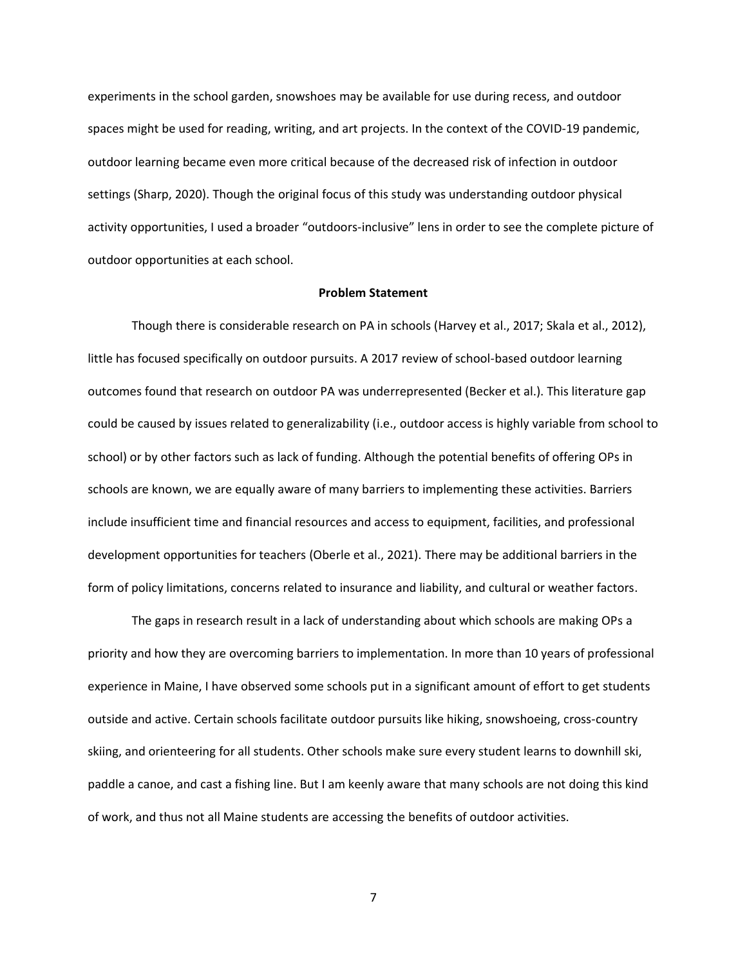experiments in the school garden, snowshoes may be available for use during recess, and outdoor spaces might be used for reading, writing, and art projects. In the context of the COVID-19 pandemic, outdoor learning became even more critical because of the decreased risk of infection in outdoor settings (Sharp, 2020). Though the original focus of this study was understanding outdoor physical activity opportunities, I used a broader "outdoors-inclusive" lens in order to see the complete picture of outdoor opportunities at each school.

#### **Problem Statement**

Though there is considerable research on PA in schools (Harvey et al., 2017; Skala et al., 2012), little has focused specifically on outdoor pursuits. A 2017 review of school-based outdoor learning outcomes found that research on outdoor PA was underrepresented (Becker et al.). This literature gap could be caused by issues related to generalizability (i.e., outdoor access is highly variable from school to school) or by other factors such as lack of funding. Although the potential benefits of offering OPs in schools are known, we are equally aware of many barriers to implementing these activities. Barriers include insufficient time and financial resources and access to equipment, facilities, and professional development opportunities for teachers (Oberle et al., 2021). There may be additional barriers in the form of policy limitations, concerns related to insurance and liability, and cultural or weather factors.

The gaps in research result in a lack of understanding about which schools are making OPs a priority and how they are overcoming barriers to implementation. In more than 10 years of professional experience in Maine, I have observed some schools put in a significant amount of effort to get students outside and active. Certain schools facilitate outdoor pursuits like hiking, snowshoeing, cross-country skiing, and orienteering for all students. Other schools make sure every student learns to downhill ski, paddle a canoe, and cast a fishing line. But I am keenly aware that many schools are not doing this kind of work, and thus not all Maine students are accessing the benefits of outdoor activities.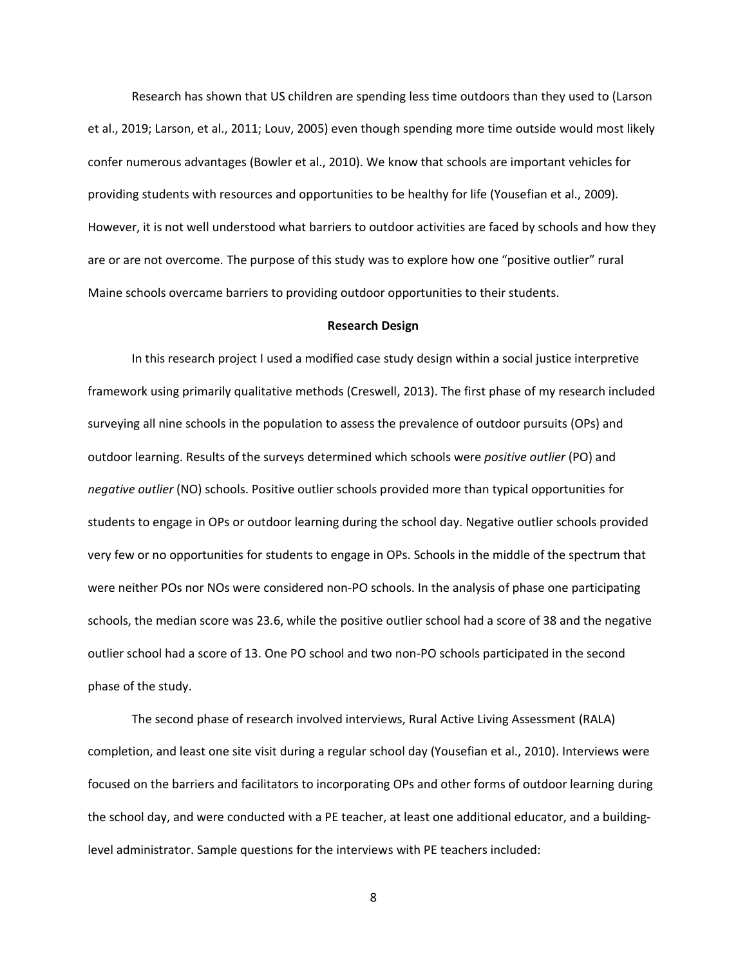Research has shown that US children are spending less time outdoors than they used to (Larson et al., 2019; Larson, et al., 2011; Louv, 2005) even though spending more time outside would most likely confer numerous advantages (Bowler et al., 2010). We know that schools are important vehicles for providing students with resources and opportunities to be healthy for life (Yousefian et al., 2009). However, it is not well understood what barriers to outdoor activities are faced by schools and how they are or are not overcome. The purpose of this study was to explore how one "positive outlier" rural Maine schools overcame barriers to providing outdoor opportunities to their students.

#### **Research Design**

In this research project I used a modified case study design within a social justice interpretive framework using primarily qualitative methods (Creswell, 2013). The first phase of my research included surveying all nine schools in the population to assess the prevalence of outdoor pursuits (OPs) and outdoor learning. Results of the surveys determined which schools were *positive outlier* (PO) and *negative outlier* (NO) schools. Positive outlier schools provided more than typical opportunities for students to engage in OPs or outdoor learning during the school day. Negative outlier schools provided very few or no opportunities for students to engage in OPs. Schools in the middle of the spectrum that were neither POs nor NOs were considered non-PO schools. In the analysis of phase one participating schools, the median score was 23.6, while the positive outlier school had a score of 38 and the negative outlier school had a score of 13. One PO school and two non-PO schools participated in the second phase of the study.

The second phase of research involved interviews, Rural Active Living Assessment (RALA) completion, and least one site visit during a regular school day (Yousefian et al., 2010). Interviews were focused on the barriers and facilitators to incorporating OPs and other forms of outdoor learning during the school day, and were conducted with a PE teacher, at least one additional educator, and a buildinglevel administrator. Sample questions for the interviews with PE teachers included: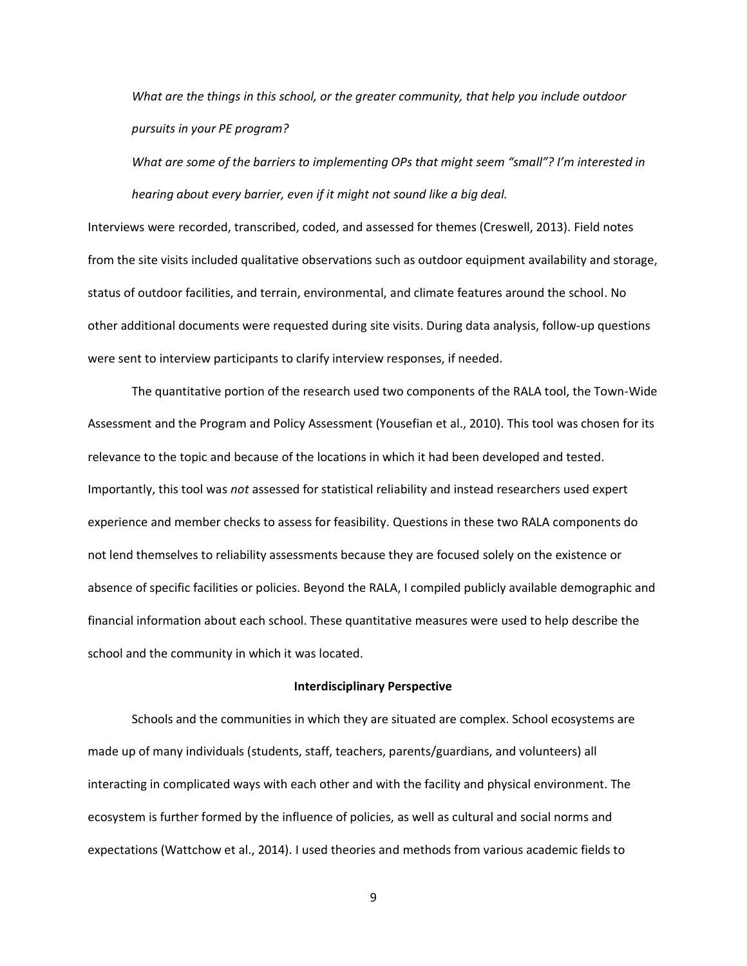*What are the things in this school, or the greater community, that help you include outdoor pursuits in your PE program?*

*What are some of the barriers to implementing OPs that might seem "small"? I'm interested in hearing about every barrier, even if it might not sound like a big deal.*

Interviews were recorded, transcribed, coded, and assessed for themes (Creswell, 2013). Field notes from the site visits included qualitative observations such as outdoor equipment availability and storage, status of outdoor facilities, and terrain, environmental, and climate features around the school. No other additional documents were requested during site visits. During data analysis, follow-up questions were sent to interview participants to clarify interview responses, if needed.

The quantitative portion of the research used two components of the RALA tool, the Town-Wide Assessment and the Program and Policy Assessment (Yousefian et al., 2010). This tool was chosen for its relevance to the topic and because of the locations in which it had been developed and tested. Importantly, this tool was *not* assessed for statistical reliability and instead researchers used expert experience and member checks to assess for feasibility. Questions in these two RALA components do not lend themselves to reliability assessments because they are focused solely on the existence or absence of specific facilities or policies. Beyond the RALA, I compiled publicly available demographic and financial information about each school. These quantitative measures were used to help describe the school and the community in which it was located.

#### **Interdisciplinary Perspective**

Schools and the communities in which they are situated are complex. School ecosystems are made up of many individuals (students, staff, teachers, parents/guardians, and volunteers) all interacting in complicated ways with each other and with the facility and physical environment. The ecosystem is further formed by the influence of policies, as well as cultural and social norms and expectations (Wattchow et al., 2014). I used theories and methods from various academic fields to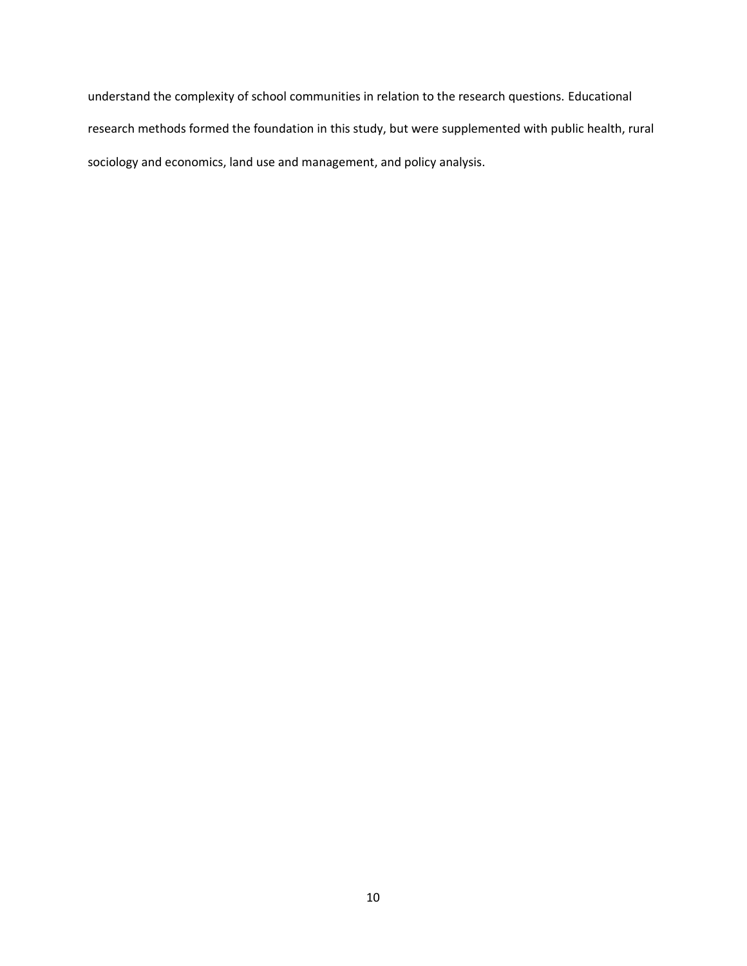understand the complexity of school communities in relation to the research questions. Educational research methods formed the foundation in this study, but were supplemented with public health, rural sociology and economics, land use and management, and policy analysis.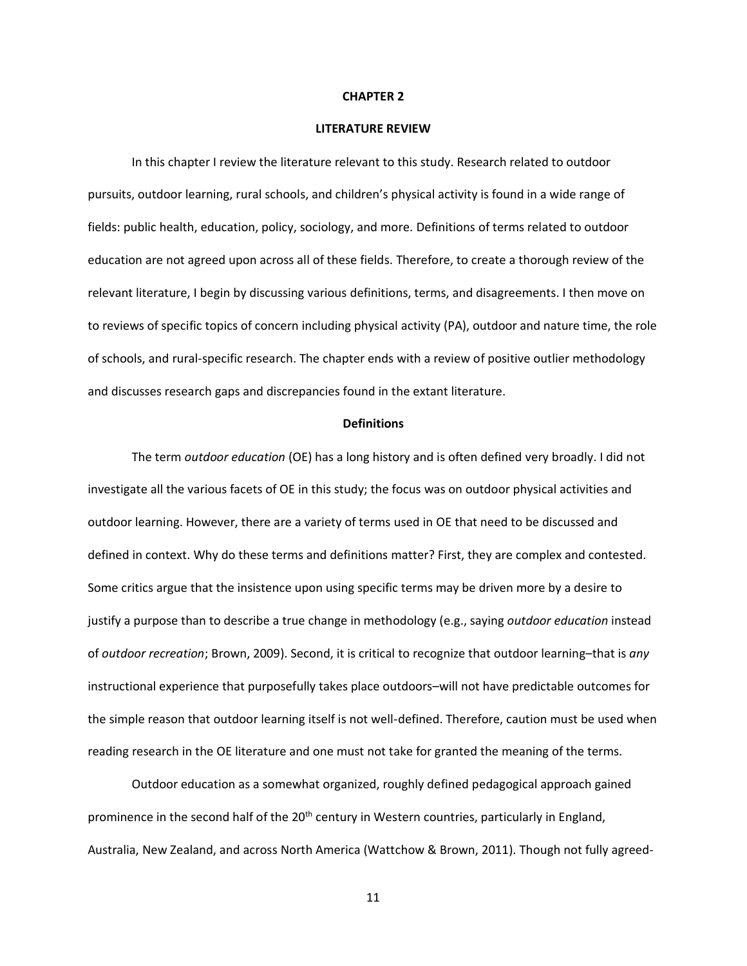#### **CHAPTER 2**

#### **LITERATURE REVIEW**

In this chapter I review the literature relevant to this study. Research related to outdoor pursuits, outdoor learning, rural schools, and children's physical activity is found in a wide range of fields: public health, education, policy, sociology, and more. Definitions of terms related to outdoor education are not agreed upon across all of these fields. Therefore, to create a thorough review of the relevant literature, I begin by discussing various definitions, terms, and disagreements. I then move on to reviews of specific topics of concern including physical activity (PA), outdoor and nature time, the role of schools, and rural-specific research. The chapter ends with a review of positive outlier methodology and discusses research gaps and discrepancies found in the extant literature.

#### **Definitions**

The term *outdoor education* (OE) has a long history and is often defined very broadly. I did not investigate all the various facets of OE in this study; the focus was on outdoor physical activities and outdoor learning. However, there are a variety of terms used in OE that need to be discussed and defined in context. Why do these terms and definitions matter? First, they are complex and contested. Some critics argue that the insistence upon using specific terms may be driven more by a desire to justify a purpose than to describe a true change in methodology (e.g., saying *outdoor education* instead of *outdoor recreation*; Brown, 2009). Second, it is critical to recognize that outdoor learning–that is *any* instructional experience that purposefully takes place outdoors–will not have predictable outcomes for the simple reason that outdoor learning itself is not well-defined. Therefore, caution must be used when reading research in the OE literature and one must not take for granted the meaning of the terms.

Outdoor education as a somewhat organized, roughly defined pedagogical approach gained prominence in the second half of the 20<sup>th</sup> century in Western countries, particularly in England, Australia, New Zealand, and across North America (Wattchow & Brown, 2011). Though not fully agreed-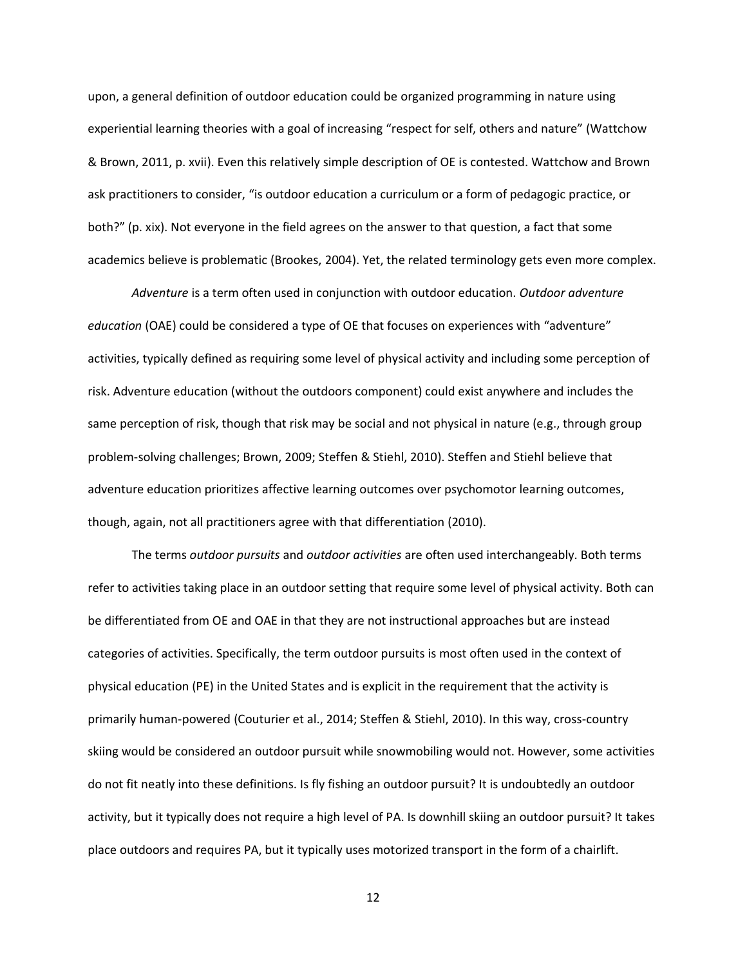upon, a general definition of outdoor education could be organized programming in nature using experiential learning theories with a goal of increasing "respect for self, others and nature" (Wattchow & Brown, 2011, p. xvii). Even this relatively simple description of OE is contested. Wattchow and Brown ask practitioners to consider, "is outdoor education a curriculum or a form of pedagogic practice, or both?" (p. xix). Not everyone in the field agrees on the answer to that question, a fact that some academics believe is problematic (Brookes, 2004). Yet, the related terminology gets even more complex.

*Adventure* is a term often used in conjunction with outdoor education. *Outdoor adventure education* (OAE) could be considered a type of OE that focuses on experiences with "adventure" activities, typically defined as requiring some level of physical activity and including some perception of risk. Adventure education (without the outdoors component) could exist anywhere and includes the same perception of risk, though that risk may be social and not physical in nature (e.g., through group problem-solving challenges; Brown, 2009; Steffen & Stiehl, 2010). Steffen and Stiehl believe that adventure education prioritizes affective learning outcomes over psychomotor learning outcomes, though, again, not all practitioners agree with that differentiation (2010).

The terms *outdoor pursuits* and *outdoor activities* are often used interchangeably. Both terms refer to activities taking place in an outdoor setting that require some level of physical activity. Both can be differentiated from OE and OAE in that they are not instructional approaches but are instead categories of activities. Specifically, the term outdoor pursuits is most often used in the context of physical education (PE) in the United States and is explicit in the requirement that the activity is primarily human-powered (Couturier et al., 2014; Steffen & Stiehl, 2010). In this way, cross-country skiing would be considered an outdoor pursuit while snowmobiling would not. However, some activities do not fit neatly into these definitions. Is fly fishing an outdoor pursuit? It is undoubtedly an outdoor activity, but it typically does not require a high level of PA. Is downhill skiing an outdoor pursuit? It takes place outdoors and requires PA, but it typically uses motorized transport in the form of a chairlift.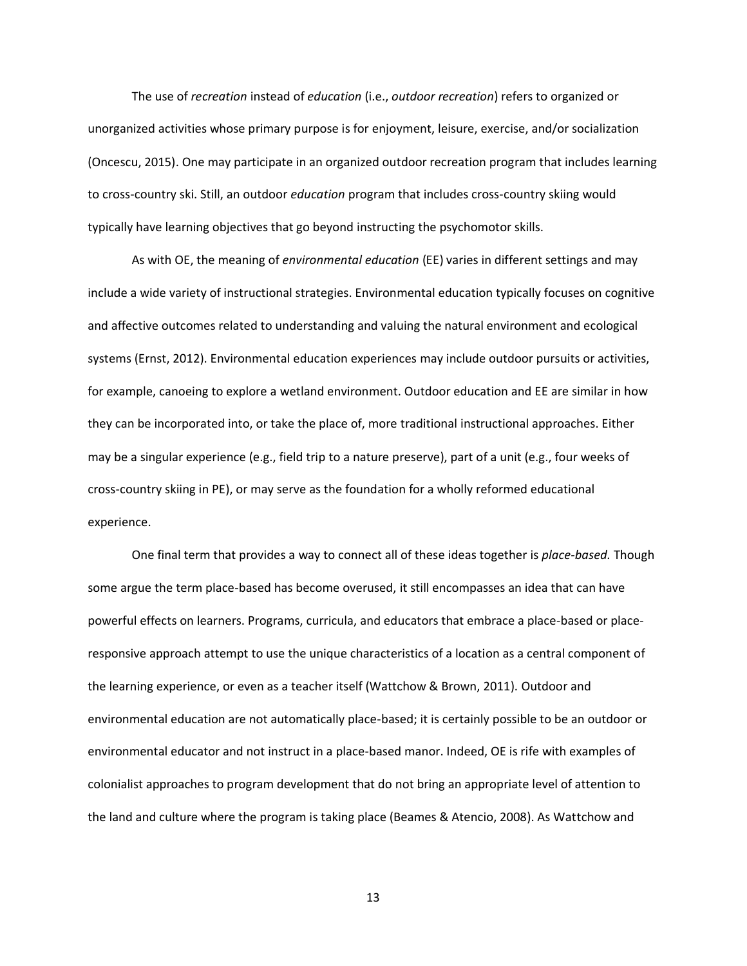The use of *recreation* instead of *education* (i.e., *outdoor recreation*) refers to organized or unorganized activities whose primary purpose is for enjoyment, leisure, exercise, and/or socialization (Oncescu, 2015). One may participate in an organized outdoor recreation program that includes learning to cross-country ski. Still, an outdoor *education* program that includes cross-country skiing would typically have learning objectives that go beyond instructing the psychomotor skills.

As with OE, the meaning of *environmental education* (EE) varies in different settings and may include a wide variety of instructional strategies. Environmental education typically focuses on cognitive and affective outcomes related to understanding and valuing the natural environment and ecological systems (Ernst, 2012). Environmental education experiences may include outdoor pursuits or activities, for example, canoeing to explore a wetland environment. Outdoor education and EE are similar in how they can be incorporated into, or take the place of, more traditional instructional approaches. Either may be a singular experience (e.g., field trip to a nature preserve), part of a unit (e.g., four weeks of cross-country skiing in PE), or may serve as the foundation for a wholly reformed educational experience.

One final term that provides a way to connect all of these ideas together is *place-based.* Though some argue the term place-based has become overused, it still encompasses an idea that can have powerful effects on learners. Programs, curricula, and educators that embrace a place-based or placeresponsive approach attempt to use the unique characteristics of a location as a central component of the learning experience, or even as a teacher itself (Wattchow & Brown, 2011). Outdoor and environmental education are not automatically place-based; it is certainly possible to be an outdoor or environmental educator and not instruct in a place-based manor. Indeed, OE is rife with examples of colonialist approaches to program development that do not bring an appropriate level of attention to the land and culture where the program is taking place (Beames & Atencio, 2008). As Wattchow and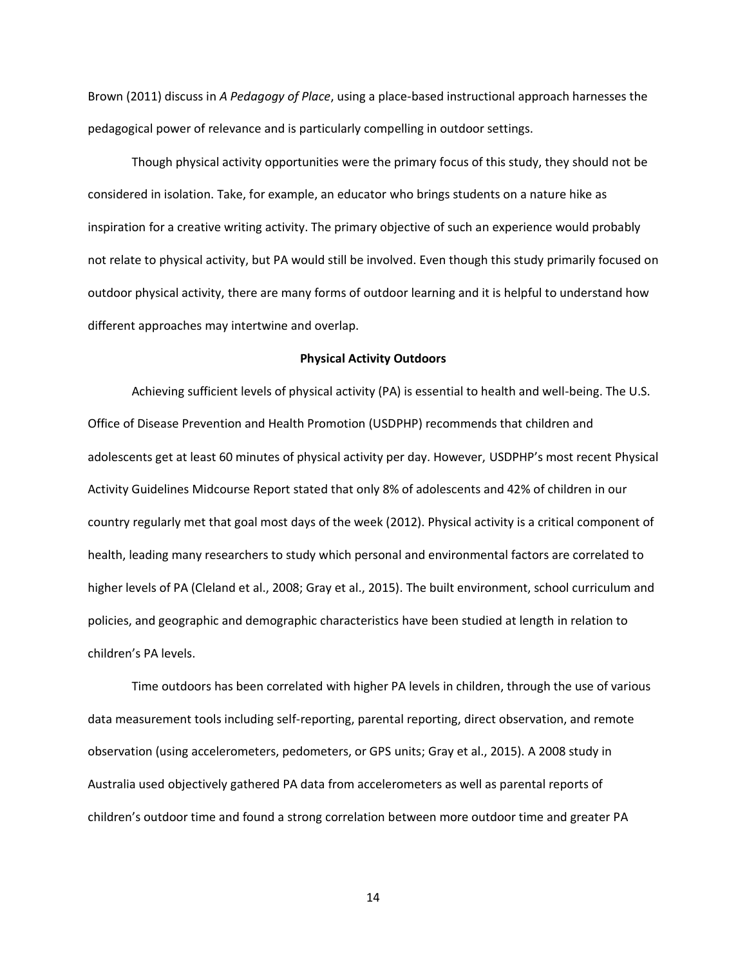Brown (2011) discuss in *A Pedagogy of Place*, using a place-based instructional approach harnesses the pedagogical power of relevance and is particularly compelling in outdoor settings.

Though physical activity opportunities were the primary focus of this study, they should not be considered in isolation. Take, for example, an educator who brings students on a nature hike as inspiration for a creative writing activity. The primary objective of such an experience would probably not relate to physical activity, but PA would still be involved. Even though this study primarily focused on outdoor physical activity, there are many forms of outdoor learning and it is helpful to understand how different approaches may intertwine and overlap.

#### **Physical Activity Outdoors**

Achieving sufficient levels of physical activity (PA) is essential to health and well-being. The U.S. Office of Disease Prevention and Health Promotion (USDPHP) recommends that children and adolescents get at least 60 minutes of physical activity per day. However, USDPHP's most recent Physical Activity Guidelines Midcourse Report stated that only 8% of adolescents and 42% of children in our country regularly met that goal most days of the week (2012). Physical activity is a critical component of health, leading many researchers to study which personal and environmental factors are correlated to higher levels of PA (Cleland et al., 2008; Gray et al., 2015). The built environment, school curriculum and policies, and geographic and demographic characteristics have been studied at length in relation to children's PA levels.

Time outdoors has been correlated with higher PA levels in children, through the use of various data measurement tools including self-reporting, parental reporting, direct observation, and remote observation (using accelerometers, pedometers, or GPS units; Gray et al., 2015). A 2008 study in Australia used objectively gathered PA data from accelerometers as well as parental reports of children's outdoor time and found a strong correlation between more outdoor time and greater PA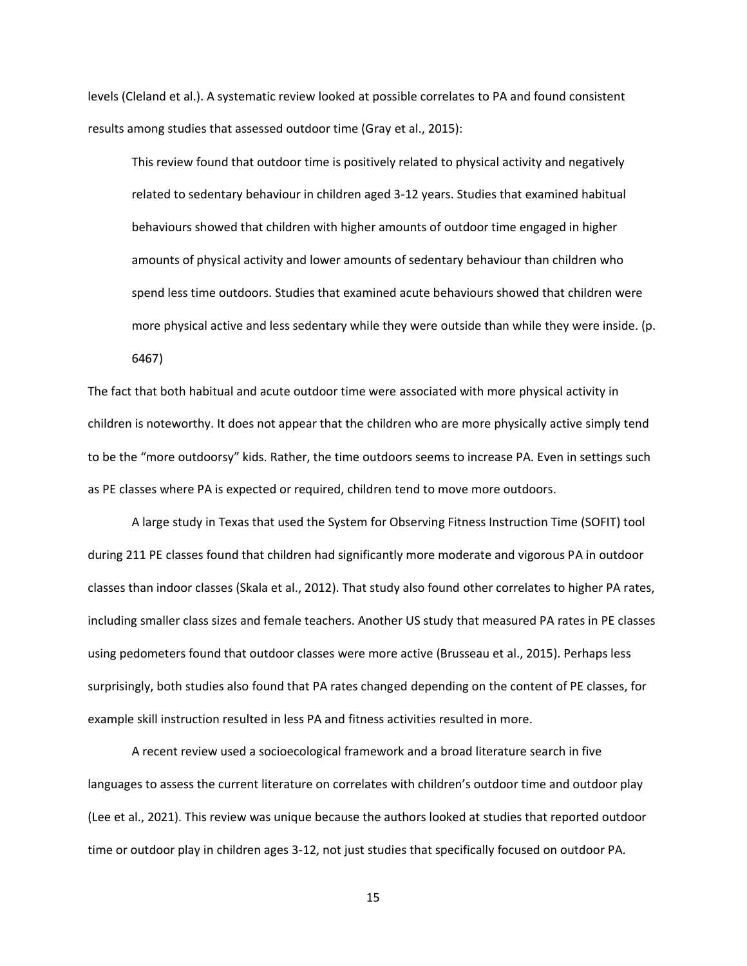levels (Cleland et al.). A systematic review looked at possible correlates to PA and found consistent results among studies that assessed outdoor time (Gray et al., 2015):

This review found that outdoor time is positively related to physical activity and negatively related to sedentary behaviour in children aged 3-12 years. Studies that examined habitual behaviours showed that children with higher amounts of outdoor time engaged in higher amounts of physical activity and lower amounts of sedentary behaviour than children who spend less time outdoors. Studies that examined acute behaviours showed that children were more physical active and less sedentary while they were outside than while they were inside. (p. 6467)

The fact that both habitual and acute outdoor time were associated with more physical activity in children is noteworthy. It does not appear that the children who are more physically active simply tend to be the "more outdoorsy" kids. Rather, the time outdoors seems to increase PA. Even in settings such as PE classes where PA is expected or required, children tend to move more outdoors.

A large study in Texas that used the System for Observing Fitness Instruction Time (SOFIT) tool during 211 PE classes found that children had significantly more moderate and vigorous PA in outdoor classes than indoor classes (Skala et al., 2012). That study also found other correlates to higher PA rates, including smaller class sizes and female teachers. Another US study that measured PA rates in PE classes using pedometers found that outdoor classes were more active (Brusseau et al., 2015). Perhaps less surprisingly, both studies also found that PA rates changed depending on the content of PE classes, for example skill instruction resulted in less PA and fitness activities resulted in more.

A recent review used a socioecological framework and a broad literature search in five languages to assess the current literature on correlates with children's outdoor time and outdoor play (Lee et al., 2021). This review was unique because the authors looked at studies that reported outdoor time or outdoor play in children ages 3-12, not just studies that specifically focused on outdoor PA.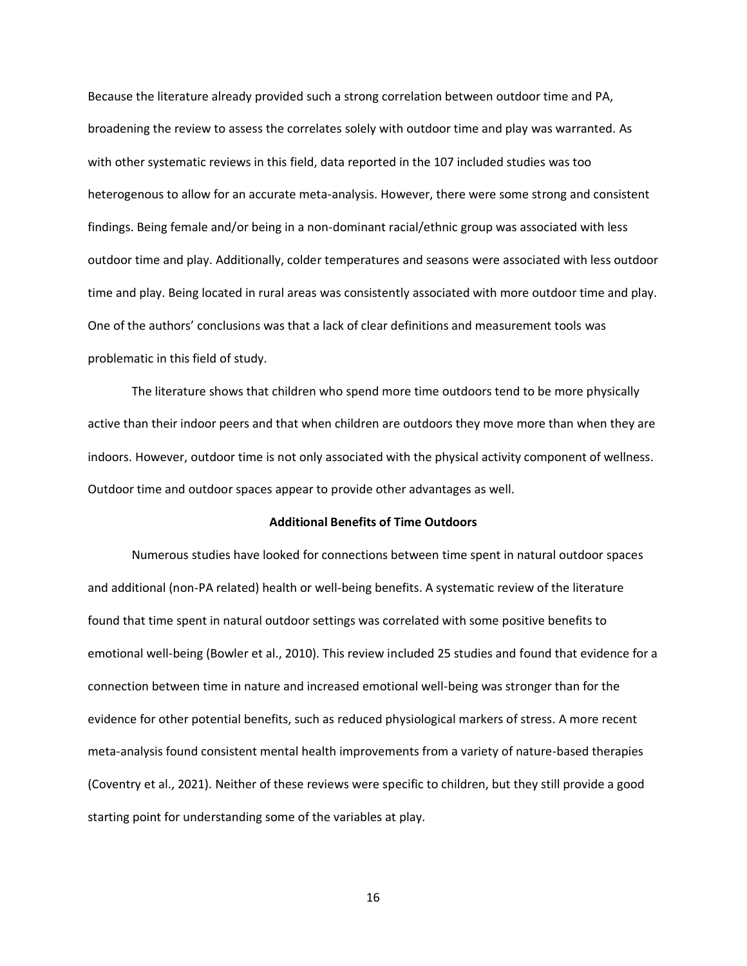Because the literature already provided such a strong correlation between outdoor time and PA, broadening the review to assess the correlates solely with outdoor time and play was warranted. As with other systematic reviews in this field, data reported in the 107 included studies was too heterogenous to allow for an accurate meta-analysis. However, there were some strong and consistent findings. Being female and/or being in a non-dominant racial/ethnic group was associated with less outdoor time and play. Additionally, colder temperatures and seasons were associated with less outdoor time and play. Being located in rural areas was consistently associated with more outdoor time and play. One of the authors' conclusions was that a lack of clear definitions and measurement tools was problematic in this field of study.

The literature shows that children who spend more time outdoors tend to be more physically active than their indoor peers and that when children are outdoors they move more than when they are indoors. However, outdoor time is not only associated with the physical activity component of wellness. Outdoor time and outdoor spaces appear to provide other advantages as well.

#### **Additional Benefits of Time Outdoors**

Numerous studies have looked for connections between time spent in natural outdoor spaces and additional (non-PA related) health or well-being benefits. A systematic review of the literature found that time spent in natural outdoor settings was correlated with some positive benefits to emotional well-being (Bowler et al., 2010). This review included 25 studies and found that evidence for a connection between time in nature and increased emotional well-being was stronger than for the evidence for other potential benefits, such as reduced physiological markers of stress. A more recent meta-analysis found consistent mental health improvements from a variety of nature-based therapies (Coventry et al., 2021). Neither of these reviews were specific to children, but they still provide a good starting point for understanding some of the variables at play.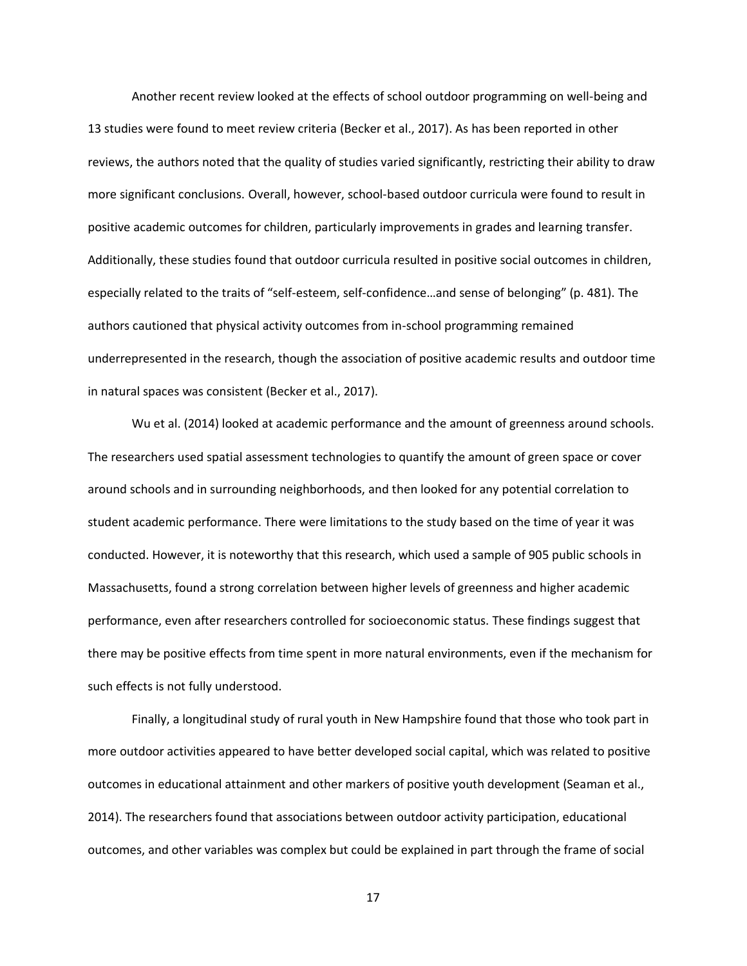Another recent review looked at the effects of school outdoor programming on well-being and 13 studies were found to meet review criteria (Becker et al., 2017). As has been reported in other reviews, the authors noted that the quality of studies varied significantly, restricting their ability to draw more significant conclusions. Overall, however, school-based outdoor curricula were found to result in positive academic outcomes for children, particularly improvements in grades and learning transfer. Additionally, these studies found that outdoor curricula resulted in positive social outcomes in children, especially related to the traits of "self-esteem, self-confidence…and sense of belonging" (p. 481). The authors cautioned that physical activity outcomes from in-school programming remained underrepresented in the research, though the association of positive academic results and outdoor time in natural spaces was consistent (Becker et al., 2017).

Wu et al. (2014) looked at academic performance and the amount of greenness around schools. The researchers used spatial assessment technologies to quantify the amount of green space or cover around schools and in surrounding neighborhoods, and then looked for any potential correlation to student academic performance. There were limitations to the study based on the time of year it was conducted. However, it is noteworthy that this research, which used a sample of 905 public schools in Massachusetts, found a strong correlation between higher levels of greenness and higher academic performance, even after researchers controlled for socioeconomic status. These findings suggest that there may be positive effects from time spent in more natural environments, even if the mechanism for such effects is not fully understood.

Finally, a longitudinal study of rural youth in New Hampshire found that those who took part in more outdoor activities appeared to have better developed social capital, which was related to positive outcomes in educational attainment and other markers of positive youth development (Seaman et al., 2014). The researchers found that associations between outdoor activity participation, educational outcomes, and other variables was complex but could be explained in part through the frame of social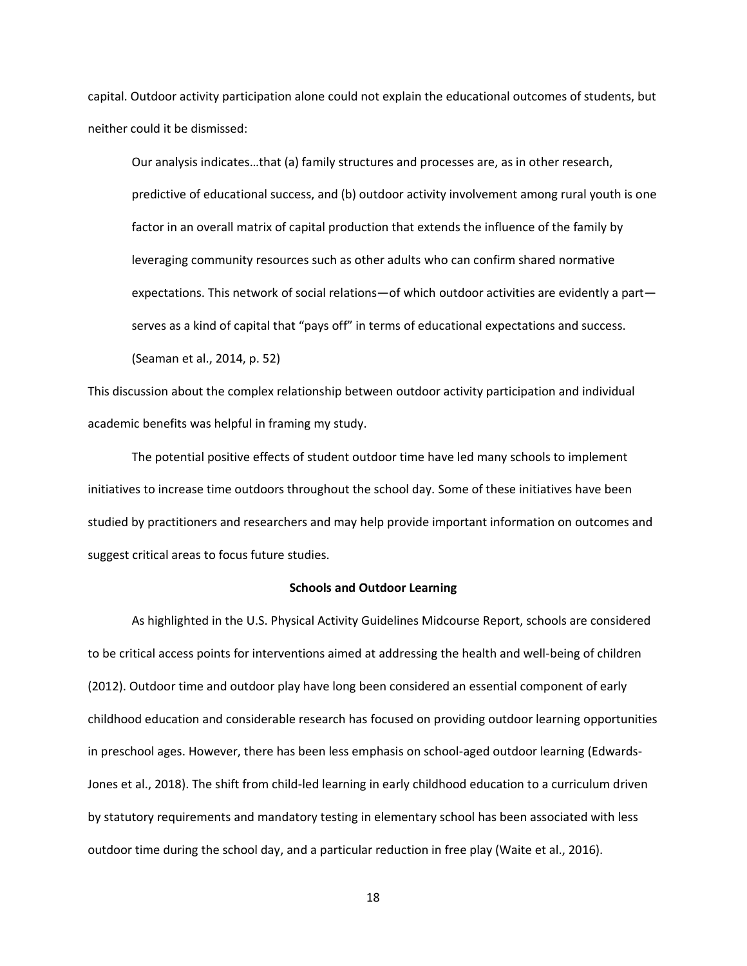capital. Outdoor activity participation alone could not explain the educational outcomes of students, but neither could it be dismissed:

Our analysis indicates…that (a) family structures and processes are, as in other research, predictive of educational success, and (b) outdoor activity involvement among rural youth is one factor in an overall matrix of capital production that extends the influence of the family by leveraging community resources such as other adults who can confirm shared normative expectations. This network of social relations—of which outdoor activities are evidently a part serves as a kind of capital that "pays off" in terms of educational expectations and success. (Seaman et al., 2014, p. 52)

This discussion about the complex relationship between outdoor activity participation and individual academic benefits was helpful in framing my study.

The potential positive effects of student outdoor time have led many schools to implement initiatives to increase time outdoors throughout the school day. Some of these initiatives have been studied by practitioners and researchers and may help provide important information on outcomes and suggest critical areas to focus future studies.

#### **Schools and Outdoor Learning**

As highlighted in the U.S. Physical Activity Guidelines Midcourse Report, schools are considered to be critical access points for interventions aimed at addressing the health and well-being of children (2012). Outdoor time and outdoor play have long been considered an essential component of early childhood education and considerable research has focused on providing outdoor learning opportunities in preschool ages. However, there has been less emphasis on school-aged outdoor learning (Edwards-Jones et al., 2018). The shift from child-led learning in early childhood education to a curriculum driven by statutory requirements and mandatory testing in elementary school has been associated with less outdoor time during the school day, and a particular reduction in free play (Waite et al., 2016).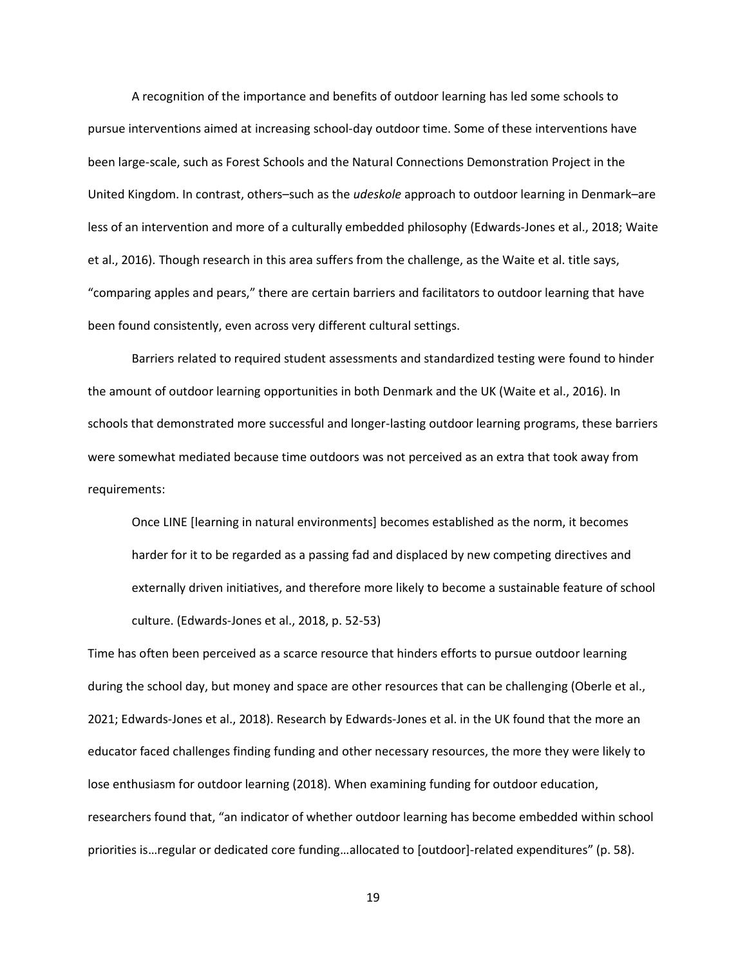A recognition of the importance and benefits of outdoor learning has led some schools to pursue interventions aimed at increasing school-day outdoor time. Some of these interventions have been large-scale, such as Forest Schools and the Natural Connections Demonstration Project in the United Kingdom. In contrast, others–such as the *udeskole* approach to outdoor learning in Denmark–are less of an intervention and more of a culturally embedded philosophy (Edwards-Jones et al., 2018; Waite et al., 2016). Though research in this area suffers from the challenge, as the Waite et al. title says, "comparing apples and pears," there are certain barriers and facilitators to outdoor learning that have been found consistently, even across very different cultural settings.

Barriers related to required student assessments and standardized testing were found to hinder the amount of outdoor learning opportunities in both Denmark and the UK (Waite et al., 2016). In schools that demonstrated more successful and longer-lasting outdoor learning programs, these barriers were somewhat mediated because time outdoors was not perceived as an extra that took away from requirements:

Once LINE [learning in natural environments] becomes established as the norm, it becomes harder for it to be regarded as a passing fad and displaced by new competing directives and externally driven initiatives, and therefore more likely to become a sustainable feature of school culture. (Edwards-Jones et al., 2018, p. 52-53)

Time has often been perceived as a scarce resource that hinders efforts to pursue outdoor learning during the school day, but money and space are other resources that can be challenging (Oberle et al., 2021; Edwards-Jones et al., 2018). Research by Edwards-Jones et al. in the UK found that the more an educator faced challenges finding funding and other necessary resources, the more they were likely to lose enthusiasm for outdoor learning (2018). When examining funding for outdoor education, researchers found that, "an indicator of whether outdoor learning has become embedded within school priorities is…regular or dedicated core funding…allocated to [outdoor]-related expenditures" (p. 58).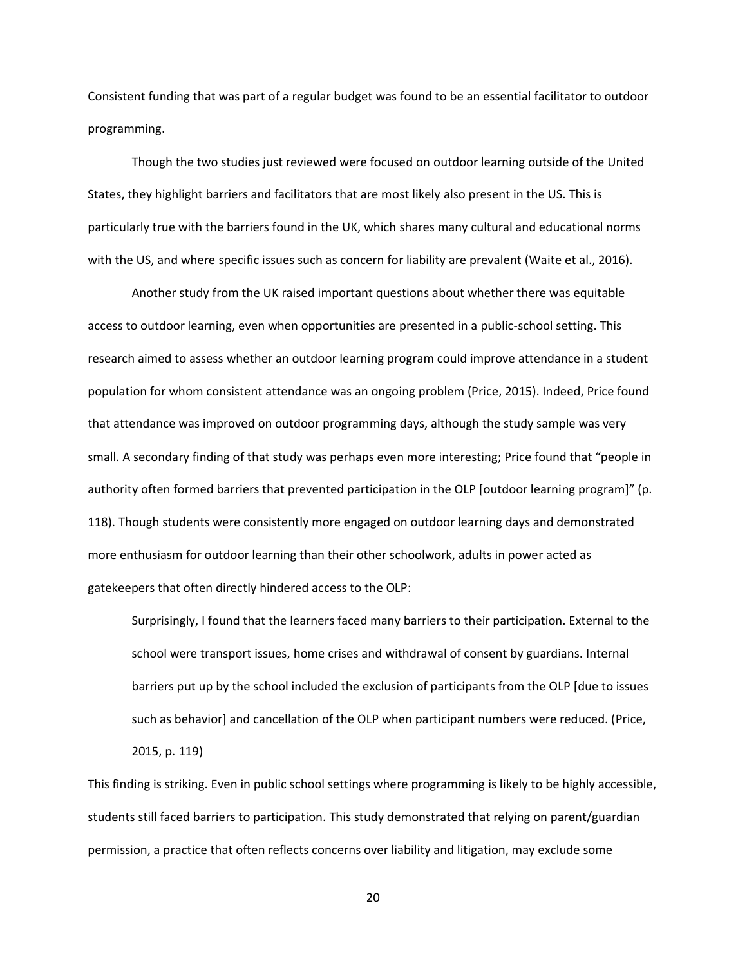Consistent funding that was part of a regular budget was found to be an essential facilitator to outdoor programming.

Though the two studies just reviewed were focused on outdoor learning outside of the United States, they highlight barriers and facilitators that are most likely also present in the US. This is particularly true with the barriers found in the UK, which shares many cultural and educational norms with the US, and where specific issues such as concern for liability are prevalent (Waite et al., 2016).

Another study from the UK raised important questions about whether there was equitable access to outdoor learning, even when opportunities are presented in a public-school setting. This research aimed to assess whether an outdoor learning program could improve attendance in a student population for whom consistent attendance was an ongoing problem (Price, 2015). Indeed, Price found that attendance was improved on outdoor programming days, although the study sample was very small. A secondary finding of that study was perhaps even more interesting; Price found that "people in authority often formed barriers that prevented participation in the OLP [outdoor learning program]" (p. 118). Though students were consistently more engaged on outdoor learning days and demonstrated more enthusiasm for outdoor learning than their other schoolwork, adults in power acted as gatekeepers that often directly hindered access to the OLP:

Surprisingly, I found that the learners faced many barriers to their participation. External to the school were transport issues, home crises and withdrawal of consent by guardians. Internal barriers put up by the school included the exclusion of participants from the OLP [due to issues such as behavior] and cancellation of the OLP when participant numbers were reduced. (Price, 2015, p. 119)

This finding is striking. Even in public school settings where programming is likely to be highly accessible, students still faced barriers to participation. This study demonstrated that relying on parent/guardian permission, a practice that often reflects concerns over liability and litigation, may exclude some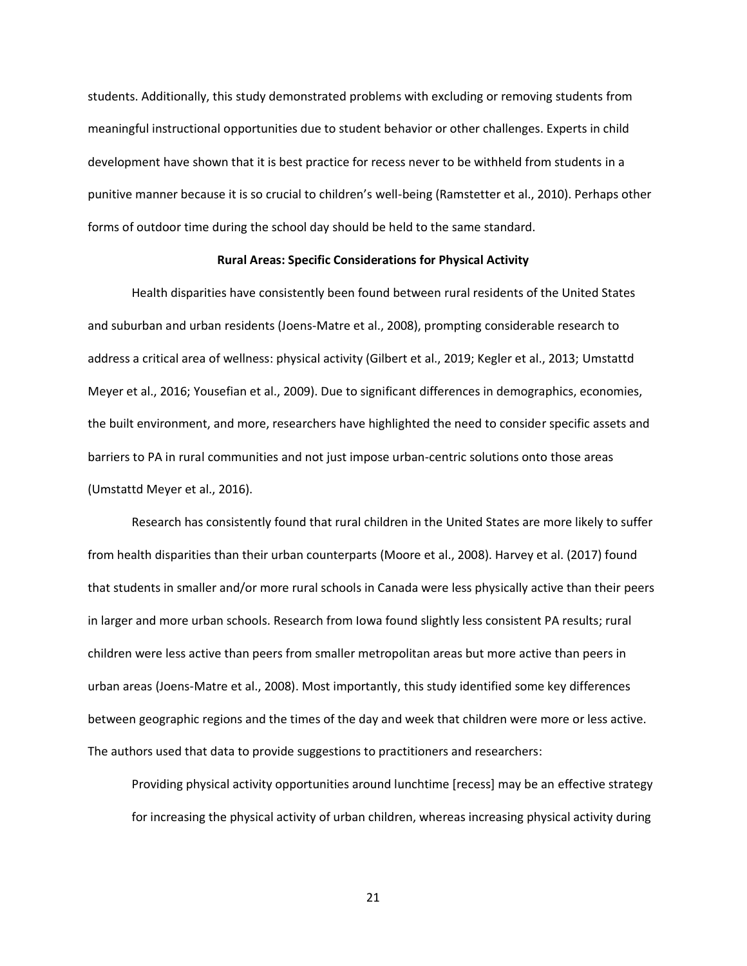students. Additionally, this study demonstrated problems with excluding or removing students from meaningful instructional opportunities due to student behavior or other challenges. Experts in child development have shown that it is best practice for recess never to be withheld from students in a punitive manner because it is so crucial to children's well-being (Ramstetter et al., 2010). Perhaps other forms of outdoor time during the school day should be held to the same standard.

#### **Rural Areas: Specific Considerations for Physical Activity**

Health disparities have consistently been found between rural residents of the United States and suburban and urban residents (Joens-Matre et al., 2008), prompting considerable research to address a critical area of wellness: physical activity (Gilbert et al., 2019; Kegler et al., 2013; Umstattd Meyer et al., 2016; Yousefian et al., 2009). Due to significant differences in demographics, economies, the built environment, and more, researchers have highlighted the need to consider specific assets and barriers to PA in rural communities and not just impose urban-centric solutions onto those areas (Umstattd Meyer et al., 2016).

Research has consistently found that rural children in the United States are more likely to suffer from health disparities than their urban counterparts (Moore et al., 2008). Harvey et al. (2017) found that students in smaller and/or more rural schools in Canada were less physically active than their peers in larger and more urban schools. Research from Iowa found slightly less consistent PA results; rural children were less active than peers from smaller metropolitan areas but more active than peers in urban areas (Joens-Matre et al., 2008). Most importantly, this study identified some key differences between geographic regions and the times of the day and week that children were more or less active. The authors used that data to provide suggestions to practitioners and researchers:

Providing physical activity opportunities around lunchtime [recess] may be an effective strategy for increasing the physical activity of urban children, whereas increasing physical activity during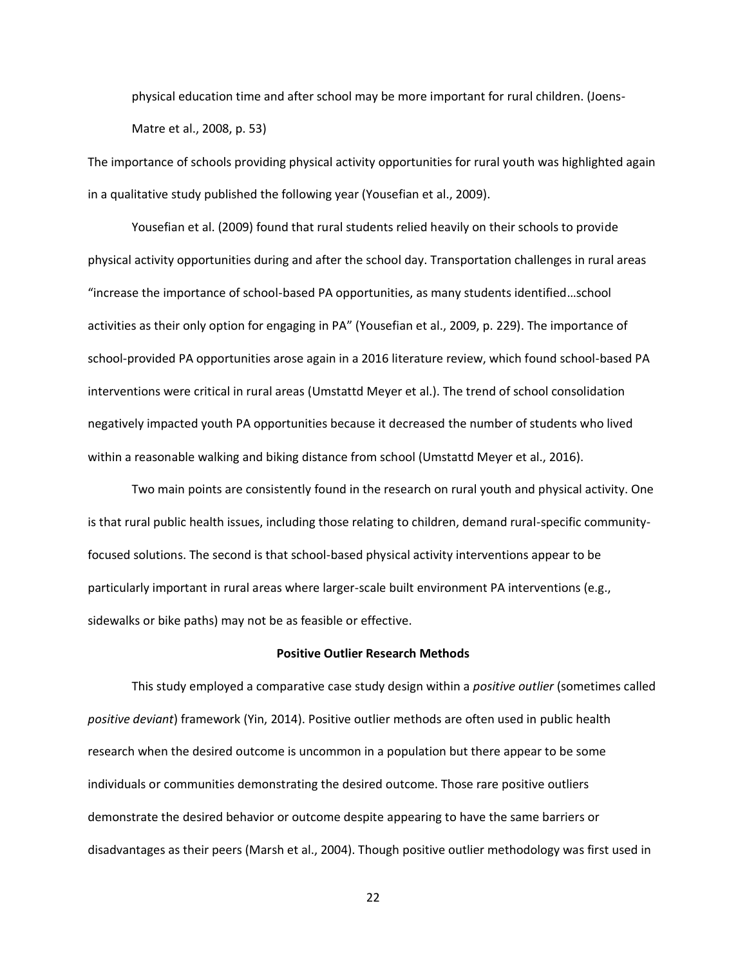physical education time and after school may be more important for rural children. (Joens-Matre et al., 2008, p. 53)

The importance of schools providing physical activity opportunities for rural youth was highlighted again in a qualitative study published the following year (Yousefian et al., 2009).

Yousefian et al. (2009) found that rural students relied heavily on their schools to provide physical activity opportunities during and after the school day. Transportation challenges in rural areas "increase the importance of school-based PA opportunities, as many students identified…school activities as their only option for engaging in PA" (Yousefian et al., 2009, p. 229). The importance of school-provided PA opportunities arose again in a 2016 literature review, which found school-based PA interventions were critical in rural areas (Umstattd Meyer et al.). The trend of school consolidation negatively impacted youth PA opportunities because it decreased the number of students who lived within a reasonable walking and biking distance from school (Umstattd Meyer et al., 2016).

Two main points are consistently found in the research on rural youth and physical activity. One is that rural public health issues, including those relating to children, demand rural-specific communityfocused solutions. The second is that school-based physical activity interventions appear to be particularly important in rural areas where larger-scale built environment PA interventions (e.g., sidewalks or bike paths) may not be as feasible or effective.

#### **Positive Outlier Research Methods**

This study employed a comparative case study design within a *positive outlier* (sometimes called *positive deviant*) framework (Yin, 2014). Positive outlier methods are often used in public health research when the desired outcome is uncommon in a population but there appear to be some individuals or communities demonstrating the desired outcome. Those rare positive outliers demonstrate the desired behavior or outcome despite appearing to have the same barriers or disadvantages as their peers (Marsh et al., 2004). Though positive outlier methodology was first used in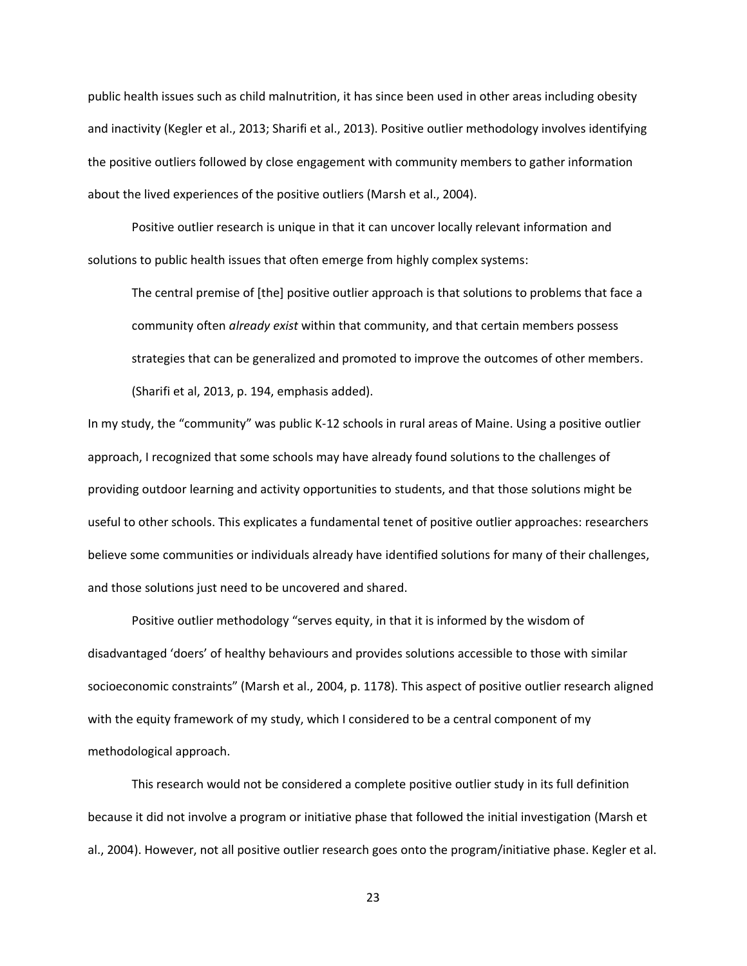public health issues such as child malnutrition, it has since been used in other areas including obesity and inactivity (Kegler et al., 2013; Sharifi et al., 2013). Positive outlier methodology involves identifying the positive outliers followed by close engagement with community members to gather information about the lived experiences of the positive outliers (Marsh et al., 2004).

Positive outlier research is unique in that it can uncover locally relevant information and solutions to public health issues that often emerge from highly complex systems:

The central premise of [the] positive outlier approach is that solutions to problems that face a community often *already exist* within that community, and that certain members possess strategies that can be generalized and promoted to improve the outcomes of other members. (Sharifi et al, 2013, p. 194, emphasis added).

In my study, the "community" was public K-12 schools in rural areas of Maine. Using a positive outlier approach, I recognized that some schools may have already found solutions to the challenges of providing outdoor learning and activity opportunities to students, and that those solutions might be useful to other schools. This explicates a fundamental tenet of positive outlier approaches: researchers believe some communities or individuals already have identified solutions for many of their challenges, and those solutions just need to be uncovered and shared.

Positive outlier methodology "serves equity, in that it is informed by the wisdom of disadvantaged 'doers' of healthy behaviours and provides solutions accessible to those with similar socioeconomic constraints" (Marsh et al., 2004, p. 1178). This aspect of positive outlier research aligned with the equity framework of my study, which I considered to be a central component of my methodological approach.

This research would not be considered a complete positive outlier study in its full definition because it did not involve a program or initiative phase that followed the initial investigation (Marsh et al., 2004). However, not all positive outlier research goes onto the program/initiative phase. Kegler et al.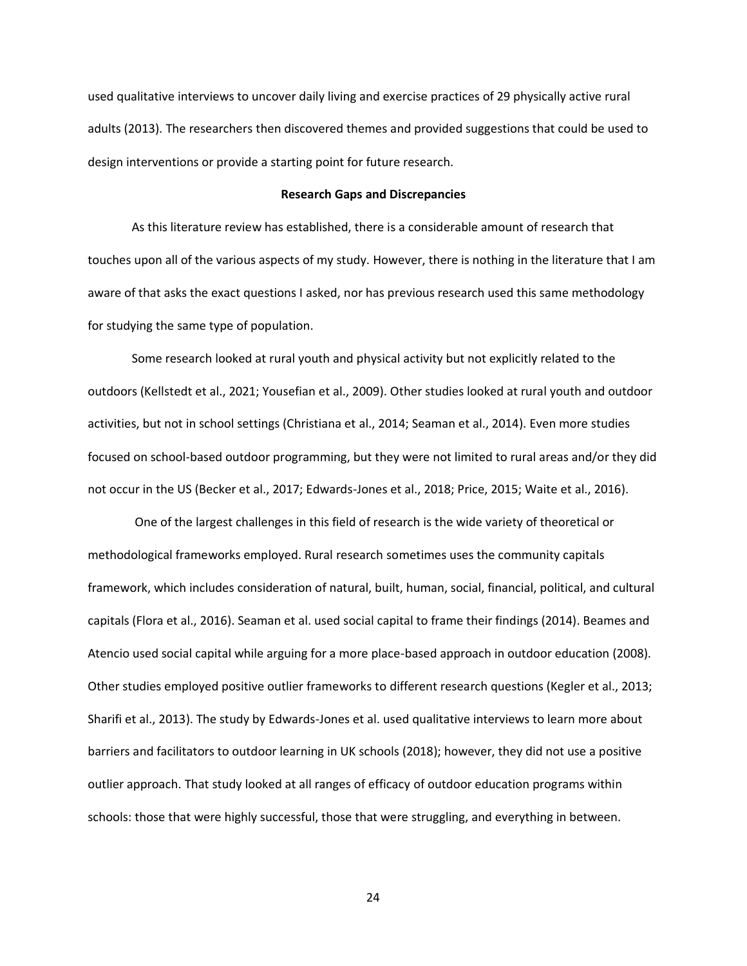used qualitative interviews to uncover daily living and exercise practices of 29 physically active rural adults (2013). The researchers then discovered themes and provided suggestions that could be used to design interventions or provide a starting point for future research.

#### **Research Gaps and Discrepancies**

As this literature review has established, there is a considerable amount of research that touches upon all of the various aspects of my study. However, there is nothing in the literature that I am aware of that asks the exact questions I asked, nor has previous research used this same methodology for studying the same type of population.

Some research looked at rural youth and physical activity but not explicitly related to the outdoors (Kellstedt et al., 2021; Yousefian et al., 2009). Other studies looked at rural youth and outdoor activities, but not in school settings (Christiana et al., 2014; Seaman et al., 2014). Even more studies focused on school-based outdoor programming, but they were not limited to rural areas and/or they did not occur in the US (Becker et al., 2017; Edwards-Jones et al., 2018; Price, 2015; Waite et al., 2016).

One of the largest challenges in this field of research is the wide variety of theoretical or methodological frameworks employed. Rural research sometimes uses the community capitals framework, which includes consideration of natural, built, human, social, financial, political, and cultural capitals (Flora et al., 2016). Seaman et al. used social capital to frame their findings (2014). Beames and Atencio used social capital while arguing for a more place-based approach in outdoor education (2008). Other studies employed positive outlier frameworks to different research questions (Kegler et al., 2013; Sharifi et al., 2013). The study by Edwards-Jones et al. used qualitative interviews to learn more about barriers and facilitators to outdoor learning in UK schools (2018); however, they did not use a positive outlier approach. That study looked at all ranges of efficacy of outdoor education programs within schools: those that were highly successful, those that were struggling, and everything in between.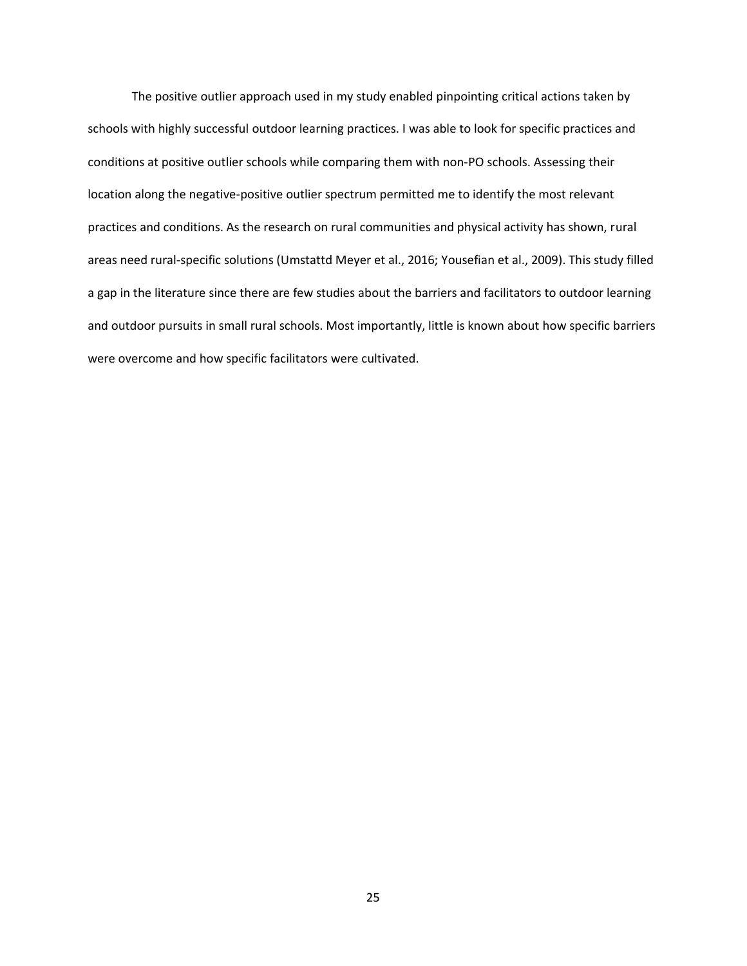The positive outlier approach used in my study enabled pinpointing critical actions taken by schools with highly successful outdoor learning practices. I was able to look for specific practices and conditions at positive outlier schools while comparing them with non-PO schools. Assessing their location along the negative-positive outlier spectrum permitted me to identify the most relevant practices and conditions. As the research on rural communities and physical activity has shown, rural areas need rural-specific solutions (Umstattd Meyer et al., 2016; Yousefian et al., 2009). This study filled a gap in the literature since there are few studies about the barriers and facilitators to outdoor learning and outdoor pursuits in small rural schools. Most importantly, little is known about how specific barriers were overcome and how specific facilitators were cultivated.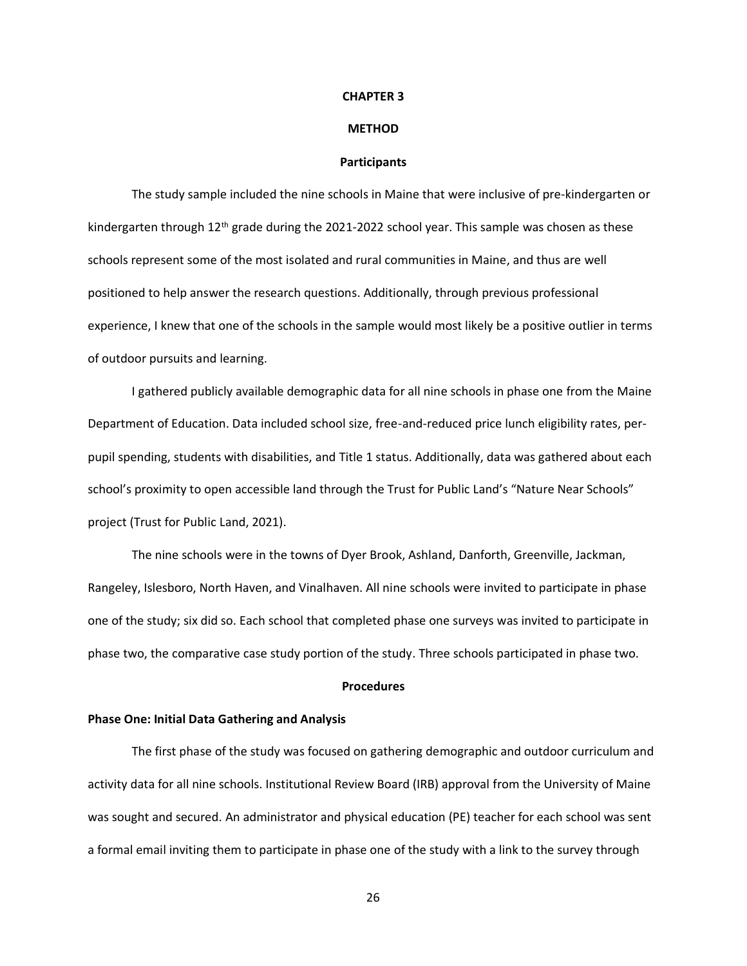#### **CHAPTER 3**

### **METHOD**

### **Participants**

The study sample included the nine schools in Maine that were inclusive of pre-kindergarten or kindergarten through  $12<sup>th</sup>$  grade during the 2021-2022 school year. This sample was chosen as these schools represent some of the most isolated and rural communities in Maine, and thus are well positioned to help answer the research questions. Additionally, through previous professional experience, I knew that one of the schools in the sample would most likely be a positive outlier in terms of outdoor pursuits and learning.

I gathered publicly available demographic data for all nine schools in phase one from the Maine Department of Education. Data included school size, free-and-reduced price lunch eligibility rates, perpupil spending, students with disabilities, and Title 1 status. Additionally, data was gathered about each school's proximity to open accessible land through the Trust for Public Land's "Nature Near Schools" project (Trust for Public Land, 2021).

The nine schools were in the towns of Dyer Brook, Ashland, Danforth, Greenville, Jackman, Rangeley, Islesboro, North Haven, and Vinalhaven. All nine schools were invited to participate in phase one of the study; six did so. Each school that completed phase one surveys was invited to participate in phase two, the comparative case study portion of the study. Three schools participated in phase two.

## **Procedures**

# **Phase One: Initial Data Gathering and Analysis**

The first phase of the study was focused on gathering demographic and outdoor curriculum and activity data for all nine schools. Institutional Review Board (IRB) approval from the University of Maine was sought and secured. An administrator and physical education (PE) teacher for each school was sent a formal email inviting them to participate in phase one of the study with a link to the survey through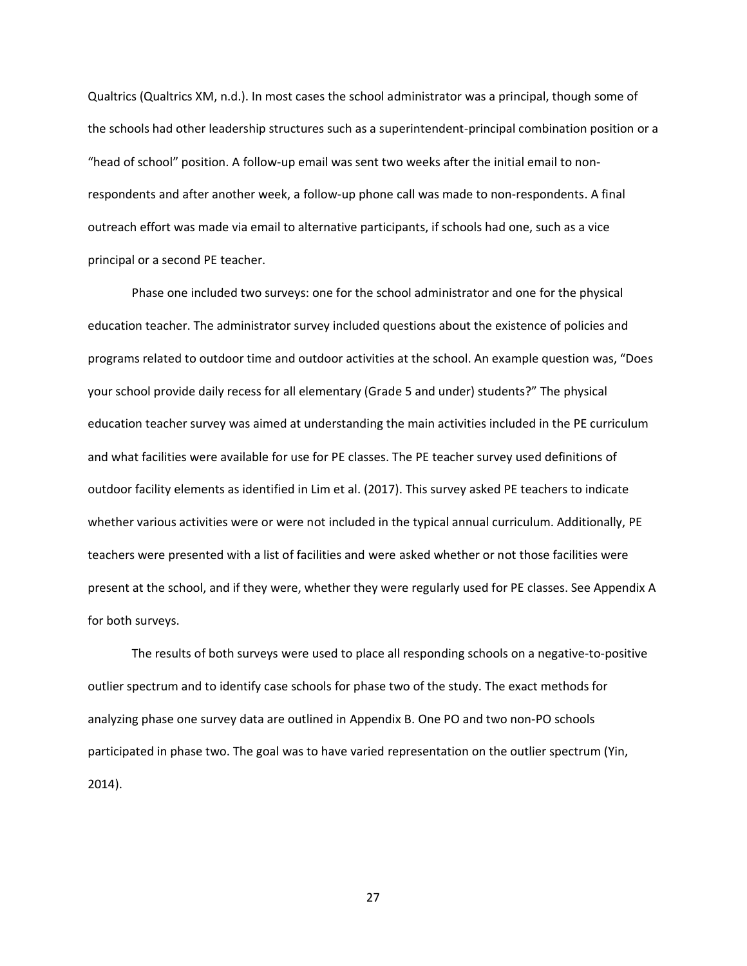Qualtrics (Qualtrics XM, n.d.). In most cases the school administrator was a principal, though some of the schools had other leadership structures such as a superintendent-principal combination position or a "head of school" position. A follow-up email was sent two weeks after the initial email to nonrespondents and after another week, a follow-up phone call was made to non-respondents. A final outreach effort was made via email to alternative participants, if schools had one, such as a vice principal or a second PE teacher.

Phase one included two surveys: one for the school administrator and one for the physical education teacher. The administrator survey included questions about the existence of policies and programs related to outdoor time and outdoor activities at the school. An example question was, "Does your school provide daily recess for all elementary (Grade 5 and under) students?" The physical education teacher survey was aimed at understanding the main activities included in the PE curriculum and what facilities were available for use for PE classes. The PE teacher survey used definitions of outdoor facility elements as identified in Lim et al. (2017). This survey asked PE teachers to indicate whether various activities were or were not included in the typical annual curriculum. Additionally, PE teachers were presented with a list of facilities and were asked whether or not those facilities were present at the school, and if they were, whether they were regularly used for PE classes. See Appendix A for both surveys.

The results of both surveys were used to place all responding schools on a negative-to-positive outlier spectrum and to identify case schools for phase two of the study. The exact methods for analyzing phase one survey data are outlined in Appendix B. One PO and two non-PO schools participated in phase two. The goal was to have varied representation on the outlier spectrum (Yin, 2014).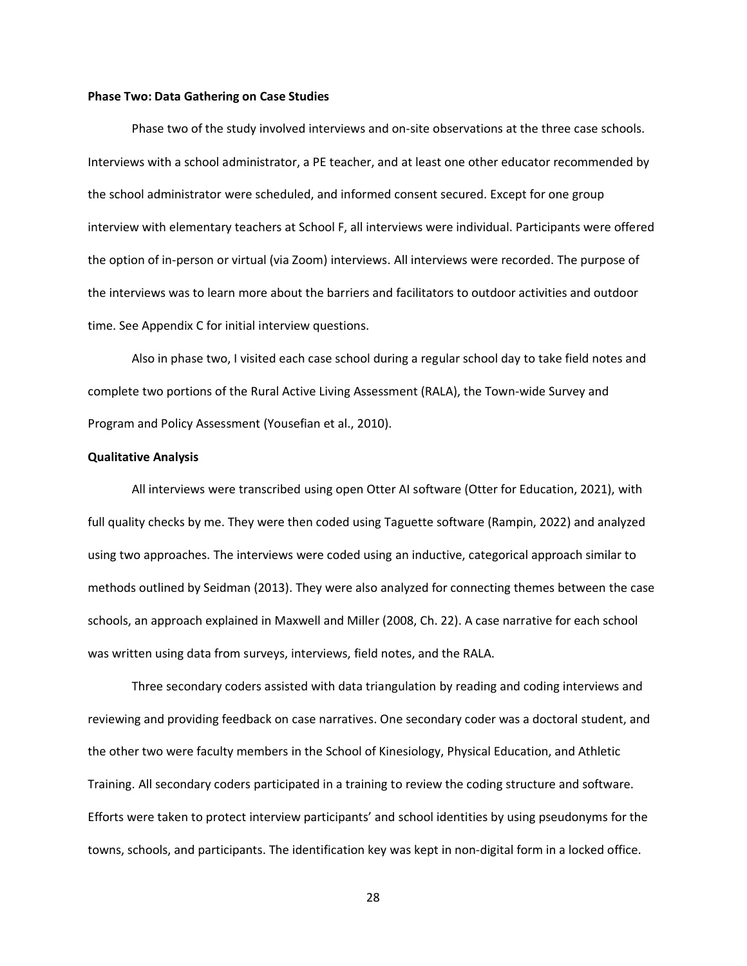#### **Phase Two: Data Gathering on Case Studies**

Phase two of the study involved interviews and on-site observations at the three case schools. Interviews with a school administrator, a PE teacher, and at least one other educator recommended by the school administrator were scheduled, and informed consent secured. Except for one group interview with elementary teachers at School F, all interviews were individual. Participants were offered the option of in-person or virtual (via Zoom) interviews. All interviews were recorded. The purpose of the interviews was to learn more about the barriers and facilitators to outdoor activities and outdoor time. See Appendix C for initial interview questions.

Also in phase two, I visited each case school during a regular school day to take field notes and complete two portions of the Rural Active Living Assessment (RALA), the Town-wide Survey and Program and Policy Assessment (Yousefian et al., 2010).

## **Qualitative Analysis**

All interviews were transcribed using open Otter AI software (Otter for Education, 2021), with full quality checks by me. They were then coded using Taguette software (Rampin, 2022) and analyzed using two approaches. The interviews were coded using an inductive, categorical approach similar to methods outlined by Seidman (2013). They were also analyzed for connecting themes between the case schools, an approach explained in Maxwell and Miller (2008, Ch. 22). A case narrative for each school was written using data from surveys, interviews, field notes, and the RALA.

Three secondary coders assisted with data triangulation by reading and coding interviews and reviewing and providing feedback on case narratives. One secondary coder was a doctoral student, and the other two were faculty members in the School of Kinesiology, Physical Education, and Athletic Training. All secondary coders participated in a training to review the coding structure and software. Efforts were taken to protect interview participants' and school identities by using pseudonyms for the towns, schools, and participants. The identification key was kept in non-digital form in a locked office.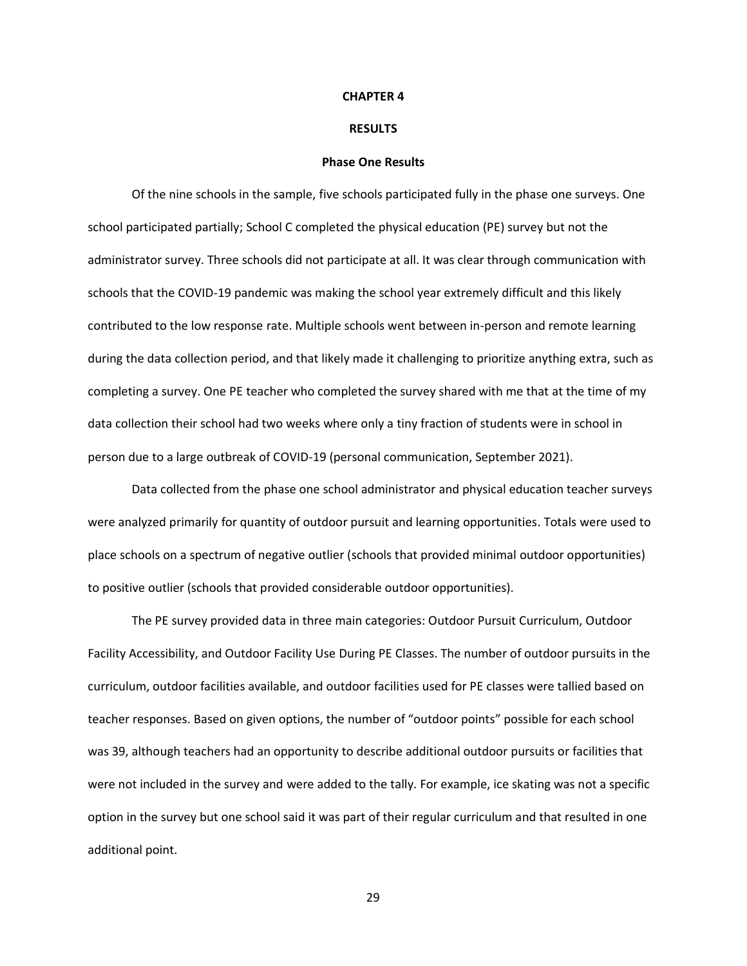#### **CHAPTER 4**

### **RESULTS**

## **Phase One Results**

Of the nine schools in the sample, five schools participated fully in the phase one surveys. One school participated partially; School C completed the physical education (PE) survey but not the administrator survey. Three schools did not participate at all. It was clear through communication with schools that the COVID-19 pandemic was making the school year extremely difficult and this likely contributed to the low response rate. Multiple schools went between in-person and remote learning during the data collection period, and that likely made it challenging to prioritize anything extra, such as completing a survey. One PE teacher who completed the survey shared with me that at the time of my data collection their school had two weeks where only a tiny fraction of students were in school in person due to a large outbreak of COVID-19 (personal communication, September 2021).

Data collected from the phase one school administrator and physical education teacher surveys were analyzed primarily for quantity of outdoor pursuit and learning opportunities. Totals were used to place schools on a spectrum of negative outlier (schools that provided minimal outdoor opportunities) to positive outlier (schools that provided considerable outdoor opportunities).

The PE survey provided data in three main categories: Outdoor Pursuit Curriculum, Outdoor Facility Accessibility, and Outdoor Facility Use During PE Classes. The number of outdoor pursuits in the curriculum, outdoor facilities available, and outdoor facilities used for PE classes were tallied based on teacher responses. Based on given options, the number of "outdoor points" possible for each school was 39, although teachers had an opportunity to describe additional outdoor pursuits or facilities that were not included in the survey and were added to the tally. For example, ice skating was not a specific option in the survey but one school said it was part of their regular curriculum and that resulted in one additional point.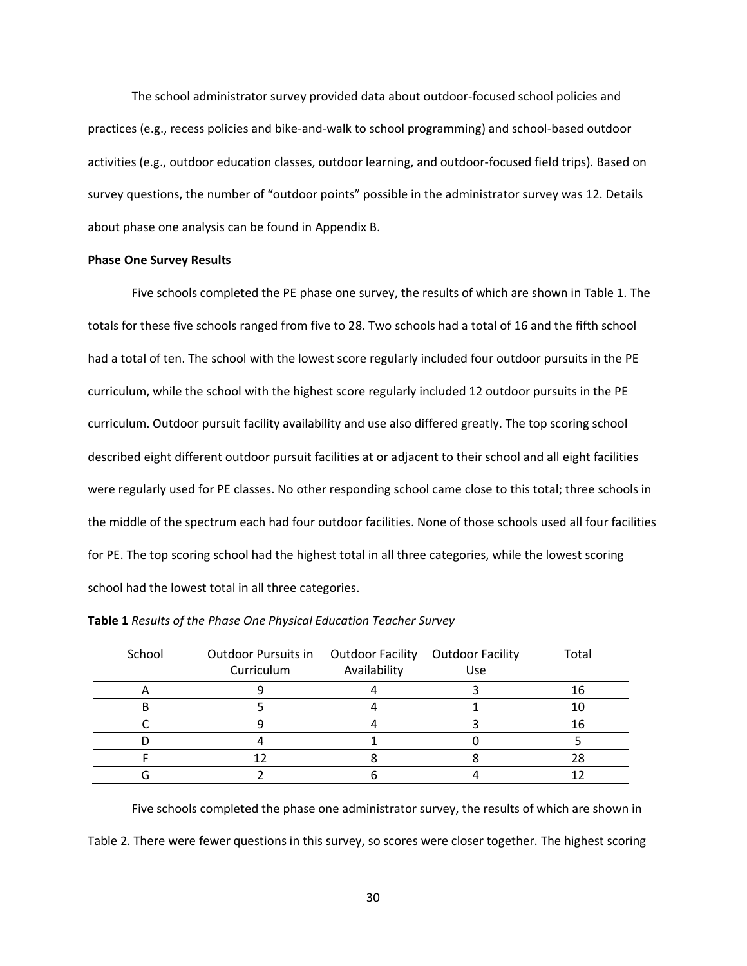The school administrator survey provided data about outdoor-focused school policies and practices (e.g., recess policies and bike-and-walk to school programming) and school-based outdoor activities (e.g., outdoor education classes, outdoor learning, and outdoor-focused field trips). Based on survey questions, the number of "outdoor points" possible in the administrator survey was 12. Details about phase one analysis can be found in Appendix B.

## **Phase One Survey Results**

Five schools completed the PE phase one survey, the results of which are shown in Table 1. The totals for these five schools ranged from five to 28. Two schools had a total of 16 and the fifth school had a total of ten. The school with the lowest score regularly included four outdoor pursuits in the PE curriculum, while the school with the highest score regularly included 12 outdoor pursuits in the PE curriculum. Outdoor pursuit facility availability and use also differed greatly. The top scoring school described eight different outdoor pursuit facilities at or adjacent to their school and all eight facilities were regularly used for PE classes. No other responding school came close to this total; three schools in the middle of the spectrum each had four outdoor facilities. None of those schools used all four facilities for PE. The top scoring school had the highest total in all three categories, while the lowest scoring school had the lowest total in all three categories.

| School | Outdoor Pursuits in  Outdoor Facility  Outdoor Facility |              |     | Total |
|--------|---------------------------------------------------------|--------------|-----|-------|
|        | Curriculum                                              | Availability | Use |       |
|        |                                                         |              |     | 16    |
|        |                                                         |              |     |       |
|        |                                                         |              |     | 16    |
|        |                                                         |              |     |       |
|        |                                                         |              |     |       |
|        |                                                         |              |     |       |

| Table 1 Results of the Phase One Physical Education Teacher Survey |  |  |  |
|--------------------------------------------------------------------|--|--|--|
|--------------------------------------------------------------------|--|--|--|

Five schools completed the phase one administrator survey, the results of which are shown in Table 2. There were fewer questions in this survey, so scores were closer together. The highest scoring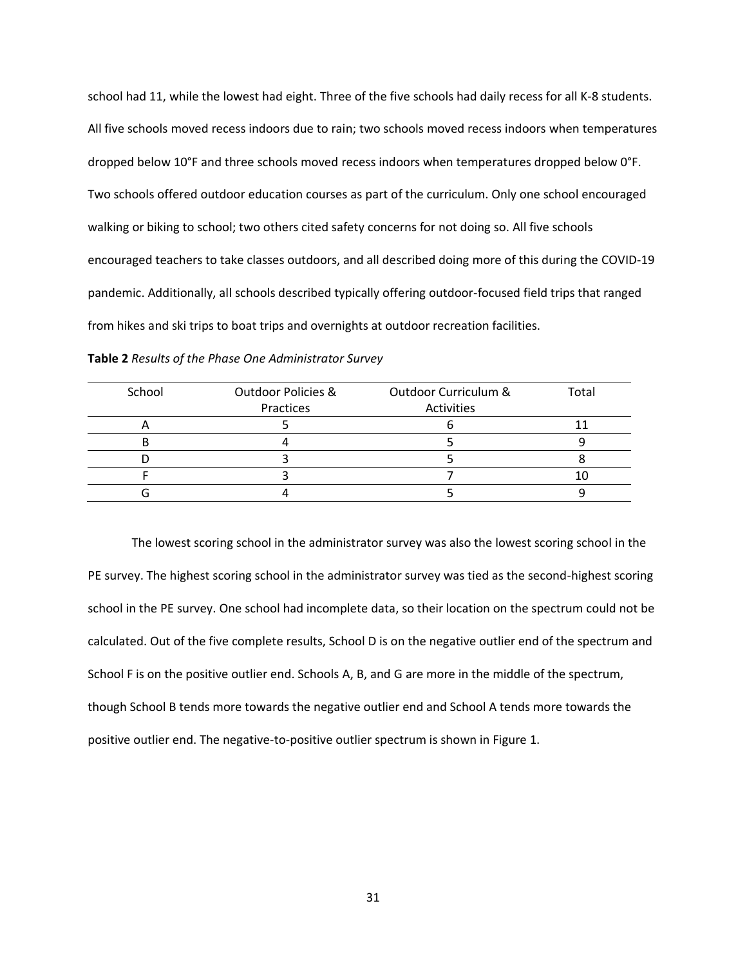school had 11, while the lowest had eight. Three of the five schools had daily recess for all K-8 students. All five schools moved recess indoors due to rain; two schools moved recess indoors when temperatures dropped below 10°F and three schools moved recess indoors when temperatures dropped below 0°F. Two schools offered outdoor education courses as part of the curriculum. Only one school encouraged walking or biking to school; two others cited safety concerns for not doing so. All five schools encouraged teachers to take classes outdoors, and all described doing more of this during the COVID-19 pandemic. Additionally, all schools described typically offering outdoor-focused field trips that ranged from hikes and ski trips to boat trips and overnights at outdoor recreation facilities.

| School | <b>Outdoor Policies &amp;</b> | Outdoor Curriculum & | Total |
|--------|-------------------------------|----------------------|-------|
|        | Practices                     | Activities           |       |
| ⌒      |                               |                      |       |
|        |                               |                      |       |
|        |                               |                      |       |
|        |                               |                      |       |
|        |                               |                      |       |

The lowest scoring school in the administrator survey was also the lowest scoring school in the PE survey. The highest scoring school in the administrator survey was tied as the second-highest scoring school in the PE survey. One school had incomplete data, so their location on the spectrum could not be calculated. Out of the five complete results, School D is on the negative outlier end of the spectrum and School F is on the positive outlier end. Schools A, B, and G are more in the middle of the spectrum, though School B tends more towards the negative outlier end and School A tends more towards the positive outlier end. The negative-to-positive outlier spectrum is shown in Figure 1.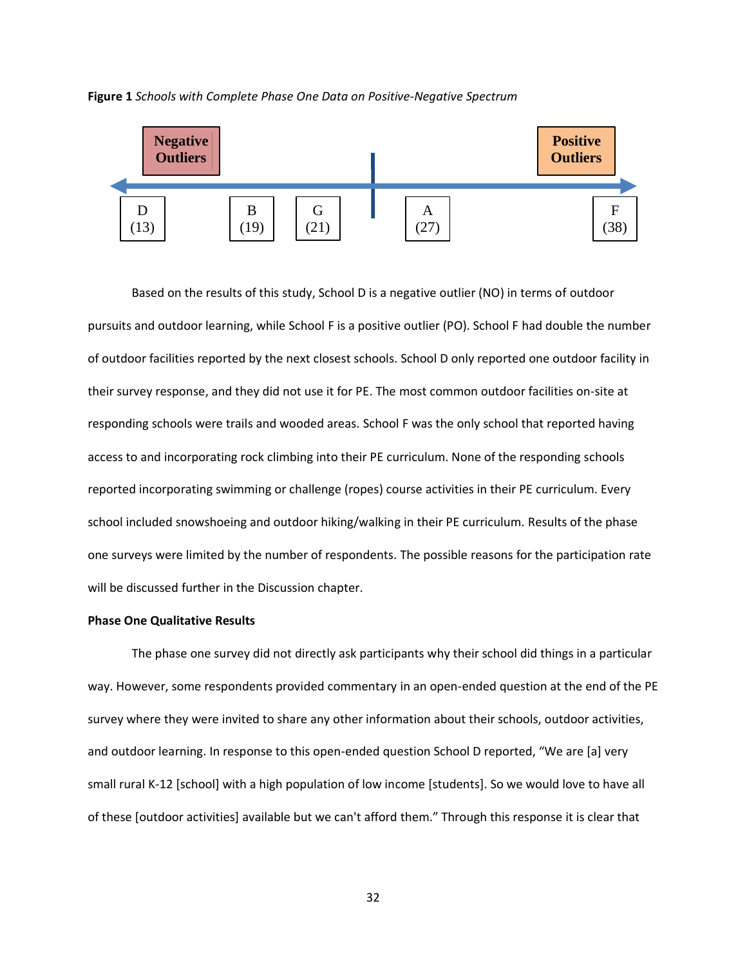



Based on the results of this study, School D is a negative outlier (NO) in terms of outdoor pursuits and outdoor learning, while School F is a positive outlier (PO). School F had double the number of outdoor facilities reported by the next closest schools. School D only reported one outdoor facility in their survey response, and they did not use it for PE. The most common outdoor facilities on-site at responding schools were trails and wooded areas. School F was the only school that reported having access to and incorporating rock climbing into their PE curriculum. None of the responding schools reported incorporating swimming or challenge (ropes) course activities in their PE curriculum. Every school included snowshoeing and outdoor hiking/walking in their PE curriculum. Results of the phase one surveys were limited by the number of respondents. The possible reasons for the participation rate will be discussed further in the Discussion chapter.

## **Phase One Qualitative Results**

The phase one survey did not directly ask participants why their school did things in a particular way. However, some respondents provided commentary in an open-ended question at the end of the PE survey where they were invited to share any other information about their schools, outdoor activities, and outdoor learning. In response to this open-ended question School D reported, "We are [a] very small rural K-12 [school] with a high population of low income [students]. So we would love to have all of these [outdoor activities] available but we can't afford them." Through this response it is clear that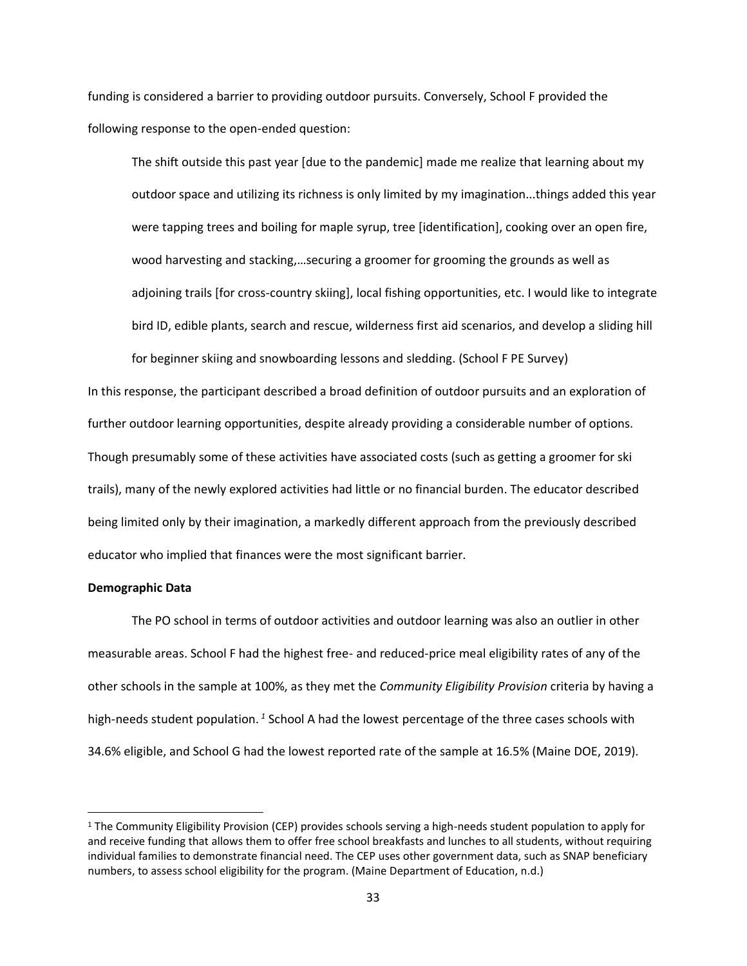funding is considered a barrier to providing outdoor pursuits. Conversely, School F provided the following response to the open-ended question:

The shift outside this past year [due to the pandemic] made me realize that learning about my outdoor space and utilizing its richness is only limited by my imagination...things added this year were tapping trees and boiling for maple syrup, tree [identification], cooking over an open fire, wood harvesting and stacking,…securing a groomer for grooming the grounds as well as adjoining trails [for cross-country skiing], local fishing opportunities, etc. I would like to integrate bird ID, edible plants, search and rescue, wilderness first aid scenarios, and develop a sliding hill

In this response, the participant described a broad definition of outdoor pursuits and an exploration of further outdoor learning opportunities, despite already providing a considerable number of options. Though presumably some of these activities have associated costs (such as getting a groomer for ski trails), many of the newly explored activities had little or no financial burden. The educator described being limited only by their imagination, a markedly different approach from the previously described educator who implied that finances were the most significant barrier.

for beginner skiing and snowboarding lessons and sledding. (School F PE Survey)

### **Demographic Data**

The PO school in terms of outdoor activities and outdoor learning was also an outlier in other measurable areas. School F had the highest free- and reduced-price meal eligibility rates of any of the other schools in the sample at 100%, as they met the *Community Eligibility Provision* criteria by having a high-needs student population.<sup>1</sup> School A had the lowest percentage of the three cases schools with 34.6% eligible, and School G had the lowest reported rate of the sample at 16.5% (Maine DOE, 2019).

<sup>&</sup>lt;sup>1</sup> The Community Eligibility Provision (CEP) provides schools serving a high-needs student population to apply for and receive funding that allows them to offer free school breakfasts and lunches to all students, without requiring individual families to demonstrate financial need. The CEP uses other government data, such as SNAP beneficiary numbers, to assess school eligibility for the program. (Maine Department of Education, n.d.)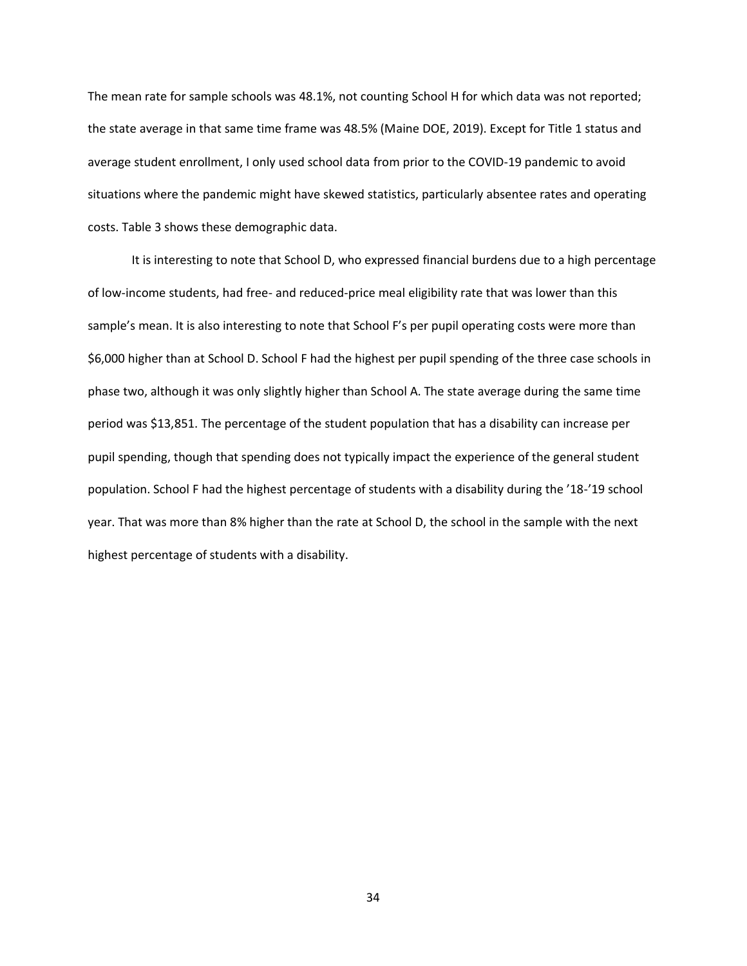The mean rate for sample schools was 48.1%, not counting School H for which data was not reported; the state average in that same time frame was 48.5% (Maine DOE, 2019). Except for Title 1 status and average student enrollment, I only used school data from prior to the COVID-19 pandemic to avoid situations where the pandemic might have skewed statistics, particularly absentee rates and operating costs. Table 3 shows these demographic data.

It is interesting to note that School D, who expressed financial burdens due to a high percentage of low-income students, had free- and reduced-price meal eligibility rate that was lower than this sample's mean. It is also interesting to note that School F's per pupil operating costs were more than \$6,000 higher than at School D. School F had the highest per pupil spending of the three case schools in phase two, although it was only slightly higher than School A. The state average during the same time period was \$13,851. The percentage of the student population that has a disability can increase per pupil spending, though that spending does not typically impact the experience of the general student population. School F had the highest percentage of students with a disability during the '18-'19 school year. That was more than 8% higher than the rate at School D, the school in the sample with the next highest percentage of students with a disability.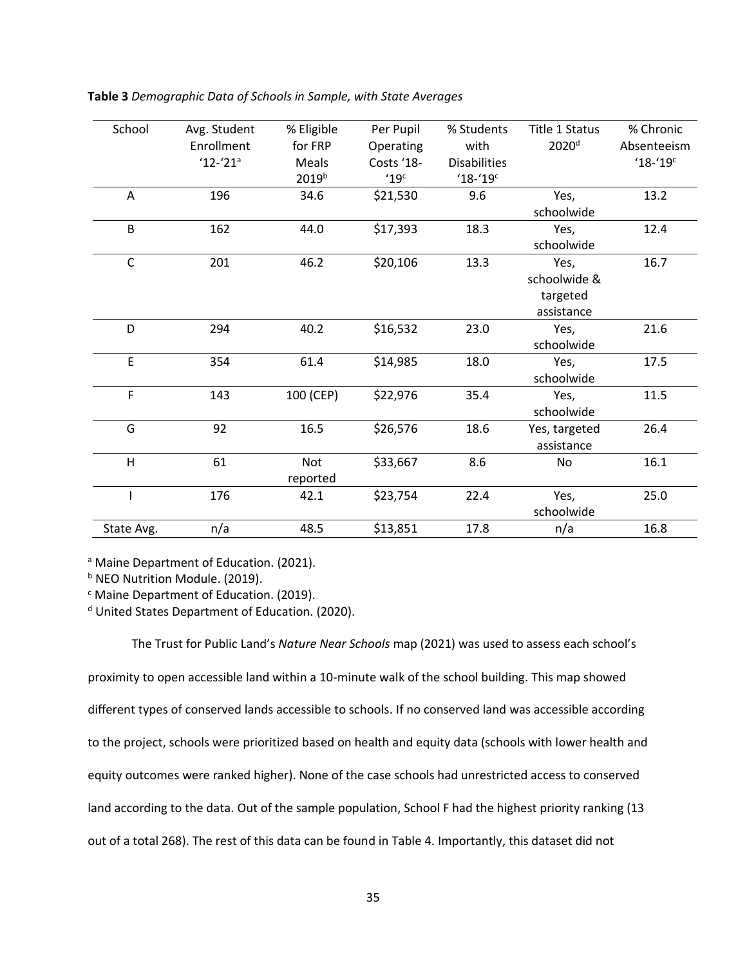| Table 3 Demographic Data of Schools in Sample, with State Averages |  |  |  |
|--------------------------------------------------------------------|--|--|--|
|--------------------------------------------------------------------|--|--|--|

| School     | Avg. Student | % Eligible        | Per Pupil  | % Students               | Title 1 Status    | % Chronic   |
|------------|--------------|-------------------|------------|--------------------------|-------------------|-------------|
|            | Enrollment   | for FRP           | Operating  | with                     | 2020 <sup>d</sup> | Absenteeism |
|            | $'12-('21)$  | Meals             | Costs '18- | <b>Disabilities</b>      |                   | $18 - 19$   |
|            |              | 2019 <sup>b</sup> | '19c       | $'18 - '19$ <sup>c</sup> |                   |             |
| Α          | 196          | 34.6              | \$21,530   | 9.6                      | Yes,              | 13.2        |
|            |              |                   |            |                          | schoolwide        |             |
| B          | 162          | 44.0              | \$17,393   | 18.3                     | Yes,              | 12.4        |
|            |              |                   |            |                          | schoolwide        |             |
| C          | 201          | 46.2              | \$20,106   | 13.3                     | Yes,              | 16.7        |
|            |              |                   |            |                          | schoolwide &      |             |
|            |              |                   |            |                          | targeted          |             |
|            |              |                   |            |                          | assistance        |             |
| D          | 294          | 40.2              | \$16,532   | 23.0                     | Yes,              | 21.6        |
|            |              |                   |            |                          | schoolwide        |             |
| E          | 354          | 61.4              | \$14,985   | 18.0                     | Yes,              | 17.5        |
|            |              |                   |            |                          | schoolwide        |             |
| F          | 143          | 100 (CEP)         | \$22,976   | 35.4                     | Yes,              | 11.5        |
|            |              |                   |            |                          | schoolwide        |             |
| G          | 92           | 16.5              | \$26,576   | 18.6                     | Yes, targeted     | 26.4        |
|            |              |                   |            |                          | assistance        |             |
| H          | 61           | Not               | \$33,667   | 8.6                      | No                | 16.1        |
|            |              | reported          |            |                          |                   |             |
|            | 176          | 42.1              | \$23,754   | 22.4                     | Yes,              | 25.0        |
|            |              |                   |            |                          | schoolwide        |             |
| State Avg. | n/a          | 48.5              | \$13,851   | 17.8                     | n/a               | 16.8        |

<sup>a</sup> Maine Department of Education. (2021).

**b NEO Nutrition Module. (2019).** 

<sup>c</sup> Maine Department of Education. (2019).

<sup>d</sup> United States Department of Education. (2020).

The Trust for Public Land's *Nature Near Schools* map (2021) was used to assess each school's proximity to open accessible land within a 10-minute walk of the school building. This map showed different types of conserved lands accessible to schools. If no conserved land was accessible according to the project, schools were prioritized based on health and equity data (schools with lower health and equity outcomes were ranked higher). None of the case schools had unrestricted access to conserved land according to the data. Out of the sample population, School F had the highest priority ranking (13 out of a total 268). The rest of this data can be found in Table 4. Importantly, this dataset did not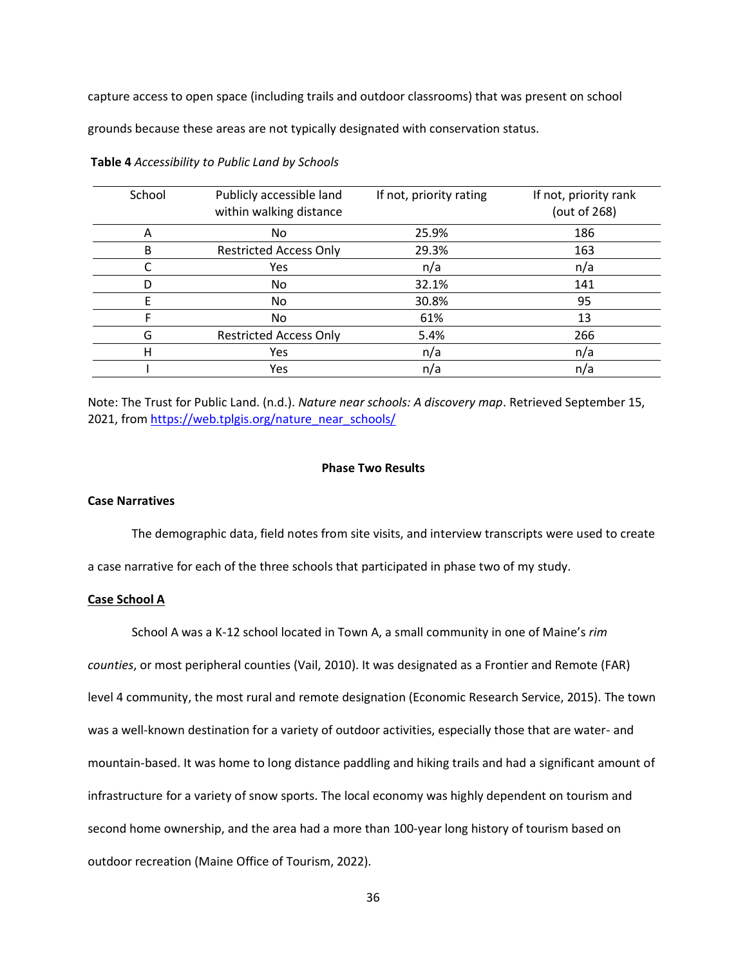capture access to open space (including trails and outdoor classrooms) that was present on school

grounds because these areas are not typically designated with conservation status.

| School | Publicly accessible land<br>within walking distance | If not, priority rating | If not, priority rank<br>(out of 268) |
|--------|-----------------------------------------------------|-------------------------|---------------------------------------|
| A      | No.                                                 | 25.9%                   | 186                                   |
| B      | <b>Restricted Access Only</b>                       | 29.3%                   | 163                                   |
|        | Yes                                                 | n/a                     | n/a                                   |
| D      | No                                                  | 32.1%                   | 141                                   |
| F      | No.                                                 | 30.8%                   | 95                                    |
|        | No.                                                 | 61%                     | 13                                    |
| G      | <b>Restricted Access Only</b>                       | 5.4%                    | 266                                   |
| н      | Yes                                                 | n/a                     | n/a                                   |
|        | Yes                                                 | n/a                     | n/a                                   |

**Table 4** *Accessibility to Public Land by Schools*

Note: The Trust for Public Land. (n.d.). *Nature near schools: A discovery map*. Retrieved September 15, 2021, from [https://web.tplgis.org/nature\\_near\\_schools/](https://web.tplgis.org/nature_near_schools/)

# **Phase Two Results**

## **Case Narratives**

The demographic data, field notes from site visits, and interview transcripts were used to create a case narrative for each of the three schools that participated in phase two of my study.

## **Case School A**

School A was a K-12 school located in Town A, a small community in one of Maine's *rim* 

*counties*, or most peripheral counties (Vail, 2010). It was designated as a Frontier and Remote (FAR)

level 4 community, the most rural and remote designation (Economic Research Service, 2015). The town

was a well-known destination for a variety of outdoor activities, especially those that are water- and

mountain-based. It was home to long distance paddling and hiking trails and had a significant amount of

infrastructure for a variety of snow sports. The local economy was highly dependent on tourism and

second home ownership, and the area had a more than 100-year long history of tourism based on

outdoor recreation (Maine Office of Tourism, 2022).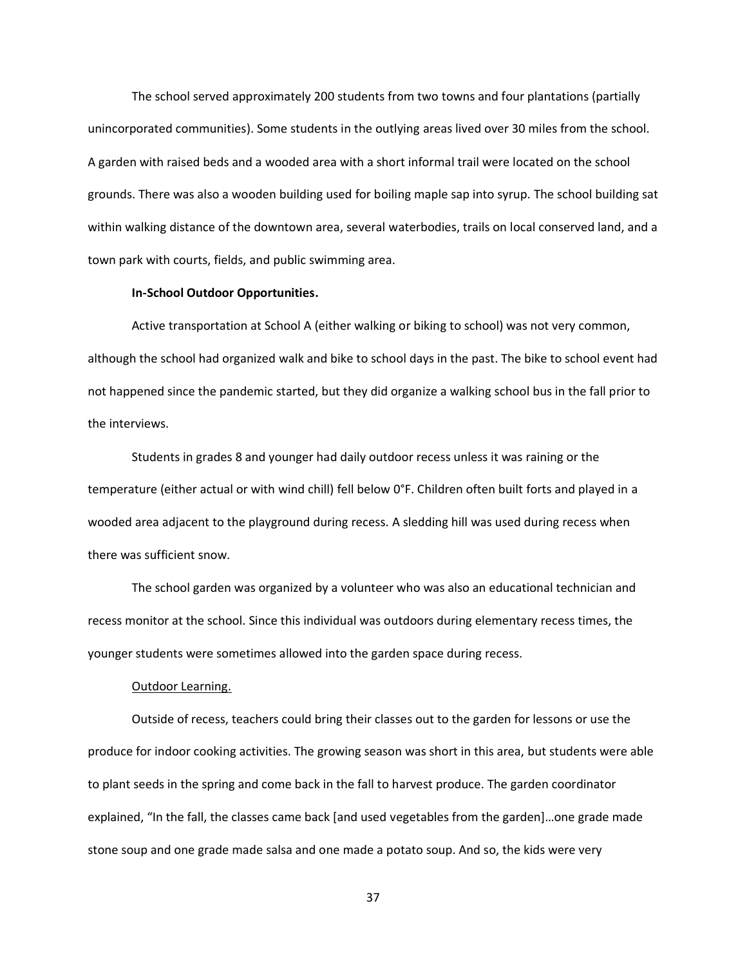The school served approximately 200 students from two towns and four plantations (partially unincorporated communities). Some students in the outlying areas lived over 30 miles from the school. A garden with raised beds and a wooded area with a short informal trail were located on the school grounds. There was also a wooden building used for boiling maple sap into syrup. The school building sat within walking distance of the downtown area, several waterbodies, trails on local conserved land, and a town park with courts, fields, and public swimming area.

#### **In-School Outdoor Opportunities.**

Active transportation at School A (either walking or biking to school) was not very common, although the school had organized walk and bike to school days in the past. The bike to school event had not happened since the pandemic started, but they did organize a walking school bus in the fall prior to the interviews.

Students in grades 8 and younger had daily outdoor recess unless it was raining or the temperature (either actual or with wind chill) fell below 0°F. Children often built forts and played in a wooded area adjacent to the playground during recess. A sledding hill was used during recess when there was sufficient snow.

The school garden was organized by a volunteer who was also an educational technician and recess monitor at the school. Since this individual was outdoors during elementary recess times, the younger students were sometimes allowed into the garden space during recess.

## Outdoor Learning.

Outside of recess, teachers could bring their classes out to the garden for lessons or use the produce for indoor cooking activities. The growing season was short in this area, but students were able to plant seeds in the spring and come back in the fall to harvest produce. The garden coordinator explained, "In the fall, the classes came back [and used vegetables from the garden]…one grade made stone soup and one grade made salsa and one made a potato soup. And so, the kids were very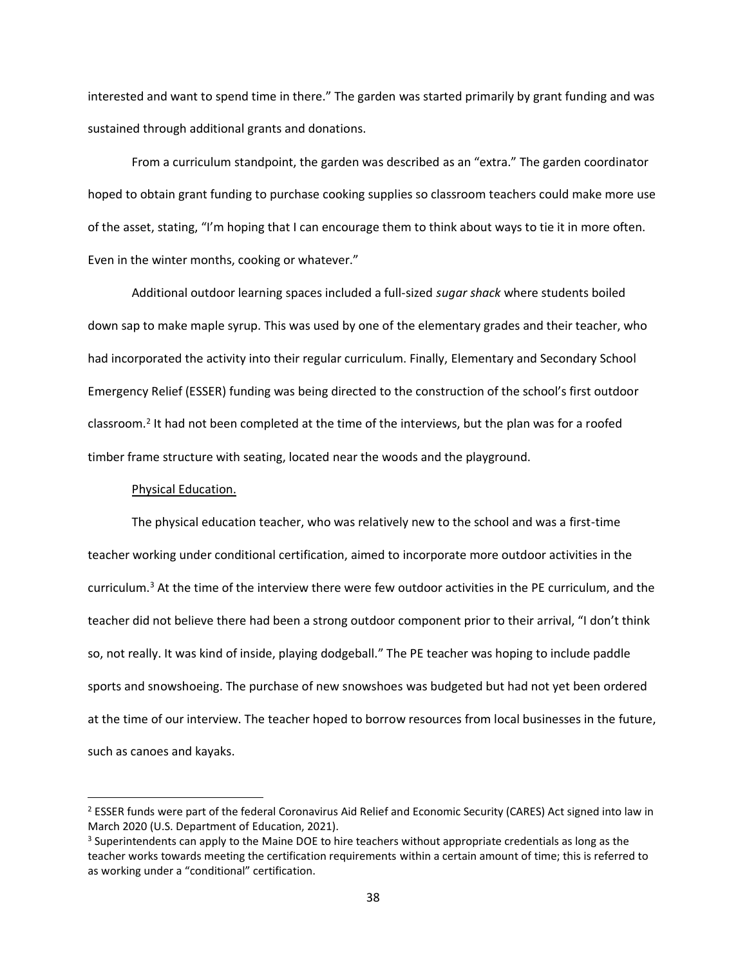interested and want to spend time in there." The garden was started primarily by grant funding and was sustained through additional grants and donations.

From a curriculum standpoint, the garden was described as an "extra." The garden coordinator hoped to obtain grant funding to purchase cooking supplies so classroom teachers could make more use of the asset, stating, "I'm hoping that I can encourage them to think about ways to tie it in more often. Even in the winter months, cooking or whatever."

Additional outdoor learning spaces included a full-sized *sugar shack* where students boiled down sap to make maple syrup. This was used by one of the elementary grades and their teacher, who had incorporated the activity into their regular curriculum. Finally, Elementary and Secondary School Emergency Relief (ESSER) funding was being directed to the construction of the school's first outdoor classroom.<sup>2</sup> It had not been completed at the time of the interviews, but the plan was for a roofed timber frame structure with seating, located near the woods and the playground.

# Physical Education.

The physical education teacher, who was relatively new to the school and was a first-time teacher working under conditional certification, aimed to incorporate more outdoor activities in the curriculum.<sup>3</sup> At the time of the interview there were few outdoor activities in the PE curriculum, and the teacher did not believe there had been a strong outdoor component prior to their arrival, "I don't think so, not really. It was kind of inside, playing dodgeball." The PE teacher was hoping to include paddle sports and snowshoeing. The purchase of new snowshoes was budgeted but had not yet been ordered at the time of our interview. The teacher hoped to borrow resources from local businesses in the future, such as canoes and kayaks.

<sup>&</sup>lt;sup>2</sup> ESSER funds were part of the federal Coronavirus Aid Relief and Economic Security (CARES) Act signed into law in March 2020 (U.S. Department of Education, 2021).

<sup>&</sup>lt;sup>3</sup> Superintendents can apply to the Maine DOE to hire teachers without appropriate credentials as long as the teacher works towards meeting the certification requirements within a certain amount of time; this is referred to as working under a "conditional" certification.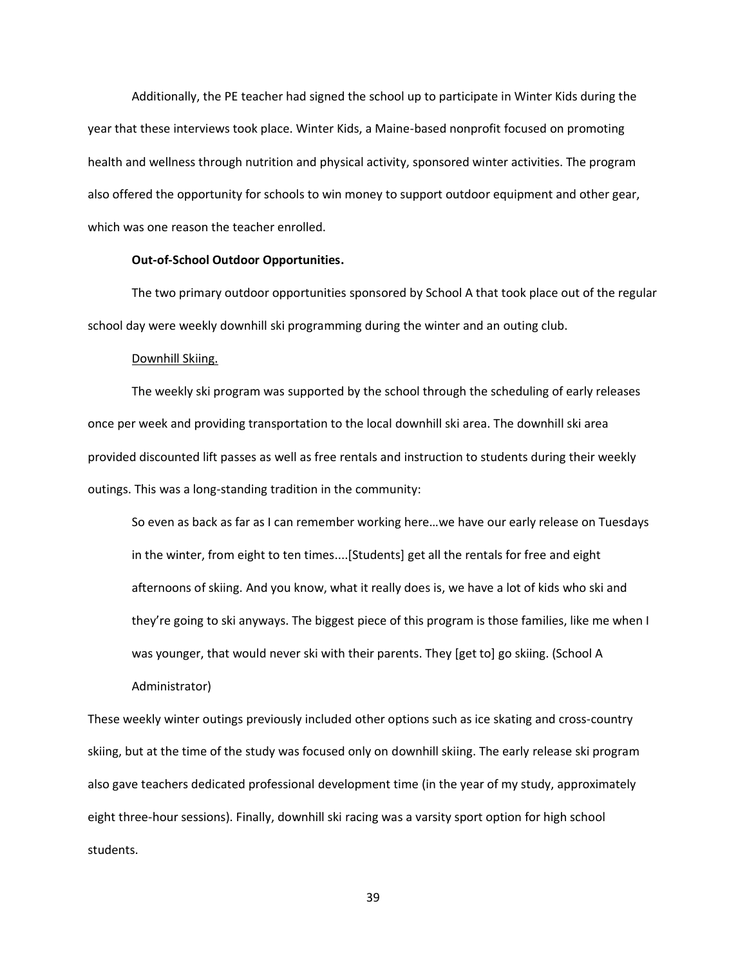Additionally, the PE teacher had signed the school up to participate in Winter Kids during the year that these interviews took place. Winter Kids, a Maine-based nonprofit focused on promoting health and wellness through nutrition and physical activity, sponsored winter activities. The program also offered the opportunity for schools to win money to support outdoor equipment and other gear, which was one reason the teacher enrolled.

# **Out-of-School Outdoor Opportunities.**

The two primary outdoor opportunities sponsored by School A that took place out of the regular school day were weekly downhill ski programming during the winter and an outing club.

### Downhill Skiing.

The weekly ski program was supported by the school through the scheduling of early releases once per week and providing transportation to the local downhill ski area. The downhill ski area provided discounted lift passes as well as free rentals and instruction to students during their weekly outings. This was a long-standing tradition in the community:

So even as back as far as I can remember working here…we have our early release on Tuesdays in the winter, from eight to ten times....[Students] get all the rentals for free and eight afternoons of skiing. And you know, what it really does is, we have a lot of kids who ski and they're going to ski anyways. The biggest piece of this program is those families, like me when I was younger, that would never ski with their parents. They [get to] go skiing. (School A Administrator)

These weekly winter outings previously included other options such as ice skating and cross-country skiing, but at the time of the study was focused only on downhill skiing. The early release ski program also gave teachers dedicated professional development time (in the year of my study, approximately eight three-hour sessions). Finally, downhill ski racing was a varsity sport option for high school students.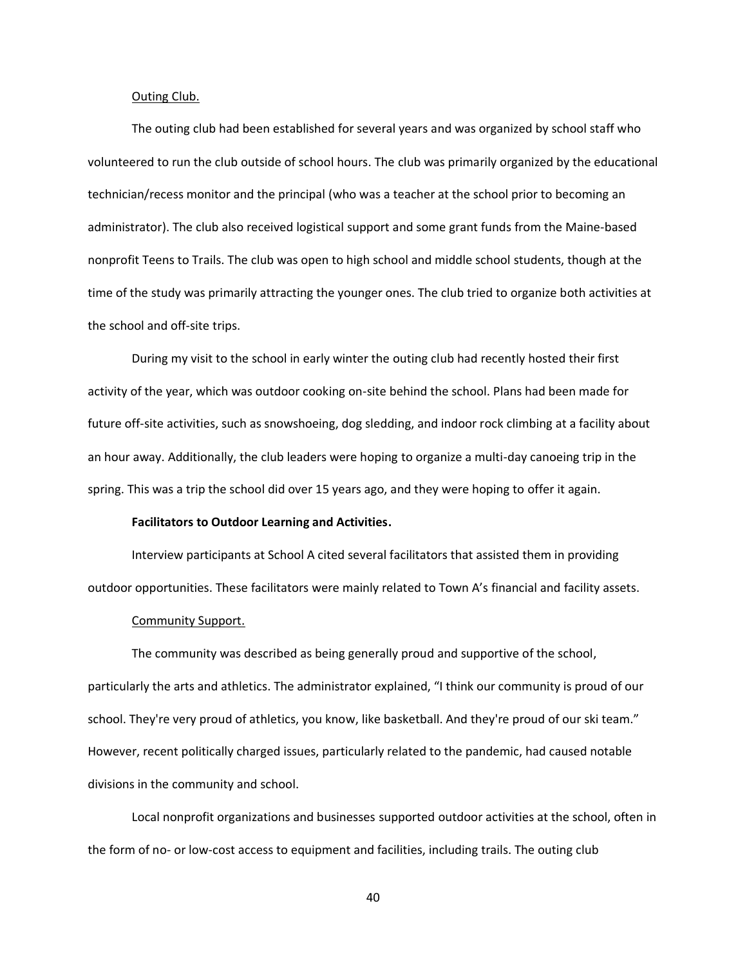## Outing Club.

The outing club had been established for several years and was organized by school staff who volunteered to run the club outside of school hours. The club was primarily organized by the educational technician/recess monitor and the principal (who was a teacher at the school prior to becoming an administrator). The club also received logistical support and some grant funds from the Maine-based nonprofit Teens to Trails. The club was open to high school and middle school students, though at the time of the study was primarily attracting the younger ones. The club tried to organize both activities at the school and off-site trips.

During my visit to the school in early winter the outing club had recently hosted their first activity of the year, which was outdoor cooking on-site behind the school. Plans had been made for future off-site activities, such as snowshoeing, dog sledding, and indoor rock climbing at a facility about an hour away. Additionally, the club leaders were hoping to organize a multi-day canoeing trip in the spring. This was a trip the school did over 15 years ago, and they were hoping to offer it again.

## **Facilitators to Outdoor Learning and Activities.**

Interview participants at School A cited several facilitators that assisted them in providing outdoor opportunities. These facilitators were mainly related to Town A's financial and facility assets.

### Community Support.

The community was described as being generally proud and supportive of the school, particularly the arts and athletics. The administrator explained, "I think our community is proud of our school. They're very proud of athletics, you know, like basketball. And they're proud of our ski team." However, recent politically charged issues, particularly related to the pandemic, had caused notable divisions in the community and school.

Local nonprofit organizations and businesses supported outdoor activities at the school, often in the form of no- or low-cost access to equipment and facilities, including trails. The outing club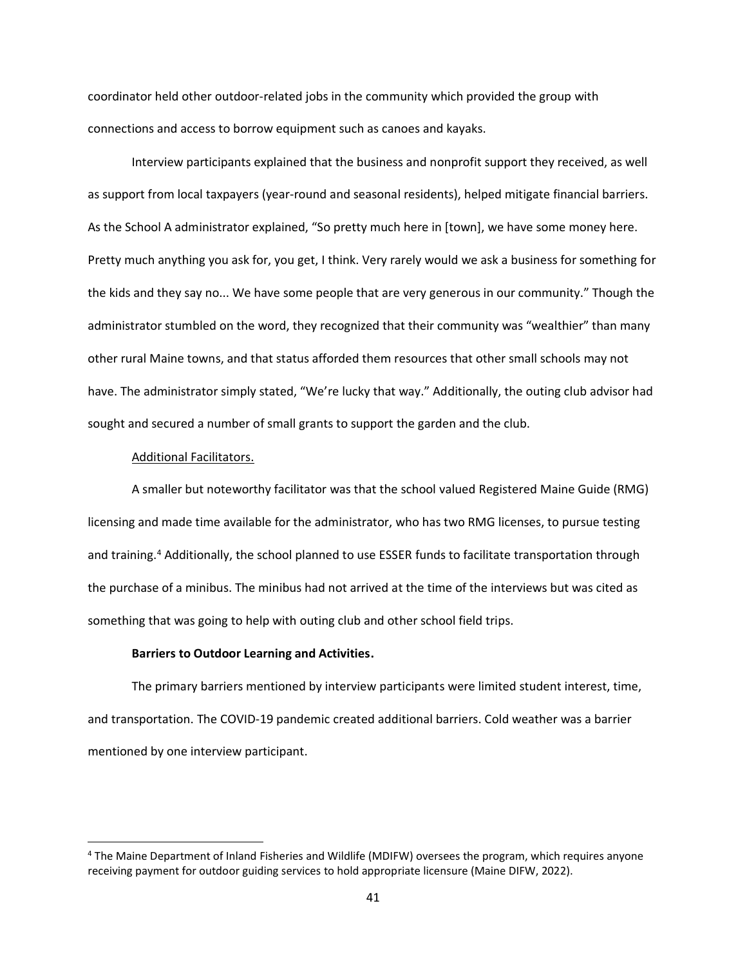coordinator held other outdoor-related jobs in the community which provided the group with connections and access to borrow equipment such as canoes and kayaks.

Interview participants explained that the business and nonprofit support they received, as well as support from local taxpayers (year-round and seasonal residents), helped mitigate financial barriers. As the School A administrator explained, "So pretty much here in [town], we have some money here. Pretty much anything you ask for, you get, I think. Very rarely would we ask a business for something for the kids and they say no... We have some people that are very generous in our community." Though the administrator stumbled on the word, they recognized that their community was "wealthier" than many other rural Maine towns, and that status afforded them resources that other small schools may not have. The administrator simply stated, "We're lucky that way." Additionally, the outing club advisor had sought and secured a number of small grants to support the garden and the club.

## Additional Facilitators.

A smaller but noteworthy facilitator was that the school valued Registered Maine Guide (RMG) licensing and made time available for the administrator, who has two RMG licenses, to pursue testing and training.<sup>4</sup> Additionally, the school planned to use ESSER funds to facilitate transportation through the purchase of a minibus. The minibus had not arrived at the time of the interviews but was cited as something that was going to help with outing club and other school field trips.

## **Barriers to Outdoor Learning and Activities.**

The primary barriers mentioned by interview participants were limited student interest, time, and transportation. The COVID-19 pandemic created additional barriers. Cold weather was a barrier mentioned by one interview participant.

<sup>4</sup> The Maine Department of Inland Fisheries and Wildlife (MDIFW) oversees the program, which requires anyone receiving payment for outdoor guiding services to hold appropriate licensure (Maine DIFW, 2022).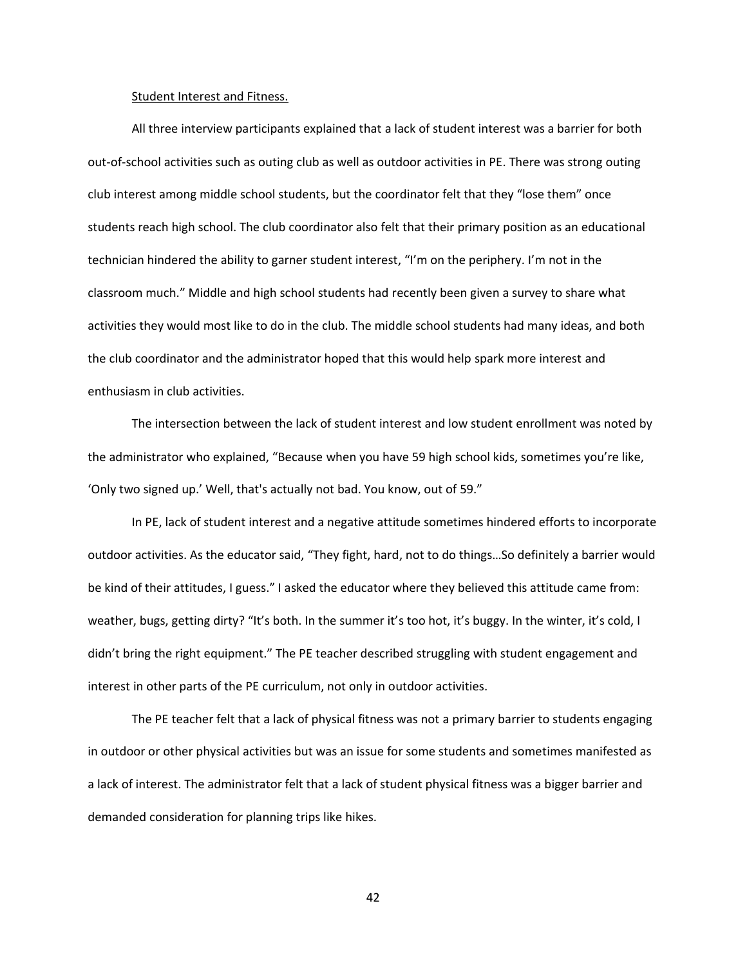#### Student Interest and Fitness.

All three interview participants explained that a lack of student interest was a barrier for both out-of-school activities such as outing club as well as outdoor activities in PE. There was strong outing club interest among middle school students, but the coordinator felt that they "lose them" once students reach high school. The club coordinator also felt that their primary position as an educational technician hindered the ability to garner student interest, "I'm on the periphery. I'm not in the classroom much." Middle and high school students had recently been given a survey to share what activities they would most like to do in the club. The middle school students had many ideas, and both the club coordinator and the administrator hoped that this would help spark more interest and enthusiasm in club activities.

The intersection between the lack of student interest and low student enrollment was noted by the administrator who explained, "Because when you have 59 high school kids, sometimes you're like, 'Only two signed up.' Well, that's actually not bad. You know, out of 59."

In PE, lack of student interest and a negative attitude sometimes hindered efforts to incorporate outdoor activities. As the educator said, "They fight, hard, not to do things…So definitely a barrier would be kind of their attitudes, I guess." I asked the educator where they believed this attitude came from: weather, bugs, getting dirty? "It's both. In the summer it's too hot, it's buggy. In the winter, it's cold, I didn't bring the right equipment." The PE teacher described struggling with student engagement and interest in other parts of the PE curriculum, not only in outdoor activities.

The PE teacher felt that a lack of physical fitness was not a primary barrier to students engaging in outdoor or other physical activities but was an issue for some students and sometimes manifested as a lack of interest. The administrator felt that a lack of student physical fitness was a bigger barrier and demanded consideration for planning trips like hikes.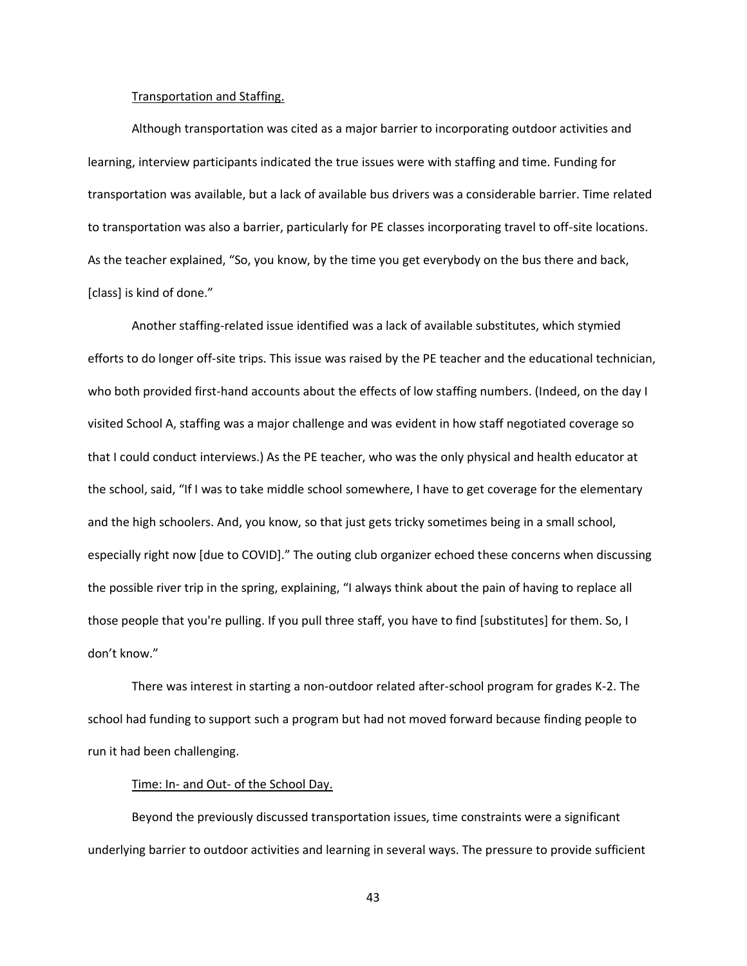#### Transportation and Staffing.

Although transportation was cited as a major barrier to incorporating outdoor activities and learning, interview participants indicated the true issues were with staffing and time. Funding for transportation was available, but a lack of available bus drivers was a considerable barrier. Time related to transportation was also a barrier, particularly for PE classes incorporating travel to off-site locations. As the teacher explained, "So, you know, by the time you get everybody on the bus there and back, [class] is kind of done."

Another staffing-related issue identified was a lack of available substitutes, which stymied efforts to do longer off-site trips. This issue was raised by the PE teacher and the educational technician, who both provided first-hand accounts about the effects of low staffing numbers. (Indeed, on the day I visited School A, staffing was a major challenge and was evident in how staff negotiated coverage so that I could conduct interviews.) As the PE teacher, who was the only physical and health educator at the school, said, "If I was to take middle school somewhere, I have to get coverage for the elementary and the high schoolers. And, you know, so that just gets tricky sometimes being in a small school, especially right now [due to COVID]." The outing club organizer echoed these concerns when discussing the possible river trip in the spring, explaining, "I always think about the pain of having to replace all those people that you're pulling. If you pull three staff, you have to find [substitutes] for them. So, I don't know."

There was interest in starting a non-outdoor related after-school program for grades K-2. The school had funding to support such a program but had not moved forward because finding people to run it had been challenging.

# Time: In- and Out- of the School Day.

Beyond the previously discussed transportation issues, time constraints were a significant underlying barrier to outdoor activities and learning in several ways. The pressure to provide sufficient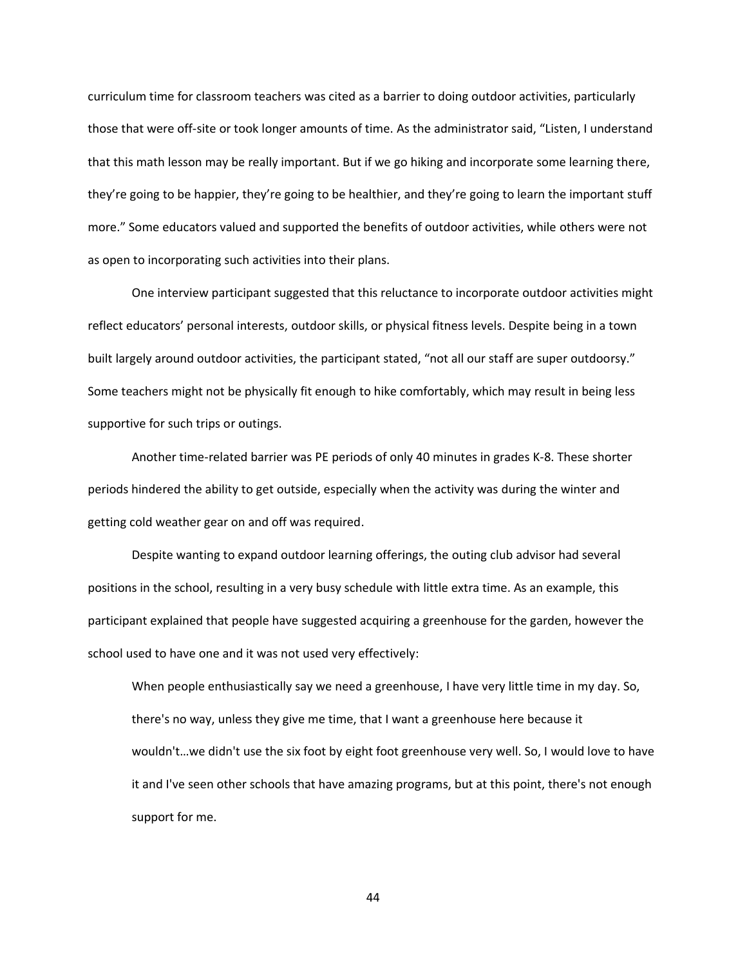curriculum time for classroom teachers was cited as a barrier to doing outdoor activities, particularly those that were off-site or took longer amounts of time. As the administrator said, "Listen, I understand that this math lesson may be really important. But if we go hiking and incorporate some learning there, they're going to be happier, they're going to be healthier, and they're going to learn the important stuff more." Some educators valued and supported the benefits of outdoor activities, while others were not as open to incorporating such activities into their plans.

One interview participant suggested that this reluctance to incorporate outdoor activities might reflect educators' personal interests, outdoor skills, or physical fitness levels. Despite being in a town built largely around outdoor activities, the participant stated, "not all our staff are super outdoorsy." Some teachers might not be physically fit enough to hike comfortably, which may result in being less supportive for such trips or outings.

Another time-related barrier was PE periods of only 40 minutes in grades K-8. These shorter periods hindered the ability to get outside, especially when the activity was during the winter and getting cold weather gear on and off was required.

Despite wanting to expand outdoor learning offerings, the outing club advisor had several positions in the school, resulting in a very busy schedule with little extra time. As an example, this participant explained that people have suggested acquiring a greenhouse for the garden, however the school used to have one and it was not used very effectively:

When people enthusiastically say we need a greenhouse, I have very little time in my day. So, there's no way, unless they give me time, that I want a greenhouse here because it wouldn't…we didn't use the six foot by eight foot greenhouse very well. So, I would love to have it and I've seen other schools that have amazing programs, but at this point, there's not enough support for me.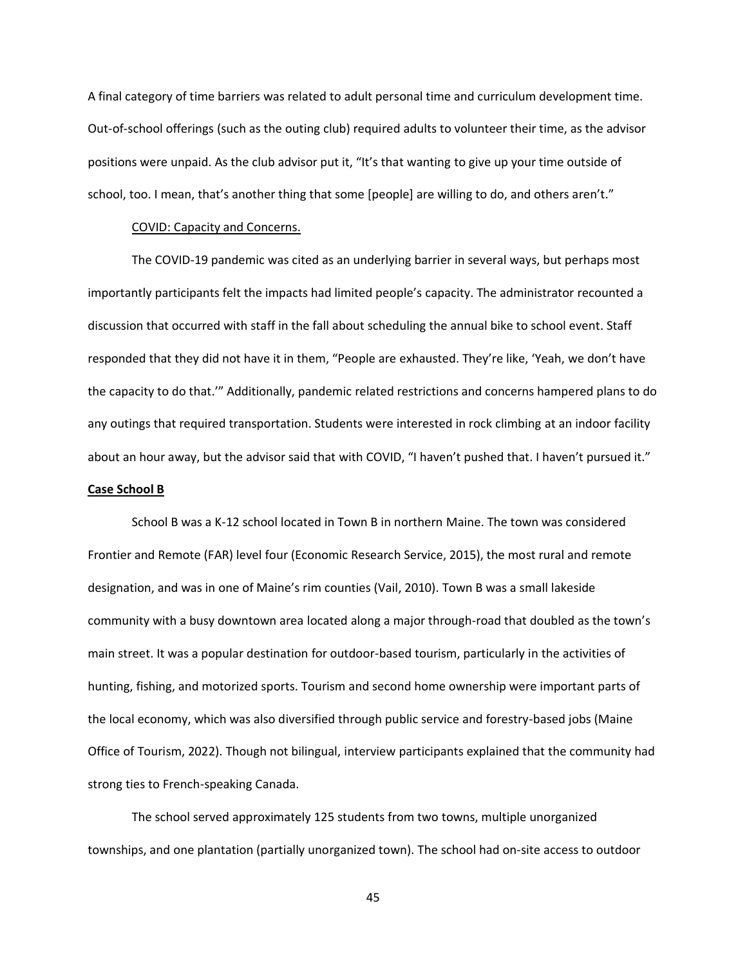A final category of time barriers was related to adult personal time and curriculum development time. Out-of-school offerings (such as the outing club) required adults to volunteer their time, as the advisor positions were unpaid. As the club advisor put it, "It's that wanting to give up your time outside of school, too. I mean, that's another thing that some [people] are willing to do, and others aren't."

## COVID: Capacity and Concerns.

The COVID-19 pandemic was cited as an underlying barrier in several ways, but perhaps most importantly participants felt the impacts had limited people's capacity. The administrator recounted a discussion that occurred with staff in the fall about scheduling the annual bike to school event. Staff responded that they did not have it in them, "People are exhausted. They're like, 'Yeah, we don't have the capacity to do that.'" Additionally, pandemic related restrictions and concerns hampered plans to do any outings that required transportation. Students were interested in rock climbing at an indoor facility about an hour away, but the advisor said that with COVID, "I haven't pushed that. I haven't pursued it."

# **Case School B**

School B was a K-12 school located in Town B in northern Maine. The town was considered Frontier and Remote (FAR) level four (Economic Research Service, 2015), the most rural and remote designation, and was in one of Maine's rim counties (Vail, 2010). Town B was a small lakeside community with a busy downtown area located along a major through-road that doubled as the town's main street. It was a popular destination for outdoor-based tourism, particularly in the activities of hunting, fishing, and motorized sports. Tourism and second home ownership were important parts of the local economy, which was also diversified through public service and forestry-based jobs (Maine Office of Tourism, 2022). Though not bilingual, interview participants explained that the community had strong ties to French-speaking Canada.

The school served approximately 125 students from two towns, multiple unorganized townships, and one plantation (partially unorganized town). The school had on-site access to outdoor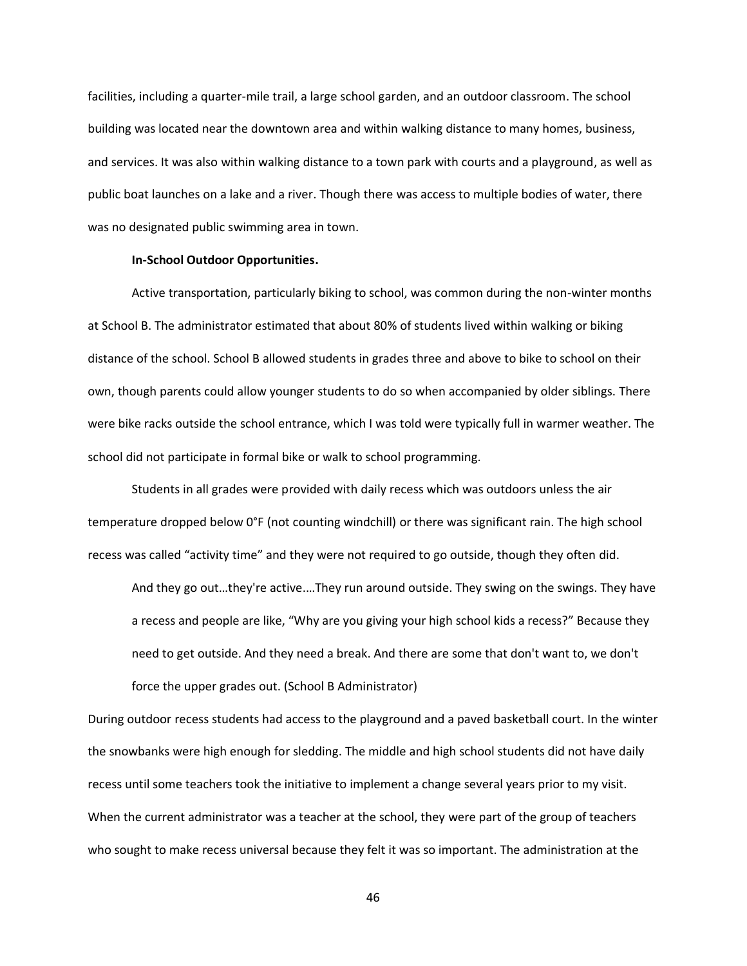facilities, including a quarter-mile trail, a large school garden, and an outdoor classroom. The school building was located near the downtown area and within walking distance to many homes, business, and services. It was also within walking distance to a town park with courts and a playground, as well as public boat launches on a lake and a river. Though there was access to multiple bodies of water, there was no designated public swimming area in town.

## **In-School Outdoor Opportunities.**

Active transportation, particularly biking to school, was common during the non-winter months at School B. The administrator estimated that about 80% of students lived within walking or biking distance of the school. School B allowed students in grades three and above to bike to school on their own, though parents could allow younger students to do so when accompanied by older siblings. There were bike racks outside the school entrance, which I was told were typically full in warmer weather. The school did not participate in formal bike or walk to school programming.

Students in all grades were provided with daily recess which was outdoors unless the air temperature dropped below 0°F (not counting windchill) or there was significant rain. The high school recess was called "activity time" and they were not required to go outside, though they often did.

And they go out…they're active.…They run around outside. They swing on the swings. They have a recess and people are like, "Why are you giving your high school kids a recess?" Because they need to get outside. And they need a break. And there are some that don't want to, we don't force the upper grades out. (School B Administrator)

During outdoor recess students had access to the playground and a paved basketball court. In the winter the snowbanks were high enough for sledding. The middle and high school students did not have daily recess until some teachers took the initiative to implement a change several years prior to my visit. When the current administrator was a teacher at the school, they were part of the group of teachers who sought to make recess universal because they felt it was so important. The administration at the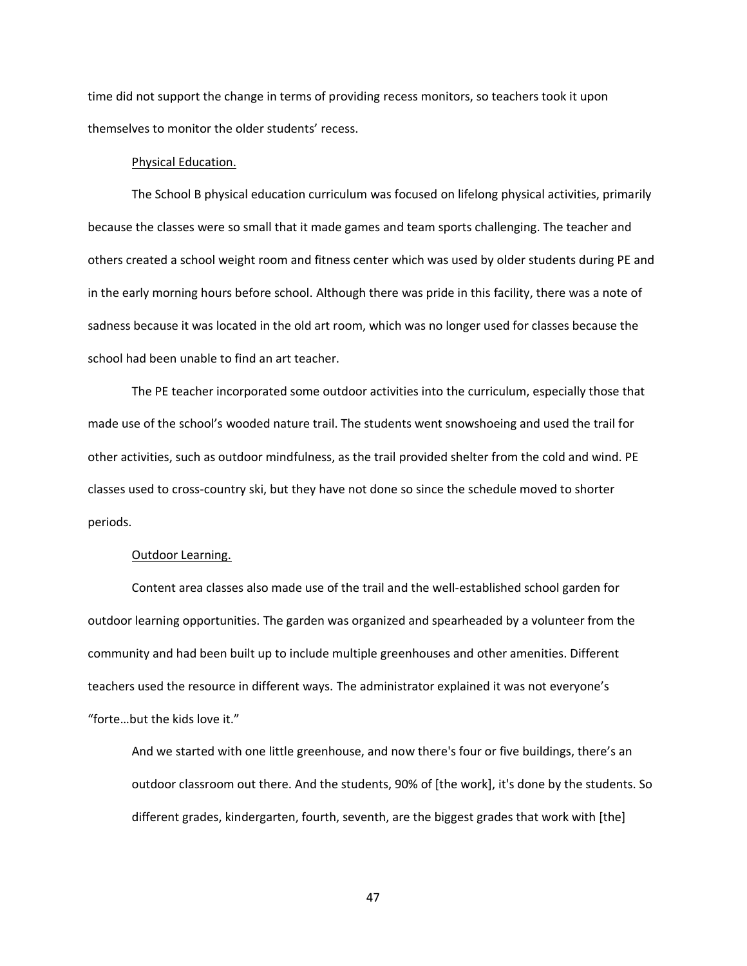time did not support the change in terms of providing recess monitors, so teachers took it upon themselves to monitor the older students' recess.

## Physical Education.

The School B physical education curriculum was focused on lifelong physical activities, primarily because the classes were so small that it made games and team sports challenging. The teacher and others created a school weight room and fitness center which was used by older students during PE and in the early morning hours before school. Although there was pride in this facility, there was a note of sadness because it was located in the old art room, which was no longer used for classes because the school had been unable to find an art teacher.

The PE teacher incorporated some outdoor activities into the curriculum, especially those that made use of the school's wooded nature trail. The students went snowshoeing and used the trail for other activities, such as outdoor mindfulness, as the trail provided shelter from the cold and wind. PE classes used to cross-country ski, but they have not done so since the schedule moved to shorter periods.

### Outdoor Learning.

Content area classes also made use of the trail and the well-established school garden for outdoor learning opportunities. The garden was organized and spearheaded by a volunteer from the community and had been built up to include multiple greenhouses and other amenities. Different teachers used the resource in different ways. The administrator explained it was not everyone's "forte…but the kids love it."

And we started with one little greenhouse, and now there's four or five buildings, there's an outdoor classroom out there. And the students, 90% of [the work], it's done by the students. So different grades, kindergarten, fourth, seventh, are the biggest grades that work with [the]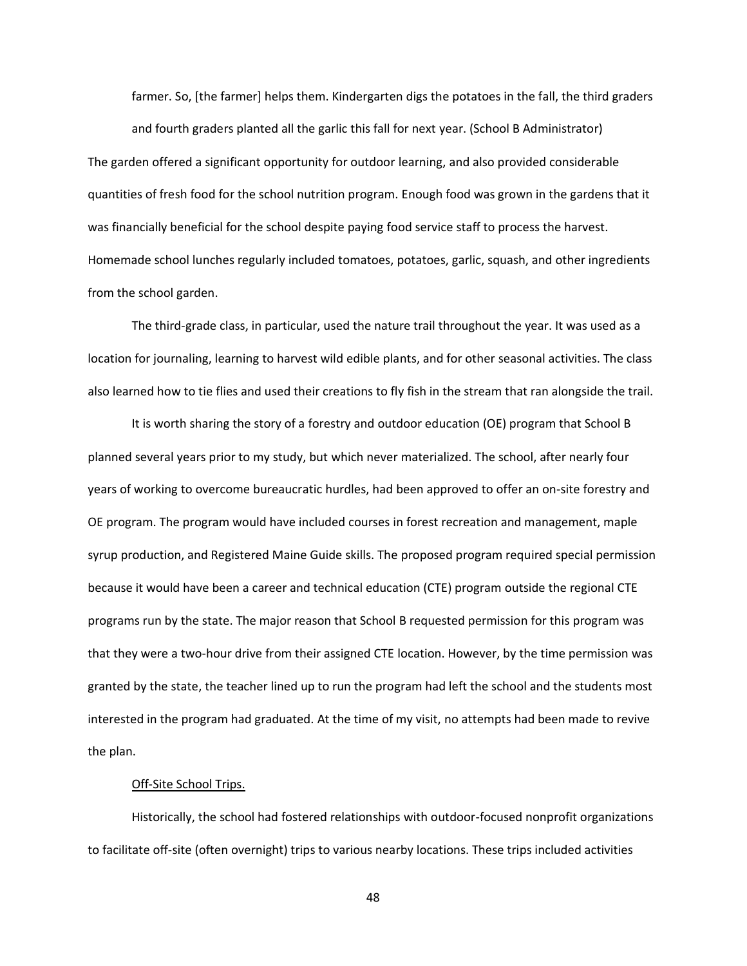farmer. So, [the farmer] helps them. Kindergarten digs the potatoes in the fall, the third graders and fourth graders planted all the garlic this fall for next year. (School B Administrator) The garden offered a significant opportunity for outdoor learning, and also provided considerable quantities of fresh food for the school nutrition program. Enough food was grown in the gardens that it was financially beneficial for the school despite paying food service staff to process the harvest. Homemade school lunches regularly included tomatoes, potatoes, garlic, squash, and other ingredients from the school garden.

The third-grade class, in particular, used the nature trail throughout the year. It was used as a location for journaling, learning to harvest wild edible plants, and for other seasonal activities. The class also learned how to tie flies and used their creations to fly fish in the stream that ran alongside the trail.

It is worth sharing the story of a forestry and outdoor education (OE) program that School B planned several years prior to my study, but which never materialized. The school, after nearly four years of working to overcome bureaucratic hurdles, had been approved to offer an on-site forestry and OE program. The program would have included courses in forest recreation and management, maple syrup production, and Registered Maine Guide skills. The proposed program required special permission because it would have been a career and technical education (CTE) program outside the regional CTE programs run by the state. The major reason that School B requested permission for this program was that they were a two-hour drive from their assigned CTE location. However, by the time permission was granted by the state, the teacher lined up to run the program had left the school and the students most interested in the program had graduated. At the time of my visit, no attempts had been made to revive the plan.

# Off-Site School Trips.

Historically, the school had fostered relationships with outdoor-focused nonprofit organizations to facilitate off-site (often overnight) trips to various nearby locations. These trips included activities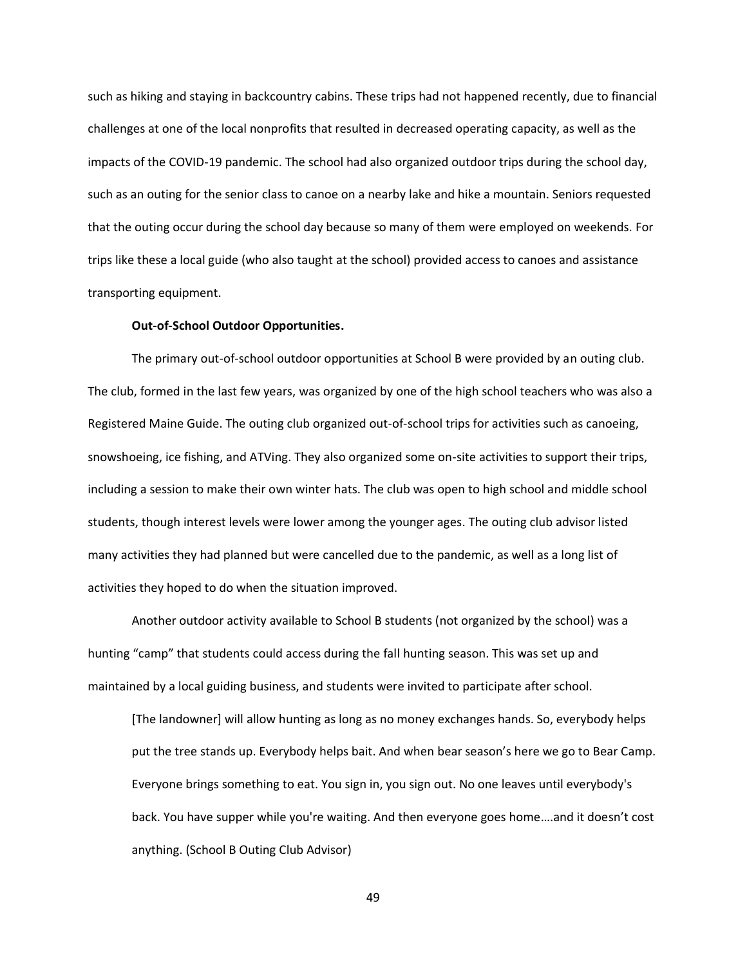such as hiking and staying in backcountry cabins. These trips had not happened recently, due to financial challenges at one of the local nonprofits that resulted in decreased operating capacity, as well as the impacts of the COVID-19 pandemic. The school had also organized outdoor trips during the school day, such as an outing for the senior class to canoe on a nearby lake and hike a mountain. Seniors requested that the outing occur during the school day because so many of them were employed on weekends. For trips like these a local guide (who also taught at the school) provided access to canoes and assistance transporting equipment.

# **Out-of-School Outdoor Opportunities.**

The primary out-of-school outdoor opportunities at School B were provided by an outing club. The club, formed in the last few years, was organized by one of the high school teachers who was also a Registered Maine Guide. The outing club organized out-of-school trips for activities such as canoeing, snowshoeing, ice fishing, and ATVing. They also organized some on-site activities to support their trips, including a session to make their own winter hats. The club was open to high school and middle school students, though interest levels were lower among the younger ages. The outing club advisor listed many activities they had planned but were cancelled due to the pandemic, as well as a long list of activities they hoped to do when the situation improved.

Another outdoor activity available to School B students (not organized by the school) was a hunting "camp" that students could access during the fall hunting season. This was set up and maintained by a local guiding business, and students were invited to participate after school.

[The landowner] will allow hunting as long as no money exchanges hands. So, everybody helps put the tree stands up. Everybody helps bait. And when bear season's here we go to Bear Camp. Everyone brings something to eat. You sign in, you sign out. No one leaves until everybody's back. You have supper while you're waiting. And then everyone goes home….and it doesn't cost anything. (School B Outing Club Advisor)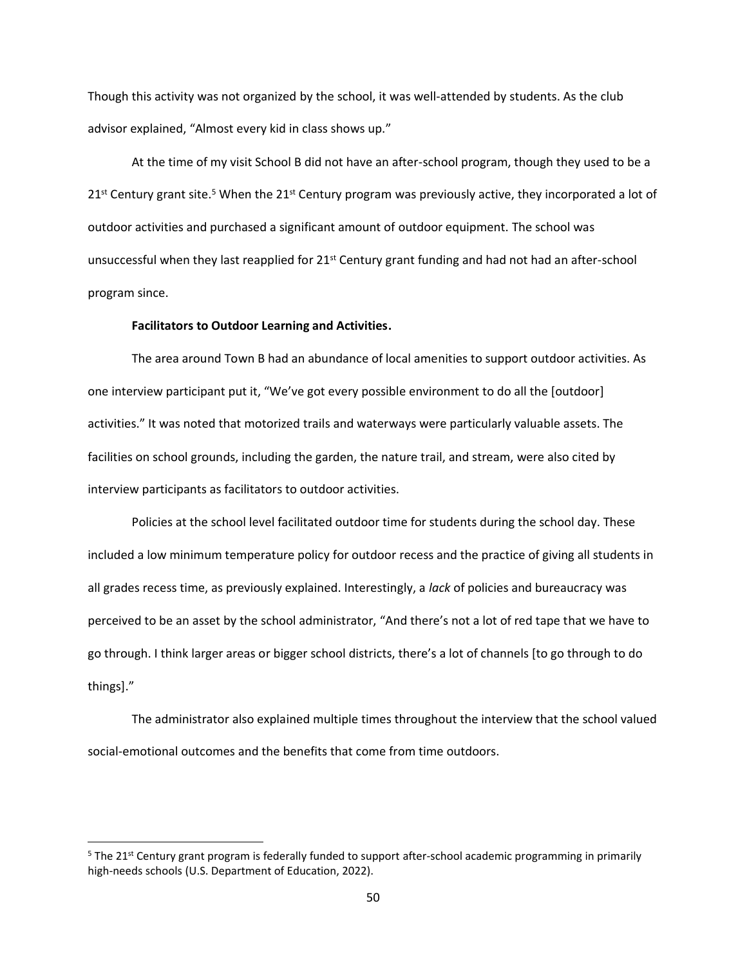Though this activity was not organized by the school, it was well-attended by students. As the club advisor explained, "Almost every kid in class shows up."

At the time of my visit School B did not have an after-school program, though they used to be a  $21<sup>st</sup>$  Century grant site.<sup>5</sup> When the  $21<sup>st</sup>$  Century program was previously active, they incorporated a lot of outdoor activities and purchased a significant amount of outdoor equipment. The school was unsuccessful when they last reapplied for 21<sup>st</sup> Century grant funding and had not had an after-school program since.

## **Facilitators to Outdoor Learning and Activities.**

The area around Town B had an abundance of local amenities to support outdoor activities. As one interview participant put it, "We've got every possible environment to do all the [outdoor] activities." It was noted that motorized trails and waterways were particularly valuable assets. The facilities on school grounds, including the garden, the nature trail, and stream, were also cited by interview participants as facilitators to outdoor activities.

Policies at the school level facilitated outdoor time for students during the school day. These included a low minimum temperature policy for outdoor recess and the practice of giving all students in all grades recess time, as previously explained. Interestingly, a *lack* of policies and bureaucracy was perceived to be an asset by the school administrator, "And there's not a lot of red tape that we have to go through. I think larger areas or bigger school districts, there's a lot of channels [to go through to do things]."

The administrator also explained multiple times throughout the interview that the school valued social-emotional outcomes and the benefits that come from time outdoors.

<sup>&</sup>lt;sup>5</sup> The 21<sup>st</sup> Century grant program is federally funded to support after-school academic programming in primarily high-needs schools (U.S. Department of Education, 2022).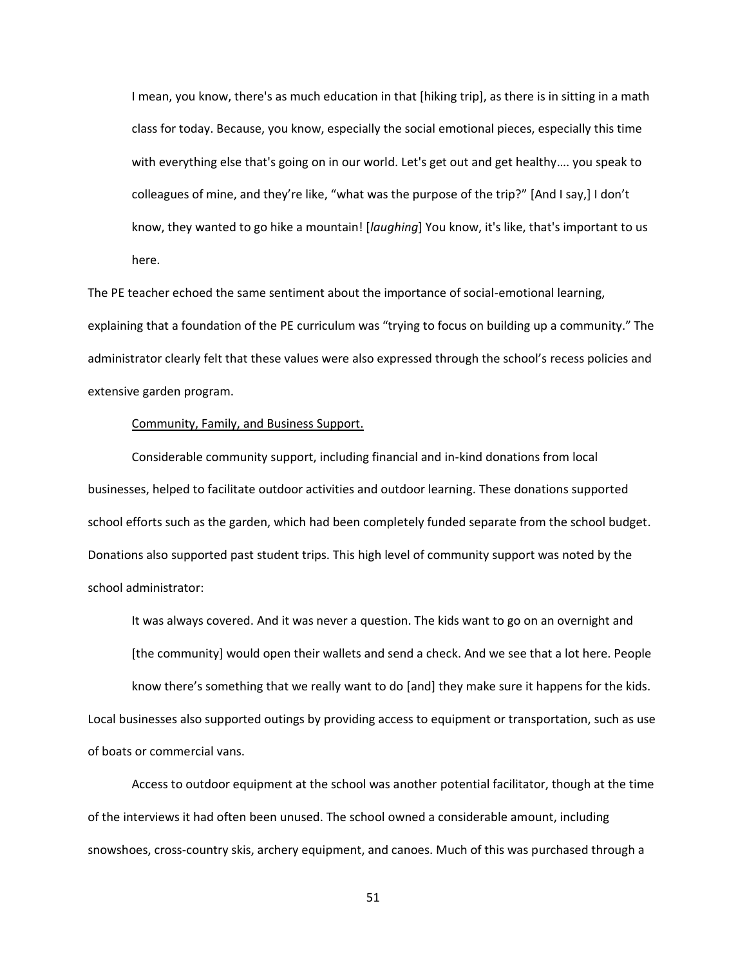I mean, you know, there's as much education in that [hiking trip], as there is in sitting in a math class for today. Because, you know, especially the social emotional pieces, especially this time with everything else that's going on in our world. Let's get out and get healthy…. you speak to colleagues of mine, and they're like, "what was the purpose of the trip?" [And I say,] I don't know, they wanted to go hike a mountain! [*laughing*] You know, it's like, that's important to us here.

The PE teacher echoed the same sentiment about the importance of social-emotional learning, explaining that a foundation of the PE curriculum was "trying to focus on building up a community." The administrator clearly felt that these values were also expressed through the school's recess policies and extensive garden program.

# Community, Family, and Business Support.

Considerable community support, including financial and in-kind donations from local businesses, helped to facilitate outdoor activities and outdoor learning. These donations supported school efforts such as the garden, which had been completely funded separate from the school budget. Donations also supported past student trips. This high level of community support was noted by the school administrator:

It was always covered. And it was never a question. The kids want to go on an overnight and [the community] would open their wallets and send a check. And we see that a lot here. People know there's something that we really want to do [and] they make sure it happens for the kids. Local businesses also supported outings by providing access to equipment or transportation, such as use of boats or commercial vans.

Access to outdoor equipment at the school was another potential facilitator, though at the time of the interviews it had often been unused. The school owned a considerable amount, including snowshoes, cross-country skis, archery equipment, and canoes. Much of this was purchased through a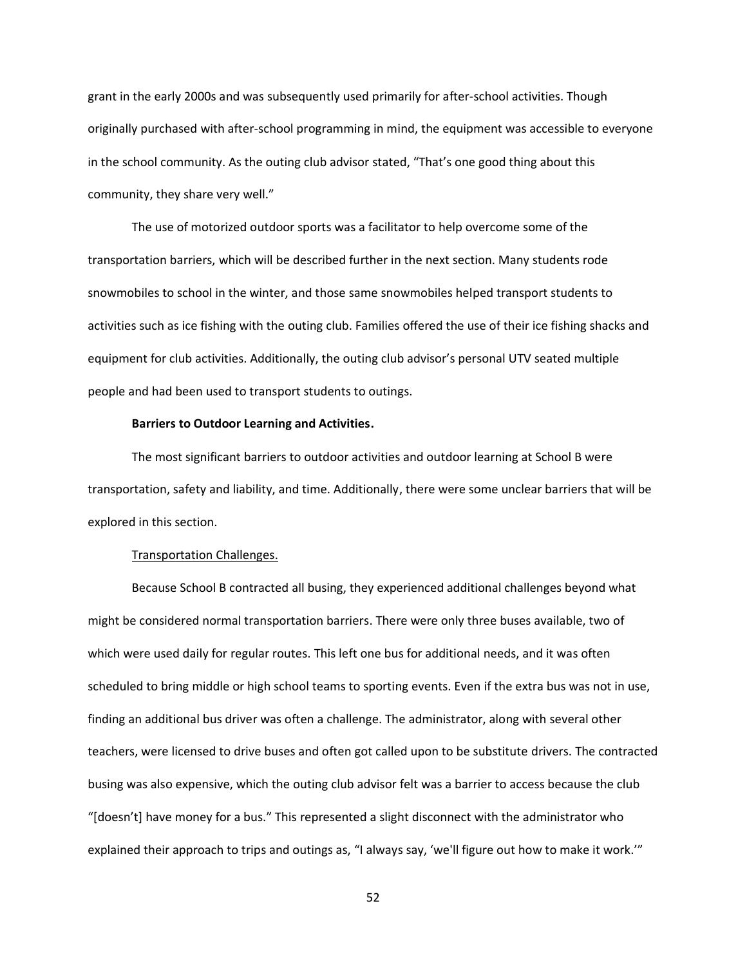grant in the early 2000s and was subsequently used primarily for after-school activities. Though originally purchased with after-school programming in mind, the equipment was accessible to everyone in the school community. As the outing club advisor stated, "That's one good thing about this community, they share very well."

The use of motorized outdoor sports was a facilitator to help overcome some of the transportation barriers, which will be described further in the next section. Many students rode snowmobiles to school in the winter, and those same snowmobiles helped transport students to activities such as ice fishing with the outing club. Families offered the use of their ice fishing shacks and equipment for club activities. Additionally, the outing club advisor's personal UTV seated multiple people and had been used to transport students to outings.

# **Barriers to Outdoor Learning and Activities.**

The most significant barriers to outdoor activities and outdoor learning at School B were transportation, safety and liability, and time. Additionally, there were some unclear barriers that will be explored in this section.

# Transportation Challenges.

Because School B contracted all busing, they experienced additional challenges beyond what might be considered normal transportation barriers. There were only three buses available, two of which were used daily for regular routes. This left one bus for additional needs, and it was often scheduled to bring middle or high school teams to sporting events. Even if the extra bus was not in use, finding an additional bus driver was often a challenge. The administrator, along with several other teachers, were licensed to drive buses and often got called upon to be substitute drivers. The contracted busing was also expensive, which the outing club advisor felt was a barrier to access because the club "[doesn't] have money for a bus." This represented a slight disconnect with the administrator who explained their approach to trips and outings as, "I always say, 'we'll figure out how to make it work.'"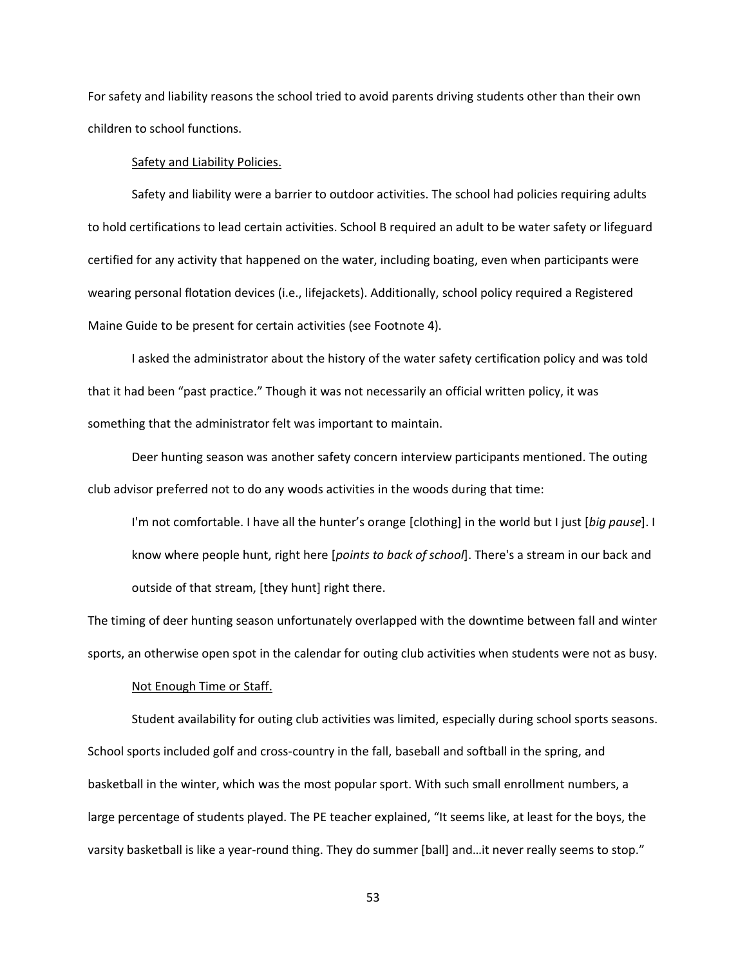For safety and liability reasons the school tried to avoid parents driving students other than their own children to school functions.

## Safety and Liability Policies.

Safety and liability were a barrier to outdoor activities. The school had policies requiring adults to hold certifications to lead certain activities. School B required an adult to be water safety or lifeguard certified for any activity that happened on the water, including boating, even when participants were wearing personal flotation devices (i.e., lifejackets). Additionally, school policy required a Registered Maine Guide to be present for certain activities (see Footnote 4).

I asked the administrator about the history of the water safety certification policy and was told that it had been "past practice." Though it was not necessarily an official written policy, it was something that the administrator felt was important to maintain.

Deer hunting season was another safety concern interview participants mentioned. The outing club advisor preferred not to do any woods activities in the woods during that time:

I'm not comfortable. I have all the hunter's orange [clothing] in the world but I just [*big pause*]. I know where people hunt, right here [*points to back of school*]. There's a stream in our back and outside of that stream, [they hunt] right there.

The timing of deer hunting season unfortunately overlapped with the downtime between fall and winter sports, an otherwise open spot in the calendar for outing club activities when students were not as busy.

# Not Enough Time or Staff.

Student availability for outing club activities was limited, especially during school sports seasons. School sports included golf and cross-country in the fall, baseball and softball in the spring, and basketball in the winter, which was the most popular sport. With such small enrollment numbers, a large percentage of students played. The PE teacher explained, "It seems like, at least for the boys, the varsity basketball is like a year-round thing. They do summer [ball] and…it never really seems to stop."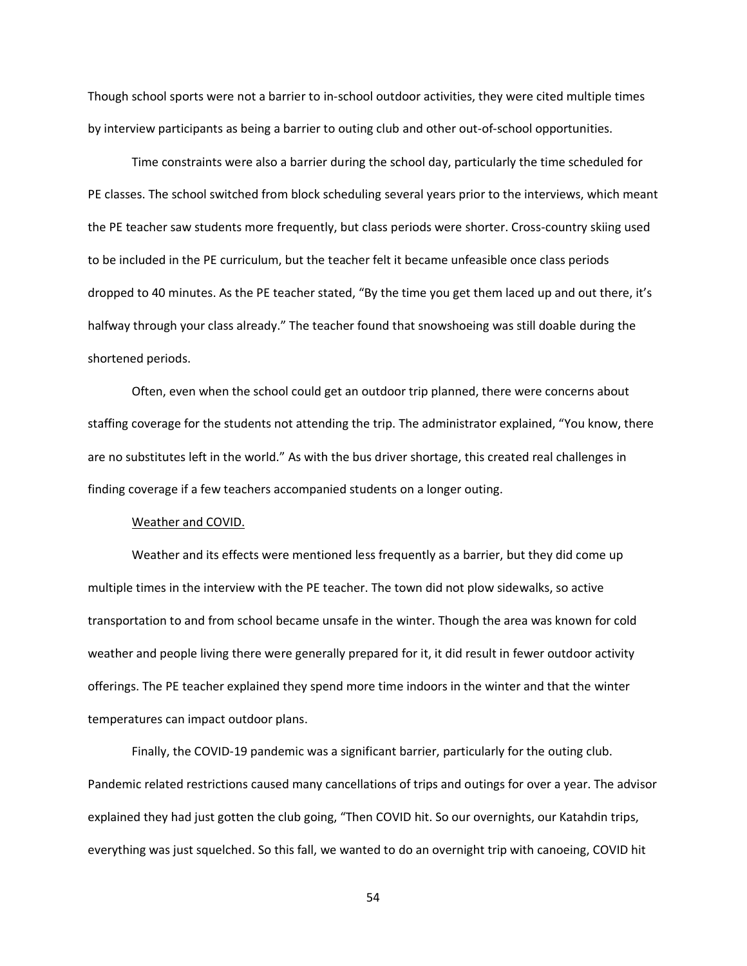Though school sports were not a barrier to in-school outdoor activities, they were cited multiple times by interview participants as being a barrier to outing club and other out-of-school opportunities.

Time constraints were also a barrier during the school day, particularly the time scheduled for PE classes. The school switched from block scheduling several years prior to the interviews, which meant the PE teacher saw students more frequently, but class periods were shorter. Cross-country skiing used to be included in the PE curriculum, but the teacher felt it became unfeasible once class periods dropped to 40 minutes. As the PE teacher stated, "By the time you get them laced up and out there, it's halfway through your class already." The teacher found that snowshoeing was still doable during the shortened periods.

Often, even when the school could get an outdoor trip planned, there were concerns about staffing coverage for the students not attending the trip. The administrator explained, "You know, there are no substitutes left in the world." As with the bus driver shortage, this created real challenges in finding coverage if a few teachers accompanied students on a longer outing.

## Weather and COVID.

Weather and its effects were mentioned less frequently as a barrier, but they did come up multiple times in the interview with the PE teacher. The town did not plow sidewalks, so active transportation to and from school became unsafe in the winter. Though the area was known for cold weather and people living there were generally prepared for it, it did result in fewer outdoor activity offerings. The PE teacher explained they spend more time indoors in the winter and that the winter temperatures can impact outdoor plans.

Finally, the COVID-19 pandemic was a significant barrier, particularly for the outing club. Pandemic related restrictions caused many cancellations of trips and outings for over a year. The advisor explained they had just gotten the club going, "Then COVID hit. So our overnights, our Katahdin trips, everything was just squelched. So this fall, we wanted to do an overnight trip with canoeing, COVID hit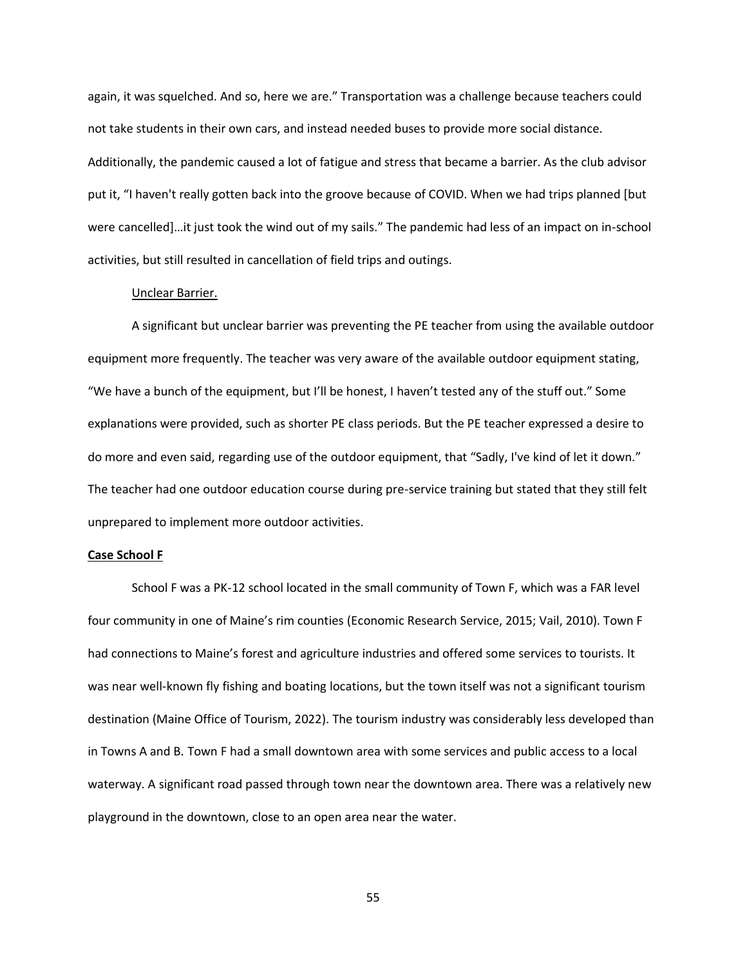again, it was squelched. And so, here we are." Transportation was a challenge because teachers could not take students in their own cars, and instead needed buses to provide more social distance. Additionally, the pandemic caused a lot of fatigue and stress that became a barrier. As the club advisor put it, "I haven't really gotten back into the groove because of COVID. When we had trips planned [but were cancelled]…it just took the wind out of my sails." The pandemic had less of an impact on in-school activities, but still resulted in cancellation of field trips and outings.

## Unclear Barrier.

A significant but unclear barrier was preventing the PE teacher from using the available outdoor equipment more frequently. The teacher was very aware of the available outdoor equipment stating, "We have a bunch of the equipment, but I'll be honest, I haven't tested any of the stuff out." Some explanations were provided, such as shorter PE class periods. But the PE teacher expressed a desire to do more and even said, regarding use of the outdoor equipment, that "Sadly, I've kind of let it down." The teacher had one outdoor education course during pre-service training but stated that they still felt unprepared to implement more outdoor activities.

# **Case School F**

School F was a PK-12 school located in the small community of Town F, which was a FAR level four community in one of Maine's rim counties (Economic Research Service, 2015; Vail, 2010). Town F had connections to Maine's forest and agriculture industries and offered some services to tourists. It was near well-known fly fishing and boating locations, but the town itself was not a significant tourism destination (Maine Office of Tourism, 2022). The tourism industry was considerably less developed than in Towns A and B. Town F had a small downtown area with some services and public access to a local waterway. A significant road passed through town near the downtown area. There was a relatively new playground in the downtown, close to an open area near the water.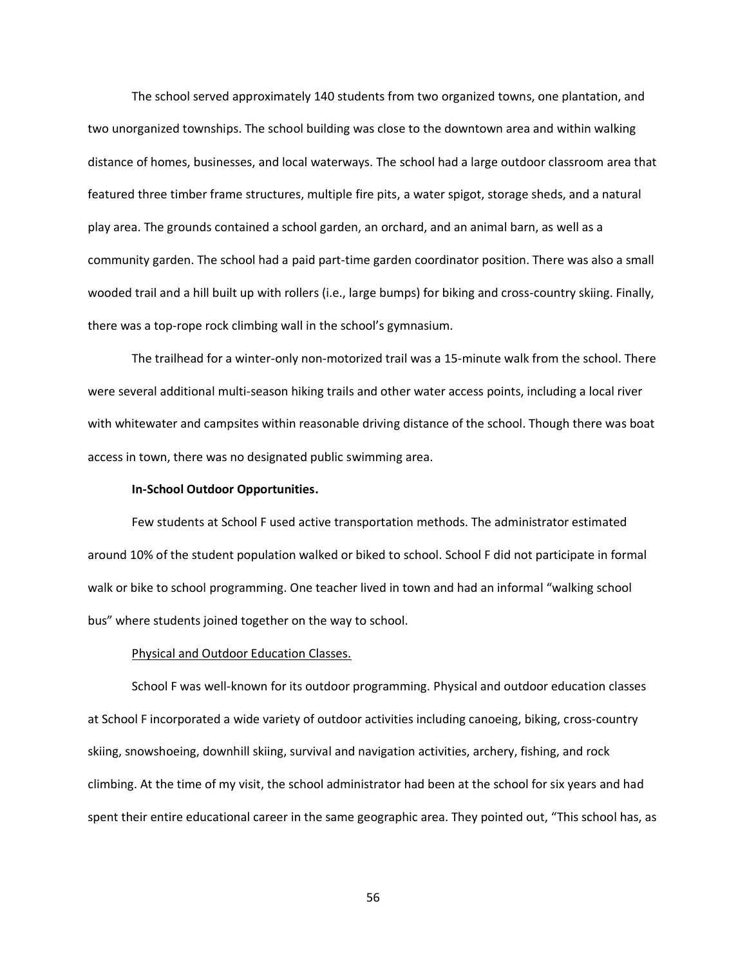The school served approximately 140 students from two organized towns, one plantation, and two unorganized townships. The school building was close to the downtown area and within walking distance of homes, businesses, and local waterways. The school had a large outdoor classroom area that featured three timber frame structures, multiple fire pits, a water spigot, storage sheds, and a natural play area. The grounds contained a school garden, an orchard, and an animal barn, as well as a community garden. The school had a paid part-time garden coordinator position. There was also a small wooded trail and a hill built up with rollers (i.e., large bumps) for biking and cross-country skiing. Finally, there was a top-rope rock climbing wall in the school's gymnasium.

The trailhead for a winter-only non-motorized trail was a 15-minute walk from the school. There were several additional multi-season hiking trails and other water access points, including a local river with whitewater and campsites within reasonable driving distance of the school. Though there was boat access in town, there was no designated public swimming area.

# **In-School Outdoor Opportunities.**

Few students at School F used active transportation methods. The administrator estimated around 10% of the student population walked or biked to school. School F did not participate in formal walk or bike to school programming. One teacher lived in town and had an informal "walking school bus" where students joined together on the way to school.

### Physical and Outdoor Education Classes.

School F was well-known for its outdoor programming. Physical and outdoor education classes at School F incorporated a wide variety of outdoor activities including canoeing, biking, cross-country skiing, snowshoeing, downhill skiing, survival and navigation activities, archery, fishing, and rock climbing. At the time of my visit, the school administrator had been at the school for six years and had spent their entire educational career in the same geographic area. They pointed out, "This school has, as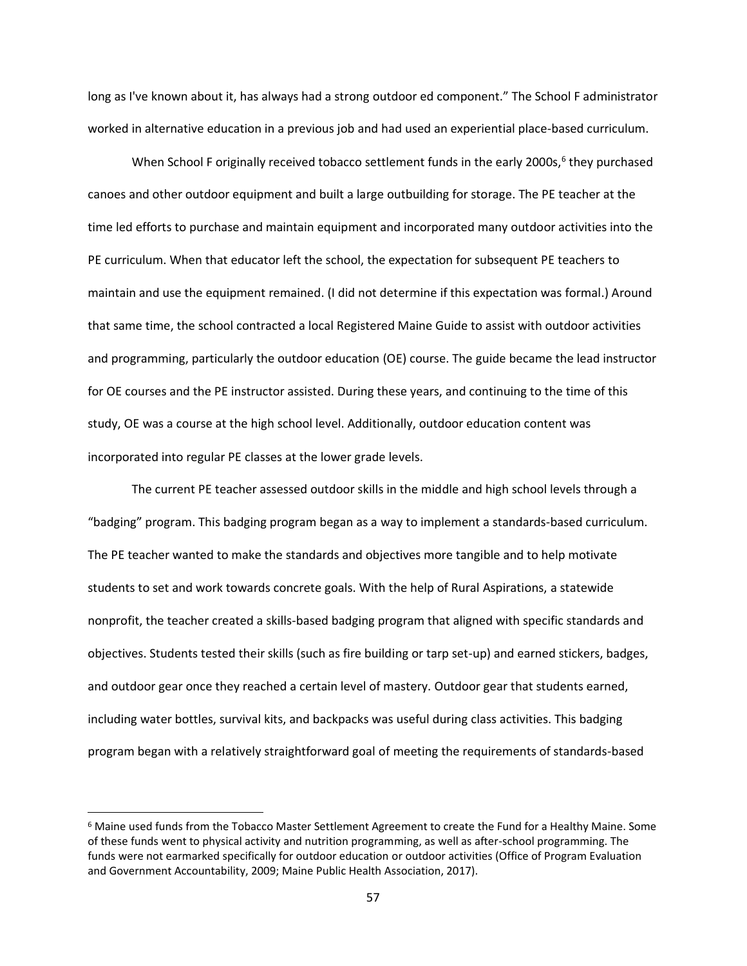long as I've known about it, has always had a strong outdoor ed component." The School F administrator worked in alternative education in a previous job and had used an experiential place-based curriculum.

When School F originally received tobacco settlement funds in the early 2000s,<sup>6</sup> they purchased canoes and other outdoor equipment and built a large outbuilding for storage. The PE teacher at the time led efforts to purchase and maintain equipment and incorporated many outdoor activities into the PE curriculum. When that educator left the school, the expectation for subsequent PE teachers to maintain and use the equipment remained. (I did not determine if this expectation was formal.) Around that same time, the school contracted a local Registered Maine Guide to assist with outdoor activities and programming, particularly the outdoor education (OE) course. The guide became the lead instructor for OE courses and the PE instructor assisted. During these years, and continuing to the time of this study, OE was a course at the high school level. Additionally, outdoor education content was incorporated into regular PE classes at the lower grade levels.

The current PE teacher assessed outdoor skills in the middle and high school levels through a "badging" program. This badging program began as a way to implement a standards-based curriculum. The PE teacher wanted to make the standards and objectives more tangible and to help motivate students to set and work towards concrete goals. With the help of Rural Aspirations, a statewide nonprofit, the teacher created a skills-based badging program that aligned with specific standards and objectives. Students tested their skills (such as fire building or tarp set-up) and earned stickers, badges, and outdoor gear once they reached a certain level of mastery. Outdoor gear that students earned, including water bottles, survival kits, and backpacks was useful during class activities. This badging program began with a relatively straightforward goal of meeting the requirements of standards-based

<sup>6</sup> Maine used funds from the Tobacco Master Settlement Agreement to create the Fund for a Healthy Maine. Some of these funds went to physical activity and nutrition programming, as well as after-school programming. The funds were not earmarked specifically for outdoor education or outdoor activities (Office of Program Evaluation and Government Accountability, 2009; Maine Public Health Association, 2017).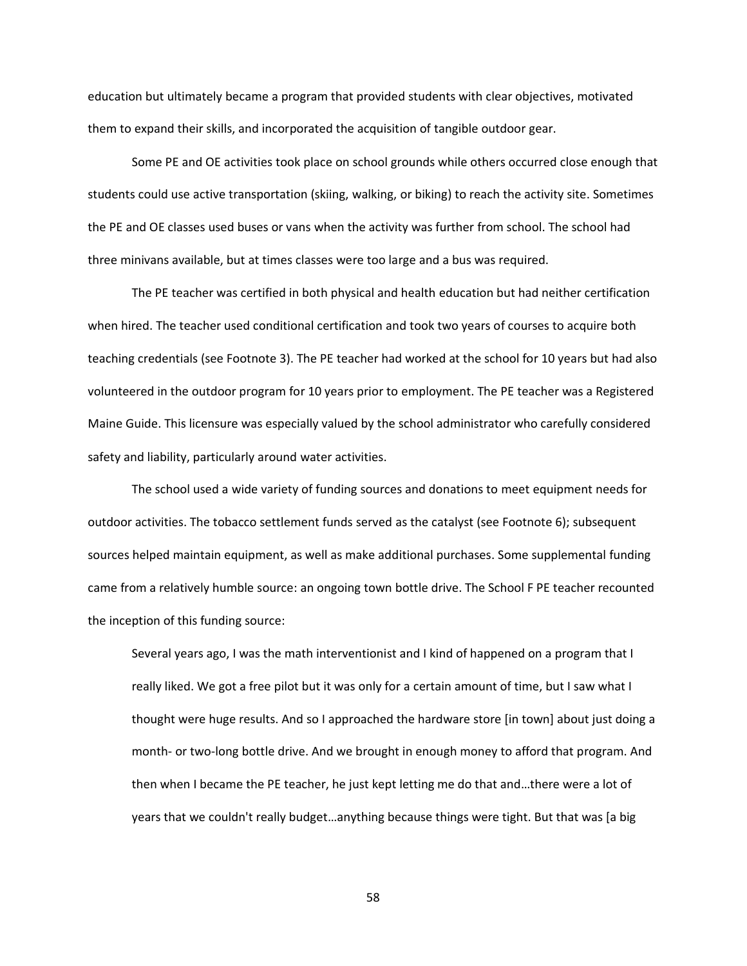education but ultimately became a program that provided students with clear objectives, motivated them to expand their skills, and incorporated the acquisition of tangible outdoor gear.

Some PE and OE activities took place on school grounds while others occurred close enough that students could use active transportation (skiing, walking, or biking) to reach the activity site. Sometimes the PE and OE classes used buses or vans when the activity was further from school. The school had three minivans available, but at times classes were too large and a bus was required.

The PE teacher was certified in both physical and health education but had neither certification when hired. The teacher used conditional certification and took two years of courses to acquire both teaching credentials (see Footnote 3). The PE teacher had worked at the school for 10 years but had also volunteered in the outdoor program for 10 years prior to employment. The PE teacher was a Registered Maine Guide. This licensure was especially valued by the school administrator who carefully considered safety and liability, particularly around water activities.

The school used a wide variety of funding sources and donations to meet equipment needs for outdoor activities. The tobacco settlement funds served as the catalyst (see Footnote 6); subsequent sources helped maintain equipment, as well as make additional purchases. Some supplemental funding came from a relatively humble source: an ongoing town bottle drive. The School F PE teacher recounted the inception of this funding source:

Several years ago, I was the math interventionist and I kind of happened on a program that I really liked. We got a free pilot but it was only for a certain amount of time, but I saw what I thought were huge results. And so I approached the hardware store [in town] about just doing a month- or two-long bottle drive. And we brought in enough money to afford that program. And then when I became the PE teacher, he just kept letting me do that and…there were a lot of years that we couldn't really budget…anything because things were tight. But that was [a big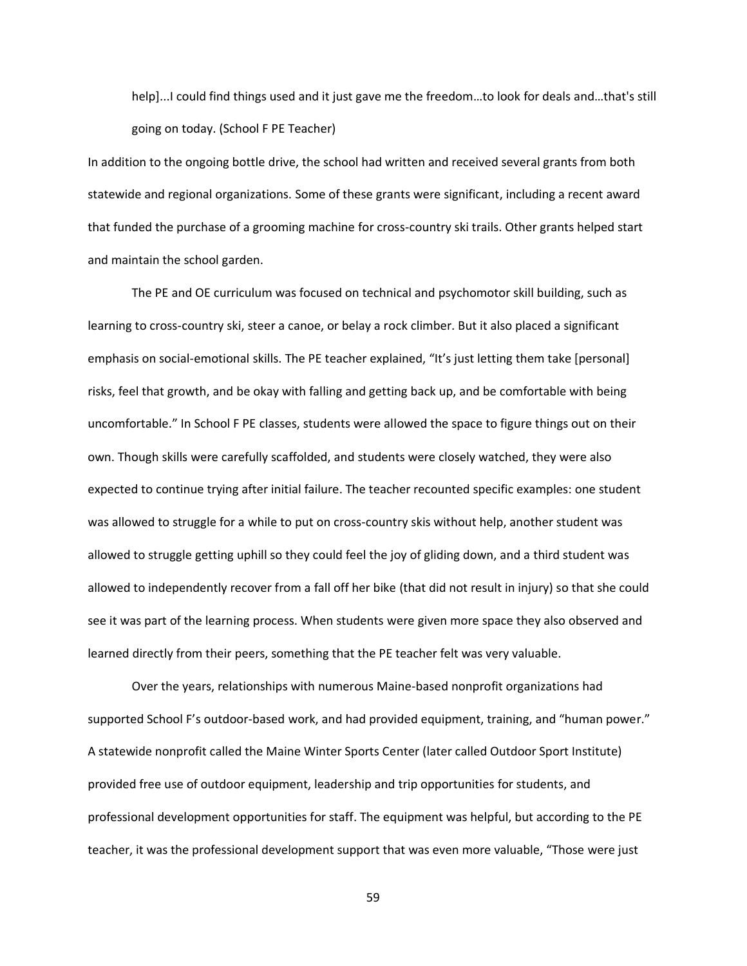help]...I could find things used and it just gave me the freedom…to look for deals and…that's still going on today. (School F PE Teacher)

In addition to the ongoing bottle drive, the school had written and received several grants from both statewide and regional organizations. Some of these grants were significant, including a recent award that funded the purchase of a grooming machine for cross-country ski trails. Other grants helped start and maintain the school garden.

The PE and OE curriculum was focused on technical and psychomotor skill building, such as learning to cross-country ski, steer a canoe, or belay a rock climber. But it also placed a significant emphasis on social-emotional skills. The PE teacher explained, "It's just letting them take [personal] risks, feel that growth, and be okay with falling and getting back up, and be comfortable with being uncomfortable." In School F PE classes, students were allowed the space to figure things out on their own. Though skills were carefully scaffolded, and students were closely watched, they were also expected to continue trying after initial failure. The teacher recounted specific examples: one student was allowed to struggle for a while to put on cross-country skis without help, another student was allowed to struggle getting uphill so they could feel the joy of gliding down, and a third student was allowed to independently recover from a fall off her bike (that did not result in injury) so that she could see it was part of the learning process. When students were given more space they also observed and learned directly from their peers, something that the PE teacher felt was very valuable.

Over the years, relationships with numerous Maine-based nonprofit organizations had supported School F's outdoor-based work, and had provided equipment, training, and "human power." A statewide nonprofit called the Maine Winter Sports Center (later called Outdoor Sport Institute) provided free use of outdoor equipment, leadership and trip opportunities for students, and professional development opportunities for staff. The equipment was helpful, but according to the PE teacher, it was the professional development support that was even more valuable, "Those were just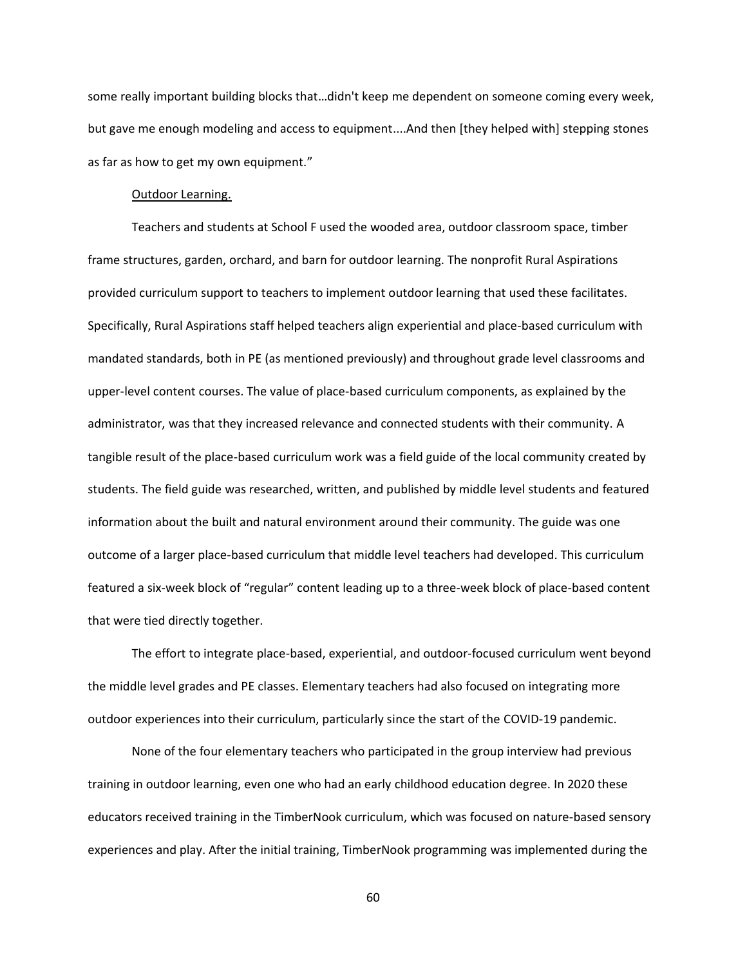some really important building blocks that…didn't keep me dependent on someone coming every week, but gave me enough modeling and access to equipment....And then [they helped with] stepping stones as far as how to get my own equipment."

### Outdoor Learning.

Teachers and students at School F used the wooded area, outdoor classroom space, timber frame structures, garden, orchard, and barn for outdoor learning. The nonprofit Rural Aspirations provided curriculum support to teachers to implement outdoor learning that used these facilitates. Specifically, Rural Aspirations staff helped teachers align experiential and place-based curriculum with mandated standards, both in PE (as mentioned previously) and throughout grade level classrooms and upper-level content courses. The value of place-based curriculum components, as explained by the administrator, was that they increased relevance and connected students with their community. A tangible result of the place-based curriculum work was a field guide of the local community created by students. The field guide was researched, written, and published by middle level students and featured information about the built and natural environment around their community. The guide was one outcome of a larger place-based curriculum that middle level teachers had developed. This curriculum featured a six-week block of "regular" content leading up to a three-week block of place-based content that were tied directly together.

The effort to integrate place-based, experiential, and outdoor-focused curriculum went beyond the middle level grades and PE classes. Elementary teachers had also focused on integrating more outdoor experiences into their curriculum, particularly since the start of the COVID-19 pandemic.

None of the four elementary teachers who participated in the group interview had previous training in outdoor learning, even one who had an early childhood education degree. In 2020 these educators received training in the TimberNook curriculum, which was focused on nature-based sensory experiences and play. After the initial training, TimberNook programming was implemented during the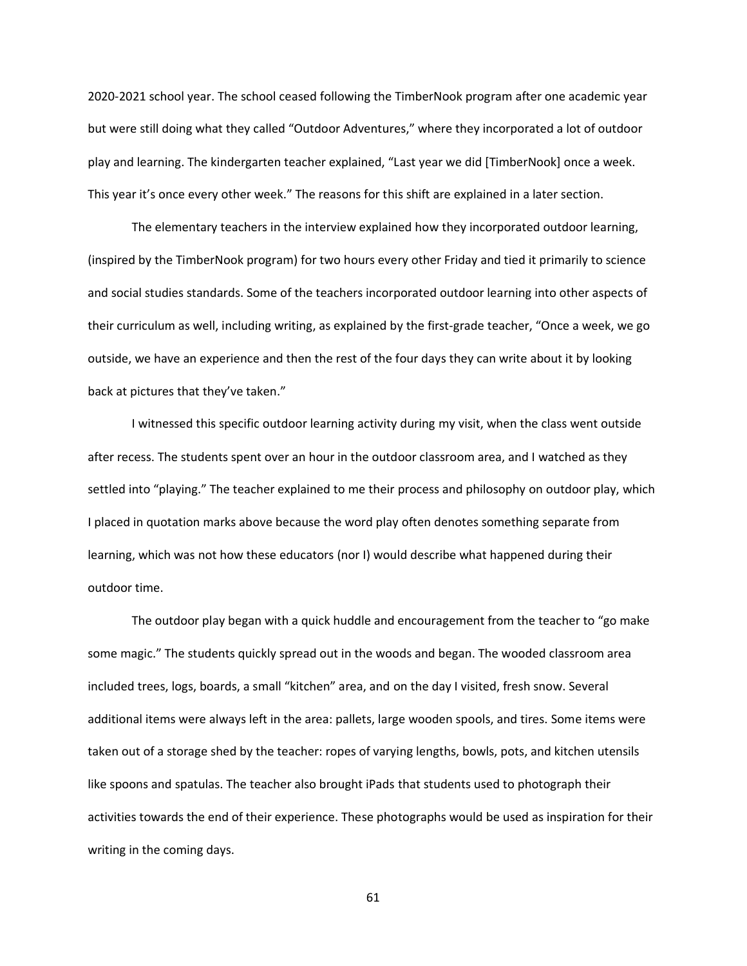2020-2021 school year. The school ceased following the TimberNook program after one academic year but were still doing what they called "Outdoor Adventures," where they incorporated a lot of outdoor play and learning. The kindergarten teacher explained, "Last year we did [TimberNook] once a week. This year it's once every other week." The reasons for this shift are explained in a later section.

The elementary teachers in the interview explained how they incorporated outdoor learning, (inspired by the TimberNook program) for two hours every other Friday and tied it primarily to science and social studies standards. Some of the teachers incorporated outdoor learning into other aspects of their curriculum as well, including writing, as explained by the first-grade teacher, "Once a week, we go outside, we have an experience and then the rest of the four days they can write about it by looking back at pictures that they've taken."

I witnessed this specific outdoor learning activity during my visit, when the class went outside after recess. The students spent over an hour in the outdoor classroom area, and I watched as they settled into "playing." The teacher explained to me their process and philosophy on outdoor play, which I placed in quotation marks above because the word play often denotes something separate from learning, which was not how these educators (nor I) would describe what happened during their outdoor time.

The outdoor play began with a quick huddle and encouragement from the teacher to "go make some magic." The students quickly spread out in the woods and began. The wooded classroom area included trees, logs, boards, a small "kitchen" area, and on the day I visited, fresh snow. Several additional items were always left in the area: pallets, large wooden spools, and tires. Some items were taken out of a storage shed by the teacher: ropes of varying lengths, bowls, pots, and kitchen utensils like spoons and spatulas. The teacher also brought iPads that students used to photograph their activities towards the end of their experience. These photographs would be used as inspiration for their writing in the coming days.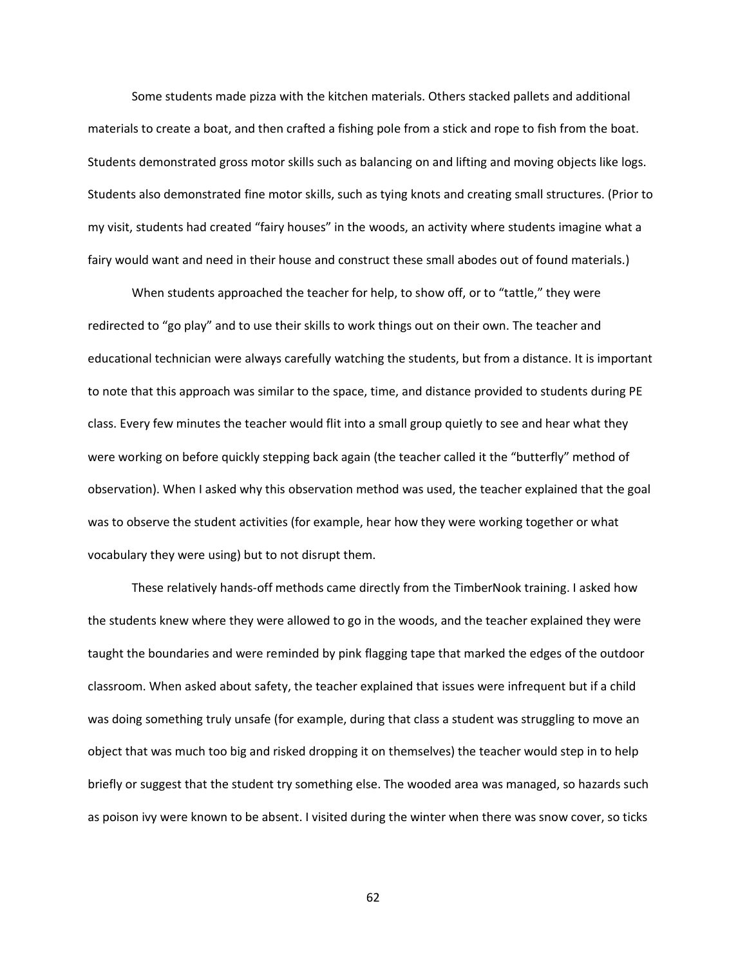Some students made pizza with the kitchen materials. Others stacked pallets and additional materials to create a boat, and then crafted a fishing pole from a stick and rope to fish from the boat. Students demonstrated gross motor skills such as balancing on and lifting and moving objects like logs. Students also demonstrated fine motor skills, such as tying knots and creating small structures. (Prior to my visit, students had created "fairy houses" in the woods, an activity where students imagine what a fairy would want and need in their house and construct these small abodes out of found materials.)

When students approached the teacher for help, to show off, or to "tattle," they were redirected to "go play" and to use their skills to work things out on their own. The teacher and educational technician were always carefully watching the students, but from a distance. It is important to note that this approach was similar to the space, time, and distance provided to students during PE class. Every few minutes the teacher would flit into a small group quietly to see and hear what they were working on before quickly stepping back again (the teacher called it the "butterfly" method of observation). When I asked why this observation method was used, the teacher explained that the goal was to observe the student activities (for example, hear how they were working together or what vocabulary they were using) but to not disrupt them.

These relatively hands-off methods came directly from the TimberNook training. I asked how the students knew where they were allowed to go in the woods, and the teacher explained they were taught the boundaries and were reminded by pink flagging tape that marked the edges of the outdoor classroom. When asked about safety, the teacher explained that issues were infrequent but if a child was doing something truly unsafe (for example, during that class a student was struggling to move an object that was much too big and risked dropping it on themselves) the teacher would step in to help briefly or suggest that the student try something else. The wooded area was managed, so hazards such as poison ivy were known to be absent. I visited during the winter when there was snow cover, so ticks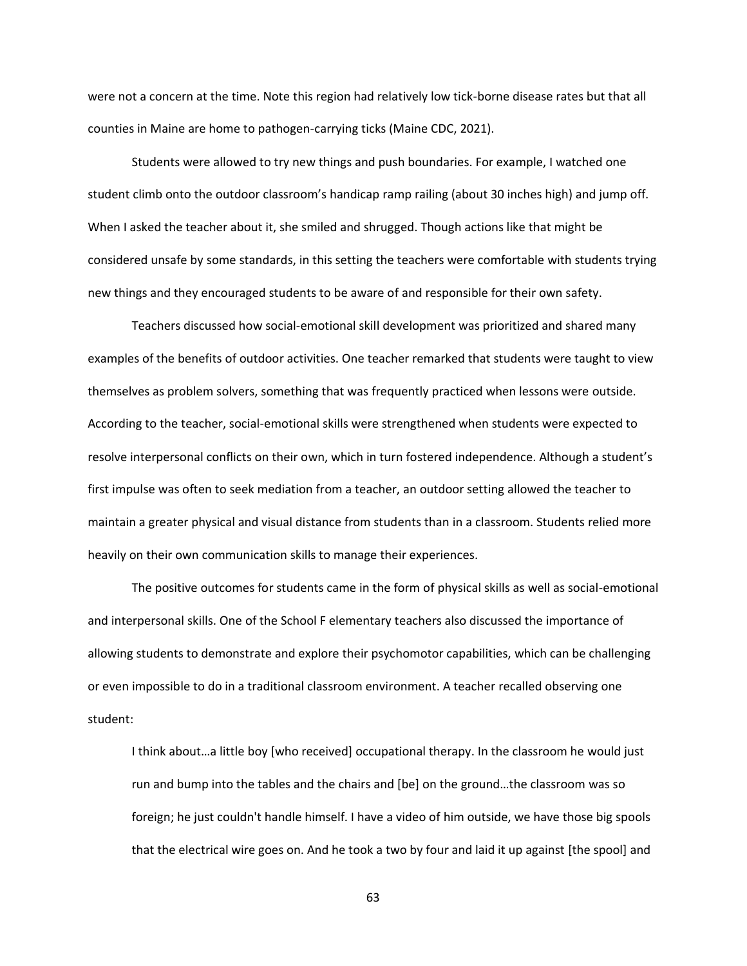were not a concern at the time. Note this region had relatively low tick-borne disease rates but that all counties in Maine are home to pathogen-carrying ticks (Maine CDC, 2021).

Students were allowed to try new things and push boundaries. For example, I watched one student climb onto the outdoor classroom's handicap ramp railing (about 30 inches high) and jump off. When I asked the teacher about it, she smiled and shrugged. Though actions like that might be considered unsafe by some standards, in this setting the teachers were comfortable with students trying new things and they encouraged students to be aware of and responsible for their own safety.

Teachers discussed how social-emotional skill development was prioritized and shared many examples of the benefits of outdoor activities. One teacher remarked that students were taught to view themselves as problem solvers, something that was frequently practiced when lessons were outside. According to the teacher, social-emotional skills were strengthened when students were expected to resolve interpersonal conflicts on their own, which in turn fostered independence. Although a student's first impulse was often to seek mediation from a teacher, an outdoor setting allowed the teacher to maintain a greater physical and visual distance from students than in a classroom. Students relied more heavily on their own communication skills to manage their experiences.

The positive outcomes for students came in the form of physical skills as well as social-emotional and interpersonal skills. One of the School F elementary teachers also discussed the importance of allowing students to demonstrate and explore their psychomotor capabilities, which can be challenging or even impossible to do in a traditional classroom environment. A teacher recalled observing one student:

I think about…a little boy [who received] occupational therapy. In the classroom he would just run and bump into the tables and the chairs and [be] on the ground…the classroom was so foreign; he just couldn't handle himself. I have a video of him outside, we have those big spools that the electrical wire goes on. And he took a two by four and laid it up against [the spool] and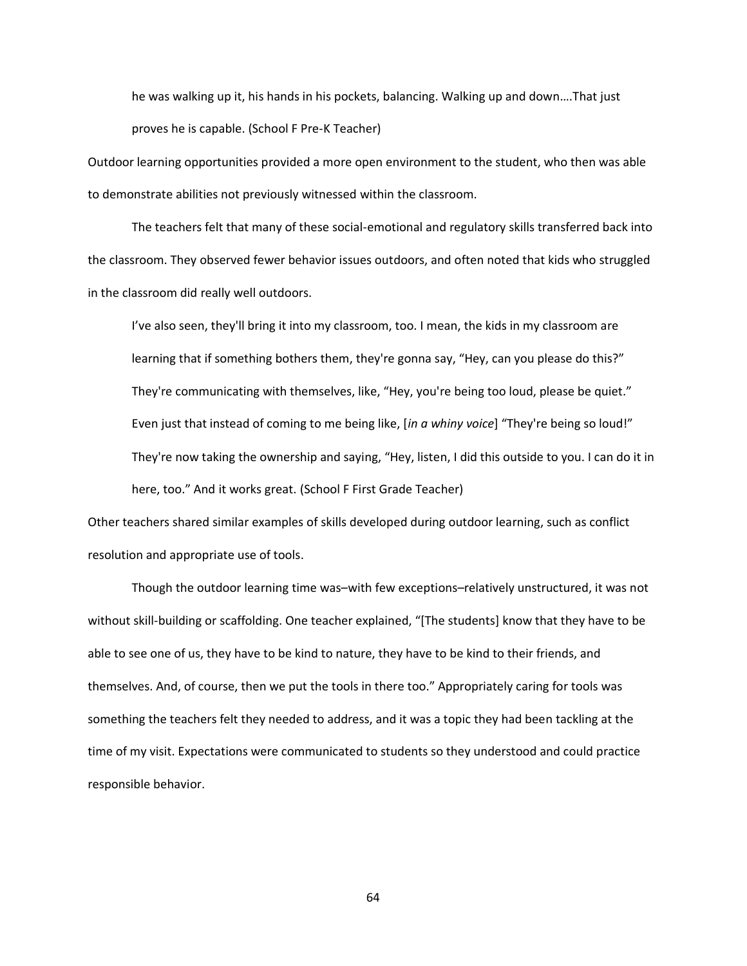he was walking up it, his hands in his pockets, balancing. Walking up and down….That just proves he is capable. (School F Pre-K Teacher)

Outdoor learning opportunities provided a more open environment to the student, who then was able to demonstrate abilities not previously witnessed within the classroom.

The teachers felt that many of these social-emotional and regulatory skills transferred back into the classroom. They observed fewer behavior issues outdoors, and often noted that kids who struggled in the classroom did really well outdoors.

I've also seen, they'll bring it into my classroom, too. I mean, the kids in my classroom are learning that if something bothers them, they're gonna say, "Hey, can you please do this?" They're communicating with themselves, like, "Hey, you're being too loud, please be quiet." Even just that instead of coming to me being like, [*in a whiny voice*] "They're being so loud!" They're now taking the ownership and saying, "Hey, listen, I did this outside to you. I can do it in here, too." And it works great. (School F First Grade Teacher)

Other teachers shared similar examples of skills developed during outdoor learning, such as conflict resolution and appropriate use of tools.

Though the outdoor learning time was–with few exceptions–relatively unstructured, it was not without skill-building or scaffolding. One teacher explained, "[The students] know that they have to be able to see one of us, they have to be kind to nature, they have to be kind to their friends, and themselves. And, of course, then we put the tools in there too." Appropriately caring for tools was something the teachers felt they needed to address, and it was a topic they had been tackling at the time of my visit. Expectations were communicated to students so they understood and could practice responsible behavior.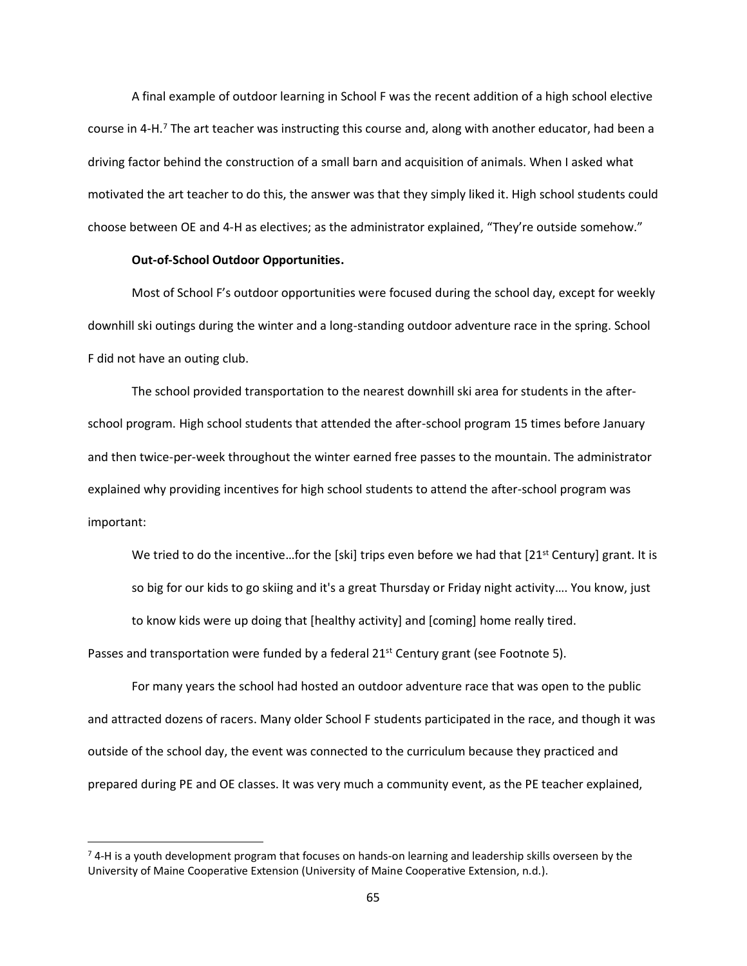A final example of outdoor learning in School F was the recent addition of a high school elective course in 4-H.<sup>7</sup> The art teacher was instructing this course and, along with another educator, had been a driving factor behind the construction of a small barn and acquisition of animals. When I asked what motivated the art teacher to do this, the answer was that they simply liked it. High school students could choose between OE and 4-H as electives; as the administrator explained, "They're outside somehow."

## **Out-of-School Outdoor Opportunities.**

Most of School F's outdoor opportunities were focused during the school day, except for weekly downhill ski outings during the winter and a long-standing outdoor adventure race in the spring. School F did not have an outing club.

The school provided transportation to the nearest downhill ski area for students in the afterschool program. High school students that attended the after-school program 15 times before January and then twice-per-week throughout the winter earned free passes to the mountain. The administrator explained why providing incentives for high school students to attend the after-school program was important:

We tried to do the incentive...for the [ski] trips even before we had that  $[21<sup>st</sup>$  Century] grant. It is so big for our kids to go skiing and it's a great Thursday or Friday night activity…. You know, just to know kids were up doing that [healthy activity] and [coming] home really tired.

Passes and transportation were funded by a federal  $21<sup>st</sup>$  Century grant (see Footnote 5).

For many years the school had hosted an outdoor adventure race that was open to the public and attracted dozens of racers. Many older School F students participated in the race, and though it was outside of the school day, the event was connected to the curriculum because they practiced and prepared during PE and OE classes. It was very much a community event, as the PE teacher explained,

 $7$  4-H is a youth development program that focuses on hands-on learning and leadership skills overseen by the University of Maine Cooperative Extension (University of Maine Cooperative Extension, n.d.).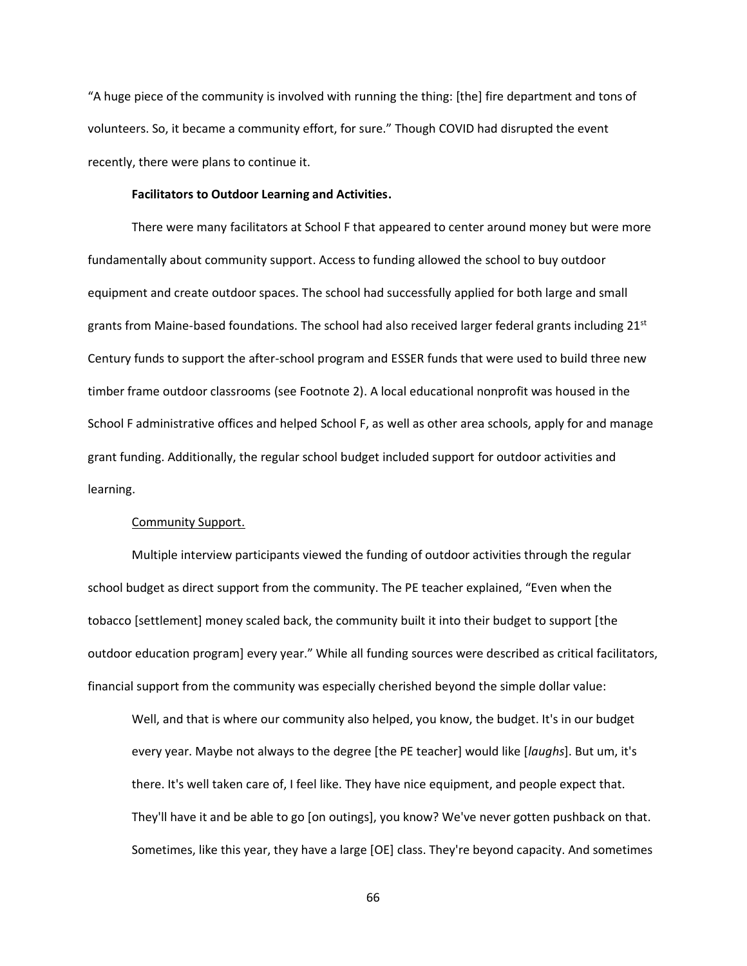"A huge piece of the community is involved with running the thing: [the] fire department and tons of volunteers. So, it became a community effort, for sure." Though COVID had disrupted the event recently, there were plans to continue it.

## **Facilitators to Outdoor Learning and Activities.**

There were many facilitators at School F that appeared to center around money but were more fundamentally about community support. Access to funding allowed the school to buy outdoor equipment and create outdoor spaces. The school had successfully applied for both large and small grants from Maine-based foundations. The school had also received larger federal grants including  $21<sup>st</sup>$ Century funds to support the after-school program and ESSER funds that were used to build three new timber frame outdoor classrooms (see Footnote 2). A local educational nonprofit was housed in the School F administrative offices and helped School F, as well as other area schools, apply for and manage grant funding. Additionally, the regular school budget included support for outdoor activities and learning.

### Community Support.

Multiple interview participants viewed the funding of outdoor activities through the regular school budget as direct support from the community. The PE teacher explained, "Even when the tobacco [settlement] money scaled back, the community built it into their budget to support [the outdoor education program] every year." While all funding sources were described as critical facilitators, financial support from the community was especially cherished beyond the simple dollar value:

Well, and that is where our community also helped, you know, the budget. It's in our budget every year. Maybe not always to the degree [the PE teacher] would like [*laughs*]. But um, it's there. It's well taken care of, I feel like. They have nice equipment, and people expect that. They'll have it and be able to go [on outings], you know? We've never gotten pushback on that. Sometimes, like this year, they have a large [OE] class. They're beyond capacity. And sometimes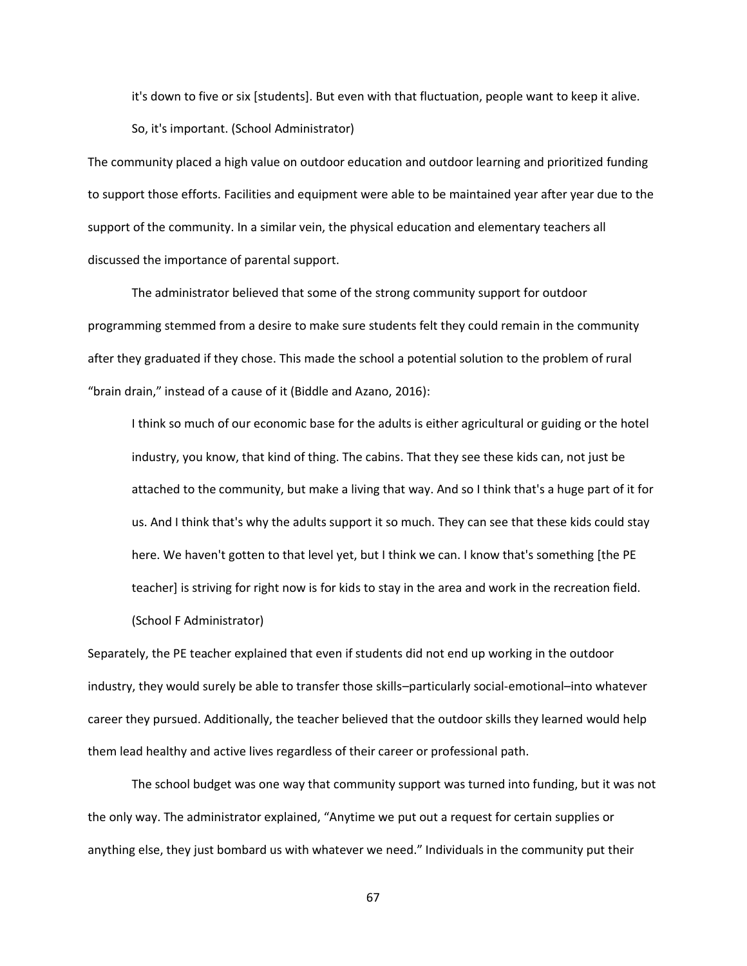it's down to five or six [students]. But even with that fluctuation, people want to keep it alive.

So, it's important. (School Administrator)

The community placed a high value on outdoor education and outdoor learning and prioritized funding to support those efforts. Facilities and equipment were able to be maintained year after year due to the support of the community. In a similar vein, the physical education and elementary teachers all discussed the importance of parental support.

The administrator believed that some of the strong community support for outdoor programming stemmed from a desire to make sure students felt they could remain in the community after they graduated if they chose. This made the school a potential solution to the problem of rural "brain drain," instead of a cause of it (Biddle and Azano, 2016):

I think so much of our economic base for the adults is either agricultural or guiding or the hotel industry, you know, that kind of thing. The cabins. That they see these kids can, not just be attached to the community, but make a living that way. And so I think that's a huge part of it for us. And I think that's why the adults support it so much. They can see that these kids could stay here. We haven't gotten to that level yet, but I think we can. I know that's something [the PE teacher] is striving for right now is for kids to stay in the area and work in the recreation field.

(School F Administrator)

Separately, the PE teacher explained that even if students did not end up working in the outdoor industry, they would surely be able to transfer those skills–particularly social-emotional–into whatever career they pursued. Additionally, the teacher believed that the outdoor skills they learned would help them lead healthy and active lives regardless of their career or professional path.

The school budget was one way that community support was turned into funding, but it was not the only way. The administrator explained, "Anytime we put out a request for certain supplies or anything else, they just bombard us with whatever we need." Individuals in the community put their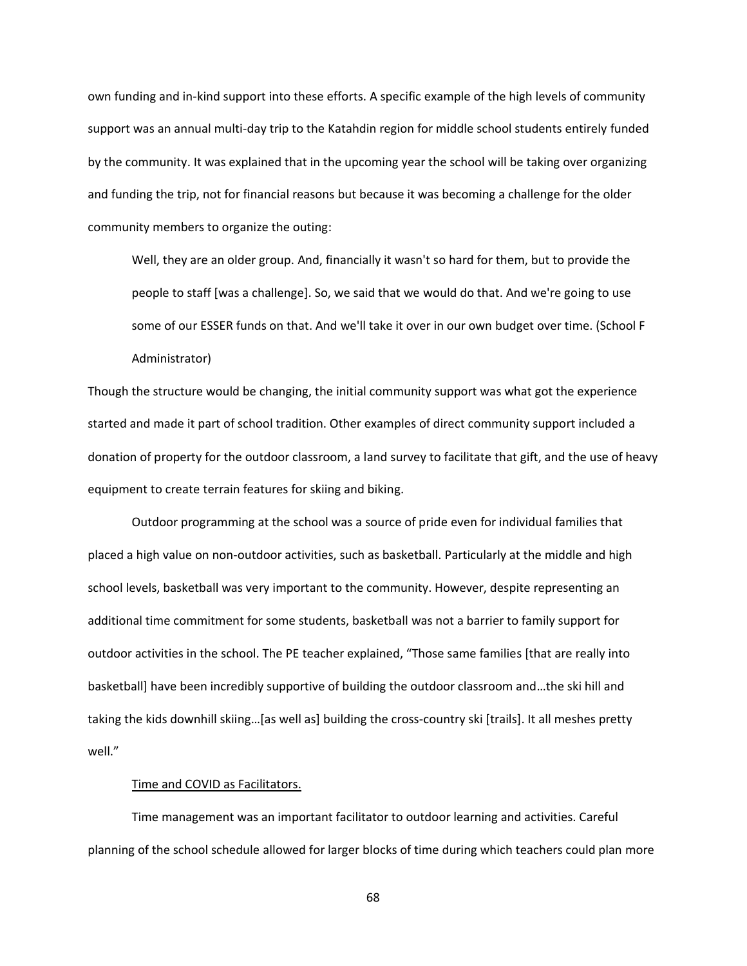own funding and in-kind support into these efforts. A specific example of the high levels of community support was an annual multi-day trip to the Katahdin region for middle school students entirely funded by the community. It was explained that in the upcoming year the school will be taking over organizing and funding the trip, not for financial reasons but because it was becoming a challenge for the older community members to organize the outing:

Well, they are an older group. And, financially it wasn't so hard for them, but to provide the people to staff [was a challenge]. So, we said that we would do that. And we're going to use some of our ESSER funds on that. And we'll take it over in our own budget over time. (School F Administrator)

Though the structure would be changing, the initial community support was what got the experience started and made it part of school tradition. Other examples of direct community support included a donation of property for the outdoor classroom, a land survey to facilitate that gift, and the use of heavy equipment to create terrain features for skiing and biking.

Outdoor programming at the school was a source of pride even for individual families that placed a high value on non-outdoor activities, such as basketball. Particularly at the middle and high school levels, basketball was very important to the community. However, despite representing an additional time commitment for some students, basketball was not a barrier to family support for outdoor activities in the school. The PE teacher explained, "Those same families [that are really into basketball] have been incredibly supportive of building the outdoor classroom and…the ski hill and taking the kids downhill skiing…[as well as] building the cross-country ski [trails]. It all meshes pretty well."

## Time and COVID as Facilitators.

Time management was an important facilitator to outdoor learning and activities. Careful planning of the school schedule allowed for larger blocks of time during which teachers could plan more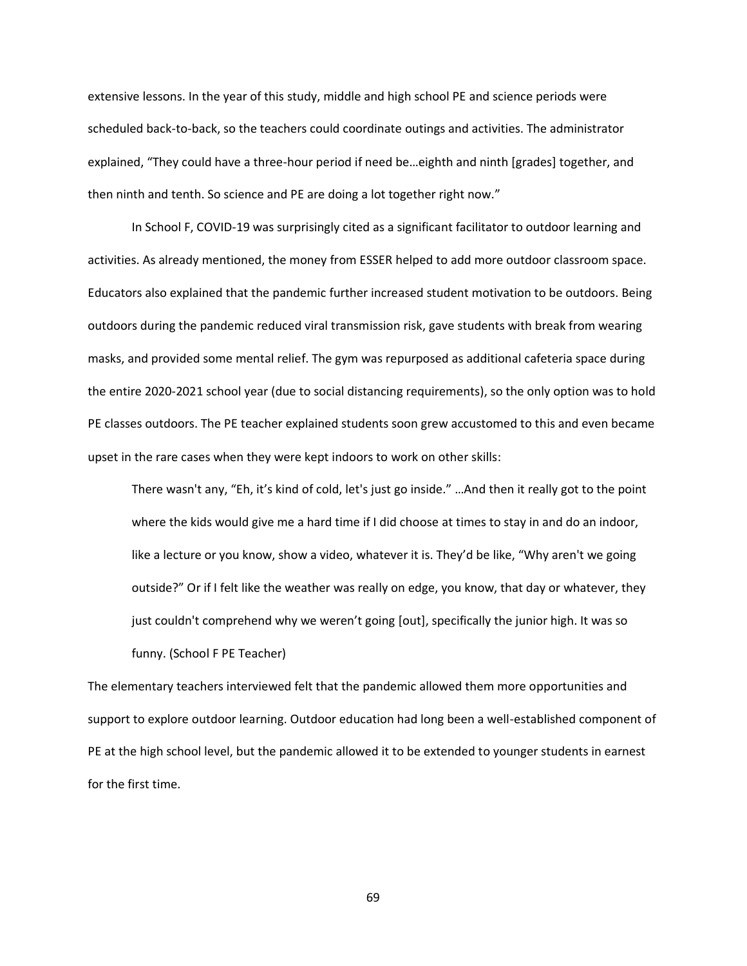extensive lessons. In the year of this study, middle and high school PE and science periods were scheduled back-to-back, so the teachers could coordinate outings and activities. The administrator explained, "They could have a three-hour period if need be…eighth and ninth [grades] together, and then ninth and tenth. So science and PE are doing a lot together right now."

In School F, COVID-19 was surprisingly cited as a significant facilitator to outdoor learning and activities. As already mentioned, the money from ESSER helped to add more outdoor classroom space. Educators also explained that the pandemic further increased student motivation to be outdoors. Being outdoors during the pandemic reduced viral transmission risk, gave students with break from wearing masks, and provided some mental relief. The gym was repurposed as additional cafeteria space during the entire 2020-2021 school year (due to social distancing requirements), so the only option was to hold PE classes outdoors. The PE teacher explained students soon grew accustomed to this and even became upset in the rare cases when they were kept indoors to work on other skills:

There wasn't any, "Eh, it's kind of cold, let's just go inside." …And then it really got to the point where the kids would give me a hard time if I did choose at times to stay in and do an indoor, like a lecture or you know, show a video, whatever it is. They'd be like, "Why aren't we going outside?" Or if I felt like the weather was really on edge, you know, that day or whatever, they just couldn't comprehend why we weren't going [out], specifically the junior high. It was so funny. (School F PE Teacher)

The elementary teachers interviewed felt that the pandemic allowed them more opportunities and support to explore outdoor learning. Outdoor education had long been a well-established component of PE at the high school level, but the pandemic allowed it to be extended to younger students in earnest for the first time.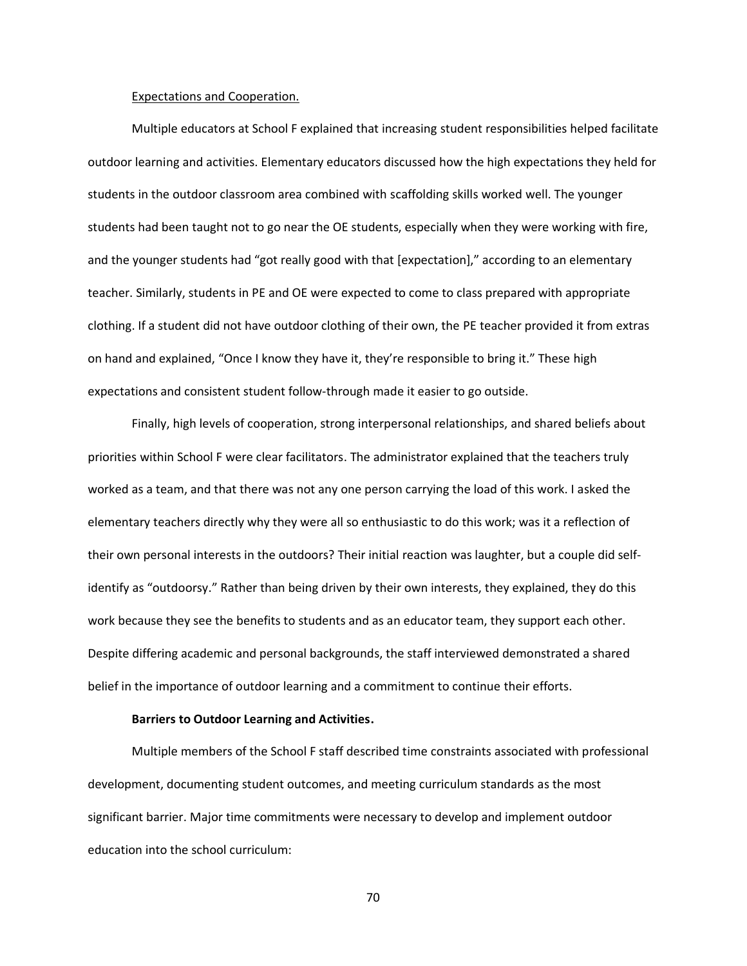#### Expectations and Cooperation.

Multiple educators at School F explained that increasing student responsibilities helped facilitate outdoor learning and activities. Elementary educators discussed how the high expectations they held for students in the outdoor classroom area combined with scaffolding skills worked well. The younger students had been taught not to go near the OE students, especially when they were working with fire, and the younger students had "got really good with that [expectation]," according to an elementary teacher. Similarly, students in PE and OE were expected to come to class prepared with appropriate clothing. If a student did not have outdoor clothing of their own, the PE teacher provided it from extras on hand and explained, "Once I know they have it, they're responsible to bring it." These high expectations and consistent student follow-through made it easier to go outside.

Finally, high levels of cooperation, strong interpersonal relationships, and shared beliefs about priorities within School F were clear facilitators. The administrator explained that the teachers truly worked as a team, and that there was not any one person carrying the load of this work. I asked the elementary teachers directly why they were all so enthusiastic to do this work; was it a reflection of their own personal interests in the outdoors? Their initial reaction was laughter, but a couple did selfidentify as "outdoorsy." Rather than being driven by their own interests, they explained, they do this work because they see the benefits to students and as an educator team, they support each other. Despite differing academic and personal backgrounds, the staff interviewed demonstrated a shared belief in the importance of outdoor learning and a commitment to continue their efforts.

### **Barriers to Outdoor Learning and Activities.**

Multiple members of the School F staff described time constraints associated with professional development, documenting student outcomes, and meeting curriculum standards as the most significant barrier. Major time commitments were necessary to develop and implement outdoor education into the school curriculum: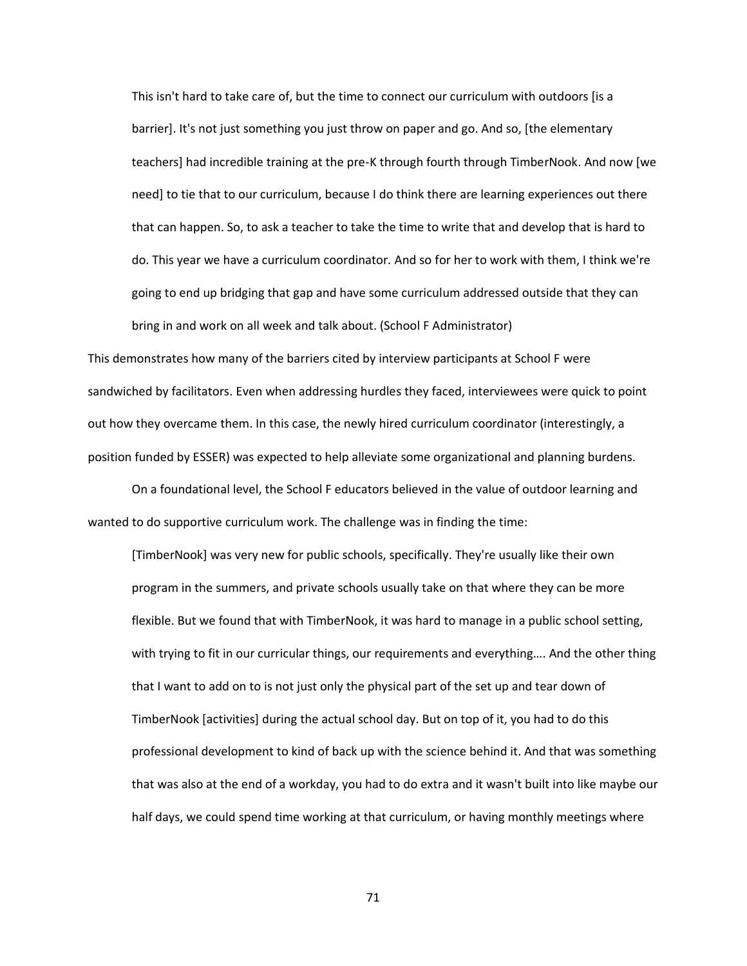This isn't hard to take care of, but the time to connect our curriculum with outdoors [is a barrier]. It's not just something you just throw on paper and go. And so, [the elementary teachers] had incredible training at the pre-K through fourth through TimberNook. And now [we need] to tie that to our curriculum, because I do think there are learning experiences out there that can happen. So, to ask a teacher to take the time to write that and develop that is hard to do. This year we have a curriculum coordinator. And so for her to work with them, I think we're going to end up bridging that gap and have some curriculum addressed outside that they can bring in and work on all week and talk about. (School F Administrator)

This demonstrates how many of the barriers cited by interview participants at School F were sandwiched by facilitators. Even when addressing hurdles they faced, interviewees were quick to point out how they overcame them. In this case, the newly hired curriculum coordinator (interestingly, a position funded by ESSER) was expected to help alleviate some organizational and planning burdens.

On a foundational level, the School F educators believed in the value of outdoor learning and wanted to do supportive curriculum work. The challenge was in finding the time:

[TimberNook] was very new for public schools, specifically. They're usually like their own program in the summers, and private schools usually take on that where they can be more flexible. But we found that with TimberNook, it was hard to manage in a public school setting, with trying to fit in our curricular things, our requirements and everything…. And the other thing that I want to add on to is not just only the physical part of the set up and tear down of TimberNook [activities] during the actual school day. But on top of it, you had to do this professional development to kind of back up with the science behind it. And that was something that was also at the end of a workday, you had to do extra and it wasn't built into like maybe our half days, we could spend time working at that curriculum, or having monthly meetings where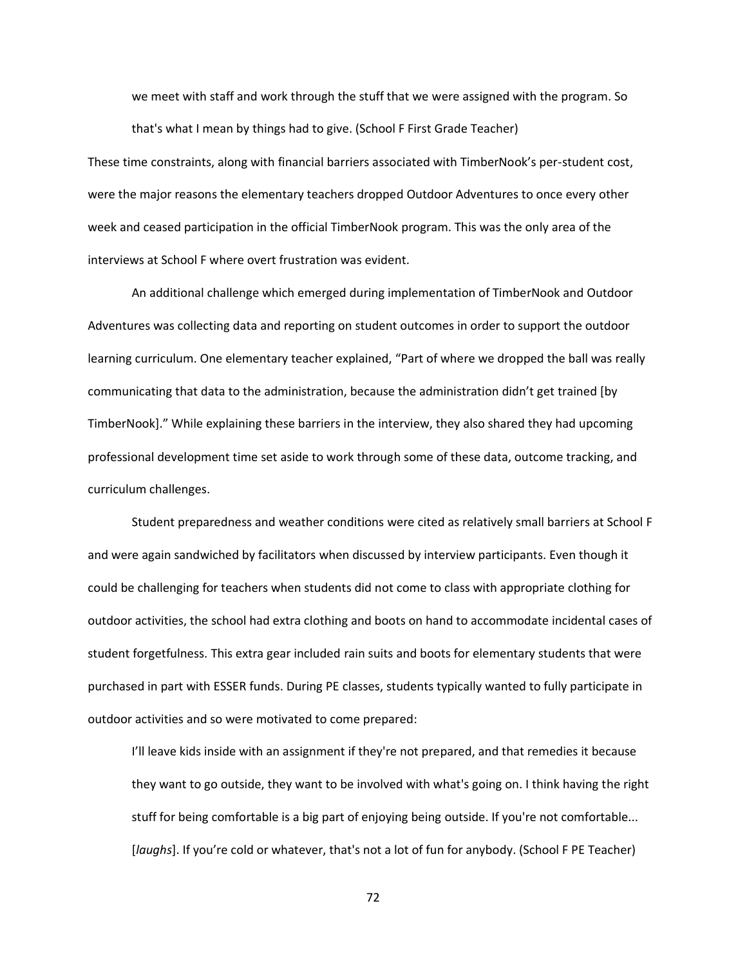we meet with staff and work through the stuff that we were assigned with the program. So that's what I mean by things had to give. (School F First Grade Teacher)

These time constraints, along with financial barriers associated with TimberNook's per-student cost, were the major reasons the elementary teachers dropped Outdoor Adventures to once every other week and ceased participation in the official TimberNook program. This was the only area of the interviews at School F where overt frustration was evident.

An additional challenge which emerged during implementation of TimberNook and Outdoor Adventures was collecting data and reporting on student outcomes in order to support the outdoor learning curriculum. One elementary teacher explained, "Part of where we dropped the ball was really communicating that data to the administration, because the administration didn't get trained [by TimberNook]." While explaining these barriers in the interview, they also shared they had upcoming professional development time set aside to work through some of these data, outcome tracking, and curriculum challenges.

Student preparedness and weather conditions were cited as relatively small barriers at School F and were again sandwiched by facilitators when discussed by interview participants. Even though it could be challenging for teachers when students did not come to class with appropriate clothing for outdoor activities, the school had extra clothing and boots on hand to accommodate incidental cases of student forgetfulness. This extra gear included rain suits and boots for elementary students that were purchased in part with ESSER funds. During PE classes, students typically wanted to fully participate in outdoor activities and so were motivated to come prepared:

I'll leave kids inside with an assignment if they're not prepared, and that remedies it because they want to go outside, they want to be involved with what's going on. I think having the right stuff for being comfortable is a big part of enjoying being outside. If you're not comfortable... [*laughs*]. If you're cold or whatever, that's not a lot of fun for anybody. (School F PE Teacher)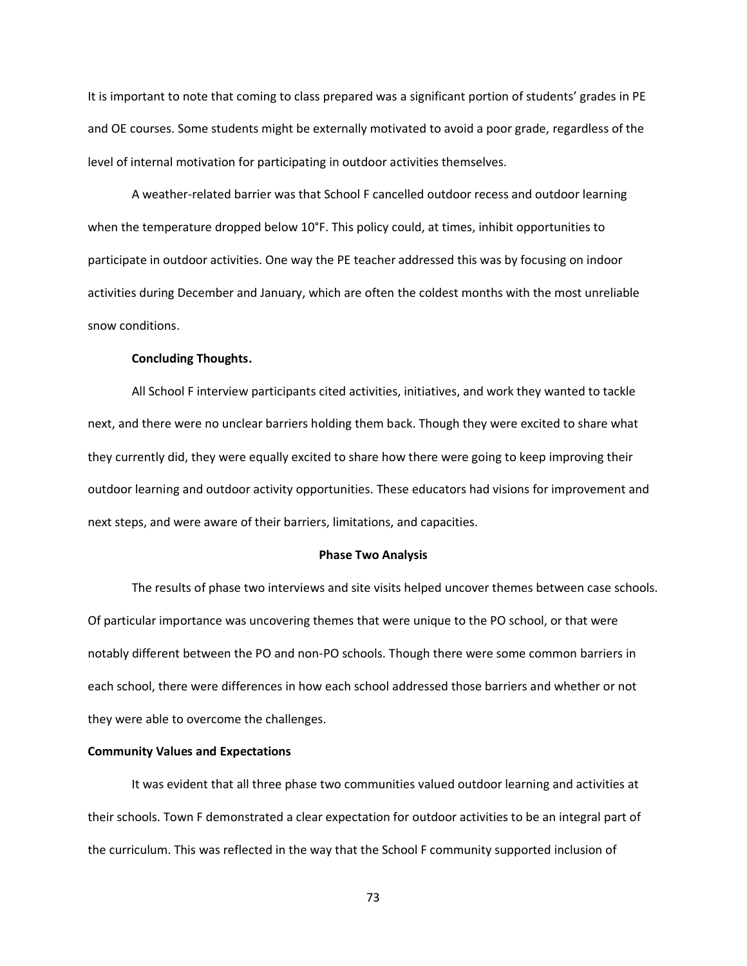It is important to note that coming to class prepared was a significant portion of students' grades in PE and OE courses. Some students might be externally motivated to avoid a poor grade, regardless of the level of internal motivation for participating in outdoor activities themselves.

A weather-related barrier was that School F cancelled outdoor recess and outdoor learning when the temperature dropped below 10°F. This policy could, at times, inhibit opportunities to participate in outdoor activities. One way the PE teacher addressed this was by focusing on indoor activities during December and January, which are often the coldest months with the most unreliable snow conditions.

### **Concluding Thoughts.**

All School F interview participants cited activities, initiatives, and work they wanted to tackle next, and there were no unclear barriers holding them back. Though they were excited to share what they currently did, they were equally excited to share how there were going to keep improving their outdoor learning and outdoor activity opportunities. These educators had visions for improvement and next steps, and were aware of their barriers, limitations, and capacities.

#### **Phase Two Analysis**

The results of phase two interviews and site visits helped uncover themes between case schools. Of particular importance was uncovering themes that were unique to the PO school, or that were notably different between the PO and non-PO schools. Though there were some common barriers in each school, there were differences in how each school addressed those barriers and whether or not they were able to overcome the challenges.

## **Community Values and Expectations**

It was evident that all three phase two communities valued outdoor learning and activities at their schools. Town F demonstrated a clear expectation for outdoor activities to be an integral part of the curriculum. This was reflected in the way that the School F community supported inclusion of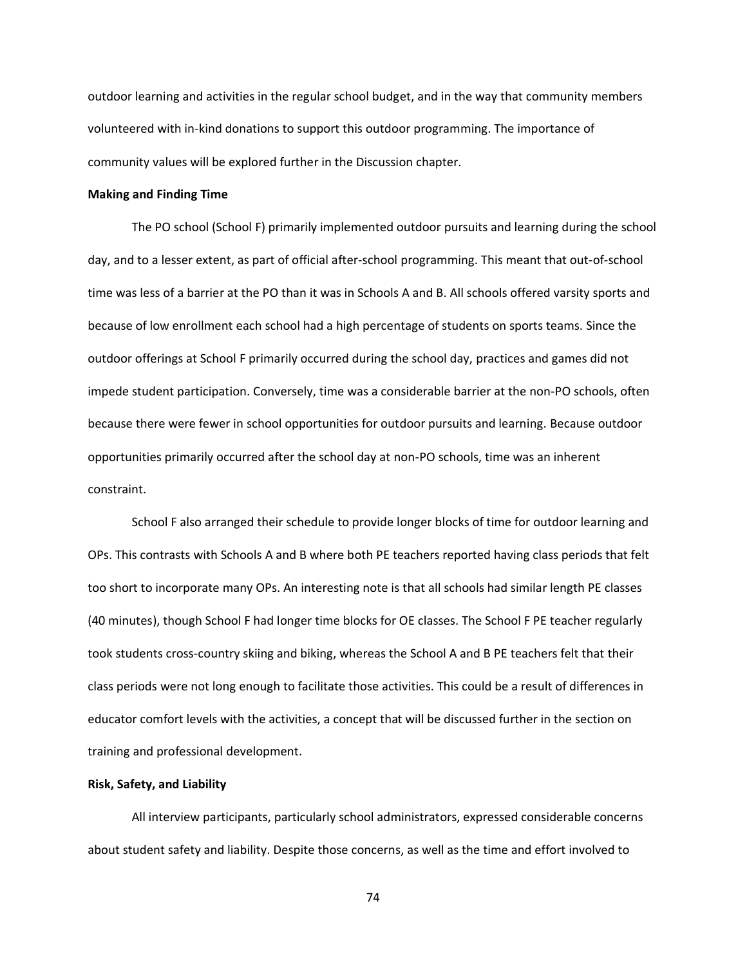outdoor learning and activities in the regular school budget, and in the way that community members volunteered with in-kind donations to support this outdoor programming. The importance of community values will be explored further in the Discussion chapter.

### **Making and Finding Time**

The PO school (School F) primarily implemented outdoor pursuits and learning during the school day, and to a lesser extent, as part of official after-school programming. This meant that out-of-school time was less of a barrier at the PO than it was in Schools A and B. All schools offered varsity sports and because of low enrollment each school had a high percentage of students on sports teams. Since the outdoor offerings at School F primarily occurred during the school day, practices and games did not impede student participation. Conversely, time was a considerable barrier at the non-PO schools, often because there were fewer in school opportunities for outdoor pursuits and learning. Because outdoor opportunities primarily occurred after the school day at non-PO schools, time was an inherent constraint.

School F also arranged their schedule to provide longer blocks of time for outdoor learning and OPs. This contrasts with Schools A and B where both PE teachers reported having class periods that felt too short to incorporate many OPs. An interesting note is that all schools had similar length PE classes (40 minutes), though School F had longer time blocks for OE classes. The School F PE teacher regularly took students cross-country skiing and biking, whereas the School A and B PE teachers felt that their class periods were not long enough to facilitate those activities. This could be a result of differences in educator comfort levels with the activities, a concept that will be discussed further in the section on training and professional development.

## **Risk, Safety, and Liability**

All interview participants, particularly school administrators, expressed considerable concerns about student safety and liability. Despite those concerns, as well as the time and effort involved to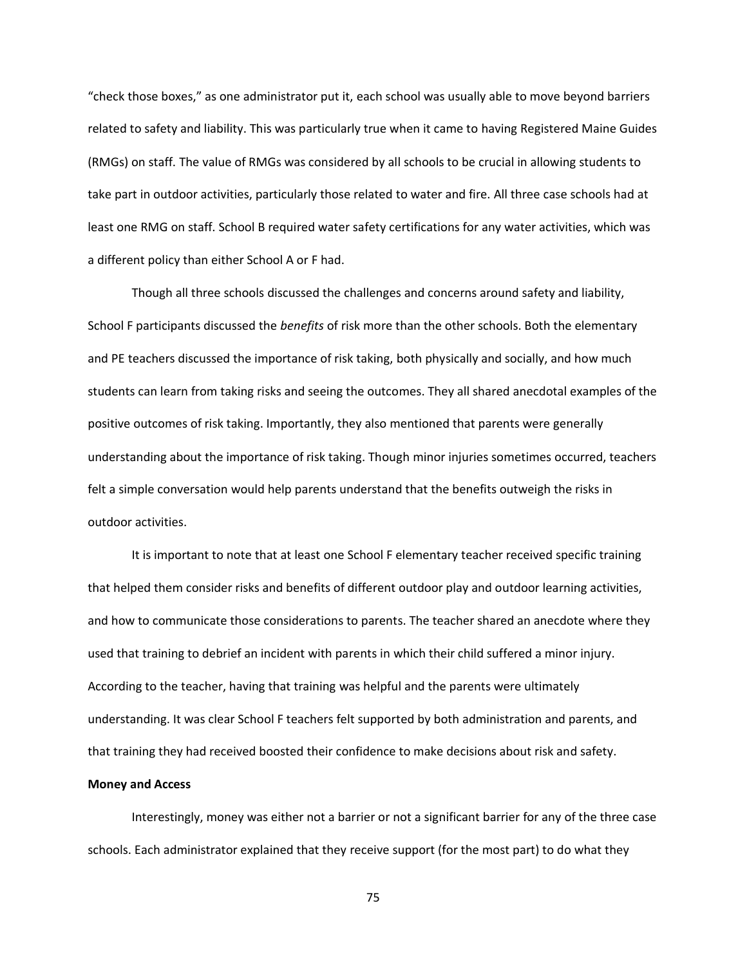"check those boxes," as one administrator put it, each school was usually able to move beyond barriers related to safety and liability. This was particularly true when it came to having Registered Maine Guides (RMGs) on staff. The value of RMGs was considered by all schools to be crucial in allowing students to take part in outdoor activities, particularly those related to water and fire. All three case schools had at least one RMG on staff. School B required water safety certifications for any water activities, which was a different policy than either School A or F had.

Though all three schools discussed the challenges and concerns around safety and liability, School F participants discussed the *benefits* of risk more than the other schools. Both the elementary and PE teachers discussed the importance of risk taking, both physically and socially, and how much students can learn from taking risks and seeing the outcomes. They all shared anecdotal examples of the positive outcomes of risk taking. Importantly, they also mentioned that parents were generally understanding about the importance of risk taking. Though minor injuries sometimes occurred, teachers felt a simple conversation would help parents understand that the benefits outweigh the risks in outdoor activities.

It is important to note that at least one School F elementary teacher received specific training that helped them consider risks and benefits of different outdoor play and outdoor learning activities, and how to communicate those considerations to parents. The teacher shared an anecdote where they used that training to debrief an incident with parents in which their child suffered a minor injury. According to the teacher, having that training was helpful and the parents were ultimately understanding. It was clear School F teachers felt supported by both administration and parents, and that training they had received boosted their confidence to make decisions about risk and safety.

### **Money and Access**

Interestingly, money was either not a barrier or not a significant barrier for any of the three case schools. Each administrator explained that they receive support (for the most part) to do what they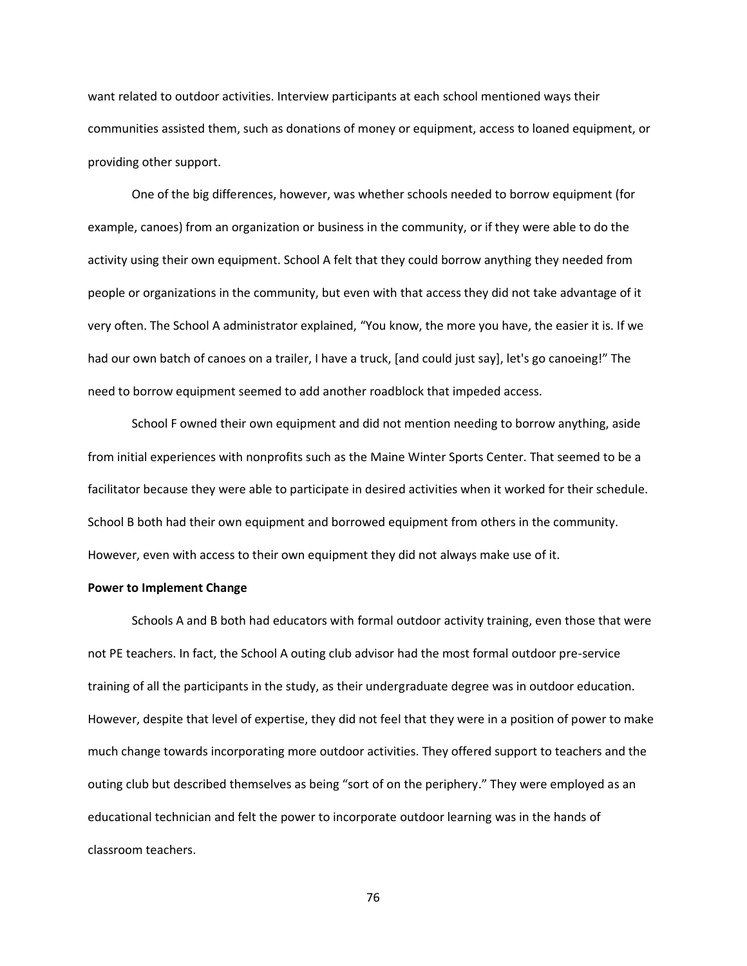want related to outdoor activities. Interview participants at each school mentioned ways their communities assisted them, such as donations of money or equipment, access to loaned equipment, or providing other support.

One of the big differences, however, was whether schools needed to borrow equipment (for example, canoes) from an organization or business in the community, or if they were able to do the activity using their own equipment. School A felt that they could borrow anything they needed from people or organizations in the community, but even with that access they did not take advantage of it very often. The School A administrator explained, "You know, the more you have, the easier it is. If we had our own batch of canoes on a trailer, I have a truck, [and could just say], let's go canoeing!" The need to borrow equipment seemed to add another roadblock that impeded access.

School F owned their own equipment and did not mention needing to borrow anything, aside from initial experiences with nonprofits such as the Maine Winter Sports Center. That seemed to be a facilitator because they were able to participate in desired activities when it worked for their schedule. School B both had their own equipment and borrowed equipment from others in the community. However, even with access to their own equipment they did not always make use of it.

#### **Power to Implement Change**

Schools A and B both had educators with formal outdoor activity training, even those that were not PE teachers. In fact, the School A outing club advisor had the most formal outdoor pre-service training of all the participants in the study, as their undergraduate degree was in outdoor education. However, despite that level of expertise, they did not feel that they were in a position of power to make much change towards incorporating more outdoor activities. They offered support to teachers and the outing club but described themselves as being "sort of on the periphery." They were employed as an educational technician and felt the power to incorporate outdoor learning was in the hands of classroom teachers.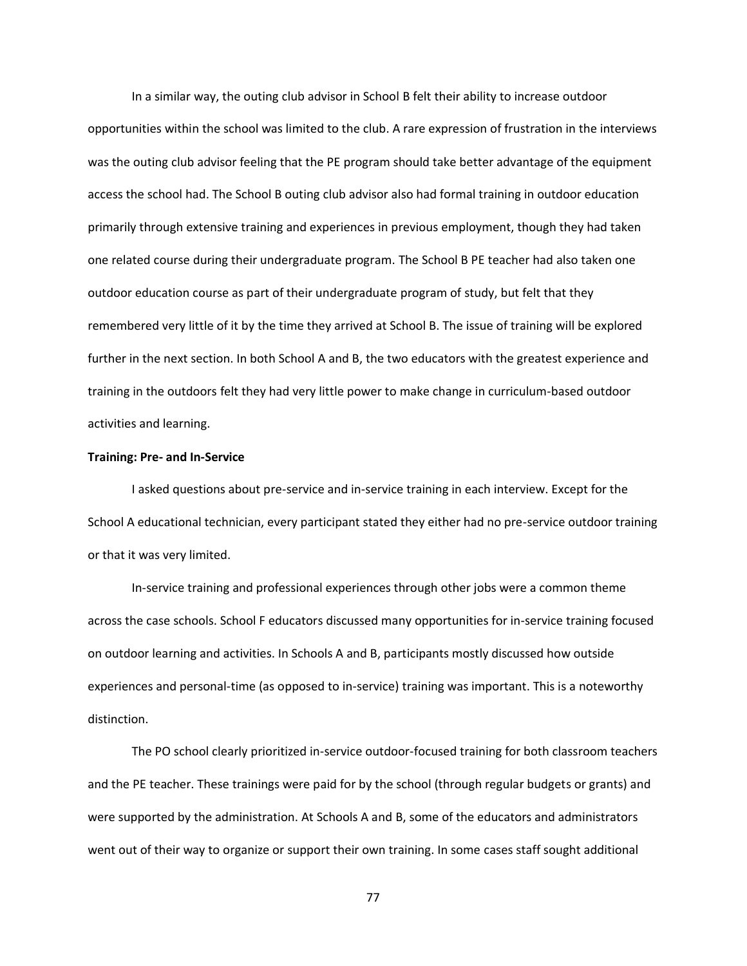In a similar way, the outing club advisor in School B felt their ability to increase outdoor opportunities within the school was limited to the club. A rare expression of frustration in the interviews was the outing club advisor feeling that the PE program should take better advantage of the equipment access the school had. The School B outing club advisor also had formal training in outdoor education primarily through extensive training and experiences in previous employment, though they had taken one related course during their undergraduate program. The School B PE teacher had also taken one outdoor education course as part of their undergraduate program of study, but felt that they remembered very little of it by the time they arrived at School B. The issue of training will be explored further in the next section. In both School A and B, the two educators with the greatest experience and training in the outdoors felt they had very little power to make change in curriculum-based outdoor activities and learning.

### **Training: Pre- and In-Service**

I asked questions about pre-service and in-service training in each interview. Except for the School A educational technician, every participant stated they either had no pre-service outdoor training or that it was very limited.

In-service training and professional experiences through other jobs were a common theme across the case schools. School F educators discussed many opportunities for in-service training focused on outdoor learning and activities. In Schools A and B, participants mostly discussed how outside experiences and personal-time (as opposed to in-service) training was important. This is a noteworthy distinction.

The PO school clearly prioritized in-service outdoor-focused training for both classroom teachers and the PE teacher. These trainings were paid for by the school (through regular budgets or grants) and were supported by the administration. At Schools A and B, some of the educators and administrators went out of their way to organize or support their own training. In some cases staff sought additional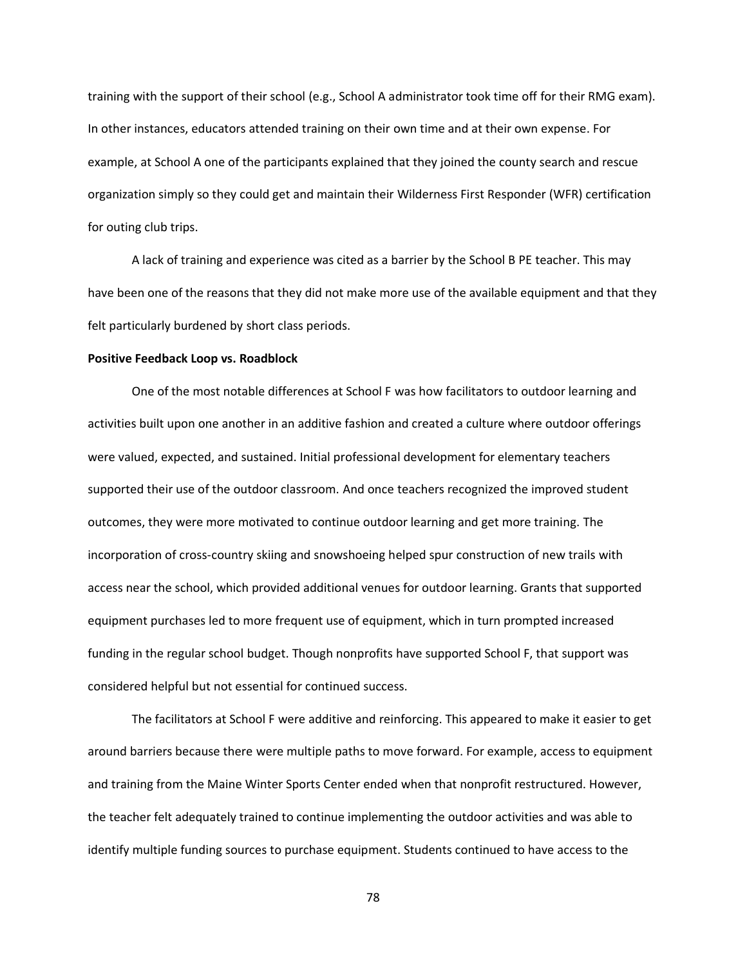training with the support of their school (e.g., School A administrator took time off for their RMG exam). In other instances, educators attended training on their own time and at their own expense. For example, at School A one of the participants explained that they joined the county search and rescue organization simply so they could get and maintain their Wilderness First Responder (WFR) certification for outing club trips.

A lack of training and experience was cited as a barrier by the School B PE teacher. This may have been one of the reasons that they did not make more use of the available equipment and that they felt particularly burdened by short class periods.

## **Positive Feedback Loop vs. Roadblock**

One of the most notable differences at School F was how facilitators to outdoor learning and activities built upon one another in an additive fashion and created a culture where outdoor offerings were valued, expected, and sustained. Initial professional development for elementary teachers supported their use of the outdoor classroom. And once teachers recognized the improved student outcomes, they were more motivated to continue outdoor learning and get more training. The incorporation of cross-country skiing and snowshoeing helped spur construction of new trails with access near the school, which provided additional venues for outdoor learning. Grants that supported equipment purchases led to more frequent use of equipment, which in turn prompted increased funding in the regular school budget. Though nonprofits have supported School F, that support was considered helpful but not essential for continued success.

The facilitators at School F were additive and reinforcing. This appeared to make it easier to get around barriers because there were multiple paths to move forward. For example, access to equipment and training from the Maine Winter Sports Center ended when that nonprofit restructured. However, the teacher felt adequately trained to continue implementing the outdoor activities and was able to identify multiple funding sources to purchase equipment. Students continued to have access to the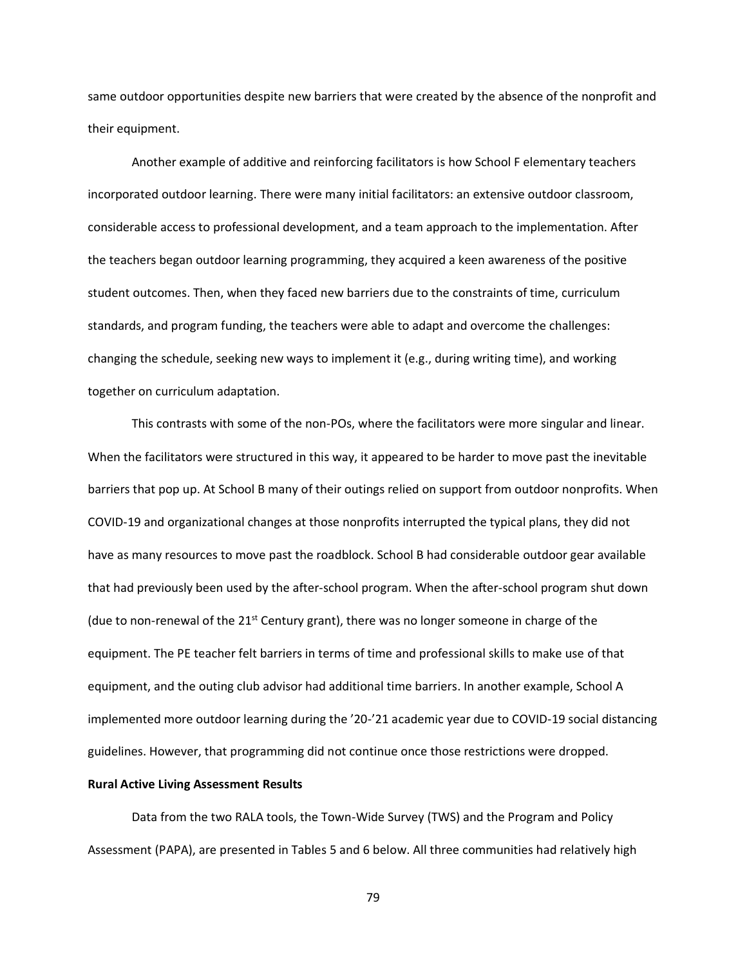same outdoor opportunities despite new barriers that were created by the absence of the nonprofit and their equipment.

Another example of additive and reinforcing facilitators is how School F elementary teachers incorporated outdoor learning. There were many initial facilitators: an extensive outdoor classroom, considerable access to professional development, and a team approach to the implementation. After the teachers began outdoor learning programming, they acquired a keen awareness of the positive student outcomes. Then, when they faced new barriers due to the constraints of time, curriculum standards, and program funding, the teachers were able to adapt and overcome the challenges: changing the schedule, seeking new ways to implement it (e.g., during writing time), and working together on curriculum adaptation.

This contrasts with some of the non-POs, where the facilitators were more singular and linear. When the facilitators were structured in this way, it appeared to be harder to move past the inevitable barriers that pop up. At School B many of their outings relied on support from outdoor nonprofits. When COVID-19 and organizational changes at those nonprofits interrupted the typical plans, they did not have as many resources to move past the roadblock. School B had considerable outdoor gear available that had previously been used by the after-school program. When the after-school program shut down (due to non-renewal of the 21st Century grant), there was no longer someone in charge of the equipment. The PE teacher felt barriers in terms of time and professional skills to make use of that equipment, and the outing club advisor had additional time barriers. In another example, School A implemented more outdoor learning during the '20-'21 academic year due to COVID-19 social distancing guidelines. However, that programming did not continue once those restrictions were dropped.

### **Rural Active Living Assessment Results**

Data from the two RALA tools, the Town-Wide Survey (TWS) and the Program and Policy Assessment (PAPA), are presented in Tables 5 and 6 below. All three communities had relatively high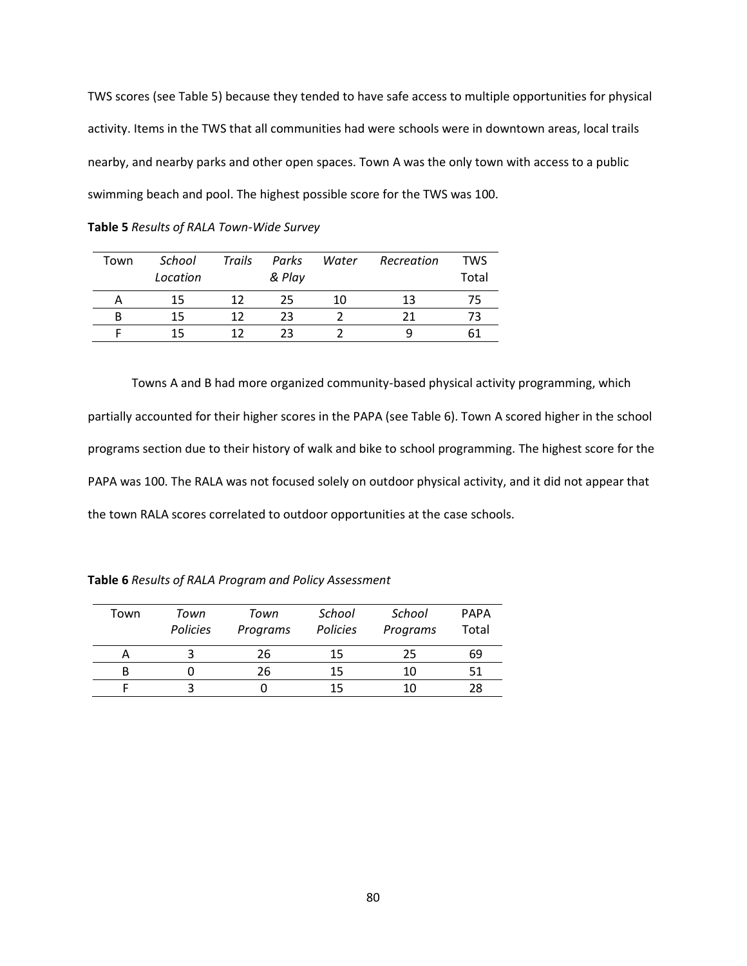TWS scores (see Table 5) because they tended to have safe access to multiple opportunities for physical activity. Items in the TWS that all communities had were schools were in downtown areas, local trails nearby, and nearby parks and other open spaces. Town A was the only town with access to a public swimming beach and pool. The highest possible score for the TWS was 100.

**Table 5** *Results of RALA Town-Wide Survey*

| Town | School<br>Location | Trails | Parks<br>& Play | Water | Recreation | <b>TWS</b><br>Total |
|------|--------------------|--------|-----------------|-------|------------|---------------------|
|      | 15                 | 12     | 25              | 10    | 13         |                     |
|      | 15                 | 12     | 23              |       |            |                     |
|      | 15                 | 12     | つっ              |       |            |                     |

Towns A and B had more organized community-based physical activity programming, which partially accounted for their higher scores in the PAPA (see Table 6). Town A scored higher in the school programs section due to their history of walk and bike to school programming. The highest score for the PAPA was 100. The RALA was not focused solely on outdoor physical activity, and it did not appear that the town RALA scores correlated to outdoor opportunities at the case schools.

| Town | Town<br>Policies | Town<br>Programs | School<br>Policies | School<br>Programs | <b>PAPA</b><br>Total |
|------|------------------|------------------|--------------------|--------------------|----------------------|
| Α    |                  | 26               | 15                 | 25                 | 69                   |
| В    |                  | 26               | 15                 | 10                 |                      |
|      |                  |                  | 15                 |                    |                      |

**Table 6** *Results of RALA Program and Policy Assessment*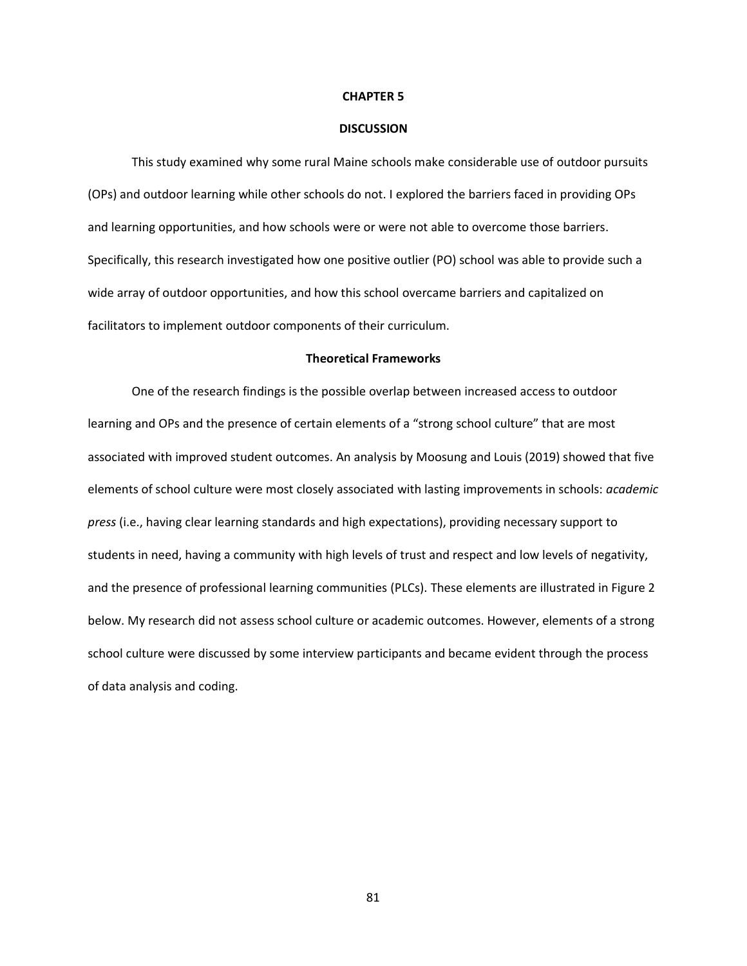#### **CHAPTER 5**

#### **DISCUSSION**

This study examined why some rural Maine schools make considerable use of outdoor pursuits (OPs) and outdoor learning while other schools do not. I explored the barriers faced in providing OPs and learning opportunities, and how schools were or were not able to overcome those barriers. Specifically, this research investigated how one positive outlier (PO) school was able to provide such a wide array of outdoor opportunities, and how this school overcame barriers and capitalized on facilitators to implement outdoor components of their curriculum.

### **Theoretical Frameworks**

One of the research findings is the possible overlap between increased access to outdoor learning and OPs and the presence of certain elements of a "strong school culture" that are most associated with improved student outcomes. An analysis by Moosung and Louis (2019) showed that five elements of school culture were most closely associated with lasting improvements in schools: *academic press* (i.e., having clear learning standards and high expectations), providing necessary support to students in need, having a community with high levels of trust and respect and low levels of negativity, and the presence of professional learning communities (PLCs). These elements are illustrated in Figure 2 below. My research did not assess school culture or academic outcomes. However, elements of a strong school culture were discussed by some interview participants and became evident through the process of data analysis and coding.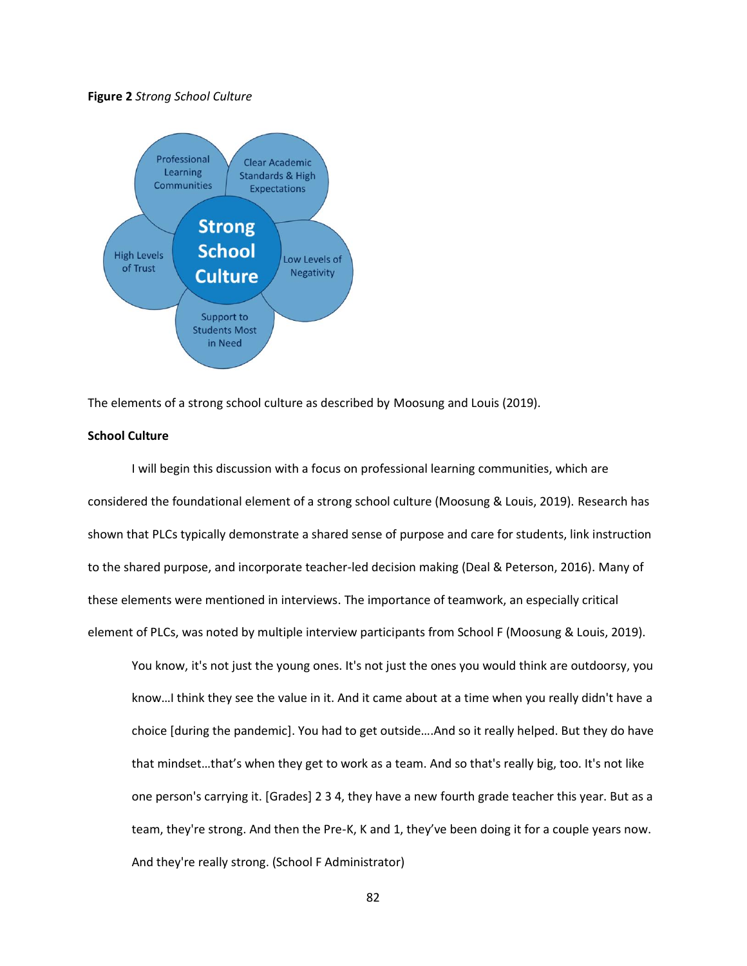### **Figure 2** *Strong School Culture*



The elements of a strong school culture as described by Moosung and Louis (2019).

# **School Culture**

I will begin this discussion with a focus on professional learning communities, which are considered the foundational element of a strong school culture (Moosung & Louis, 2019). Research has shown that PLCs typically demonstrate a shared sense of purpose and care for students, link instruction to the shared purpose, and incorporate teacher-led decision making (Deal & Peterson, 2016). Many of these elements were mentioned in interviews. The importance of teamwork, an especially critical element of PLCs, was noted by multiple interview participants from School F (Moosung & Louis, 2019).

You know, it's not just the young ones. It's not just the ones you would think are outdoorsy, you know…I think they see the value in it. And it came about at a time when you really didn't have a choice [during the pandemic]. You had to get outside….And so it really helped. But they do have that mindset…that's when they get to work as a team. And so that's really big, too. It's not like one person's carrying it. [Grades] 2 3 4, they have a new fourth grade teacher this year. But as a team, they're strong. And then the Pre-K, K and 1, they've been doing it for a couple years now. And they're really strong. (School F Administrator)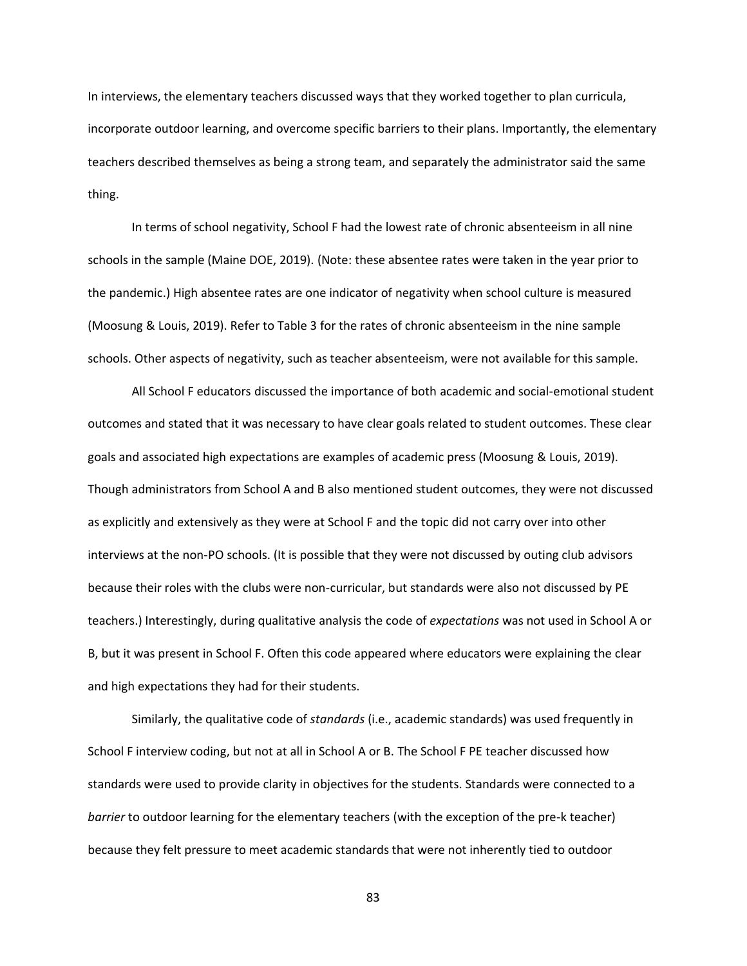In interviews, the elementary teachers discussed ways that they worked together to plan curricula, incorporate outdoor learning, and overcome specific barriers to their plans. Importantly, the elementary teachers described themselves as being a strong team, and separately the administrator said the same thing.

In terms of school negativity, School F had the lowest rate of chronic absenteeism in all nine schools in the sample (Maine DOE, 2019). (Note: these absentee rates were taken in the year prior to the pandemic.) High absentee rates are one indicator of negativity when school culture is measured (Moosung & Louis, 2019). Refer to Table 3 for the rates of chronic absenteeism in the nine sample schools. Other aspects of negativity, such as teacher absenteeism, were not available for this sample.

All School F educators discussed the importance of both academic and social-emotional student outcomes and stated that it was necessary to have clear goals related to student outcomes. These clear goals and associated high expectations are examples of academic press (Moosung & Louis, 2019). Though administrators from School A and B also mentioned student outcomes, they were not discussed as explicitly and extensively as they were at School F and the topic did not carry over into other interviews at the non-PO schools. (It is possible that they were not discussed by outing club advisors because their roles with the clubs were non-curricular, but standards were also not discussed by PE teachers.) Interestingly, during qualitative analysis the code of *expectations* was not used in School A or B, but it was present in School F. Often this code appeared where educators were explaining the clear and high expectations they had for their students.

Similarly, the qualitative code of *standards* (i.e., academic standards) was used frequently in School F interview coding, but not at all in School A or B. The School F PE teacher discussed how standards were used to provide clarity in objectives for the students. Standards were connected to a *barrier* to outdoor learning for the elementary teachers (with the exception of the pre-k teacher) because they felt pressure to meet academic standards that were not inherently tied to outdoor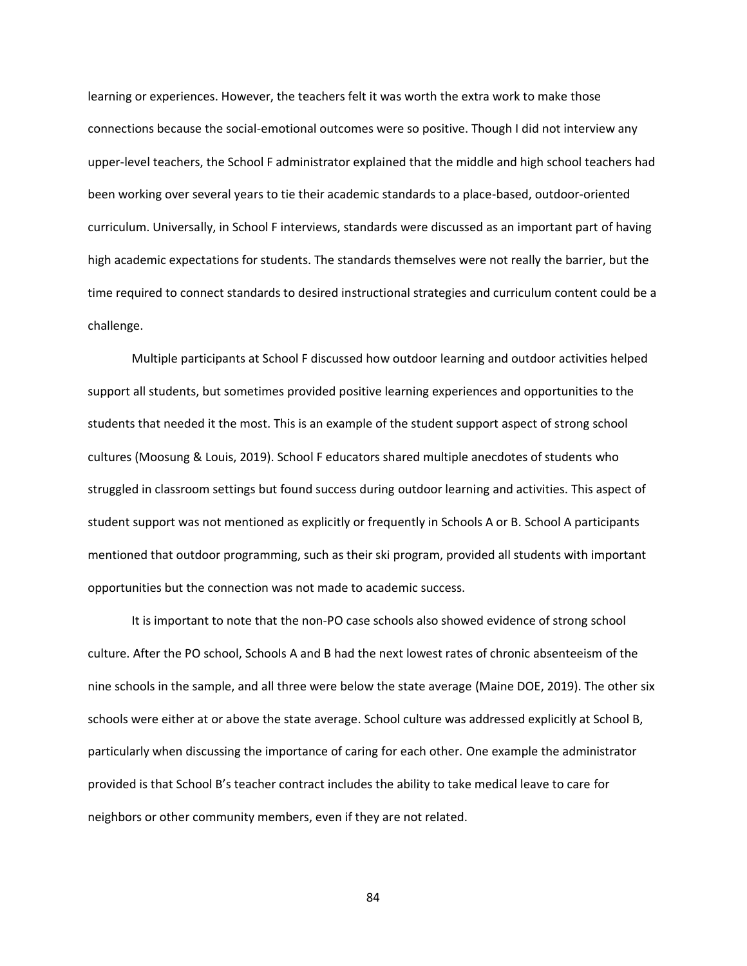learning or experiences. However, the teachers felt it was worth the extra work to make those connections because the social-emotional outcomes were so positive. Though I did not interview any upper-level teachers, the School F administrator explained that the middle and high school teachers had been working over several years to tie their academic standards to a place-based, outdoor-oriented curriculum. Universally, in School F interviews, standards were discussed as an important part of having high academic expectations for students. The standards themselves were not really the barrier, but the time required to connect standards to desired instructional strategies and curriculum content could be a challenge.

Multiple participants at School F discussed how outdoor learning and outdoor activities helped support all students, but sometimes provided positive learning experiences and opportunities to the students that needed it the most. This is an example of the student support aspect of strong school cultures (Moosung & Louis, 2019). School F educators shared multiple anecdotes of students who struggled in classroom settings but found success during outdoor learning and activities. This aspect of student support was not mentioned as explicitly or frequently in Schools A or B. School A participants mentioned that outdoor programming, such as their ski program, provided all students with important opportunities but the connection was not made to academic success.

It is important to note that the non-PO case schools also showed evidence of strong school culture. After the PO school, Schools A and B had the next lowest rates of chronic absenteeism of the nine schools in the sample, and all three were below the state average (Maine DOE, 2019). The other six schools were either at or above the state average. School culture was addressed explicitly at School B, particularly when discussing the importance of caring for each other. One example the administrator provided is that School B's teacher contract includes the ability to take medical leave to care for neighbors or other community members, even if they are not related.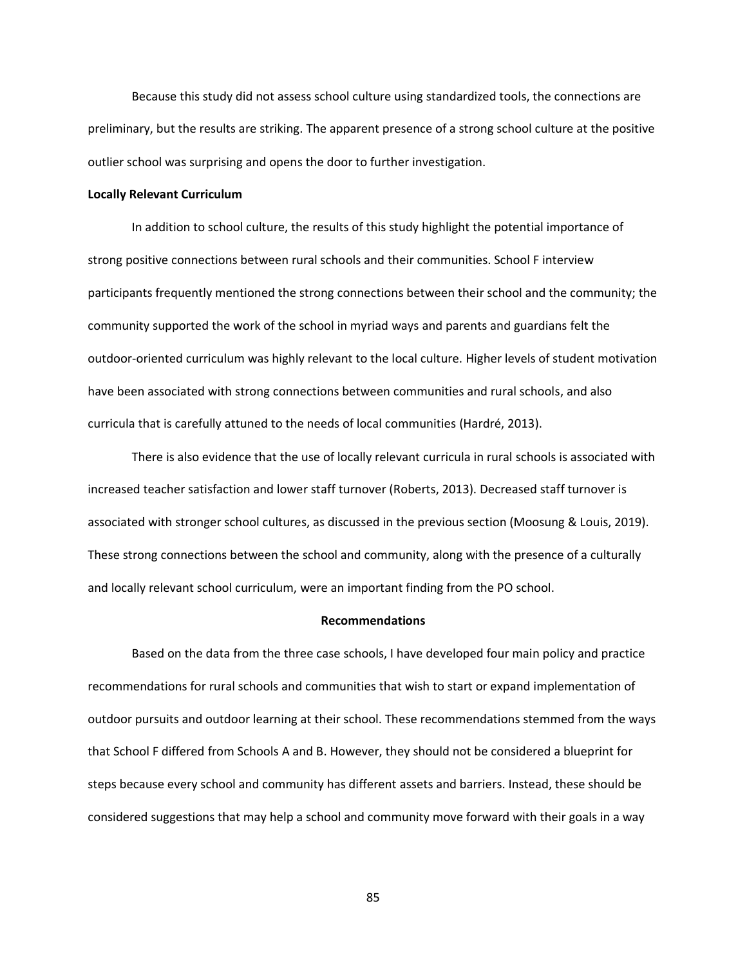Because this study did not assess school culture using standardized tools, the connections are preliminary, but the results are striking. The apparent presence of a strong school culture at the positive outlier school was surprising and opens the door to further investigation.

### **Locally Relevant Curriculum**

In addition to school culture, the results of this study highlight the potential importance of strong positive connections between rural schools and their communities. School F interview participants frequently mentioned the strong connections between their school and the community; the community supported the work of the school in myriad ways and parents and guardians felt the outdoor-oriented curriculum was highly relevant to the local culture. Higher levels of student motivation have been associated with strong connections between communities and rural schools, and also curricula that is carefully attuned to the needs of local communities (Hardré, 2013).

There is also evidence that the use of locally relevant curricula in rural schools is associated with increased teacher satisfaction and lower staff turnover (Roberts, 2013). Decreased staff turnover is associated with stronger school cultures, as discussed in the previous section (Moosung & Louis, 2019). These strong connections between the school and community, along with the presence of a culturally and locally relevant school curriculum, were an important finding from the PO school.

### **Recommendations**

Based on the data from the three case schools, I have developed four main policy and practice recommendations for rural schools and communities that wish to start or expand implementation of outdoor pursuits and outdoor learning at their school. These recommendations stemmed from the ways that School F differed from Schools A and B. However, they should not be considered a blueprint for steps because every school and community has different assets and barriers. Instead, these should be considered suggestions that may help a school and community move forward with their goals in a way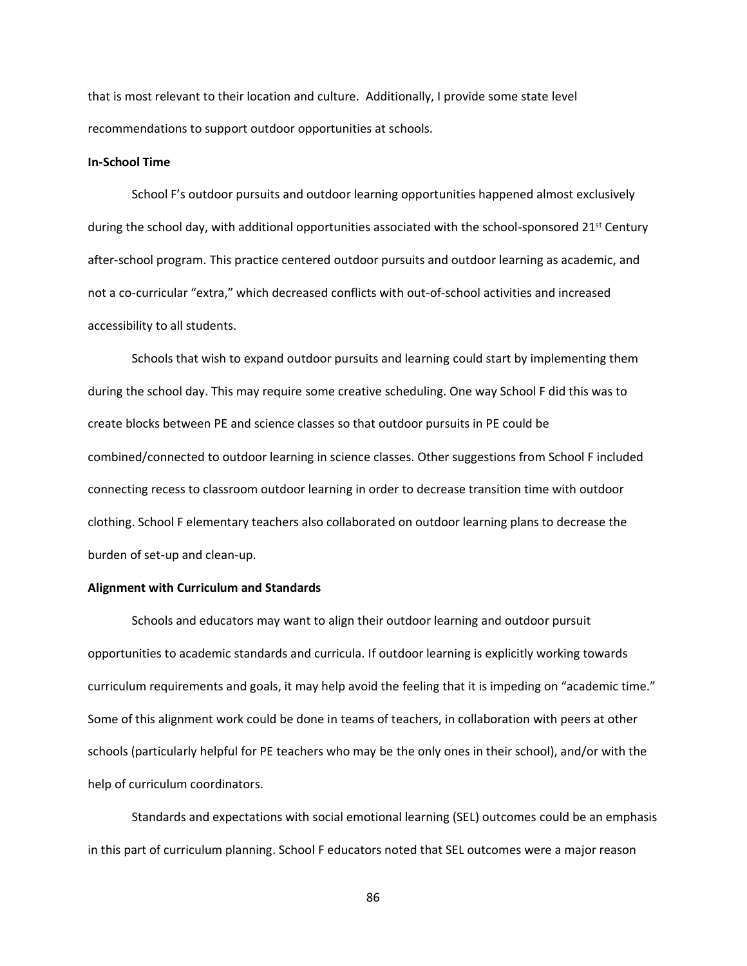that is most relevant to their location and culture. Additionally, I provide some state level recommendations to support outdoor opportunities at schools.

# **In-School Time**

School F's outdoor pursuits and outdoor learning opportunities happened almost exclusively during the school day, with additional opportunities associated with the school-sponsored 21<sup>st</sup> Century after-school program. This practice centered outdoor pursuits and outdoor learning as academic, and not a co-curricular "extra," which decreased conflicts with out-of-school activities and increased accessibility to all students.

Schools that wish to expand outdoor pursuits and learning could start by implementing them during the school day. This may require some creative scheduling. One way School F did this was to create blocks between PE and science classes so that outdoor pursuits in PE could be combined/connected to outdoor learning in science classes. Other suggestions from School F included connecting recess to classroom outdoor learning in order to decrease transition time with outdoor clothing. School F elementary teachers also collaborated on outdoor learning plans to decrease the burden of set-up and clean-up.

## **Alignment with Curriculum and Standards**

Schools and educators may want to align their outdoor learning and outdoor pursuit opportunities to academic standards and curricula. If outdoor learning is explicitly working towards curriculum requirements and goals, it may help avoid the feeling that it is impeding on "academic time." Some of this alignment work could be done in teams of teachers, in collaboration with peers at other schools (particularly helpful for PE teachers who may be the only ones in their school), and/or with the help of curriculum coordinators.

Standards and expectations with social emotional learning (SEL) outcomes could be an emphasis in this part of curriculum planning. School F educators noted that SEL outcomes were a major reason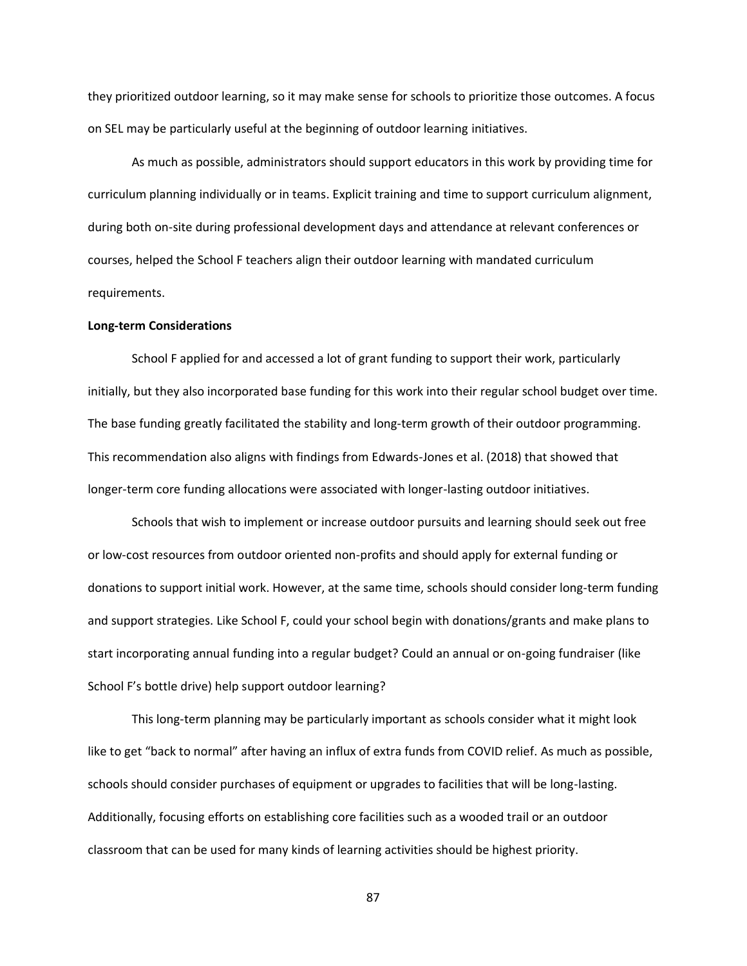they prioritized outdoor learning, so it may make sense for schools to prioritize those outcomes. A focus on SEL may be particularly useful at the beginning of outdoor learning initiatives.

As much as possible, administrators should support educators in this work by providing time for curriculum planning individually or in teams. Explicit training and time to support curriculum alignment, during both on-site during professional development days and attendance at relevant conferences or courses, helped the School F teachers align their outdoor learning with mandated curriculum requirements.

### **Long-term Considerations**

School F applied for and accessed a lot of grant funding to support their work, particularly initially, but they also incorporated base funding for this work into their regular school budget over time. The base funding greatly facilitated the stability and long-term growth of their outdoor programming. This recommendation also aligns with findings from Edwards-Jones et al. (2018) that showed that longer-term core funding allocations were associated with longer-lasting outdoor initiatives.

Schools that wish to implement or increase outdoor pursuits and learning should seek out free or low-cost resources from outdoor oriented non-profits and should apply for external funding or donations to support initial work. However, at the same time, schools should consider long-term funding and support strategies. Like School F, could your school begin with donations/grants and make plans to start incorporating annual funding into a regular budget? Could an annual or on-going fundraiser (like School F's bottle drive) help support outdoor learning?

This long-term planning may be particularly important as schools consider what it might look like to get "back to normal" after having an influx of extra funds from COVID relief. As much as possible, schools should consider purchases of equipment or upgrades to facilities that will be long-lasting. Additionally, focusing efforts on establishing core facilities such as a wooded trail or an outdoor classroom that can be used for many kinds of learning activities should be highest priority.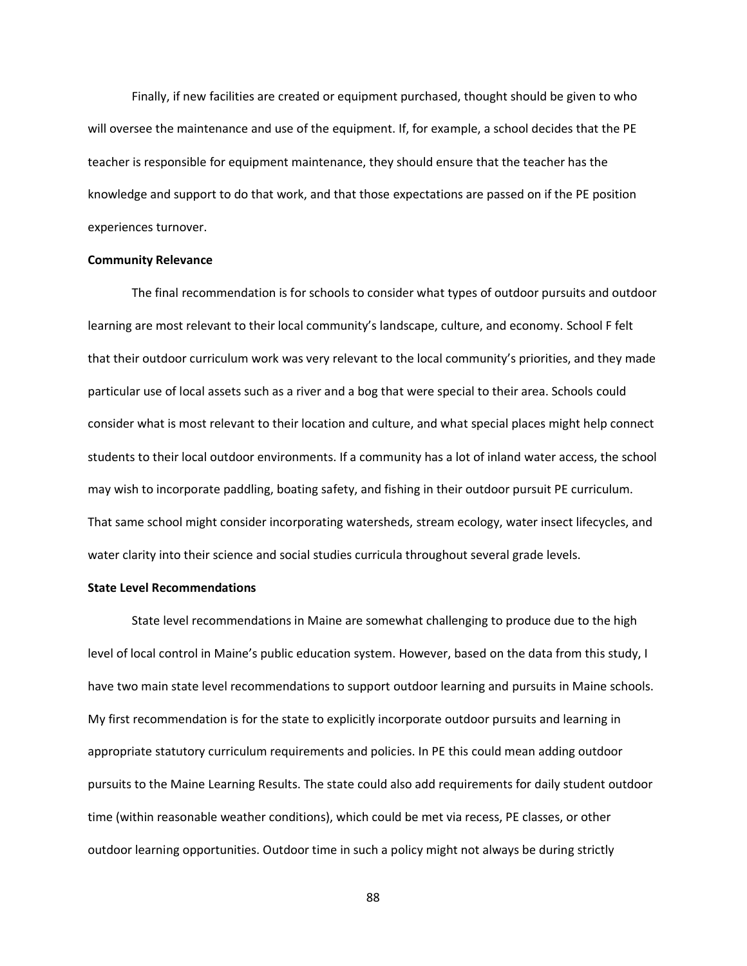Finally, if new facilities are created or equipment purchased, thought should be given to who will oversee the maintenance and use of the equipment. If, for example, a school decides that the PE teacher is responsible for equipment maintenance, they should ensure that the teacher has the knowledge and support to do that work, and that those expectations are passed on if the PE position experiences turnover.

## **Community Relevance**

The final recommendation is for schools to consider what types of outdoor pursuits and outdoor learning are most relevant to their local community's landscape, culture, and economy. School F felt that their outdoor curriculum work was very relevant to the local community's priorities, and they made particular use of local assets such as a river and a bog that were special to their area. Schools could consider what is most relevant to their location and culture, and what special places might help connect students to their local outdoor environments. If a community has a lot of inland water access, the school may wish to incorporate paddling, boating safety, and fishing in their outdoor pursuit PE curriculum. That same school might consider incorporating watersheds, stream ecology, water insect lifecycles, and water clarity into their science and social studies curricula throughout several grade levels.

## **State Level Recommendations**

State level recommendations in Maine are somewhat challenging to produce due to the high level of local control in Maine's public education system. However, based on the data from this study, I have two main state level recommendations to support outdoor learning and pursuits in Maine schools. My first recommendation is for the state to explicitly incorporate outdoor pursuits and learning in appropriate statutory curriculum requirements and policies. In PE this could mean adding outdoor pursuits to the Maine Learning Results. The state could also add requirements for daily student outdoor time (within reasonable weather conditions), which could be met via recess, PE classes, or other outdoor learning opportunities. Outdoor time in such a policy might not always be during strictly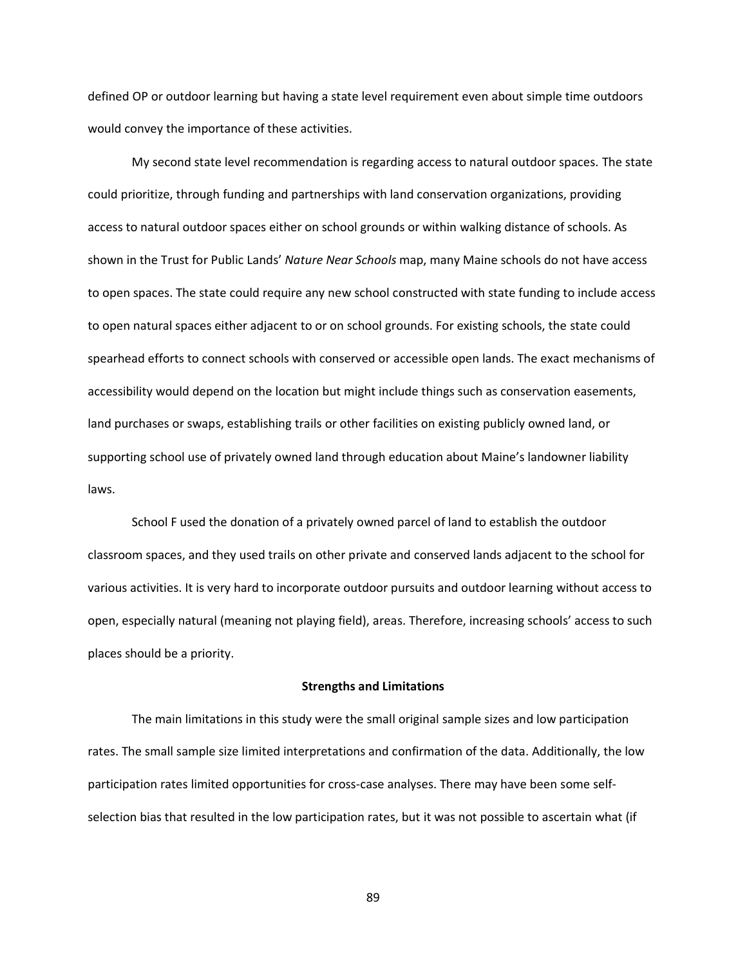defined OP or outdoor learning but having a state level requirement even about simple time outdoors would convey the importance of these activities.

My second state level recommendation is regarding access to natural outdoor spaces. The state could prioritize, through funding and partnerships with land conservation organizations, providing access to natural outdoor spaces either on school grounds or within walking distance of schools. As shown in the Trust for Public Lands' *Nature Near Schools* map, many Maine schools do not have access to open spaces. The state could require any new school constructed with state funding to include access to open natural spaces either adjacent to or on school grounds. For existing schools, the state could spearhead efforts to connect schools with conserved or accessible open lands. The exact mechanisms of accessibility would depend on the location but might include things such as conservation easements, land purchases or swaps, establishing trails or other facilities on existing publicly owned land, or supporting school use of privately owned land through education about Maine's landowner liability laws.

School F used the donation of a privately owned parcel of land to establish the outdoor classroom spaces, and they used trails on other private and conserved lands adjacent to the school for various activities. It is very hard to incorporate outdoor pursuits and outdoor learning without access to open, especially natural (meaning not playing field), areas. Therefore, increasing schools' access to such places should be a priority.

#### **Strengths and Limitations**

The main limitations in this study were the small original sample sizes and low participation rates. The small sample size limited interpretations and confirmation of the data. Additionally, the low participation rates limited opportunities for cross-case analyses. There may have been some selfselection bias that resulted in the low participation rates, but it was not possible to ascertain what (if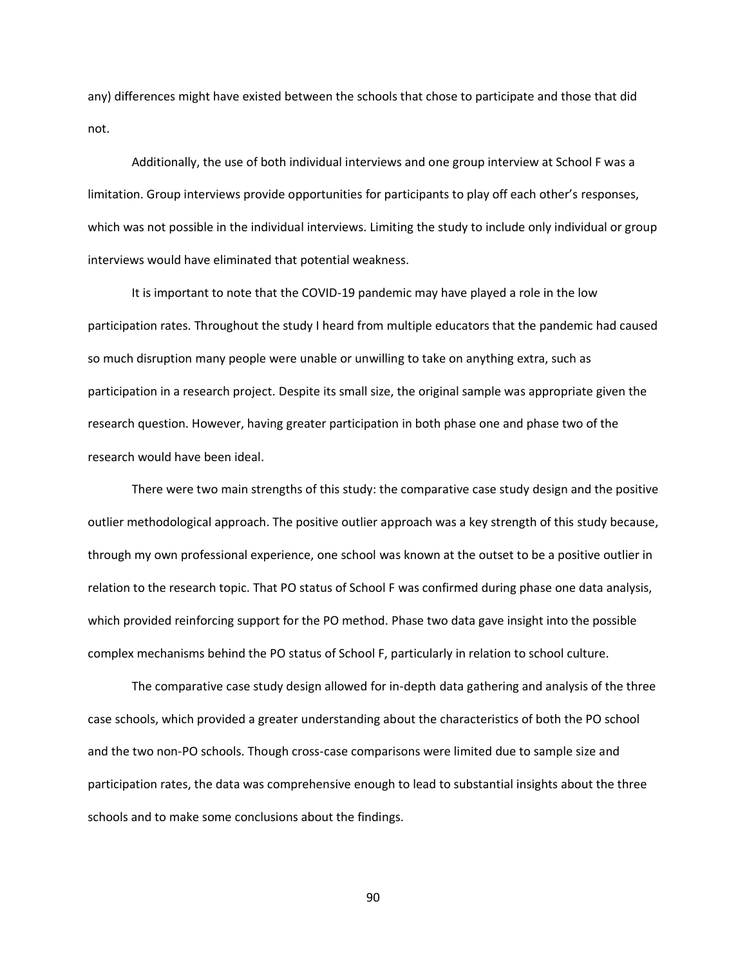any) differences might have existed between the schools that chose to participate and those that did not.

Additionally, the use of both individual interviews and one group interview at School F was a limitation. Group interviews provide opportunities for participants to play off each other's responses, which was not possible in the individual interviews. Limiting the study to include only individual or group interviews would have eliminated that potential weakness.

It is important to note that the COVID-19 pandemic may have played a role in the low participation rates. Throughout the study I heard from multiple educators that the pandemic had caused so much disruption many people were unable or unwilling to take on anything extra, such as participation in a research project. Despite its small size, the original sample was appropriate given the research question. However, having greater participation in both phase one and phase two of the research would have been ideal.

There were two main strengths of this study: the comparative case study design and the positive outlier methodological approach. The positive outlier approach was a key strength of this study because, through my own professional experience, one school was known at the outset to be a positive outlier in relation to the research topic. That PO status of School F was confirmed during phase one data analysis, which provided reinforcing support for the PO method. Phase two data gave insight into the possible complex mechanisms behind the PO status of School F, particularly in relation to school culture.

The comparative case study design allowed for in-depth data gathering and analysis of the three case schools, which provided a greater understanding about the characteristics of both the PO school and the two non-PO schools. Though cross-case comparisons were limited due to sample size and participation rates, the data was comprehensive enough to lead to substantial insights about the three schools and to make some conclusions about the findings.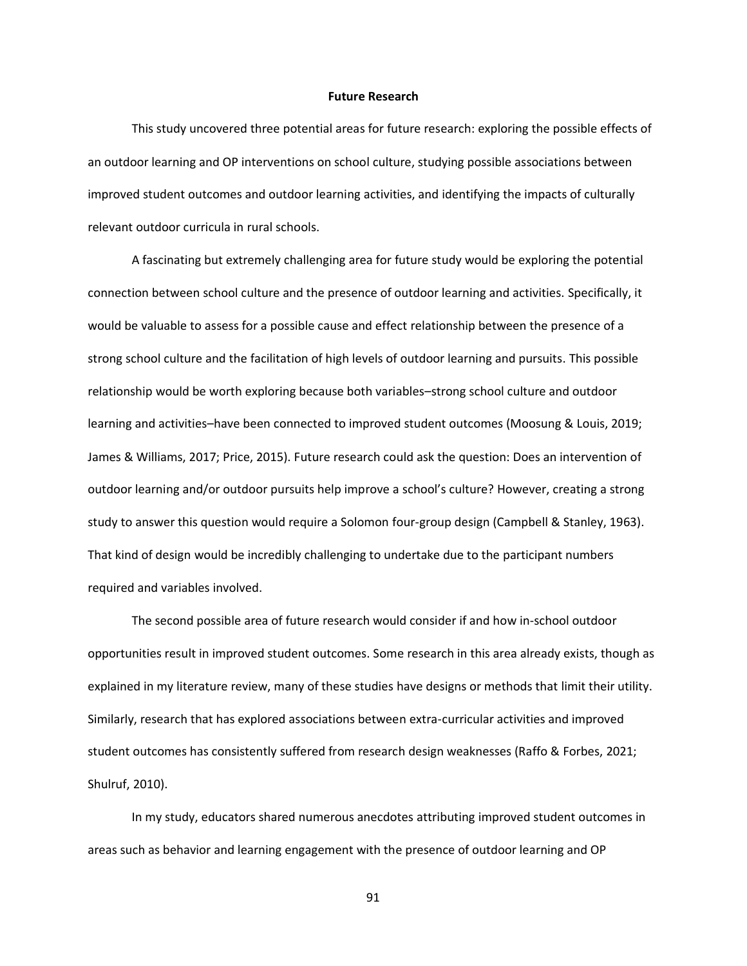### **Future Research**

This study uncovered three potential areas for future research: exploring the possible effects of an outdoor learning and OP interventions on school culture, studying possible associations between improved student outcomes and outdoor learning activities, and identifying the impacts of culturally relevant outdoor curricula in rural schools.

A fascinating but extremely challenging area for future study would be exploring the potential connection between school culture and the presence of outdoor learning and activities. Specifically, it would be valuable to assess for a possible cause and effect relationship between the presence of a strong school culture and the facilitation of high levels of outdoor learning and pursuits. This possible relationship would be worth exploring because both variables–strong school culture and outdoor learning and activities–have been connected to improved student outcomes (Moosung & Louis, 2019; James & Williams, 2017; Price, 2015). Future research could ask the question: Does an intervention of outdoor learning and/or outdoor pursuits help improve a school's culture? However, creating a strong study to answer this question would require a Solomon four-group design (Campbell & Stanley, 1963). That kind of design would be incredibly challenging to undertake due to the participant numbers required and variables involved.

The second possible area of future research would consider if and how in-school outdoor opportunities result in improved student outcomes. Some research in this area already exists, though as explained in my literature review, many of these studies have designs or methods that limit their utility. Similarly, research that has explored associations between extra-curricular activities and improved student outcomes has consistently suffered from research design weaknesses (Raffo & Forbes, 2021; Shulruf, 2010).

In my study, educators shared numerous anecdotes attributing improved student outcomes in areas such as behavior and learning engagement with the presence of outdoor learning and OP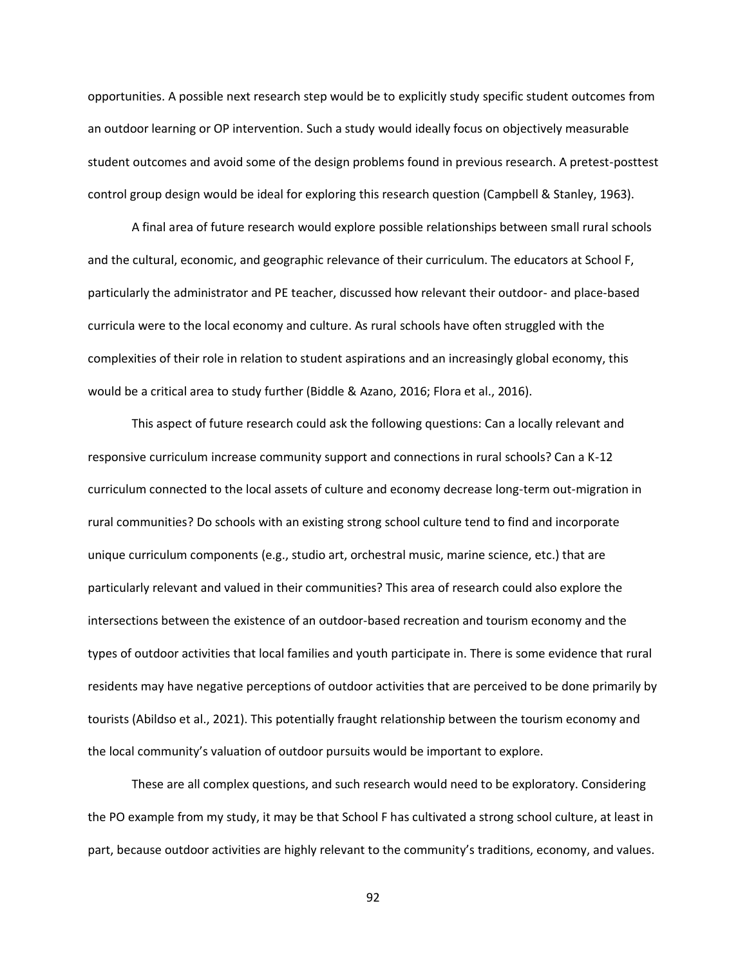opportunities. A possible next research step would be to explicitly study specific student outcomes from an outdoor learning or OP intervention. Such a study would ideally focus on objectively measurable student outcomes and avoid some of the design problems found in previous research. A pretest-posttest control group design would be ideal for exploring this research question (Campbell & Stanley, 1963).

A final area of future research would explore possible relationships between small rural schools and the cultural, economic, and geographic relevance of their curriculum. The educators at School F, particularly the administrator and PE teacher, discussed how relevant their outdoor- and place-based curricula were to the local economy and culture. As rural schools have often struggled with the complexities of their role in relation to student aspirations and an increasingly global economy, this would be a critical area to study further (Biddle & Azano, 2016; Flora et al., 2016).

This aspect of future research could ask the following questions: Can a locally relevant and responsive curriculum increase community support and connections in rural schools? Can a K-12 curriculum connected to the local assets of culture and economy decrease long-term out-migration in rural communities? Do schools with an existing strong school culture tend to find and incorporate unique curriculum components (e.g., studio art, orchestral music, marine science, etc.) that are particularly relevant and valued in their communities? This area of research could also explore the intersections between the existence of an outdoor-based recreation and tourism economy and the types of outdoor activities that local families and youth participate in. There is some evidence that rural residents may have negative perceptions of outdoor activities that are perceived to be done primarily by tourists (Abildso et al., 2021). This potentially fraught relationship between the tourism economy and the local community's valuation of outdoor pursuits would be important to explore.

These are all complex questions, and such research would need to be exploratory. Considering the PO example from my study, it may be that School F has cultivated a strong school culture, at least in part, because outdoor activities are highly relevant to the community's traditions, economy, and values.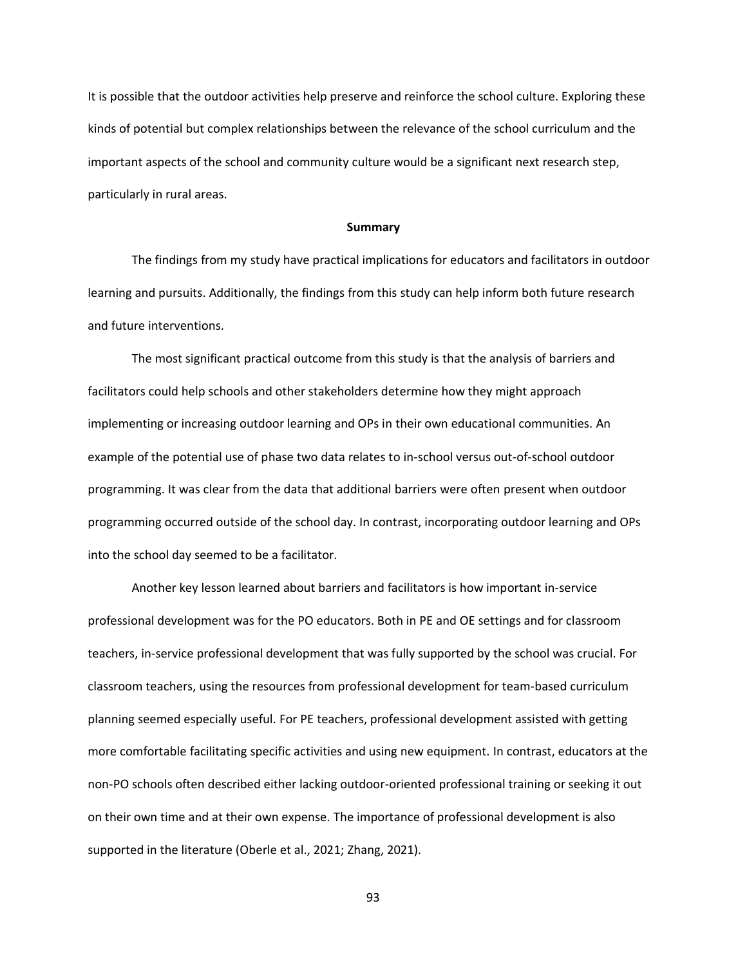It is possible that the outdoor activities help preserve and reinforce the school culture. Exploring these kinds of potential but complex relationships between the relevance of the school curriculum and the important aspects of the school and community culture would be a significant next research step, particularly in rural areas.

#### **Summary**

The findings from my study have practical implications for educators and facilitators in outdoor learning and pursuits. Additionally, the findings from this study can help inform both future research and future interventions.

The most significant practical outcome from this study is that the analysis of barriers and facilitators could help schools and other stakeholders determine how they might approach implementing or increasing outdoor learning and OPs in their own educational communities. An example of the potential use of phase two data relates to in-school versus out-of-school outdoor programming. It was clear from the data that additional barriers were often present when outdoor programming occurred outside of the school day. In contrast, incorporating outdoor learning and OPs into the school day seemed to be a facilitator.

Another key lesson learned about barriers and facilitators is how important in-service professional development was for the PO educators. Both in PE and OE settings and for classroom teachers, in-service professional development that was fully supported by the school was crucial. For classroom teachers, using the resources from professional development for team-based curriculum planning seemed especially useful. For PE teachers, professional development assisted with getting more comfortable facilitating specific activities and using new equipment. In contrast, educators at the non-PO schools often described either lacking outdoor-oriented professional training or seeking it out on their own time and at their own expense. The importance of professional development is also supported in the literature (Oberle et al., 2021; Zhang, 2021).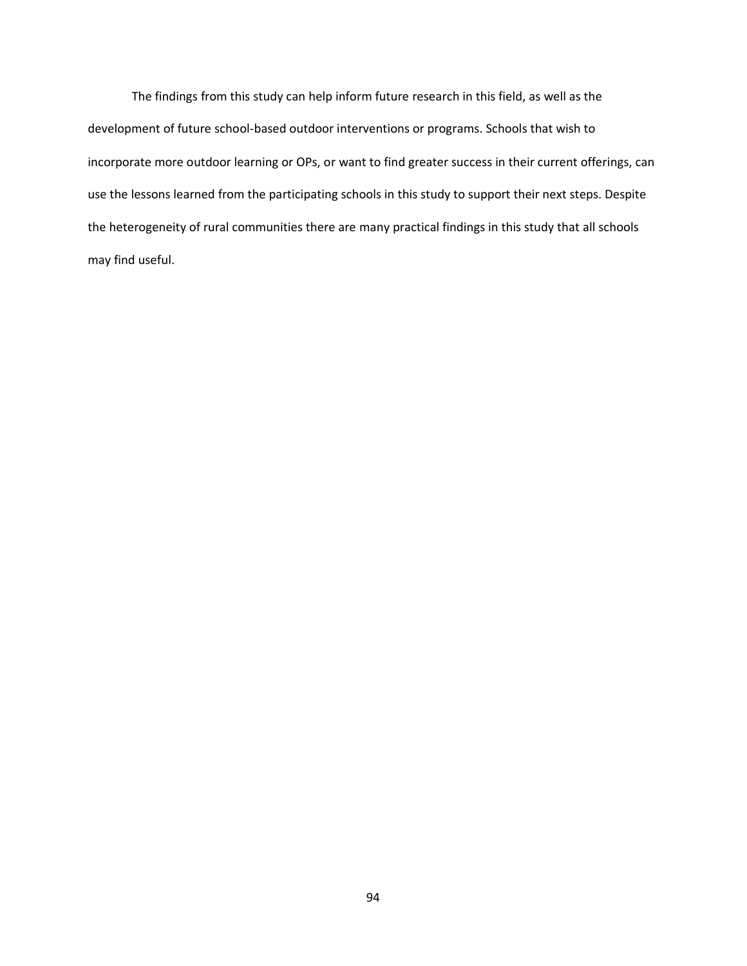The findings from this study can help inform future research in this field, as well as the development of future school-based outdoor interventions or programs. Schools that wish to incorporate more outdoor learning or OPs, or want to find greater success in their current offerings, can use the lessons learned from the participating schools in this study to support their next steps. Despite the heterogeneity of rural communities there are many practical findings in this study that all schools may find useful.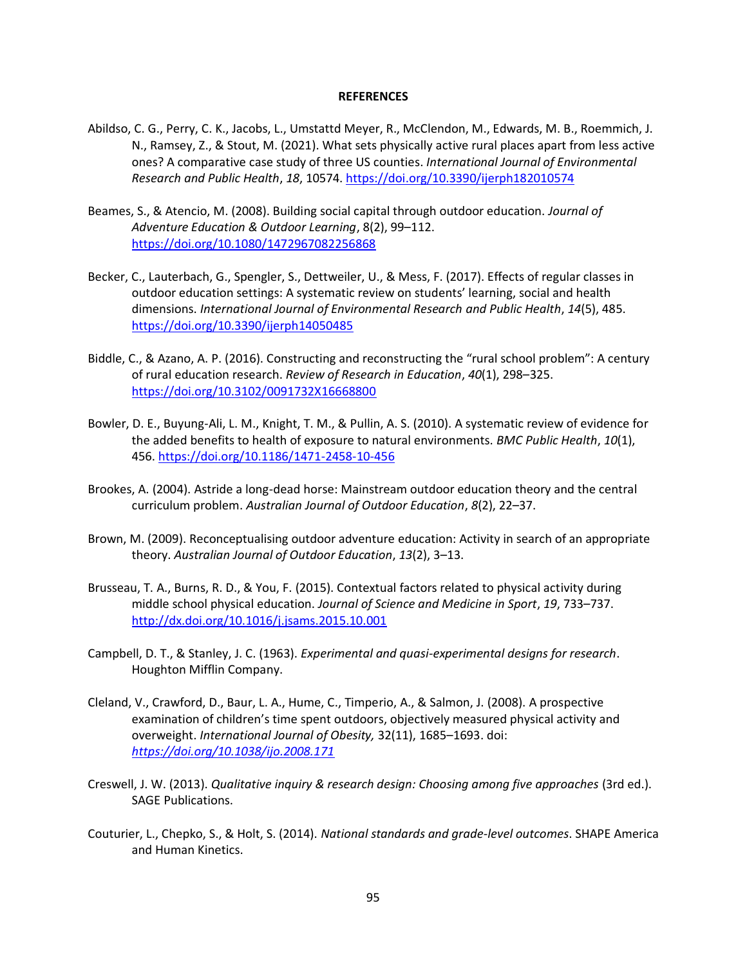#### **REFERENCES**

- Abildso, C. G., Perry, C. K., Jacobs, L., Umstattd Meyer, R., McClendon, M., Edwards, M. B., Roemmich, J. N., Ramsey, Z., & Stout, M. (2021). What sets physically active rural places apart from less active ones? A comparative case study of three US counties. *International Journal of Environmental Research and Public Health*, *18*, 10574.<https://doi.org/10.3390/ijerph182010574>
- Beames, S., & Atencio, M. (2008). Building social capital through outdoor education. *Journal of Adventure Education & Outdoor Learning*, 8(2), 99–112. <https://doi.org/10.1080/1472967082256868>
- Becker, C., Lauterbach, G., Spengler, S., Dettweiler, U., & Mess, F. (2017). Effects of regular classes in outdoor education settings: A systematic review on students' learning, social and health dimensions. *International Journal of Environmental Research and Public Health*, *14*(5), 485. <https://doi.org/10.3390/ijerph14050485>
- Biddle, C., & Azano, A. P. (2016). Constructing and reconstructing the "rural school problem": A century of rural education research. *Review of Research in Education*, *40*(1), 298–325. <https://doi.org/10.3102/0091732X16668800>
- Bowler, D. E., Buyung-Ali, L. M., Knight, T. M., & Pullin, A. S. (2010). A systematic review of evidence for the added benefits to health of exposure to natural environments. *BMC Public Health*, *10*(1), 456.<https://doi.org/10.1186/1471-2458-10-456>
- Brookes, A. (2004). Astride a long-dead horse: Mainstream outdoor education theory and the central curriculum problem. *Australian Journal of Outdoor Education*, *8*(2), 22–37.
- Brown, M. (2009). Reconceptualising outdoor adventure education: Activity in search of an appropriate theory. *Australian Journal of Outdoor Education*, *13*(2), 3–13.
- Brusseau, T. A., Burns, R. D., & You, F. (2015). Contextual factors related to physical activity during middle school physical education. *Journal of Science and Medicine in Sport*, *19*, 733–737. <http://dx.doi.org/10.1016/j.jsams.2015.10.001>
- Campbell, D. T., & Stanley, J. C. (1963). *Experimental and quasi-experimental designs for research*. Houghton Mifflin Company.
- Cleland, V., Crawford, D., Baur, L. A., Hume, C., Timperio, A., & Salmon, J. (2008). A prospective examination of children's time spent outdoors, objectively measured physical activity and overweight. *International Journal of Obesity,* 32(11), 1685–1693. doi: *<https://doi.org/10.1038/ijo.2008.171>*
- Creswell, J. W. (2013). *Qualitative inquiry & research design: Choosing among five approaches* (3rd ed.). SAGE Publications.
- Couturier, L., Chepko, S., & Holt, S. (2014). *National standards and grade-level outcomes*. SHAPE America and Human Kinetics.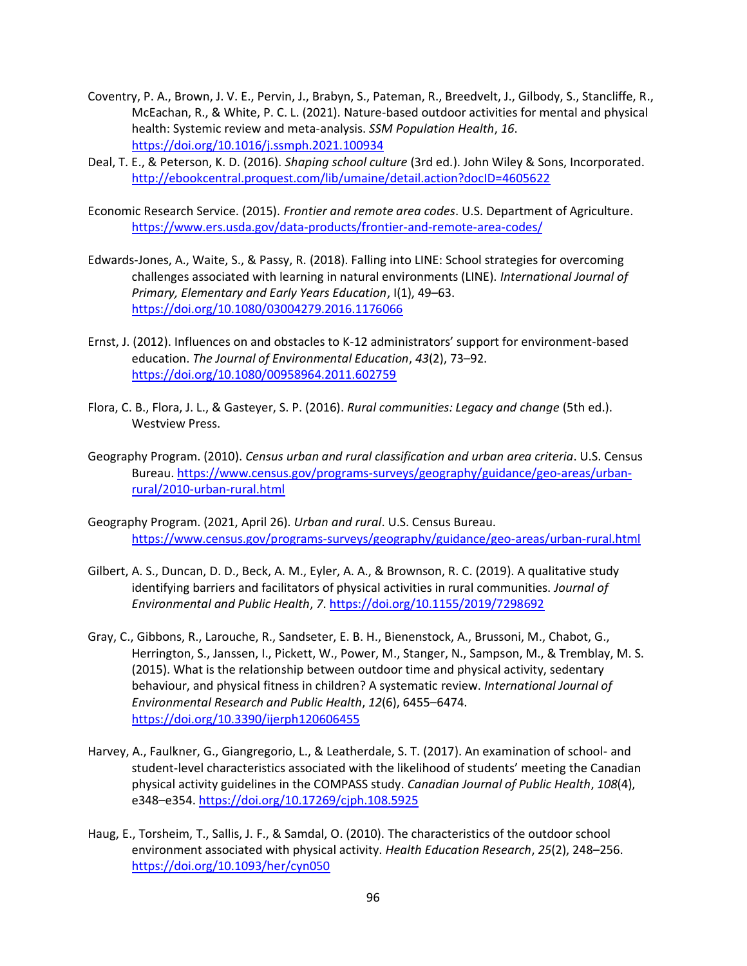- Coventry, P. A., Brown, J. V. E., Pervin, J., Brabyn, S., Pateman, R., Breedvelt, J., Gilbody, S., Stancliffe, R., McEachan, R., & White, P. C. L. (2021). Nature-based outdoor activities for mental and physical health: Systemic review and meta-analysis. *SSM Population Health*, *16*. <https://doi.org/10.1016/j.ssmph.2021.100934>
- Deal, T. E., & Peterson, K. D. (2016). *Shaping school culture* (3rd ed.). John Wiley & Sons, Incorporated. <http://ebookcentral.proquest.com/lib/umaine/detail.action?docID=4605622>
- Economic Research Service. (2015). *Frontier and remote area codes*. U.S. Department of Agriculture. <https://www.ers.usda.gov/data-products/frontier-and-remote-area-codes/>
- Edwards-Jones, A., Waite, S., & Passy, R. (2018). Falling into LINE: School strategies for overcoming challenges associated with learning in natural environments (LINE). *International Journal of Primary, Elementary and Early Years Education*, I(1), 49–63. <https://doi.org/10.1080/03004279.2016.1176066>
- Ernst, J. (2012). Influences on and obstacles to K-12 administrators' support for environment-based education. *The Journal of Environmental Education*, *43*(2), 73–92. <https://doi.org/10.1080/00958964.2011.602759>
- Flora, C. B., Flora, J. L., & Gasteyer, S. P. (2016). *Rural communities: Legacy and change* (5th ed.). Westview Press.
- Geography Program. (2010). *Census urban and rural classification and urban area criteria*. U.S. Census Bureau. [https://www.census.gov/programs-surveys/geography/guidance/geo-areas/urban](https://www.census.gov/programs-surveys/geography/guidance/geo-areas/urban-rural/2010-urban-rural.html)[rural/2010-urban-rural.html](https://www.census.gov/programs-surveys/geography/guidance/geo-areas/urban-rural/2010-urban-rural.html)
- Geography Program. (2021, April 26). *Urban and rural*. U.S. Census Bureau. <https://www.census.gov/programs-surveys/geography/guidance/geo-areas/urban-rural.html>
- Gilbert, A. S., Duncan, D. D., Beck, A. M., Eyler, A. A., & Brownson, R. C. (2019). A qualitative study identifying barriers and facilitators of physical activities in rural communities. *Journal of Environmental and Public Health*, *7*.<https://doi.org/10.1155/2019/7298692>
- Gray, C., Gibbons, R., Larouche, R., Sandseter, E. B. H., Bienenstock, A., Brussoni, M., Chabot, G., Herrington, S., Janssen, I., Pickett, W., Power, M., Stanger, N., Sampson, M., & Tremblay, M. S. (2015). What is the relationship between outdoor time and physical activity, sedentary behaviour, and physical fitness in children? A systematic review. *International Journal of Environmental Research and Public Health*, *12*(6), 6455–6474. <https://doi.org/10.3390/ijerph120606455>
- Harvey, A., Faulkner, G., Giangregorio, L., & Leatherdale, S. T. (2017). An examination of school- and student-level characteristics associated with the likelihood of students' meeting the Canadian physical activity guidelines in the COMPASS study. *Canadian Journal of Public Health*, *108*(4), e348–e354.<https://doi.org/10.17269/cjph.108.5925>
- Haug, E., Torsheim, T., Sallis, J. F., & Samdal, O. (2010). The characteristics of the outdoor school environment associated with physical activity. *Health Education Research*, *25*(2), 248–256. <https://doi.org/10.1093/her/cyn050>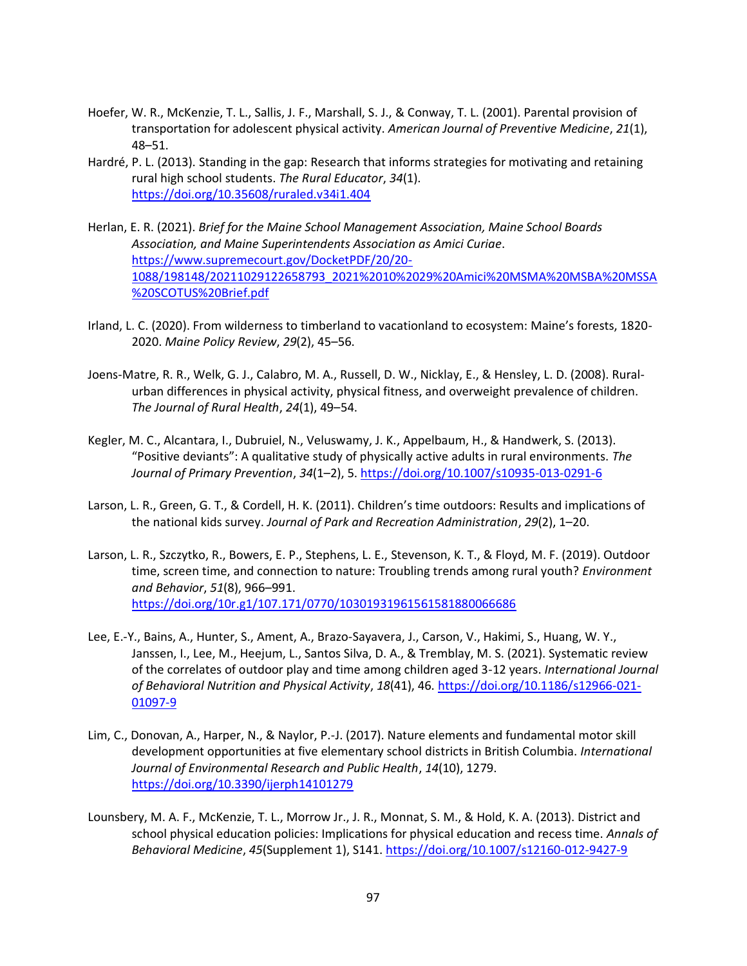- Hoefer, W. R., McKenzie, T. L., Sallis, J. F., Marshall, S. J., & Conway, T. L. (2001). Parental provision of transportation for adolescent physical activity. *American Journal of Preventive Medicine*, *21*(1), 48–51.
- Hardré, P. L. (2013). Standing in the gap: Research that informs strategies for motivating and retaining rural high school students. *The Rural Educator*, *34*(1). <https://doi.org/10.35608/ruraled.v34i1.404>
- Herlan, E. R. (2021). *Brief for the Maine School Management Association, Maine School Boards Association, and Maine Superintendents Association as Amici Curiae*. [https://www.supremecourt.gov/DocketPDF/20/20-](https://www.supremecourt.gov/DocketPDF/20/20-1088/198148/20211029122658793_2021%2010%2029%20Amici%20MSMA%20MSBA%20MSSA%20SCOTUS%20Brief.pdf) [1088/198148/20211029122658793\\_2021%2010%2029%20Amici%20MSMA%20MSBA%20MSSA](https://www.supremecourt.gov/DocketPDF/20/20-1088/198148/20211029122658793_2021%2010%2029%20Amici%20MSMA%20MSBA%20MSSA%20SCOTUS%20Brief.pdf) [%20SCOTUS%20Brief.pdf](https://www.supremecourt.gov/DocketPDF/20/20-1088/198148/20211029122658793_2021%2010%2029%20Amici%20MSMA%20MSBA%20MSSA%20SCOTUS%20Brief.pdf)
- Irland, L. C. (2020). From wilderness to timberland to vacationland to ecosystem: Maine's forests, 1820- 2020. *Maine Policy Review*, *29*(2), 45–56.
- Joens-Matre, R. R., Welk, G. J., Calabro, M. A., Russell, D. W., Nicklay, E., & Hensley, L. D. (2008). Ruralurban differences in physical activity, physical fitness, and overweight prevalence of children. *The Journal of Rural Health*, *24*(1), 49–54.
- Kegler, M. C., Alcantara, I., Dubruiel, N., Veluswamy, J. K., Appelbaum, H., & Handwerk, S. (2013). "Positive deviants": A qualitative study of physically active adults in rural environments. *The Journal of Primary Prevention*, *34*(1–2), 5[. https://doi.org/10.1007/s10935-013-0291-6](https://doi.org/10.1007/s10935-013-0291-6)
- Larson, L. R., Green, G. T., & Cordell, H. K. (2011). Children's time outdoors: Results and implications of the national kids survey. *Journal of Park and Recreation Administration*, *29*(2), 1–20.
- Larson, L. R., Szczytko, R., Bowers, E. P., Stephens, L. E., Stevenson, K. T., & Floyd, M. F. (2019). Outdoor time, screen time, and connection to nature: Troubling trends among rural youth? *Environment and Behavior*, *51*(8), 966–991. <https://doi.org/10r.g1/107.171/0770/10301931961561581880066686>
- Lee, E.-Y., Bains, A., Hunter, S., Ament, A., Brazo-Sayavera, J., Carson, V., Hakimi, S., Huang, W. Y., Janssen, I., Lee, M., Heejum, L., Santos Silva, D. A., & Tremblay, M. S. (2021). Systematic review of the correlates of outdoor play and time among children aged 3-12 years. *International Journal of Behavioral Nutrition and Physical Activity*, *18*(41), 46. [https://doi.org/10.1186/s12966-021-](https://doi.org/10.1186/s12966-021-01097-9) [01097-9](https://doi.org/10.1186/s12966-021-01097-9)
- Lim, C., Donovan, A., Harper, N., & Naylor, P.-J. (2017). Nature elements and fundamental motor skill development opportunities at five elementary school districts in British Columbia. *International Journal of Environmental Research and Public Health*, *14*(10), 1279. <https://doi.org/10.3390/ijerph14101279>
- Lounsbery, M. A. F., McKenzie, T. L., Morrow Jr., J. R., Monnat, S. M., & Hold, K. A. (2013). District and school physical education policies: Implications for physical education and recess time. *Annals of Behavioral Medicine*, *45*(Supplement 1), S141.<https://doi.org/10.1007/s12160-012-9427-9>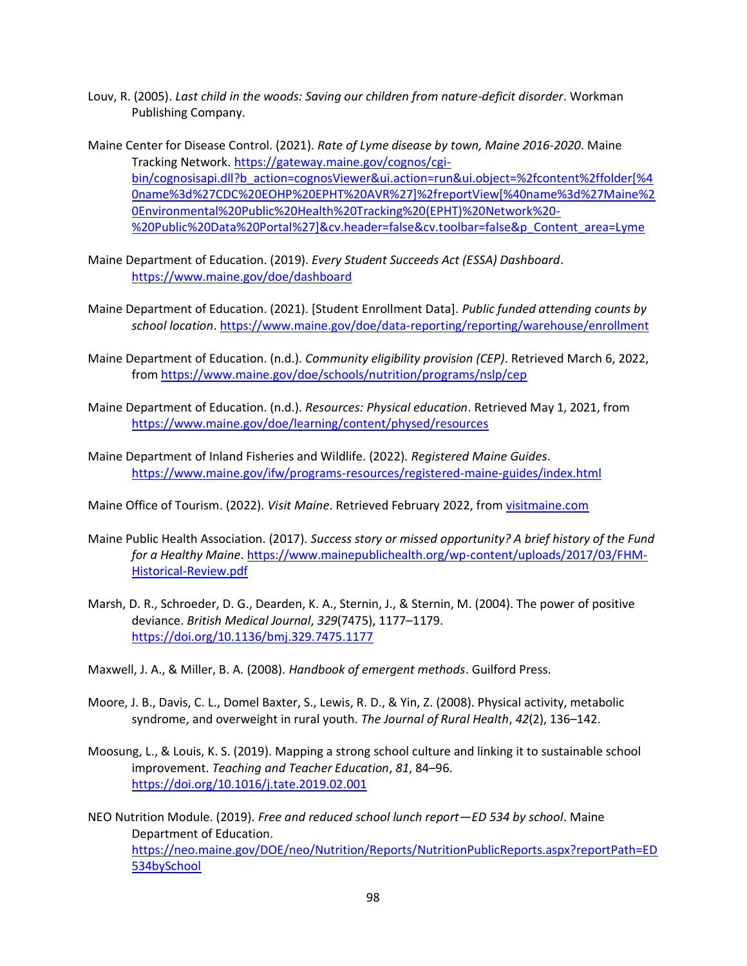- Louv, R. (2005). *Last child in the woods: Saving our children from nature-deficit disorder*. Workman Publishing Company.
- Maine Center for Disease Control. (2021). *Rate of Lyme disease by town, Maine 2016-2020*. Maine Tracking Network. [https://gateway.maine.gov/cognos/cgi](https://gateway.maine.gov/cognos/cgi-bin/cognosisapi.dll?b_action=cognosViewer&ui.action=run&ui.object=%2fcontent%2ffolder%5b%40name%3d%27CDC%20EOHP%20EPHT%20AVR%27%5d%2freportView%5b%40name%3d%27Maine%20Environmental%20Public%20Health%20Tracking%20(EPHT)%20Network%20-%20Public%20Data%20Portal%27%5d&cv.header=false&cv.toolbar=false&p_Content_area=Lyme)[bin/cognosisapi.dll?b\\_action=cognosViewer&ui.action=run&ui.object=%2fcontent%2ffolder\[%4](https://gateway.maine.gov/cognos/cgi-bin/cognosisapi.dll?b_action=cognosViewer&ui.action=run&ui.object=%2fcontent%2ffolder%5b%40name%3d%27CDC%20EOHP%20EPHT%20AVR%27%5d%2freportView%5b%40name%3d%27Maine%20Environmental%20Public%20Health%20Tracking%20(EPHT)%20Network%20-%20Public%20Data%20Portal%27%5d&cv.header=false&cv.toolbar=false&p_Content_area=Lyme) [0name%3d%27CDC%20EOHP%20EPHT%20AVR%27\]%2freportView\[%40name%3d%27Maine%2](https://gateway.maine.gov/cognos/cgi-bin/cognosisapi.dll?b_action=cognosViewer&ui.action=run&ui.object=%2fcontent%2ffolder%5b%40name%3d%27CDC%20EOHP%20EPHT%20AVR%27%5d%2freportView%5b%40name%3d%27Maine%20Environmental%20Public%20Health%20Tracking%20(EPHT)%20Network%20-%20Public%20Data%20Portal%27%5d&cv.header=false&cv.toolbar=false&p_Content_area=Lyme) [0Environmental%20Public%20Health%20Tracking%20\(EPHT\)%20Network%20-](https://gateway.maine.gov/cognos/cgi-bin/cognosisapi.dll?b_action=cognosViewer&ui.action=run&ui.object=%2fcontent%2ffolder%5b%40name%3d%27CDC%20EOHP%20EPHT%20AVR%27%5d%2freportView%5b%40name%3d%27Maine%20Environmental%20Public%20Health%20Tracking%20(EPHT)%20Network%20-%20Public%20Data%20Portal%27%5d&cv.header=false&cv.toolbar=false&p_Content_area=Lyme) [%20Public%20Data%20Portal%27\]&cv.header=false&cv.toolbar=false&p\\_Content\\_area=Lyme](https://gateway.maine.gov/cognos/cgi-bin/cognosisapi.dll?b_action=cognosViewer&ui.action=run&ui.object=%2fcontent%2ffolder%5b%40name%3d%27CDC%20EOHP%20EPHT%20AVR%27%5d%2freportView%5b%40name%3d%27Maine%20Environmental%20Public%20Health%20Tracking%20(EPHT)%20Network%20-%20Public%20Data%20Portal%27%5d&cv.header=false&cv.toolbar=false&p_Content_area=Lyme)
- Maine Department of Education. (2019). *Every Student Succeeds Act (ESSA) Dashboard*. <https://www.maine.gov/doe/dashboard>
- Maine Department of Education. (2021). [Student Enrollment Data]. *Public funded attending counts by school location*.<https://www.maine.gov/doe/data-reporting/reporting/warehouse/enrollment>
- Maine Department of Education. (n.d.). *Community eligibility provision (CEP)*. Retrieved March 6, 2022, from<https://www.maine.gov/doe/schools/nutrition/programs/nslp/cep>
- Maine Department of Education. (n.d.). *Resources: Physical education*. Retrieved May 1, 2021, from <https://www.maine.gov/doe/learning/content/physed/resources>
- Maine Department of Inland Fisheries and Wildlife. (2022). *Registered Maine Guides*. <https://www.maine.gov/ifw/programs-resources/registered-maine-guides/index.html>
- Maine Office of Tourism. (2022). *Visit Maine*. Retrieved February 2022, from [visitmaine.com](https://doi.org/visitmaine.com)
- Maine Public Health Association. (2017). *Success story or missed opportunity? A brief history of the Fund for a Healthy Maine*[. https://www.mainepublichealth.org/wp-content/uploads/2017/03/FHM-](https://www.mainepublichealth.org/wp-content/uploads/2017/03/FHM-Historical-Review.pdf)[Historical-Review.pdf](https://www.mainepublichealth.org/wp-content/uploads/2017/03/FHM-Historical-Review.pdf)
- Marsh, D. R., Schroeder, D. G., Dearden, K. A., Sternin, J., & Sternin, M. (2004). The power of positive deviance. *British Medical Journal*, *329*(7475), 1177–1179. <https://doi.org/10.1136/bmj.329.7475.1177>
- Maxwell, J. A., & Miller, B. A. (2008). *Handbook of emergent methods*. Guilford Press.
- Moore, J. B., Davis, C. L., Domel Baxter, S., Lewis, R. D., & Yin, Z. (2008). Physical activity, metabolic syndrome, and overweight in rural youth. *The Journal of Rural Health*, *42*(2), 136–142.
- Moosung, L., & Louis, K. S. (2019). Mapping a strong school culture and linking it to sustainable school improvement. *Teaching and Teacher Education*, *81*, 84–96. <https://doi.org/10.1016/j.tate.2019.02.001>
- NEO Nutrition Module. (2019). *Free and reduced school lunch report—ED 534 by school*. Maine Department of Education. [https://neo.maine.gov/DOE/neo/Nutrition/Reports/NutritionPublicReports.aspx?reportPath=ED](https://neo.maine.gov/DOE/neo/Nutrition/Reports/NutritionPublicReports.aspx?reportPath=ED534bySchool) [534bySchool](https://neo.maine.gov/DOE/neo/Nutrition/Reports/NutritionPublicReports.aspx?reportPath=ED534bySchool)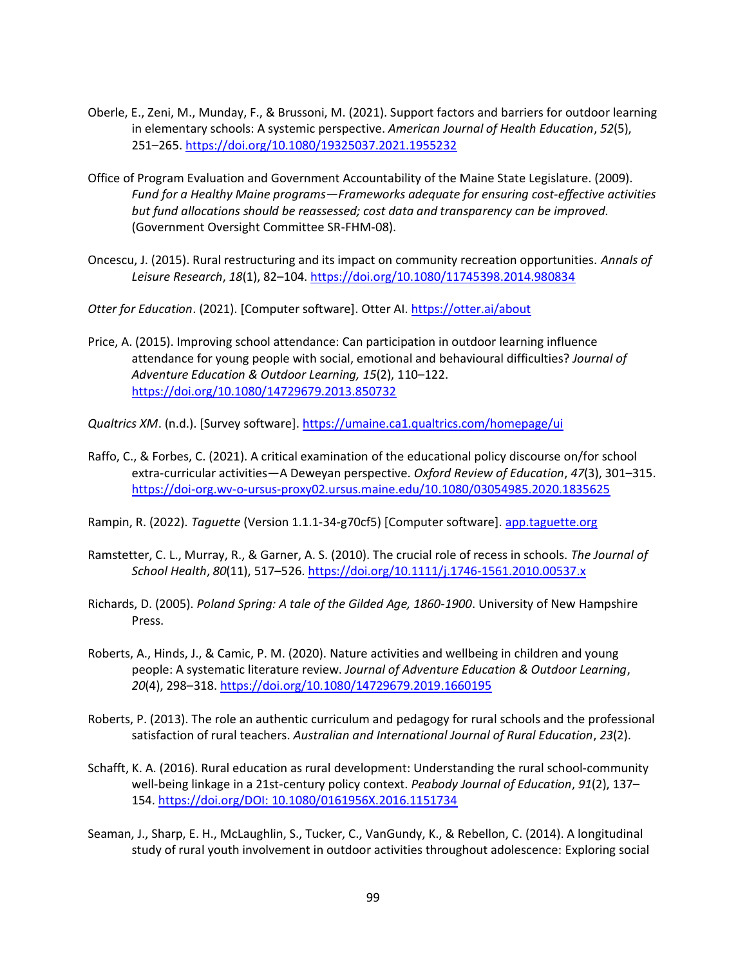- Oberle, E., Zeni, M., Munday, F., & Brussoni, M. (2021). Support factors and barriers for outdoor learning in elementary schools: A systemic perspective. *American Journal of Health Education*, *52*(5), 251–265.<https://doi.org/10.1080/19325037.2021.1955232>
- Office of Program Evaluation and Government Accountability of the Maine State Legislature. (2009). *Fund for a Healthy Maine programs—Frameworks adequate for ensuring cost-effective activities but fund allocations should be reassessed; cost data and transparency can be improved.* (Government Oversight Committee SR-FHM-08).
- Oncescu, J. (2015). Rural restructuring and its impact on community recreation opportunities. *Annals of Leisure Research*, *18*(1), 82–104[. https://doi.org/10.1080/11745398.2014.980834](https://doi.org/10.1080/11745398.2014.980834)

*Otter for Education*. (2021). [Computer software]. Otter AI.<https://otter.ai/about>

Price, A. (2015). Improving school attendance: Can participation in outdoor learning influence attendance for young people with social, emotional and behavioural difficulties? *Journal of Adventure Education & Outdoor Learning, 15*(2), 110–122. <https://doi.org/10.1080/14729679.2013.850732>

*Qualtrics XM*. (n.d.). [Survey software]. <https://umaine.ca1.qualtrics.com/homepage/ui>

Raffo, C., & Forbes, C. (2021). A critical examination of the educational policy discourse on/for school extra-curricular activities—A Deweyan perspective. *Oxford Review of Education*, *47*(3), 301–315. <https://doi-org.wv-o-ursus-proxy02.ursus.maine.edu/10.1080/03054985.2020.1835625>

Rampin, R. (2022). *Taguette* (Version 1.1.1-34-g70cf5) [Computer software]. [app.taguette.org](https://doi.org/app.taguette.org)

- Ramstetter, C. L., Murray, R., & Garner, A. S. (2010). The crucial role of recess in schools. *The Journal of School Health*, *80*(11), 517–526.<https://doi.org/10.1111/j.1746-1561.2010.00537.x>
- Richards, D. (2005). *Poland Spring: A tale of the Gilded Age, 1860-1900*. University of New Hampshire Press.
- Roberts, A., Hinds, J., & Camic, P. M. (2020). Nature activities and wellbeing in children and young people: A systematic literature review. *Journal of Adventure Education & Outdoor Learning*, *20*(4), 298–318.<https://doi.org/10.1080/14729679.2019.1660195>
- Roberts, P. (2013). The role an authentic curriculum and pedagogy for rural schools and the professional satisfaction of rural teachers. *Australian and International Journal of Rural Education*, *23*(2).
- Schafft, K. A. (2016). Rural education as rural development: Understanding the rural school-community well-being linkage in a 21st-century policy context. *Peabody Journal of Education*, *91*(2), 137– 154. [https://doi.org/DOI: 10.1080/0161956X.2016.1151734](https://doi.org/DOI:%2010.1080/0161956X.2016.1151734)
- Seaman, J., Sharp, E. H., McLaughlin, S., Tucker, C., VanGundy, K., & Rebellon, C. (2014). A longitudinal study of rural youth involvement in outdoor activities throughout adolescence: Exploring social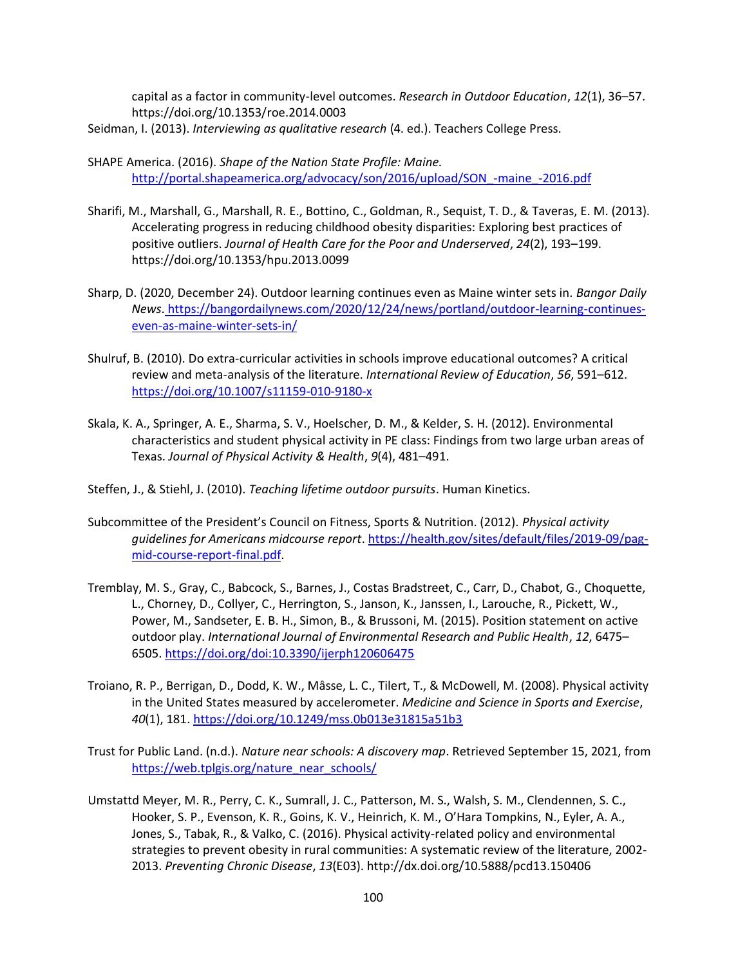capital as a factor in community-level outcomes. *Research in Outdoor Education*, *12*(1), 36–57. https://doi.org/10.1353/roe.2014.0003

- Seidman, I. (2013). *Interviewing as qualitative research* (4. ed.). Teachers College Press.
- SHAPE America. (2016). *Shape of the Nation State Profile: Maine.* [http://portal.shapeamerica.org/advocacy/son/2016/upload/SON\\_-maine\\_-2016.pdf](http://portal.shapeamerica.org/advocacy/son/2016/upload/SON_-maine_-2016.pdf)
- Sharifi, M., Marshall, G., Marshall, R. E., Bottino, C., Goldman, R., Sequist, T. D., & Taveras, E. M. (2013). Accelerating progress in reducing childhood obesity disparities: Exploring best practices of positive outliers. *Journal of Health Care for the Poor and Underserved*, *24*(2), 193–199. https://doi.org/10.1353/hpu.2013.0099
- Sharp, D. (2020, December 24). Outdoor learning continues even as Maine winter sets in. *Bangor Daily News*. [https://bangordailynews.com/2020/12/24/news/portland/outdoor-learning-continues](https://bangordailynews.com/2020/12/24/news/portland/outdoor-learning-continues-even-as-maine-winter-sets-in/)[even-as-maine-winter-sets-in/](https://bangordailynews.com/2020/12/24/news/portland/outdoor-learning-continues-even-as-maine-winter-sets-in/)
- Shulruf, B. (2010). Do extra-curricular activities in schools improve educational outcomes? A critical review and meta-analysis of the literature. *International Review of Education*, *56*, 591–612. <https://doi.org/10.1007/s11159-010-9180-x>
- Skala, K. A., Springer, A. E., Sharma, S. V., Hoelscher, D. M., & Kelder, S. H. (2012). Environmental characteristics and student physical activity in PE class: Findings from two large urban areas of Texas. *Journal of Physical Activity & Health*, *9*(4), 481–491.
- Steffen, J., & Stiehl, J. (2010). *Teaching lifetime outdoor pursuits*. Human Kinetics.
- Subcommittee of the President's Council on Fitness, Sports & Nutrition. (2012). *Physical activity guidelines for Americans midcourse report*[. https://health.gov/sites/default/files/2019-09/pag](https://health.gov/sites/default/files/2019-09/pag-mid-course-report-final.pdf)[mid-course-report-final.pdf.](https://health.gov/sites/default/files/2019-09/pag-mid-course-report-final.pdf)
- Tremblay, M. S., Gray, C., Babcock, S., Barnes, J., Costas Bradstreet, C., Carr, D., Chabot, G., Choquette, L., Chorney, D., Collyer, C., Herrington, S., Janson, K., Janssen, I., Larouche, R., Pickett, W., Power, M., Sandseter, E. B. H., Simon, B., & Brussoni, M. (2015). Position statement on active outdoor play. *International Journal of Environmental Research and Public Health*, *12*, 6475– 6505.<https://doi.org/doi:10.3390/ijerph120606475>
- Troiano, R. P., Berrigan, D., Dodd, K. W., Mâsse, L. C., Tilert, T., & McDowell, M. (2008). Physical activity in the United States measured by accelerometer. *Medicine and Science in Sports and Exercise*, *40*(1), 181[. https://doi.org/10.1249/mss.0b013e31815a51b3](https://doi.org/10.1249/mss.0b013e31815a51b3)
- Trust for Public Land. (n.d.). *Nature near schools: A discovery map*. Retrieved September 15, 2021, from [https://web.tplgis.org/nature\\_near\\_schools/](https://web.tplgis.org/nature_near_schools/)
- Umstattd Meyer, M. R., Perry, C. K., Sumrall, J. C., Patterson, M. S., Walsh, S. M., Clendennen, S. C., Hooker, S. P., Evenson, K. R., Goins, K. V., Heinrich, K. M., O'Hara Tompkins, N., Eyler, A. A., Jones, S., Tabak, R., & Valko, C. (2016). Physical activity-related policy and environmental strategies to prevent obesity in rural communities: A systematic review of the literature, 2002- 2013. *Preventing Chronic Disease*, *13*(E03). http://dx.doi.org/10.5888/pcd13.150406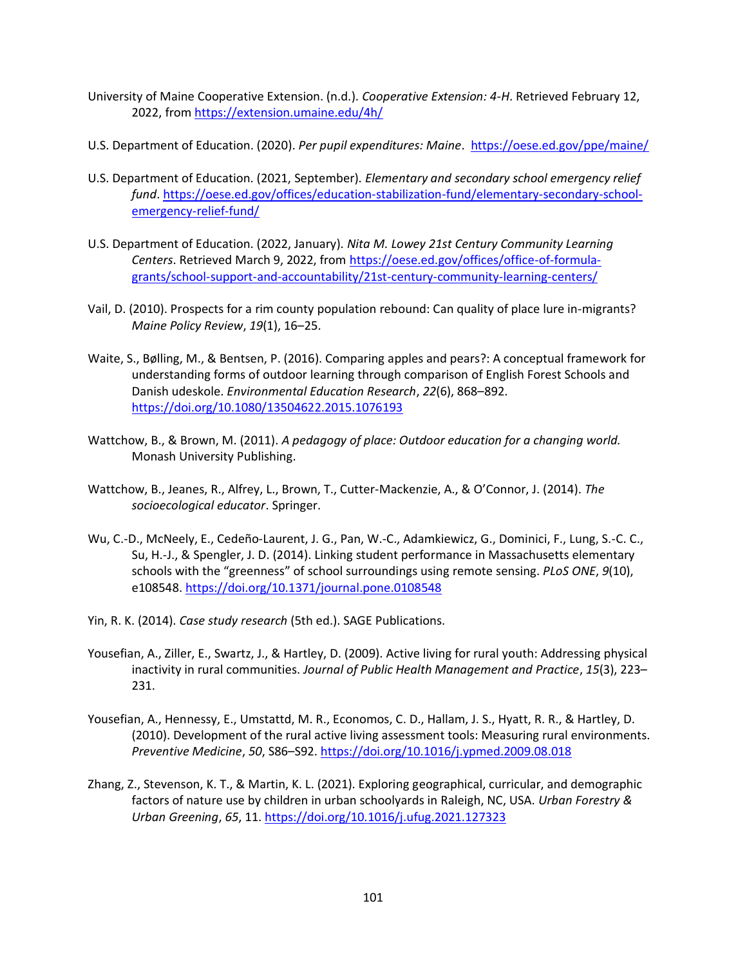- University of Maine Cooperative Extension. (n.d.). *Cooperative Extension: 4-H*. Retrieved February 12, 2022, from<https://extension.umaine.edu/4h/>
- U.S. Department of Education. (2020). *Per pupil expenditures: Maine*.<https://oese.ed.gov/ppe/maine/>
- U.S. Department of Education. (2021, September). *Elementary and secondary school emergency relief fund*[. https://oese.ed.gov/offices/education-stabilization-fund/elementary-secondary-school](https://oese.ed.gov/offices/education-stabilization-fund/elementary-secondary-school-emergency-relief-fund/)[emergency-relief-fund/](https://oese.ed.gov/offices/education-stabilization-fund/elementary-secondary-school-emergency-relief-fund/)
- U.S. Department of Education. (2022, January). *Nita M. Lowey 21st Century Community Learning Centers*. Retrieved March 9, 2022, from [https://oese.ed.gov/offices/office-of-formula](https://oese.ed.gov/offices/office-of-formula-grants/school-support-and-accountability/21st-century-community-learning-centers/)[grants/school-support-and-accountability/21st-century-community-learning-centers/](https://oese.ed.gov/offices/office-of-formula-grants/school-support-and-accountability/21st-century-community-learning-centers/)
- Vail, D. (2010). Prospects for a rim county population rebound: Can quality of place lure in-migrants? *Maine Policy Review*, *19*(1), 16–25.
- Waite, S., Bølling, M., & Bentsen, P. (2016). Comparing apples and pears?: A conceptual framework for understanding forms of outdoor learning through comparison of English Forest Schools and Danish udeskole. *Environmental Education Research*, *22*(6), 868–892. <https://doi.org/10.1080/13504622.2015.1076193>
- Wattchow, B., & Brown, M. (2011). *A pedagogy of place: Outdoor education for a changing world.* Monash University Publishing.
- Wattchow, B., Jeanes, R., Alfrey, L., Brown, T., Cutter-Mackenzie, A., & O'Connor, J. (2014). *The socioecological educator*. Springer.
- Wu, C.-D., McNeely, E., Cedeño-Laurent, J. G., Pan, W.-C., Adamkiewicz, G., Dominici, F., Lung, S.-C. C., Su, H.-J., & Spengler, J. D. (2014). Linking student performance in Massachusetts elementary schools with the "greenness" of school surroundings using remote sensing. *PLoS ONE*, *9*(10), e108548.<https://doi.org/10.1371/journal.pone.0108548>
- Yin, R. K. (2014). *Case study research* (5th ed.). SAGE Publications.
- Yousefian, A., Ziller, E., Swartz, J., & Hartley, D. (2009). Active living for rural youth: Addressing physical inactivity in rural communities. *Journal of Public Health Management and Practice*, *15*(3), 223– 231.
- Yousefian, A., Hennessy, E., Umstattd, M. R., Economos, C. D., Hallam, J. S., Hyatt, R. R., & Hartley, D. (2010). Development of the rural active living assessment tools: Measuring rural environments. *Preventive Medicine*, *50*, S86–S92.<https://doi.org/10.1016/j.ypmed.2009.08.018>
- Zhang, Z., Stevenson, K. T., & Martin, K. L. (2021). Exploring geographical, curricular, and demographic factors of nature use by children in urban schoolyards in Raleigh, NC, USA. *Urban Forestry & Urban Greening*, *65*, 11.<https://doi.org/10.1016/j.ufug.2021.127323>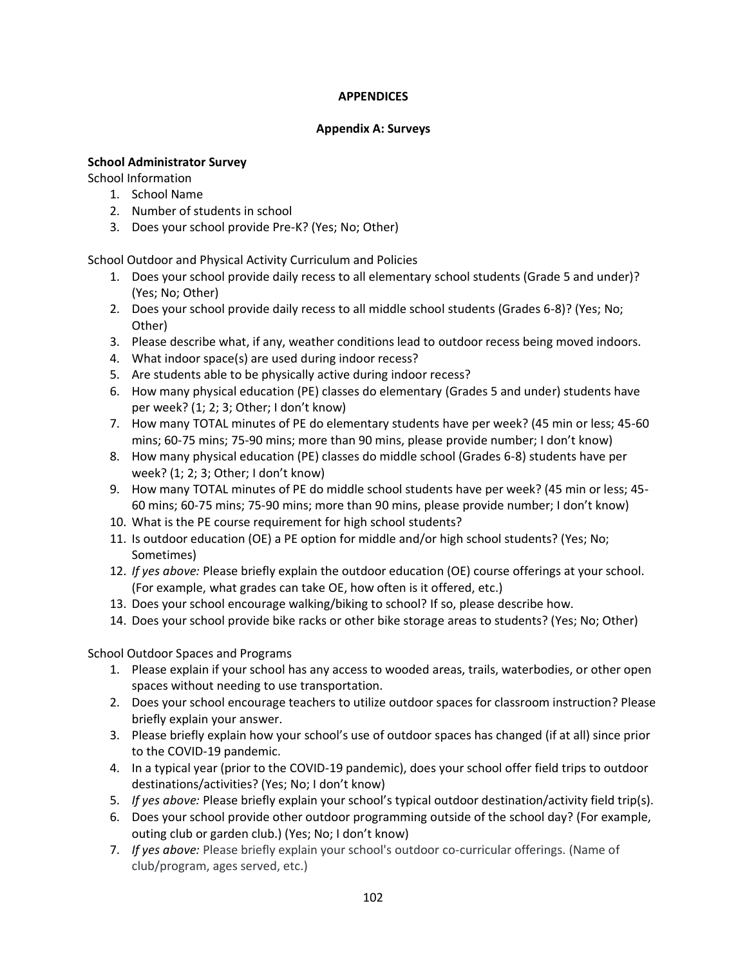# **APPENDICES**

#### **Appendix A: Surveys**

### **School Administrator Survey**

School Information

- 1. School Name
- 2. Number of students in school
- 3. Does your school provide Pre-K? (Yes; No; Other)

School Outdoor and Physical Activity Curriculum and Policies

- 1. Does your school provide daily recess to all elementary school students (Grade 5 and under)? (Yes; No; Other)
- 2. Does your school provide daily recess to all middle school students (Grades 6-8)? (Yes; No; Other)
- 3. Please describe what, if any, weather conditions lead to outdoor recess being moved indoors.
- 4. What indoor space(s) are used during indoor recess?
- 5. Are students able to be physically active during indoor recess?
- 6. How many physical education (PE) classes do elementary (Grades 5 and under) students have per week? (1; 2; 3; Other; I don't know)
- 7. How many TOTAL minutes of PE do elementary students have per week? (45 min or less; 45-60 mins; 60-75 mins; 75-90 mins; more than 90 mins, please provide number; I don't know)
- 8. How many physical education (PE) classes do middle school (Grades 6-8) students have per week? (1; 2; 3; Other; I don't know)
- 9. How many TOTAL minutes of PE do middle school students have per week? (45 min or less; 45- 60 mins; 60-75 mins; 75-90 mins; more than 90 mins, please provide number; I don't know)
- 10. What is the PE course requirement for high school students?
- 11. Is outdoor education (OE) a PE option for middle and/or high school students? (Yes; No; Sometimes)
- 12. *If yes above:* Please briefly explain the outdoor education (OE) course offerings at your school. (For example, what grades can take OE, how often is it offered, etc.)
- 13. Does your school encourage walking/biking to school? If so, please describe how.
- 14. Does your school provide bike racks or other bike storage areas to students? (Yes; No; Other)

School Outdoor Spaces and Programs

- 1. Please explain if your school has any access to wooded areas, trails, waterbodies, or other open spaces without needing to use transportation.
- 2. Does your school encourage teachers to utilize outdoor spaces for classroom instruction? Please briefly explain your answer.
- 3. Please briefly explain how your school's use of outdoor spaces has changed (if at all) since prior to the COVID-19 pandemic.
- 4. In a typical year (prior to the COVID-19 pandemic), does your school offer field trips to outdoor destinations/activities? (Yes; No; I don't know)
- 5. *If yes above:* Please briefly explain your school's typical outdoor destination/activity field trip(s).
- 6. Does your school provide other outdoor programming outside of the school day? (For example, outing club or garden club.) (Yes; No; I don't know)
- 7. *If yes above:* Please briefly explain your school's outdoor co-curricular offerings. (Name of club/program, ages served, etc.)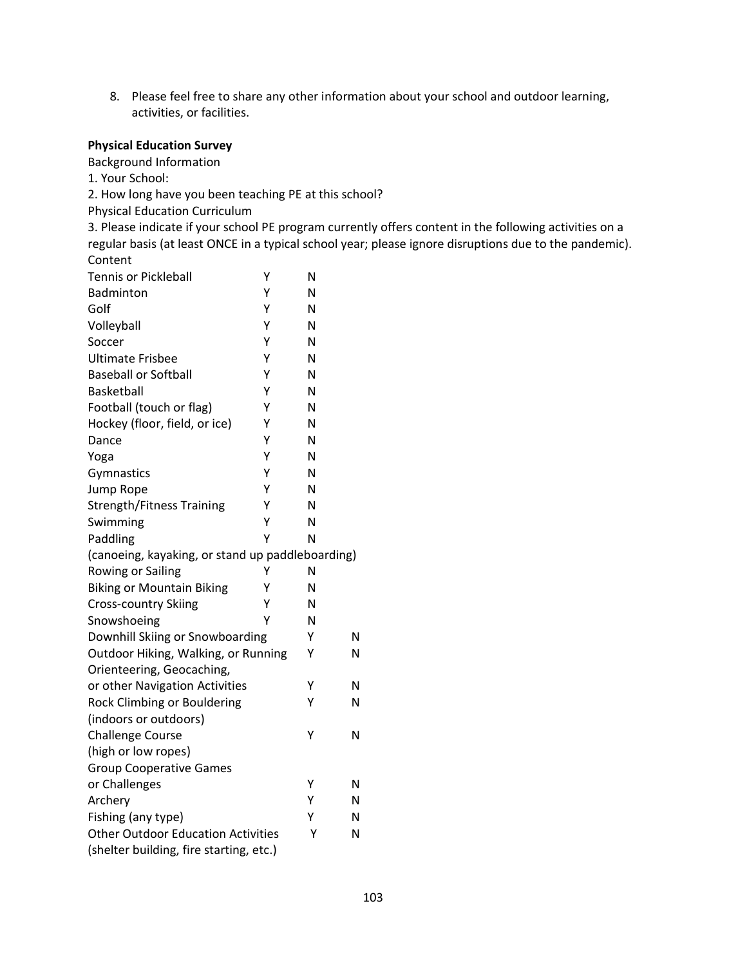8. Please feel free to share any other information about your school and outdoor learning, activities, or facilities.

#### **Physical Education Survey**

Background Information

1. Your School:

2. How long have you been teaching PE at this school?

Physical Education Curriculum

3. Please indicate if your school PE program currently offers content in the following activities on a regular basis (at least ONCE in a typical school year; please ignore disruptions due to the pandemic). Content

| <b>Tennis or Pickleball</b><br>Υ                 |   | N |   |
|--------------------------------------------------|---|---|---|
| Badminton<br>Υ                                   |   | N |   |
| Golf<br>Υ                                        |   | N |   |
| Volleyball<br>Υ                                  |   | N |   |
| Soccer                                           | Υ | Ν |   |
| <b>Ultimate Frisbee</b>                          | Y | N |   |
| <b>Baseball or Softball</b><br>Υ                 |   | Ν |   |
| <b>Basketball</b><br>Υ                           |   | N |   |
| Football (touch or flag)<br>Y                    |   | N |   |
| Hockey (floor, field, or ice)<br>Υ               |   | N |   |
| Υ<br>Dance                                       |   | N |   |
| Υ<br>Yoga                                        |   | N |   |
| Υ<br>Gymnastics                                  |   | N |   |
| Υ<br>Jump Rope                                   |   | N |   |
| Υ<br><b>Strength/Fitness Training</b>            |   | N |   |
| Swimming                                         | Υ | Ν |   |
| Paddling                                         | Y | N |   |
| (canoeing, kayaking, or stand up paddleboarding) |   |   |   |
| Rowing or Sailing                                | Υ | Ν |   |
| Υ<br><b>Biking or Mountain Biking</b>            |   | N |   |
| Cross-country Skiing<br>Υ                        |   | N |   |
| Snowshoeing                                      | Υ | N |   |
| Downhill Skiing or Snowboarding                  |   | Υ | Ν |
| Outdoor Hiking, Walking, or Running              |   | Υ | Ν |
| Orienteering, Geocaching,                        |   |   |   |
| or other Navigation Activities                   |   | Υ | Ν |
| Rock Climbing or Bouldering                      |   | Υ | N |
| (indoors or outdoors)                            |   |   |   |
| <b>Challenge Course</b>                          |   | Υ | N |
| (high or low ropes)                              |   |   |   |
| <b>Group Cooperative Games</b>                   |   |   |   |
| or Challenges                                    |   | Υ | Ν |
| Archery                                          |   | Υ | Ν |
| Fishing (any type)                               |   | Υ | Ν |
| <b>Other Outdoor Education Activities</b>        |   |   | N |
| (shelter building, fire starting, etc.)          |   |   |   |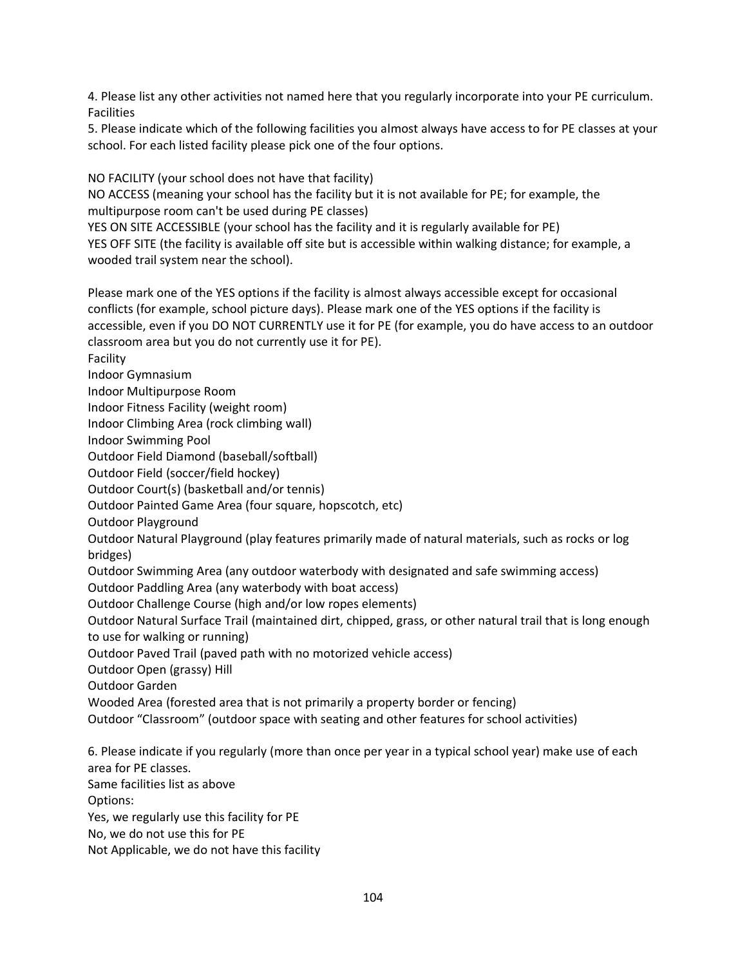4. Please list any other activities not named here that you regularly incorporate into your PE curriculum. Facilities

5. Please indicate which of the following facilities you almost always have access to for PE classes at your school. For each listed facility please pick one of the four options.

NO FACILITY (your school does not have that facility)

NO ACCESS (meaning your school has the facility but it is not available for PE; for example, the multipurpose room can't be used during PE classes)

YES ON SITE ACCESSIBLE (your school has the facility and it is regularly available for PE)

YES OFF SITE (the facility is available off site but is accessible within walking distance; for example, a wooded trail system near the school).

Please mark one of the YES options if the facility is almost always accessible except for occasional conflicts (for example, school picture days). Please mark one of the YES options if the facility is accessible, even if you DO NOT CURRENTLY use it for PE (for example, you do have access to an outdoor classroom area but you do not currently use it for PE).

Facility

Indoor Gymnasium

Indoor Multipurpose Room

Indoor Fitness Facility (weight room)

Indoor Climbing Area (rock climbing wall)

Indoor Swimming Pool

Outdoor Field Diamond (baseball/softball)

Outdoor Field (soccer/field hockey)

Outdoor Court(s) (basketball and/or tennis)

Outdoor Painted Game Area (four square, hopscotch, etc)

Outdoor Playground

Outdoor Natural Playground (play features primarily made of natural materials, such as rocks or log bridges)

Outdoor Swimming Area (any outdoor waterbody with designated and safe swimming access)

Outdoor Paddling Area (any waterbody with boat access)

Outdoor Challenge Course (high and/or low ropes elements)

Outdoor Natural Surface Trail (maintained dirt, chipped, grass, or other natural trail that is long enough to use for walking or running)

Outdoor Paved Trail (paved path with no motorized vehicle access)

Outdoor Open (grassy) Hill

Outdoor Garden

Wooded Area (forested area that is not primarily a property border or fencing)

Outdoor "Classroom" (outdoor space with seating and other features for school activities)

6. Please indicate if you regularly (more than once per year in a typical school year) make use of each area for PE classes.

Same facilities list as above

Options:

Yes, we regularly use this facility for PE

No, we do not use this for PE

Not Applicable, we do not have this facility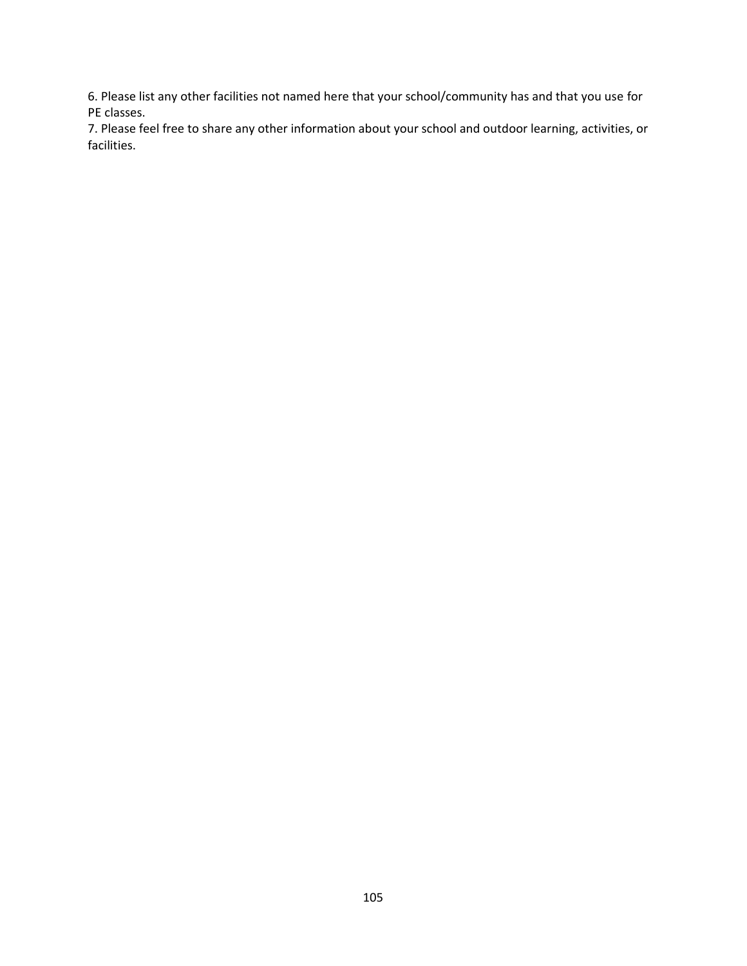6. Please list any other facilities not named here that your school/community has and that you use for PE classes.

7. Please feel free to share any other information about your school and outdoor learning, activities, or facilities.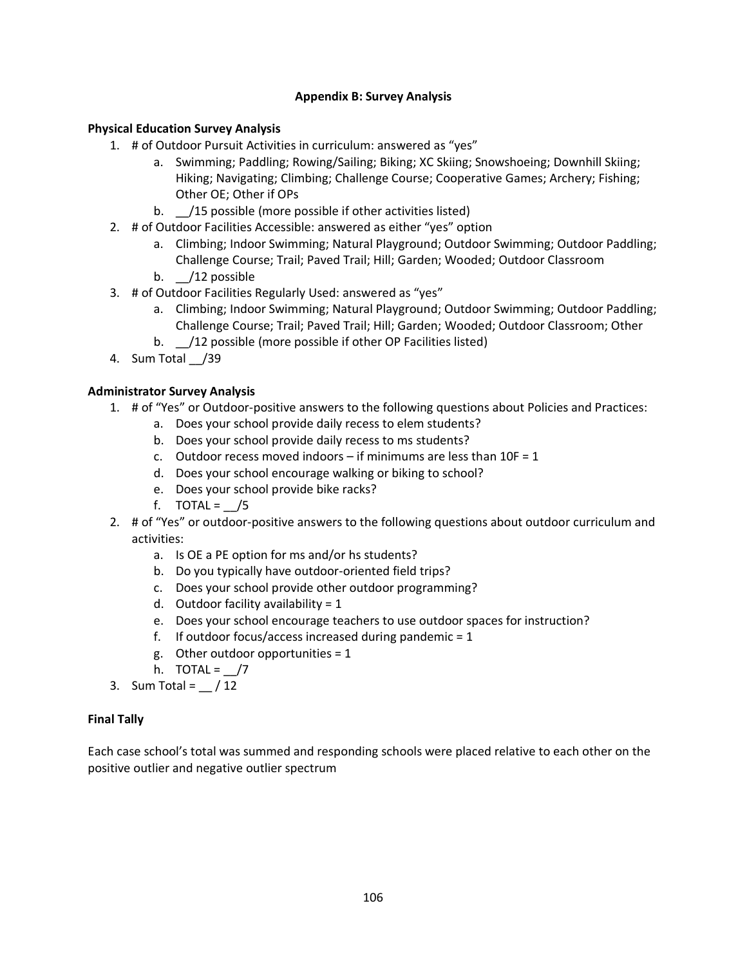# **Appendix B: Survey Analysis**

# **Physical Education Survey Analysis**

- 1. # of Outdoor Pursuit Activities in curriculum: answered as "yes"
	- a. Swimming; Paddling; Rowing/Sailing; Biking; XC Skiing; Snowshoeing; Downhill Skiing; Hiking; Navigating; Climbing; Challenge Course; Cooperative Games; Archery; Fishing; Other OE; Other if OPs
	- b. /15 possible (more possible if other activities listed)
- 2. # of Outdoor Facilities Accessible: answered as either "yes" option
	- a. Climbing; Indoor Swimming; Natural Playground; Outdoor Swimming; Outdoor Paddling; Challenge Course; Trail; Paved Trail; Hill; Garden; Wooded; Outdoor Classroom
	- b.  $\frac{1}{2}$  possible
- 3. # of Outdoor Facilities Regularly Used: answered as "yes"
	- a. Climbing; Indoor Swimming; Natural Playground; Outdoor Swimming; Outdoor Paddling; Challenge Course; Trail; Paved Trail; Hill; Garden; Wooded; Outdoor Classroom; Other
	- b. /12 possible (more possible if other OP Facilities listed)
- 4. Sum Total /39

# **Administrator Survey Analysis**

- 1. # of "Yes" or Outdoor-positive answers to the following questions about Policies and Practices:
	- a. Does your school provide daily recess to elem students?
	- b. Does your school provide daily recess to ms students?
	- c. Outdoor recess moved indoors if minimums are less than  $10F = 1$
	- d. Does your school encourage walking or biking to school?
	- e. Does your school provide bike racks?
	- f. TOTAL =  $/5$
- 2. # of "Yes" or outdoor-positive answers to the following questions about outdoor curriculum and activities:
	- a. Is OE a PE option for ms and/or hs students?
	- b. Do you typically have outdoor-oriented field trips?
	- c. Does your school provide other outdoor programming?
	- d. Outdoor facility availability =  $1$
	- e. Does your school encourage teachers to use outdoor spaces for instruction?
	- f. If outdoor focus/access increased during pandemic  $= 1$
	- g. Other outdoor opportunities = 1
	- h. TOTAL =  $\angle$ /7
- 3. Sum Total =  $/12$

### **Final Tally**

Each case school's total was summed and responding schools were placed relative to each other on the positive outlier and negative outlier spectrum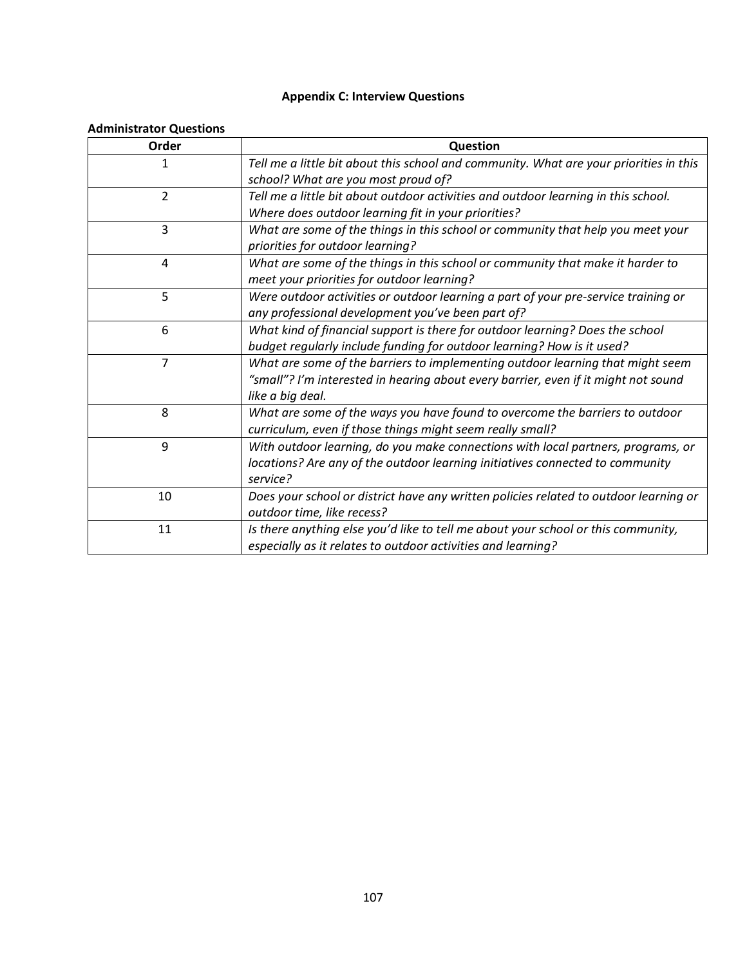# **Appendix C: Interview Questions**

# **Administrator Questions**

| Order          | Question                                                                               |
|----------------|----------------------------------------------------------------------------------------|
| 1              | Tell me a little bit about this school and community. What are your priorities in this |
|                | school? What are you most proud of?                                                    |
| $\overline{2}$ | Tell me a little bit about outdoor activities and outdoor learning in this school.     |
|                | Where does outdoor learning fit in your priorities?                                    |
| 3              | What are some of the things in this school or community that help you meet your        |
|                | priorities for outdoor learning?                                                       |
| 4              | What are some of the things in this school or community that make it harder to         |
|                | meet your priorities for outdoor learning?                                             |
| 5              | Were outdoor activities or outdoor learning a part of your pre-service training or     |
|                | any professional development you've been part of?                                      |
| 6              | What kind of financial support is there for outdoor learning? Does the school          |
|                | budget regularly include funding for outdoor learning? How is it used?                 |
| $\overline{7}$ | What are some of the barriers to implementing outdoor learning that might seem         |
|                | "small"? I'm interested in hearing about every barrier, even if it might not sound     |
|                | like a big deal.                                                                       |
| 8              | What are some of the ways you have found to overcome the barriers to outdoor           |
|                | curriculum, even if those things might seem really small?                              |
| 9              | With outdoor learning, do you make connections with local partners, programs, or       |
|                | locations? Are any of the outdoor learning initiatives connected to community          |
|                | service?                                                                               |
| 10             | Does your school or district have any written policies related to outdoor learning or  |
|                | outdoor time, like recess?                                                             |
| 11             | Is there anything else you'd like to tell me about your school or this community,      |
|                | especially as it relates to outdoor activities and learning?                           |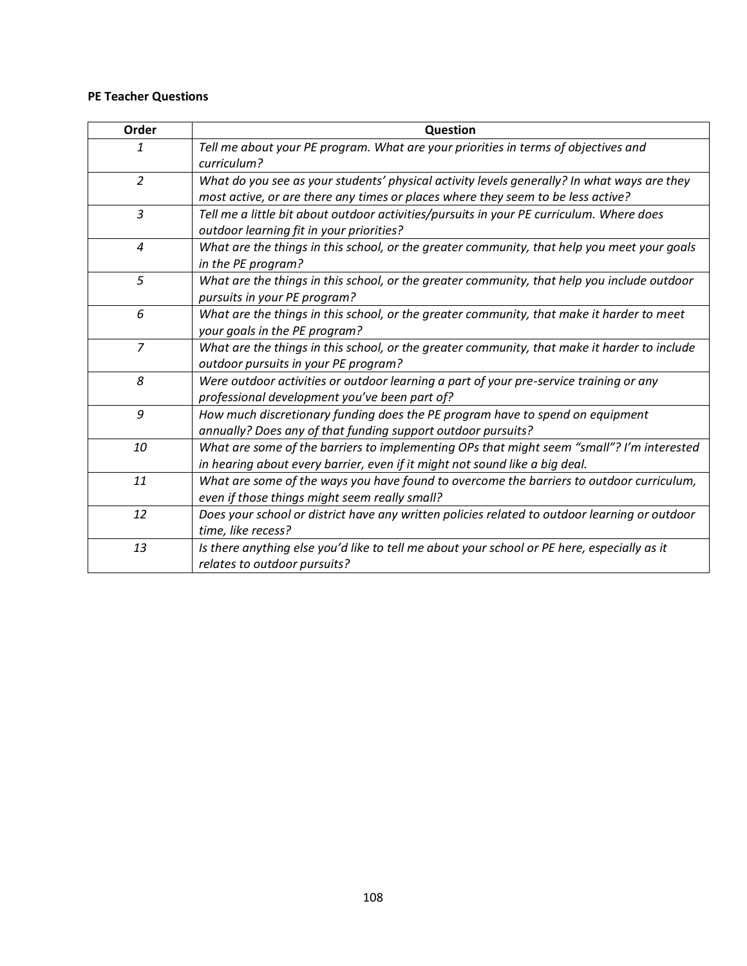# **PE Teacher Questions**

| Order          | Question                                                                                      |
|----------------|-----------------------------------------------------------------------------------------------|
| 1              | Tell me about your PE program. What are your priorities in terms of objectives and            |
|                | curriculum?                                                                                   |
| $\overline{2}$ | What do you see as your students' physical activity levels generally? In what ways are they   |
|                | most active, or are there any times or places where they seem to be less active?              |
| $\overline{3}$ | Tell me a little bit about outdoor activities/pursuits in your PE curriculum. Where does      |
|                | outdoor learning fit in your priorities?                                                      |
| 4              | What are the things in this school, or the greater community, that help you meet your goals   |
|                | in the PE program?                                                                            |
| 5              | What are the things in this school, or the greater community, that help you include outdoor   |
|                | pursuits in your PE program?                                                                  |
| 6              | What are the things in this school, or the greater community, that make it harder to meet     |
|                | your goals in the PE program?                                                                 |
| $\overline{7}$ | What are the things in this school, or the greater community, that make it harder to include  |
|                | outdoor pursuits in your PE program?                                                          |
| 8              | Were outdoor activities or outdoor learning a part of your pre-service training or any        |
|                | professional development you've been part of?                                                 |
| 9              | How much discretionary funding does the PE program have to spend on equipment                 |
|                | annually? Does any of that funding support outdoor pursuits?                                  |
| 10             | What are some of the barriers to implementing OPs that might seem "small"? I'm interested     |
|                | in hearing about every barrier, even if it might not sound like a big deal.                   |
| 11             | What are some of the ways you have found to overcome the barriers to outdoor curriculum,      |
|                | even if those things might seem really small?                                                 |
| 12             | Does your school or district have any written policies related to outdoor learning or outdoor |
|                | time, like recess?                                                                            |
| 13             | Is there anything else you'd like to tell me about your school or PE here, especially as it   |
|                | relates to outdoor pursuits?                                                                  |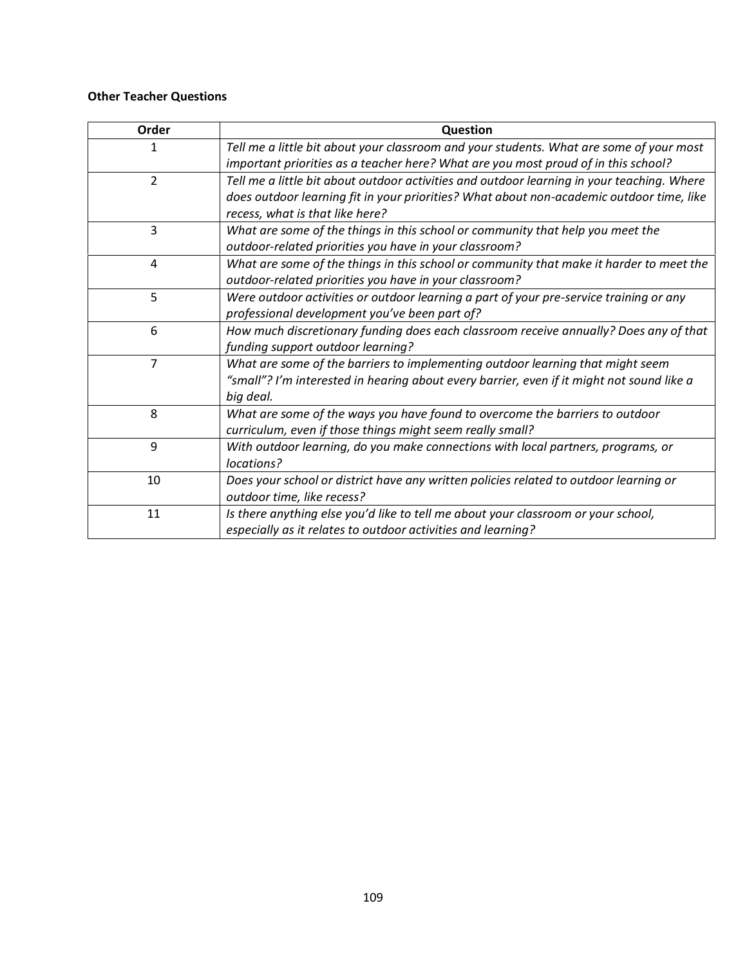# **Other Teacher Questions**

| Order          | Question                                                                                                                                                                                                                  |
|----------------|---------------------------------------------------------------------------------------------------------------------------------------------------------------------------------------------------------------------------|
| 1              | Tell me a little bit about your classroom and your students. What are some of your most<br>important priorities as a teacher here? What are you most proud of in this school?                                             |
| $\overline{2}$ | Tell me a little bit about outdoor activities and outdoor learning in your teaching. Where<br>does outdoor learning fit in your priorities? What about non-academic outdoor time, like<br>recess, what is that like here? |
| 3              | What are some of the things in this school or community that help you meet the<br>outdoor-related priorities you have in your classroom?                                                                                  |
| 4              | What are some of the things in this school or community that make it harder to meet the<br>outdoor-related priorities you have in your classroom?                                                                         |
| 5              | Were outdoor activities or outdoor learning a part of your pre-service training or any<br>professional development you've been part of?                                                                                   |
| 6              | How much discretionary funding does each classroom receive annually? Does any of that<br>funding support outdoor learning?                                                                                                |
| $\overline{7}$ | What are some of the barriers to implementing outdoor learning that might seem<br>"small"? I'm interested in hearing about every barrier, even if it might not sound like a<br>big deal.                                  |
| 8              | What are some of the ways you have found to overcome the barriers to outdoor<br>curriculum, even if those things might seem really small?                                                                                 |
| 9              | With outdoor learning, do you make connections with local partners, programs, or<br>locations?                                                                                                                            |
| 10             | Does your school or district have any written policies related to outdoor learning or<br>outdoor time, like recess?                                                                                                       |
| 11             | Is there anything else you'd like to tell me about your classroom or your school,<br>especially as it relates to outdoor activities and learning?                                                                         |